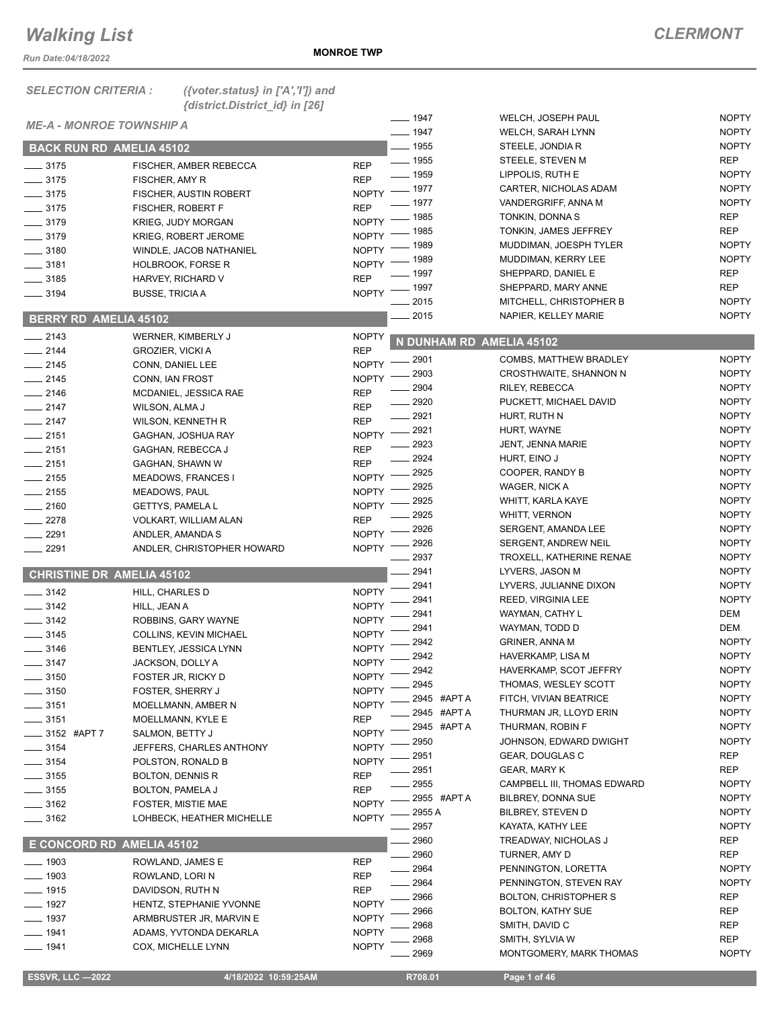*Run Date:04/18/2022*

| <b>SELECTION CRITERIA:</b>       | ({voter.status} in ['A',']]) and       |                              |                          |                                            |                          |
|----------------------------------|----------------------------------------|------------------------------|--------------------------|--------------------------------------------|--------------------------|
|                                  | {district.District_id} in [26]         |                              | $- 1947$                 | WELCH, JOSEPH PAUL                         | <b>NOPTY</b>             |
| <b>ME-A - MONROE TOWNSHIP A</b>  |                                        |                              | $- 1947$                 | WELCH, SARAH LYNN                          | <b>NOPTY</b>             |
| <b>BACK RUN RD AMELIA 45102</b>  |                                        |                              | $-1955$                  | STEELE, JONDIA R                           | <b>NOPTY</b>             |
|                                  |                                        |                              | $- 1955$                 | STEELE, STEVEN M                           | <b>REP</b>               |
| $- 3175$                         | FISCHER, AMBER REBECCA                 | <b>REP</b>                   | $- 1959$                 | LIPPOLIS, RUTH E                           | <b>NOPTY</b>             |
| $\frac{1}{2}$ 3175               | FISCHER, AMY R                         | <b>REP</b>                   | $-1977$                  | CARTER, NICHOLAS ADAM                      | <b>NOPTY</b>             |
| $- 3175$                         | FISCHER, AUSTIN ROBERT                 | <b>NOPTY</b>                 | - 1977                   | VANDERGRIFF, ANNA M                        | <b>NOPTY</b>             |
| $-3175$                          | FISCHER, ROBERT F                      | <b>REP</b>                   | 1985                     | TONKIN, DONNA S                            | <b>REP</b>               |
| $-3179$                          | <b>KRIEG, JUDY MORGAN</b>              | <b>NOPTY</b><br><b>NOPTY</b> | 1985                     | TONKIN, JAMES JEFFREY                      | <b>REP</b>               |
| $-3179$                          | <b>KRIEG, ROBERT JEROME</b>            | <b>NOPTY</b>                 | 1989                     | MUDDIMAN, JOESPH TYLER                     | <b>NOPTY</b>             |
| $-3180$<br>$\frac{1}{2}$ 3181    | WINDLE, JACOB NATHANIEL                | <b>NOPTY</b>                 | 1989                     | MUDDIMAN, KERRY LEE                        | <b>NOPTY</b>             |
| $-3185$                          | <b>HOLBROOK, FORSE R</b>               | <b>REP</b>                   | . 1997                   | SHEPPARD, DANIEL E                         | <b>REP</b>               |
| $\frac{1}{2}$ 3194               | HARVEY, RICHARD V                      | <b>NOPTY</b>                 | $-1997$                  | SHEPPARD, MARY ANNE                        | <b>REP</b>               |
|                                  | <b>BUSSE, TRICIAA</b>                  |                              | 2015                     | MITCHELL, CHRISTOPHER B                    | <b>NOPTY</b>             |
| <b>BERRY RD AMELIA 45102</b>     |                                        |                              | 2015                     | NAPIER, KELLEY MARIE                       | <b>NOPTY</b>             |
| $-2143$                          | WERNER, KIMBERLY J                     | <b>NOPTY</b>                 | N DUNHAM RD AMELIA 45102 |                                            |                          |
| $-2144$                          | <b>GROZIER, VICKI A</b>                | <b>REP</b>                   | 2901                     | COMBS, MATTHEW BRADLEY                     | <b>NOPTY</b>             |
| $-2145$                          | CONN, DANIEL LEE                       | <b>NOPTY</b>                 | 2903                     | CROSTHWAITE, SHANNON N                     | <b>NOPTY</b>             |
| $-2145$                          | CONN, IAN FROST                        | <b>NOPTY</b>                 | 2904                     | RILEY, REBECCA                             | <b>NOPTY</b>             |
| $-2146$                          | MCDANIEL, JESSICA RAE                  | <b>REP</b>                   | 2920                     | PUCKETT, MICHAEL DAVID                     | <b>NOPTY</b>             |
| $-2147$                          | WILSON, ALMA J                         | <b>REP</b>                   | 2921                     | HURT, RUTH N                               | <b>NOPTY</b>             |
| $-2147$                          | WILSON, KENNETH R                      | <b>REP</b>                   | 2921                     | HURT, WAYNE                                | <b>NOPTY</b>             |
| $-2151$                          | GAGHAN, JOSHUA RAY                     | <b>NOPTY</b>                 | 2923                     | JENT, JENNA MARIE                          | <b>NOPTY</b>             |
| $-2151$                          | GAGHAN, REBECCA J                      | <b>REP</b>                   | 2924                     | HURT, EINO J                               | <b>NOPTY</b>             |
| $-2151$                          | GAGHAN, SHAWN W                        | <b>REP</b>                   | 2925                     | COOPER, RANDY B                            | <b>NOPTY</b>             |
| $-2155$                          | <b>MEADOWS, FRANCES I</b>              | <b>NOPTY</b>                 | 2925                     | WAGER, NICK A                              | <b>NOPTY</b>             |
| $\frac{1}{2155}$                 | MEADOWS, PAUL                          | <b>NOPTY</b>                 | 2925                     | WHITT, KARLA KAYE                          | <b>NOPTY</b>             |
| $-2160$                          | <b>GETTYS, PAMELA L</b>                | <b>NOPTY</b>                 | 2925                     | <b>WHITT, VERNON</b>                       | <b>NOPTY</b>             |
| $-2278$                          | VOLKART, WILLIAM ALAN                  | <b>REP</b>                   | 2926                     | SERGENT, AMANDA LEE                        | <b>NOPTY</b>             |
| 2291                             | ANDLER, AMANDA S                       | <b>NOPTY</b>                 | 2926                     | <b>SERGENT, ANDREW NEIL</b>                | <b>NOPTY</b>             |
| 2291                             | ANDLER, CHRISTOPHER HOWARD             | <b>NOPTY</b>                 | 2937                     | TROXELL, KATHERINE RENAE                   | <b>NOPTY</b>             |
| <b>CHRISTINE DR AMELIA 45102</b> |                                        |                              | 2941                     | LYVERS, JASON M                            | <b>NOPTY</b>             |
|                                  |                                        |                              | 2941                     | LYVERS, JULIANNE DIXON                     | <b>NOPTY</b>             |
| $-3142$                          | HILL, CHARLES D                        | <b>NOPTY</b>                 | 2941                     | REED, VIRGINIA LEE                         | <b>NOPTY</b>             |
| 3142                             | HILL, JEAN A                           | <b>NOPTY</b>                 | 2941                     | WAYMAN, CATHY L                            | DEM                      |
| 3142                             | ROBBINS, GARY WAYNE                    | <b>NOPTY</b>                 | 2941                     | WAYMAN, TODD D                             | <b>DEM</b>               |
| 3145                             | COLLINS, KEVIN MICHAEL                 | <b>NOPTY</b>                 | 2942                     | <b>GRINER, ANNA M</b>                      | <b>NOPTY</b>             |
| $\frac{1}{2}$ 3146               | BENTLEY, JESSICA LYNN                  | <b>NOPTY</b>                 | 2942                     | HAVERKAMP, LISA M                          | <b>NOPTY</b>             |
| $-3147$                          | JACKSON, DOLLY A                       | <b>NOPTY</b>                 | 2942                     | HAVERKAMP, SCOT JEFFRY                     | <b>NOPTY</b>             |
| $=$ 3150                         | FOSTER JR, RICKY D                     | <b>NOPTY</b>                 | 2945                     | THOMAS, WESLEY SCOTT                       | <b>NOPTY</b>             |
| $= 3150$<br>_ 3151               | FOSTER, SHERRY J<br>MOELLMANN, AMBER N | <b>NOPTY</b><br><b>NOPTY</b> | 2945 #APT A              | FITCH, VIVIAN BEATRICE                     | <b>NOPTY</b>             |
| $-3151$                          | MOELLMANN, KYLE E                      | <b>REP</b>                   | 2945 #APT A              | THURMAN JR, LLOYD ERIN                     | <b>NOPTY</b>             |
| $-3152$ #APT 7                   | SALMON, BETTY J                        | <b>NOPTY</b>                 | 2945 #APT A              | THURMAN, ROBIN F                           | <b>NOPTY</b>             |
| $-3154$                          | JEFFERS, CHARLES ANTHONY               | <b>NOPTY</b>                 | 2950                     | JOHNSON, EDWARD DWIGHT                     | <b>NOPTY</b>             |
| $- 3154$                         | POLSTON, RONALD B                      | <b>NOPTY</b>                 | 2951                     | GEAR, DOUGLAS C                            | REP                      |
| __ 3155                          | <b>BOLTON, DENNIS R</b>                | <b>REP</b>                   | 2951                     | <b>GEAR, MARY K</b>                        | <b>REP</b>               |
| $-3155$                          | BOLTON, PAMELA J                       | <b>REP</b>                   | 2955                     | CAMPBELL III, THOMAS EDWARD                | <b>NOPTY</b>             |
| $-3162$                          | <b>FOSTER, MISTIE MAE</b>              | <b>NOPTY</b>                 | 2955 #APT A              | BILBREY, DONNA SUE                         | <b>NOPTY</b>             |
| ____ 3162                        | LOHBECK, HEATHER MICHELLE              | <b>NOPTY</b>                 | 2955 A                   | <b>BILBREY, STEVEN D</b>                   | <b>NOPTY</b>             |
|                                  |                                        |                              | 2957                     | KAYATA, KATHY LEE                          | <b>NOPTY</b>             |
| E CONCORD RD AMELIA 45102        |                                        |                              | 2960                     | TREADWAY, NICHOLAS J                       | <b>REP</b>               |
| $-1903$                          | ROWLAND, JAMES E                       | REP                          | 2960                     | TURNER, AMY D                              | <b>REP</b>               |
| — 1903                           | ROWLAND, LORI N                        | <b>REP</b>                   | 2964                     | PENNINGTON, LORETTA                        | <b>NOPTY</b>             |
| $-1915$                          | DAVIDSON, RUTH N                       | <b>REP</b>                   | 2964                     | PENNINGTON, STEVEN RAY                     | <b>NOPTY</b>             |
| 1927                             | HENTZ, STEPHANIE YVONNE                | <b>NOPTY</b>                 | 2966                     | <b>BOLTON, CHRISTOPHER S</b>               | REP                      |
| 1937                             | ARMBRUSTER JR, MARVIN E                | <b>NOPTY</b>                 | 2966                     | <b>BOLTON, KATHY SUE</b>                   | REP                      |
| 1941                             | ADAMS, YVTONDA DEKARLA                 | <b>NOPTY</b>                 | 2968<br>2968             | SMITH, DAVID C                             | <b>REP</b><br><b>REP</b> |
| $-1941$                          | COX, MICHELLE LYNN                     | <b>NOPTY</b>                 | 2969                     | SMITH, SYLVIA W<br>MONTGOMERY, MARK THOMAS | <b>NOPTY</b>             |
|                                  |                                        |                              |                          |                                            |                          |

 **ESSVR, LLC —2022 4/18/2022 10:59:25AM R708.01 Page 1 of 46**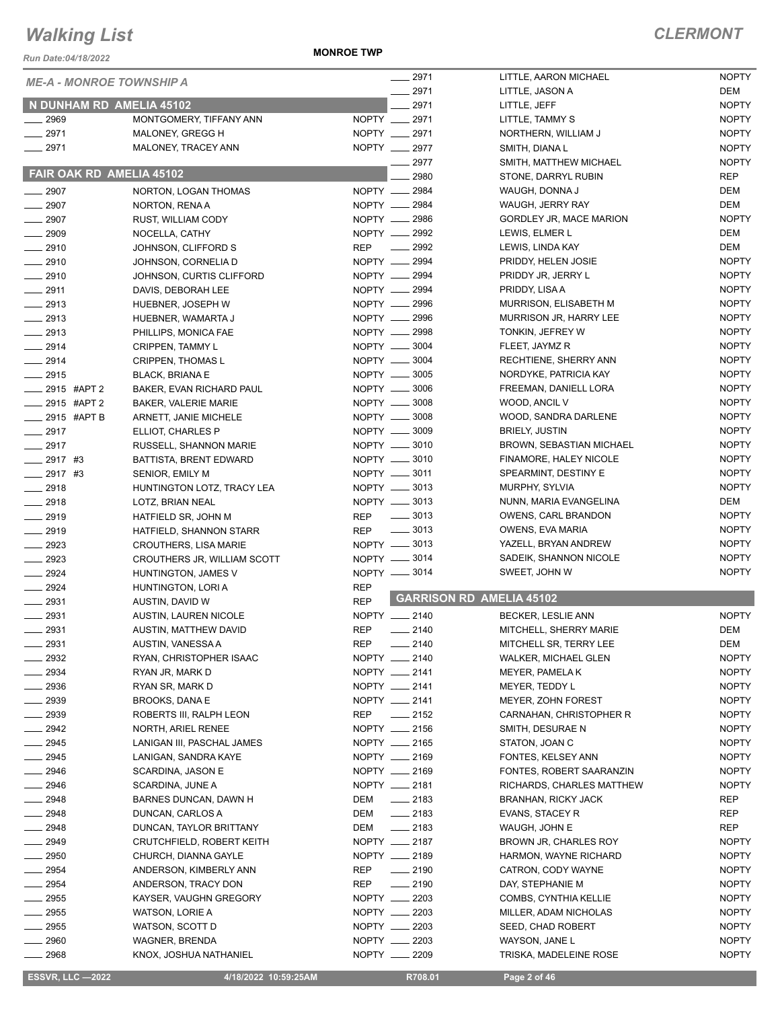*Run Date:04/18/2022*

**MONROE TWP**

#### *CLERMONT*

| <b>ME-A - MONROE TOWNSHIP A</b> |                                                    |                                | $-2971$            | LITTLE, AARON MICHAEL                    | <b>NOPTY</b>                 |
|---------------------------------|----------------------------------------------------|--------------------------------|--------------------|------------------------------------------|------------------------------|
|                                 |                                                    |                                | 2971               | LITTLE, JASON A                          | DEM                          |
| N DUNHAM RD AMELIA 45102        |                                                    |                                | 2971               | LITTLE, JEFF                             | <b>NOPTY</b>                 |
| ____ 2969<br>$-2971$            | MONTGOMERY, TIFFANY ANN<br>MALONEY, GREGG H        | NOPTY __ 2971<br>NOPTY __ 2971 |                    | LITTLE, TAMMY S<br>NORTHERN, WILLIAM J   | <b>NOPTY</b><br><b>NOPTY</b> |
| $-2971$                         | MALONEY, TRACEY ANN                                | NOPTY __ 2977                  |                    | SMITH, DIANA L                           | <b>NOPTY</b>                 |
|                                 |                                                    |                                | 2977               | SMITH, MATTHEW MICHAEL                   | <b>NOPTY</b>                 |
| FAIR OAK RD AMELIA 45102        |                                                    |                                | 2980               | STONE, DARRYL RUBIN                      | <b>REP</b>                   |
| $- 2907$                        | NORTON, LOGAN THOMAS                               | NOPTY __ 2984                  |                    | WAUGH, DONNA J                           | DEM                          |
| $-2907$                         | NORTON, RENA A                                     | NOPTY __ 2984                  |                    | WAUGH, JERRY RAY                         | DEM                          |
| $- 2907$                        | RUST, WILLIAM CODY                                 | NOPTY __ 2986                  |                    | GORDLEY JR, MACE MARION                  | <b>NOPTY</b>                 |
| $- 2909$                        | NOCELLA, CATHY                                     | NOPTY __ 2992                  |                    | LEWIS, ELMER L                           | DEM                          |
| $-2910$                         | JOHNSON, CLIFFORD S                                | <b>REP</b>                     | $\frac{1}{2992}$   | LEWIS, LINDA KAY                         | DEM                          |
| $-2910$                         | JOHNSON, CORNELIA D                                | NOPTY -2994                    |                    | PRIDDY, HELEN JOSIE                      | <b>NOPTY</b>                 |
| $-2910$                         | JOHNSON, CURTIS CLIFFORD                           | NOPTY __ 2994                  |                    | PRIDDY JR, JERRY L                       | <b>NOPTY</b>                 |
| $-2911$                         | DAVIS, DEBORAH LEE                                 | NOPTY __ 2994                  |                    | PRIDDY, LISA A                           | <b>NOPTY</b>                 |
| $-2913$                         | HUEBNER, JOSEPH W                                  | NOPTY __ 2996                  |                    | MURRISON, ELISABETH M                    | <b>NOPTY</b>                 |
| $-2913$                         | HUEBNER, WAMARTA J                                 | NOPTY - 2996                   |                    | MURRISON JR, HARRY LEE                   | <b>NOPTY</b>                 |
| $-2913$                         | PHILLIPS, MONICA FAE                               | NOPTY __ 2998                  |                    | TONKIN, JEFREY W                         | <b>NOPTY</b>                 |
| $-2914$                         | CRIPPEN, TAMMY L                                   | NOPTY __ 3004                  |                    | FLEET, JAYMZ R                           | <b>NOPTY</b>                 |
| $-2914$                         | <b>CRIPPEN, THOMAS L</b>                           | NOPTY - 3004                   |                    | RECHTIENE, SHERRY ANN                    | <b>NOPTY</b>                 |
| $-2915$                         | <b>BLACK, BRIANA E</b>                             | NOPTY __ 3005                  |                    | NORDYKE, PATRICIA KAY                    | <b>NOPTY</b>                 |
| _2915 #APT2                     | BAKER, EVAN RICHARD PAUL                           | NOPTY __ 3006                  |                    | FREEMAN, DANIELL LORA                    | <b>NOPTY</b>                 |
| $-2915$ #APT 2                  | <b>BAKER, VALERIE MARIE</b>                        | NOPTY -8008                    |                    | WOOD, ANCIL V                            | <b>NOPTY</b>                 |
| ____ 2915 #APT B                | ARNETT, JANIE MICHELE                              | NOPTY __ 3008                  |                    | WOOD, SANDRA DARLENE                     | <b>NOPTY</b>                 |
| $-2917$                         | ELLIOT, CHARLES P                                  | NOPTY -8009                    |                    | <b>BRIELY, JUSTIN</b>                    | <b>NOPTY</b>                 |
| 2917                            | RUSSELL, SHANNON MARIE                             | NOPTY __ 3010                  |                    | <b>BROWN, SEBASTIAN MICHAEL</b>          | <b>NOPTY</b>                 |
| $-2917$ #3                      | BATTISTA, BRENT EDWARD                             | NOPTY __ 3010                  |                    | FINAMORE, HALEY NICOLE                   | <b>NOPTY</b>                 |
| $-2917$ #3                      | <b>SENIOR, EMILY M</b>                             | NOPTY -8011                    |                    | SPEARMINT, DESTINY E                     | <b>NOPTY</b>                 |
| $-2918$                         | HUNTINGTON LOTZ, TRACY LEA                         | NOPTY __ 3013                  |                    | MURPHY, SYLVIA                           | <b>NOPTY</b>                 |
| $-2918$                         | LOTZ, BRIAN NEAL                                   | NOPTY __ 3013                  |                    | NUNN, MARIA EVANGELINA                   | DEM                          |
| $-2919$                         | HATFIELD SR, JOHN M                                | <b>REP</b>                     | $\frac{1}{2}$ 3013 | OWENS, CARL BRANDON                      | <b>NOPTY</b>                 |
| $-2919$                         | HATFIELD, SHANNON STARR                            | REP<br>NOPTY -8013             | $\frac{1}{2}$ 3013 | OWENS, EVA MARIA<br>YAZELL, BRYAN ANDREW | <b>NOPTY</b><br><b>NOPTY</b> |
| $- 2923$<br>2923                | <b>CROUTHERS, LISA MARIE</b>                       | NOPTY __ 3014                  |                    | SADEIK, SHANNON NICOLE                   | <b>NOPTY</b>                 |
| $- 2924$                        | CROUTHERS JR, WILLIAM SCOTT<br>HUNTINGTON, JAMES V | NOPTY -8014                    |                    | SWEET, JOHN W                            | <b>NOPTY</b>                 |
| 2924                            | HUNTINGTON, LORI A                                 | <b>REP</b>                     |                    |                                          |                              |
| $-2931$                         | AUSTIN, DAVID W                                    | <b>REP</b>                     |                    | <b>GARRISON RD AMELIA 45102</b>          |                              |
| 2931                            | AUSTIN, LAUREN NICOLE                              | NOPTY __ 2140                  |                    | <b>BECKER, LESLIE ANN</b>                | <b>NOPTY</b>                 |
| 2931                            | AUSTIN, MATTHEW DAVID                              | <b>REP</b>                     | 2140               | MITCHELL, SHERRY MARIE                   | DEM                          |
| $-2931$                         | AUSTIN, VANESSA A                                  | REP                            | $\frac{1}{2140}$   | MITCHELL SR, TERRY LEE                   | DEM                          |
| 2932                            | RYAN, CHRISTOPHER ISAAC                            | NOPTY __ 2140                  |                    | <b>WALKER, MICHAEL GLEN</b>              | <b>NOPTY</b>                 |
| _ 2934                          | RYAN JR, MARK D                                    | NOPTY __ 2141                  |                    | MEYER, PAMELA K                          | <b>NOPTY</b>                 |
| 2936                            | RYAN SR, MARK D                                    | NOPTY __ 2141                  |                    | MEYER, TEDDY L                           | <b>NOPTY</b>                 |
| $=2939$                         | BROOKS, DANA E                                     | NOPTY __ 2141                  |                    | MEYER, ZOHN FOREST                       | <b>NOPTY</b>                 |
| $-2939$                         | ROBERTS III, RALPH LEON                            | REP                            | $\frac{1}{2152}$   | CARNAHAN, CHRISTOPHER R                  | <b>NOPTY</b>                 |
| 2942                            | NORTH, ARIEL RENEE                                 | NOPTY __ 2156                  |                    | SMITH, DESURAE N                         | <b>NOPTY</b>                 |
| $-2945$                         | LANIGAN III, PASCHAL JAMES                         | NOPTY __ 2165                  |                    | STATON, JOAN C                           | <b>NOPTY</b>                 |
| $-2945$                         | LANIGAN, SANDRA KAYE                               | NOPTY __ 2169                  |                    | FONTES, KELSEY ANN                       | <b>NOPTY</b>                 |
| _ 2946                          | SCARDINA, JASON E                                  | NOPTY __ 2169                  |                    | FONTES, ROBERT SAARANZIN                 | <b>NOPTY</b>                 |
| $- 2946$                        | SCARDINA, JUNE A                                   | NOPTY __ 2181                  |                    | RICHARDS, CHARLES MATTHEW                | <b>NOPTY</b>                 |
| $-2948$                         | BARNES DUNCAN, DAWN H                              | DEM                            | $\frac{1}{2183}$   | <b>BRANHAN, RICKY JACK</b>               | REP                          |
| $-2948$                         | DUNCAN, CARLOS A                                   | DEM                            | $\frac{1}{2183}$   | EVANS, STACEY R                          | REP                          |
| 2948                            | DUNCAN, TAYLOR BRITTANY                            | DEM                            | $\frac{1}{2183}$   | WAUGH, JOHN E                            | REP                          |
| 2949                            | CRUTCHFIELD, ROBERT KEITH                          | NOPTY __ 2187                  |                    | BROWN JR, CHARLES ROY                    | <b>NOPTY</b>                 |
| $-2950$                         | CHURCH, DIANNA GAYLE                               | NOPTY __ 2189                  |                    | HARMON, WAYNE RICHARD                    | <b>NOPTY</b>                 |
| 2954                            | ANDERSON, KIMBERLY ANN                             | REP                            | $-2190$            | CATRON, CODY WAYNE                       | <b>NOPTY</b>                 |
| $-2954$                         | ANDERSON, TRACY DON                                | REP                            | $-2190$            | DAY, STEPHANIE M                         | <b>NOPTY</b>                 |
| 2955                            | KAYSER, VAUGHN GREGORY                             | NOPTY __ 2203                  |                    | COMBS, CYNTHIA KELLIE                    | <b>NOPTY</b>                 |
| $-2955$                         | WATSON, LORIE A                                    | NOPTY __ 2203                  |                    | MILLER, ADAM NICHOLAS                    | <b>NOPTY</b>                 |
| 2955<br>2960                    | WATSON, SCOTT D                                    | NOPTY __ 2203<br>NOPTY __ 2203 |                    | SEED, CHAD ROBERT                        | <b>NOPTY</b>                 |
| $-2968$                         | WAGNER, BRENDA<br>KNOX, JOSHUA NATHANIEL           | NOPTY __ 2209                  |                    | WAYSON, JANE L<br>TRISKA, MADELEINE ROSE | <b>NOPTY</b><br><b>NOPTY</b> |
|                                 |                                                    |                                |                    |                                          |                              |

 **ESSVR, LLC —2022 4/18/2022 10:59:25AM R708.01 Page 2 of 46**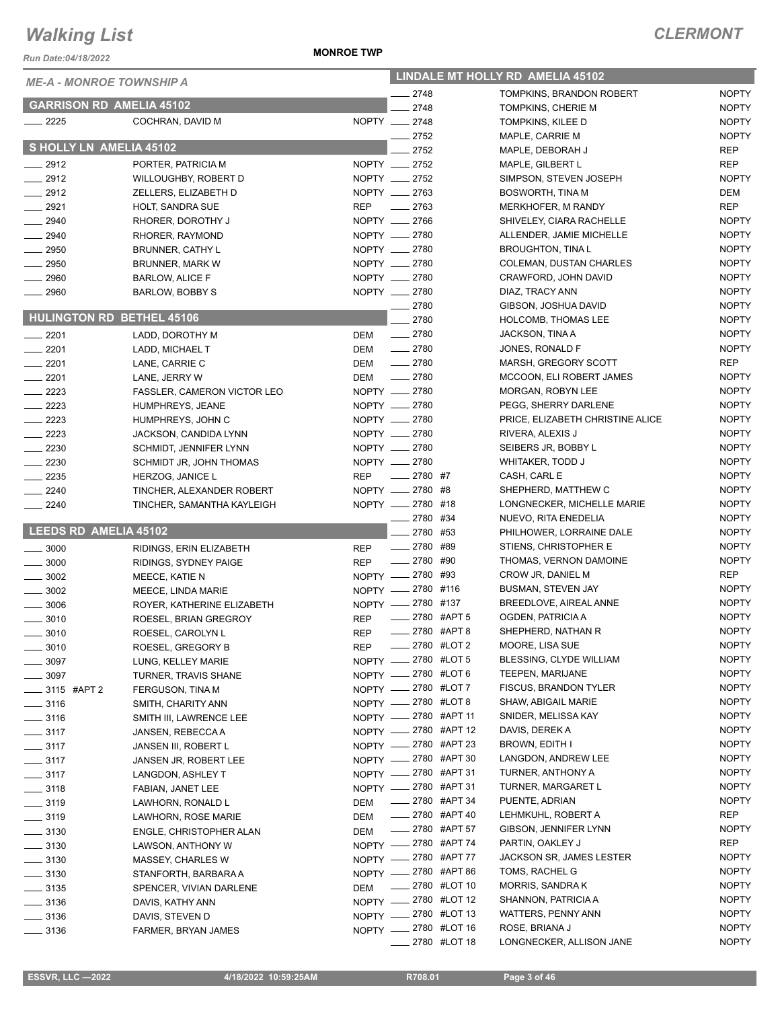*Run Date:04/18/2022*

#### **MONROE TWP**

| <b>ME-A - MONROE TOWNSHIP A</b>          |                                                        | LINDALE MT HOLLY RD AMELIA 45102 |                                                 |  |                                      |                              |
|------------------------------------------|--------------------------------------------------------|----------------------------------|-------------------------------------------------|--|--------------------------------------|------------------------------|
|                                          |                                                        |                                  | 2748                                            |  | TOMPKINS, BRANDON ROBERT             | <b>NOPTY</b>                 |
| <b>GARRISON RD AMELIA 45102</b>          |                                                        |                                  | 2748                                            |  | TOMPKINS, CHERIE M                   | <b>NOPTY</b>                 |
| $-2225$                                  | COCHRAN, DAVID M                                       |                                  | NOPTY __ 2748                                   |  | TOMPKINS, KILEE D                    | <b>NOPTY</b>                 |
|                                          |                                                        |                                  | 2752                                            |  | MAPLE, CARRIE M                      | <b>NOPTY</b>                 |
| S HOLLY LN AMELIA 45102                  |                                                        |                                  | 2752                                            |  | MAPLE, DEBORAH J                     | <b>REP</b>                   |
| $-2912$                                  | PORTER, PATRICIA M                                     |                                  | NOPTY __ 2752                                   |  | MAPLE, GILBERT L                     | <b>REP</b>                   |
| $-2912$                                  | <b>WILLOUGHBY, ROBERT D</b>                            |                                  | NOPTY __ 2752                                   |  | SIMPSON, STEVEN JOSEPH               | <b>NOPTY</b>                 |
| $-2912$                                  | ZELLERS, ELIZABETH D                                   |                                  | NOPTY __ 2763                                   |  | <b>BOSWORTH, TINA M</b>              | <b>DEM</b>                   |
| $-2921$                                  | HOLT, SANDRA SUE                                       | <b>REP</b>                       | $\frac{1}{2763}$                                |  | MERKHOFER, M RANDY                   | <b>REP</b>                   |
| $-2940$                                  | RHORER, DOROTHY J                                      |                                  | NOPTY __ 2766                                   |  | SHIVELEY, CIARA RACHELLE             | <b>NOPTY</b>                 |
| $- 2940$                                 | RHORER, RAYMOND                                        |                                  | NOPTY __ 2780                                   |  | ALLENDER, JAMIE MICHELLE             | <b>NOPTY</b>                 |
| 2950                                     | <b>BRUNNER, CATHY L</b>                                |                                  | NOPTY __ 2780                                   |  | <b>BROUGHTON, TINA L</b>             | <b>NOPTY</b>                 |
| $-2950$                                  | BRUNNER, MARK W                                        |                                  | NOPTY __ 2780                                   |  | <b>COLEMAN, DUSTAN CHARLES</b>       | <b>NOPTY</b>                 |
| 2960                                     | <b>BARLOW, ALICE F</b>                                 |                                  | NOPTY __ 2780                                   |  | CRAWFORD, JOHN DAVID                 | <b>NOPTY</b>                 |
| 2960                                     | BARLOW, BOBBY S                                        |                                  | NOPTY __ 2780                                   |  | DIAZ, TRACY ANN                      | <b>NOPTY</b>                 |
| <b>HULINGTON RD BETHEL 45106</b>         |                                                        |                                  | $-2780$                                         |  | GIBSON, JOSHUA DAVID                 | <b>NOPTY</b>                 |
|                                          |                                                        |                                  | 2780                                            |  | <b>HOLCOMB, THOMAS LEE</b>           | <b>NOPTY</b><br><b>NOPTY</b> |
| $-2201$                                  | LADD, DOROTHY M                                        | DEM                              | $-2780$<br>$\frac{1}{2780}$                     |  | JACKSON, TINA A<br>JONES, RONALD F   | <b>NOPTY</b>                 |
| $-2201$<br>2201                          | LADD, MICHAEL T                                        | <b>DEM</b><br><b>DEM</b>         | $-2780$                                         |  | MARSH, GREGORY SCOTT                 | <b>REP</b>                   |
| $-2201$                                  | LANE, CARRIE C                                         | DEM                              | $\frac{1}{2780}$                                |  | MCCOON, ELI ROBERT JAMES             | <b>NOPTY</b>                 |
| $-2223$                                  | LANE, JERRY W                                          |                                  | NOPTY -2780                                     |  | MORGAN, ROBYN LEE                    | <b>NOPTY</b>                 |
| $-2223$                                  | <b>FASSLER, CAMERON VICTOR LEO</b><br>HUMPHREYS, JEANE |                                  | NOPTY -2780                                     |  | PEGG, SHERRY DARLENE                 | <b>NOPTY</b>                 |
| $\equiv$ 2223                            | HUMPHREYS, JOHN C                                      |                                  | NOPTY __ 2780                                   |  | PRICE, ELIZABETH CHRISTINE ALICE     | <b>NOPTY</b>                 |
| $\frac{2223}{2}$                         | JACKSON, CANDIDA LYNN                                  |                                  | NOPTY __ 2780                                   |  | RIVERA, ALEXIS J                     | <b>NOPTY</b>                 |
| $\frac{1}{2230}$                         | SCHMIDT, JENNIFER LYNN                                 |                                  | NOPTY -2780                                     |  | SEIBERS JR, BOBBY L                  | <b>NOPTY</b>                 |
| $-2230$                                  | SCHMIDT JR, JOHN THOMAS                                |                                  | NOPTY -2780                                     |  | WHITAKER, TODD J                     | <b>NOPTY</b>                 |
| $\frac{1}{2235}$                         | HERZOG, JANICE L                                       | <b>REP</b>                       | $-2780$ #7                                      |  | CASH, CARL E                         | <b>NOPTY</b>                 |
| 2240                                     | TINCHER, ALEXANDER ROBERT                              |                                  | NOPTY __ 2780 #8                                |  | SHEPHERD, MATTHEW C                  | <b>NOPTY</b>                 |
| 2240                                     | TINCHER, SAMANTHA KAYLEIGH                             |                                  | NOPTY 2780 #18                                  |  | LONGNECKER, MICHELLE MARIE           | <b>NOPTY</b>                 |
|                                          |                                                        |                                  | 2780 #34                                        |  | NUEVO, RITA ENEDELIA                 | <b>NOPTY</b>                 |
| LEEDS RD AMELIA 45102                    |                                                        |                                  | 2780 #53                                        |  | PHILHOWER, LORRAINE DALE             | <b>NOPTY</b>                 |
| $\frac{1}{2}$ 3000                       | RIDINGS, ERIN ELIZABETH                                | <b>REP</b>                       | -2780 #89                                       |  | STIENS, CHRISTOPHER E                | <b>NOPTY</b>                 |
| $\frac{1}{2}$ 3000                       | RIDINGS, SYDNEY PAIGE                                  | <b>REP</b>                       | $-2780$ #90                                     |  | THOMAS, VERNON DAMOINE               | <b>NOPTY</b>                 |
| $\frac{1}{2}$ 3002                       | MEECE, KATIE N                                         |                                  | NOPTY -2780 #93                                 |  | CROW JR, DANIEL M                    | <b>REP</b>                   |
| $\frac{1}{2}$ 3002                       | MEECE, LINDA MARIE                                     |                                  | NOPTY -2780 #116                                |  | <b>BUSMAN, STEVEN JAY</b>            | <b>NOPTY</b>                 |
| $- 3006$                                 | ROYER, KATHERINE ELIZABETH                             |                                  | NOPTY -2780 #137                                |  | BREEDLOVE, AIREAL ANNE               | <b>NOPTY</b>                 |
| 3010                                     | ROESEL, BRIAN GREGROY                                  | <b>REP</b>                       | _____ 2780 #APT 5                               |  | OGDEN, PATRICIA A                    | <b>NOPTY</b>                 |
| $-3010$                                  | ROESEL, CAROLYN L                                      | <b>REP</b>                       | $2780$ #APT 8                                   |  | SHEPHERD, NATHAN R                   | <b>NOPTY</b>                 |
| $=$ 3010                                 | ROESEL, GREGORY B                                      | REP                              | <b>_____ 2780 #LOT 2</b>                        |  | MOORE, LISA SUE                      | <b>NOPTY</b>                 |
| $-3097$                                  | LUNG, KELLEY MARIE                                     |                                  | NOPTY -2780 #LOT 5                              |  | BLESSING, CLYDE WILLIAM              | <b>NOPTY</b>                 |
| $\frac{1}{2}$ 3097                       | TURNER, TRAVIS SHANE                                   |                                  | NOPTY -2780 #LOT 6                              |  | <b>TEEPEN, MARIJANE</b>              | <b>NOPTY</b>                 |
| ____ 3115 #APT 2                         | FERGUSON, TINA M                                       |                                  | NOPTY -2780 #LOT 7                              |  | <b>FISCUS, BRANDON TYLER</b>         | <b>NOPTY</b>                 |
| $- 3116$                                 | SMITH, CHARITY ANN                                     |                                  | NOPTY -2780 #LOT 8                              |  | SHAW, ABIGAIL MARIE                  | <b>NOPTY</b>                 |
| $\frac{1}{2}$ 3116                       | SMITH III, LAWRENCE LEE                                |                                  | NOPTY -2780 #APT 11                             |  | SNIDER, MELISSA KAY                  | <b>NOPTY</b>                 |
| $\frac{1}{2}$ 3117                       | JANSEN, REBECCA A                                      |                                  | NOPTY -2780 #APT 12                             |  | DAVIS, DEREK A                       | <b>NOPTY</b>                 |
| $\frac{1}{2}$ 3117                       | <b>JANSEN III, ROBERT L</b>                            |                                  | NOPTY -2780 #APT 23                             |  | BROWN, EDITH I                       | <b>NOPTY</b>                 |
| $\frac{1}{2}$ 3117                       | JANSEN JR, ROBERT LEE                                  |                                  | NOPTY -2780 #APT 30                             |  | LANGDON, ANDREW LEE                  | <b>NOPTY</b>                 |
| $\frac{1}{2}$ 3117                       | LANGDON, ASHLEY T                                      |                                  | NOPTY -2780 #APT 31<br>NOPTY -2780 #APT 31      |  | TURNER, ANTHONY A                    | <b>NOPTY</b><br><b>NOPTY</b> |
| $- 3118$                                 | FABIAN, JANET LEE                                      |                                  |                                                 |  | TURNER, MARGARET L<br>PUENTE, ADRIAN |                              |
| $-3119$                                  | LAWHORN, RONALD L                                      | <b>DEM</b>                       | <b>2780 #APT 34</b><br>$\frac{1}{2780}$ #APT 40 |  | LEHMKUHL, ROBERT A                   | <b>NOPTY</b><br>REP          |
| $\frac{1}{2}$ 3119                       | LAWHORN, ROSE MARIE                                    | <b>DEM</b>                       | $\frac{1}{2780}$ #APT 57                        |  | GIBSON, JENNIFER LYNN                | <b>NOPTY</b>                 |
| $\frac{1}{2}$ 3130                       | ENGLE, CHRISTOPHER ALAN<br>LAWSON, ANTHONY W           | <b>DEM</b>                       | NOPTY -2780 #APT 74                             |  | PARTIN, OAKLEY J                     | <b>REP</b>                   |
|                                          |                                                        |                                  |                                                 |  |                                      | <b>NOPTY</b>                 |
| $\frac{1}{2}$ 3130                       |                                                        |                                  |                                                 |  |                                      |                              |
| $\frac{1}{2}$ 3130                       | <b>MASSEY, CHARLES W</b>                               | NOPTY -2780 #APT 77              |                                                 |  | <b>JACKSON SR, JAMES LESTER</b>      |                              |
| $\frac{1}{2}$ 3130                       | STANFORTH, BARBARA A                                   |                                  | NOPTY -2780 #APT 86                             |  | TOMS, RACHEL G                       | <b>NOPTY</b>                 |
| $\frac{1}{2}$ 3135                       | SPENCER, VIVIAN DARLENE                                | <b>DEM</b>                       | $\frac{1}{2780}$ #LOT 10                        |  | MORRIS, SANDRA K                     | <b>NOPTY</b>                 |
| $\frac{1}{2}$ 3136                       | DAVIS, KATHY ANN                                       |                                  | NOPTY -2780 #LOT 12                             |  | SHANNON, PATRICIA A                  | <b>NOPTY</b>                 |
| $\frac{1}{2}$ 3136<br>$\frac{1}{2}$ 3136 | DAVIS, STEVEN D<br>FARMER, BRYAN JAMES                 |                                  | NOPTY -2780 #LOT 13<br>NOPTY -2780 #LOT 16      |  | WATTERS, PENNY ANN<br>ROSE, BRIANA J | <b>NOPTY</b><br><b>NOPTY</b> |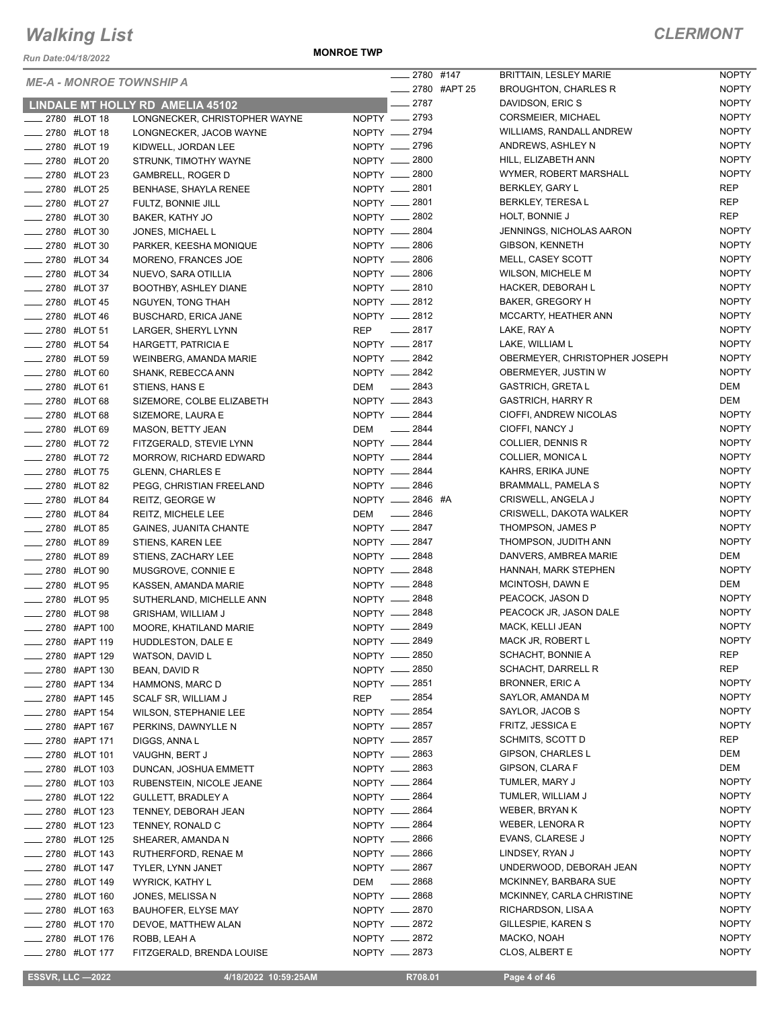*Run Date:04/18/2022*

#### **MONROE TWP**

|                                                |                                                       |            | $-2780$ #147                   | <b>BRITTAIN, LESLEY MARIE</b>              | <b>NOPTY</b>                 |
|------------------------------------------------|-------------------------------------------------------|------------|--------------------------------|--------------------------------------------|------------------------------|
| <b>ME-A - MONROE TOWNSHIP A</b>                |                                                       |            | ____ 2780 #APT 25              | <b>BROUGHTON, CHARLES R</b>                | <b>NOPTY</b>                 |
|                                                | LINDALE MT HOLLY RD AMELIA 45102                      |            | $-2787$                        | DAVIDSON, ERIC S                           | <b>NOPTY</b>                 |
| ____ 2780 #LOT 18                              | LONGNECKER, CHRISTOPHER WAYNE                         |            | NOPTY __ 2793                  | CORSMEIER, MICHAEL                         | <b>NOPTY</b>                 |
| _ 2780 #LOT 18                                 | LONGNECKER, JACOB WAYNE                               |            | NOPTY __ 2794                  | WILLIAMS, RANDALL ANDREW                   | <b>NOPTY</b>                 |
| _ 2780 #LOT 19                                 | KIDWELL, JORDAN LEE                                   |            | NOPTY __ 2796                  | ANDREWS, ASHLEY N                          | <b>NOPTY</b>                 |
| ____ 2780 #LOT 20                              | STRUNK, TIMOTHY WAYNE                                 |            | NOPTY - 2800                   | HILL, ELIZABETH ANN                        | <b>NOPTY</b>                 |
| _ 2780 #LOT 23                                 | <b>GAMBRELL, ROGER D</b>                              |            | NOPTY - 2800                   | WYMER, ROBERT MARSHALL                     | <b>NOPTY</b>                 |
| <b>______ 2780 #LOT 25</b>                     | <b>BENHASE, SHAYLA RENEE</b>                          |            | NOPTY __ 2801                  | BERKLEY, GARY L                            | <b>REP</b>                   |
| ____ 2780 #LOT 27                              | FULTZ, BONNIE JILL                                    |            | NOPTY __ 2801                  | BERKLEY, TERESA L                          | <b>REP</b>                   |
| ____ 2780 #LOT 30                              | BAKER, KATHY JO                                       |            | NOPTY __ 2802                  | HOLT, BONNIE J                             | <b>REP</b>                   |
| <b>2780 #LOT 30</b>                            | JONES, MICHAEL L                                      |            | NOPTY __ 2804                  | JENNINGS, NICHOLAS AARON                   | <b>NOPTY</b>                 |
| __ 2780 #LOT 30                                | PARKER, KEESHA MONIQUE                                |            | NOPTY __ 2806                  | GIBSON, KENNETH                            | <b>NOPTY</b>                 |
| <b>2780 #LOT 34</b>                            | MORENO, FRANCES JOE                                   |            | NOPTY 2806                     | MELL, CASEY SCOTT                          | <b>NOPTY</b>                 |
| <b>2780 #LOT 34</b>                            | NUEVO, SARA OTILLIA                                   |            | NOPTY -2806                    | WILSON, MICHELE M                          | <b>NOPTY</b>                 |
| <b>2780 #LOT 37</b>                            | BOOTHBY, ASHLEY DIANE                                 |            | NOPTY __ 2810                  | HACKER, DEBORAH L                          | <b>NOPTY</b>                 |
| <b>2780 #LOT 45</b>                            | NGUYEN, TONG THAH                                     |            | NOPTY __ 2812                  | BAKER, GREGORY H                           | <b>NOPTY</b>                 |
| <b>2780 #LOT 46</b>                            | <b>BUSCHARD, ERICA JANE</b>                           |            | NOPTY __ 2812                  | MCCARTY, HEATHER ANN                       | <b>NOPTY</b>                 |
| ___ 2780 #LOT 51                               | LARGER, SHERYL LYNN                                   |            | REP __ 2817                    | LAKE, RAY A                                | <b>NOPTY</b>                 |
| _2780 #LOT 54                                  | HARGETT, PATRICIA E                                   |            | NOPTY -2817                    | LAKE, WILLIAM L                            | <b>NOPTY</b>                 |
| <b>2780 #LOT 59</b>                            | WEINBERG, AMANDA MARIE                                |            | NOPTY __ 2842                  | OBERMEYER, CHRISTOPHER JOSEPH              | <b>NOPTY</b>                 |
| <b>______ 2780 #LOT 60</b>                     | SHANK, REBECCA ANN                                    |            | NOPTY -2842                    | OBERMEYER, JUSTIN W                        | <b>NOPTY</b>                 |
| <b>______ 2780 #LOT 61</b>                     | STIENS, HANS E                                        |            | DEM -2843                      | <b>GASTRICH, GRETA L</b>                   | DEM                          |
| <b>LEGGG #LOT 68</b>                           | SIZEMORE, COLBE ELIZABETH                             |            | NOPTY __ 2843                  | <b>GASTRICH, HARRY R</b>                   | DEM                          |
| <b>2780 #LOT 68</b>                            | SIZEMORE, LAURA E                                     |            | NOPTY -2844                    | CIOFFI, ANDREW NICOLAS                     | <b>NOPTY</b>                 |
| ___ 2780 #LOT 69                               | MASON, BETTY JEAN                                     |            | DEM __ 2844                    | CIOFFI, NANCY J                            | <b>NOPTY</b>                 |
| ____ 2780 #LOT 72                              | FITZGERALD, STEVIE LYNN                               |            | NOPTY __ 2844                  | COLLIER, DENNIS R                          | <b>NOPTY</b>                 |
| __ 2780 #LOT 72                                | MORROW, RICHARD EDWARD                                |            | NOPTY __ 2844                  | COLLIER, MONICA L                          | <b>NOPTY</b>                 |
| <b>______ 2780 #LOT 75</b>                     | <b>GLENN, CHARLES E</b>                               |            | NOPTY __ 2844                  | KAHRS, ERIKA JUNE                          | <b>NOPTY</b>                 |
| <b>______ 2780 #LOT 82</b>                     | PEGG, CHRISTIAN FREELAND                              |            | NOPTY __ 2846                  | BRAMMALL, PAMELA S                         | <b>NOPTY</b>                 |
| <b>2780 #LOT 84</b>                            | REITZ, GEORGE W                                       |            | NOPTY __ 2846 #A               | CRISWELL, ANGELA J                         | <b>NOPTY</b>                 |
| <b>_____ 2780 #LOT 84</b>                      | REITZ, MICHELE LEE                                    |            | DEM -2846                      | CRISWELL, DAKOTA WALKER                    | <b>NOPTY</b>                 |
| _ 2780 #LOT 85                                 | <b>GAINES, JUANITA CHANTE</b>                         |            | NOPTY - 2847                   | THOMPSON, JAMES P                          | <b>NOPTY</b>                 |
| <b>______ 2780 #LOT 89</b>                     | STIENS, KAREN LEE                                     |            | NOPTY __ 2847                  | THOMPSON, JUDITH ANN                       | <b>NOPTY</b>                 |
| ____ 2780 #LOT 89                              | STIENS, ZACHARY LEE                                   |            | NOPTY __ 2848                  | DANVERS, AMBREA MARIE                      | DEM                          |
| <b>2780 #LOT 90</b>                            | MUSGROVE, CONNIE E                                    |            | NOPTY __ 2848                  | HANNAH, MARK STEPHEN                       | <b>NOPTY</b>                 |
| <b>2780 #LOT 95</b>                            | KASSEN, AMANDA MARIE                                  |            | NOPTY __ 2848                  | MCINTOSH, DAWN E                           | DEM                          |
| <b>_____ 2780 #LOT 95</b>                      | SUTHERLAND, MICHELLE ANN                              |            | NOPTY - 2848                   | PEACOCK, JASON D                           | <b>NOPTY</b>                 |
| <b>2780 #LOT 98</b>                            | <b>GRISHAM, WILLIAM J</b>                             |            | NOPTY __ 2848                  | PEACOCK JR, JASON DALE                     | <b>NOPTY</b>                 |
| 2780 #APT 100                                  | MOORE, KHATILAND MARIE                                |            | NOPTY __ 2849                  | MACK, KELLI JEAN                           | <b>NOPTY</b>                 |
| 2780 #APT 119                                  | HUDDLESTON, DALE E                                    |            | NOPTY __ 2849                  | MACK JR, ROBERT L                          | <b>NOPTY</b>                 |
| 2780 #APT 129                                  | WATSON, DAVID L                                       |            | NOPTY __ 2850                  | SCHACHT, BONNIE A                          | REP                          |
| 2780 #APT 130                                  | BEAN, DAVID R                                         |            | NOPTY __ 2850<br>NOPTY __ 2851 | SCHACHT, DARRELL R                         | <b>REP</b>                   |
| ____ 2780 #APT 134                             | HAMMONS, MARC D                                       |            | $- 2854$                       | <b>BRONNER, ERIC A</b><br>SAYLOR, AMANDA M | <b>NOPTY</b><br><b>NOPTY</b> |
| <sub>_</sub> __ 2780 #APT 145                  | SCALF SR, WILLIAM J                                   | <b>REP</b> | NOPTY __ 2854                  | SAYLOR, JACOB S                            | <b>NOPTY</b>                 |
| _ 2780 #APT 154                                | WILSON, STEPHANIE LEE                                 |            | NOPTY __ 2857                  | FRITZ, JESSICA E                           | <b>NOPTY</b>                 |
| ___ 2780 #APT 167                              | PERKINS, DAWNYLLE N                                   |            | NOPTY __ 2857                  | SCHMITS, SCOTT D                           | REP                          |
| <sub>—</sub> 2780  #APT 171<br>_ 2780 #LOT 101 | DIGGS, ANNA L                                         |            | NOPTY __ 2863                  | GIPSON, CHARLES L                          | DEM                          |
| __ 2780 #LOT 103                               | VAUGHN, BERT J                                        |            | NOPTY - 2863                   | GIPSON, CLARA F                            | DEM                          |
|                                                | DUNCAN, JOSHUA EMMETT                                 |            | NOPTY __ 2864                  | TUMLER, MARY J                             | <b>NOPTY</b>                 |
| __ 2780 #LOT 103<br>2780 #LOT 122              | RUBENSTEIN, NICOLE JEANE<br><b>GULLETT, BRADLEY A</b> |            | NOPTY __ 2864                  | TUMLER, WILLIAM J                          | <b>NOPTY</b>                 |
| _ 2780 #LOT 123                                | TENNEY, DEBORAH JEAN                                  |            | NOPTY - 2864                   | WEBER, BRYAN K                             | <b>NOPTY</b>                 |
| _ 2780 #LOT 123                                | TENNEY, RONALD C                                      |            | NOPTY __ 2864                  | WEBER, LENORA R                            | <b>NOPTY</b>                 |
| _ 2780 #LOT 125                                | SHEARER, AMANDA N                                     |            | NOPTY __ 2866                  | EVANS, CLARESE J                           | <b>NOPTY</b>                 |
| _ 2780 #LOT 143                                | RUTHERFORD, RENAE M                                   |            | NOPTY __ 2866                  | LINDSEY, RYAN J                            | <b>NOPTY</b>                 |
| ____ 2780 #LOT 147                             | TYLER, LYNN JANET                                     |            | NOPTY __ 2867                  | UNDERWOOD, DEBORAH JEAN                    | <b>NOPTY</b>                 |
| 2780 #LOT 149                                  | <b>WYRICK, KATHY L</b>                                | DEM        | $-2868$                        | MCKINNEY, BARBARA SUE                      | <b>NOPTY</b>                 |
| _ 2780 #LOT 160                                | JONES, MELISSA N                                      |            | NOPTY __ 2868                  | MCKINNEY, CARLA CHRISTINE                  | <b>NOPTY</b>                 |
| _ 2780 #LOT 163                                | <b>BAUHOFER, ELYSE MAY</b>                            |            | NOPTY __ 2870                  | RICHARDSON, LISA A                         | <b>NOPTY</b>                 |
| ___ 2780 #LOT 170                              | DEVOE, MATTHEW ALAN                                   |            | NOPTY __ 2872                  | GILLESPIE, KAREN S                         | <b>NOPTY</b>                 |
| __ 2780 #LOT 176                               | ROBB, LEAH A                                          |            | NOPTY -2872                    | MACKO, NOAH                                | <b>NOPTY</b>                 |
| 2780 #LOT 177                                  | FITZGERALD, BRENDA LOUISE                             |            | NOPTY __ 2873                  | CLOS, ALBERT E                             | <b>NOPTY</b>                 |
|                                                |                                                       |            |                                |                                            |                              |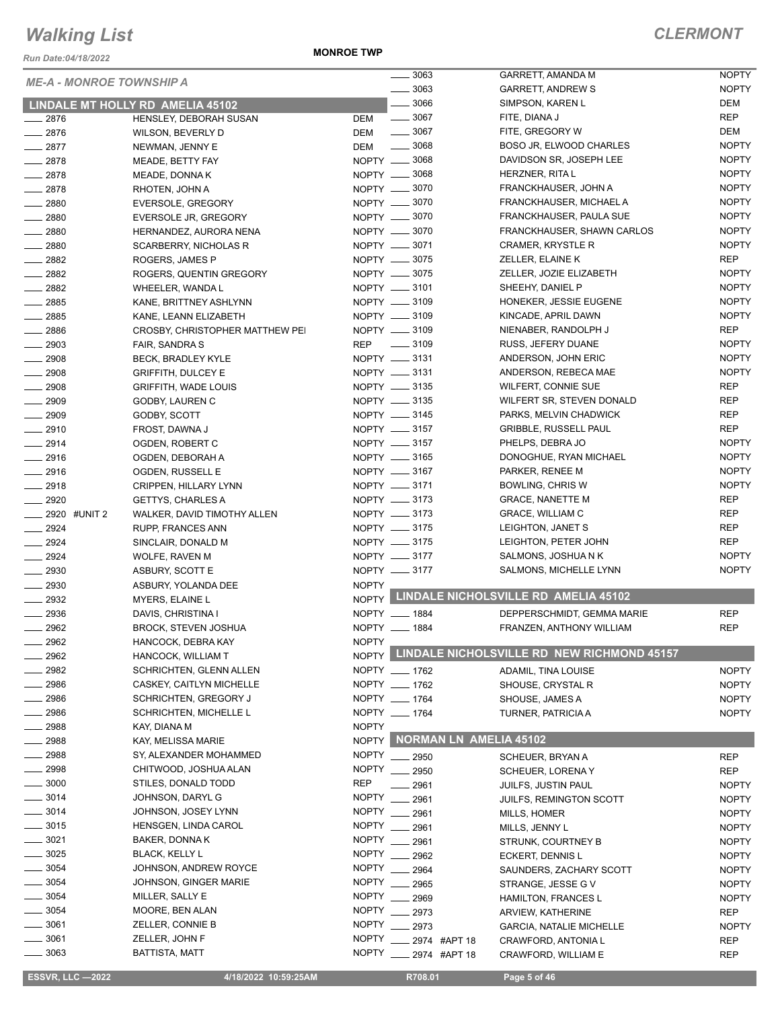*Run Date:04/18/2022*

**MONROE TWP**

| $- 3063$<br><b>NOPTY</b><br>GARRETT, ANDREW S<br>$\frac{1}{2}$ 3066<br>DEM<br>SIMPSON, KAREN L<br>LINDALE MT HOLLY RD AMELIA 45102<br>$\frac{1}{2}$ 3067<br>REP<br><b>DEM</b><br>FITE, DIANA J<br>$-2876$<br>HENSLEY, DEBORAH SUSAN<br><b>DEM</b><br>$\frac{1}{2}$ 3067<br>FITE, GREGORY W<br>$-2876$<br>DEM<br>WILSON, BEVERLY D<br><b>NOPTY</b><br>$-2877$<br>$\frac{1}{2}$ 3068<br>BOSO JR, ELWOOD CHARLES<br>DEM<br>NEWMAN, JENNY E<br>NOPTY -8068<br>DAVIDSON SR, JOSEPH LEE<br><b>NOPTY</b><br>$-2878$<br>MEADE, BETTY FAY<br><b>NOPTY</b><br>$-2878$<br>NOPTY <u>_</u> 3068<br>HERZNER, RITA L<br>MEADE, DONNA K<br><b>NOPTY</b><br>2878<br>NOPTY __ 3070<br>FRANCKHAUSER, JOHN A<br>RHOTEN, JOHN A<br><b>NOPTY</b><br>NOPTY -8070<br>FRANCKHAUSER, MICHAEL A<br>$- 2880$<br>EVERSOLE, GREGORY<br>NOPTY __ 3070<br><b>NOPTY</b><br>$-2880$<br>FRANCKHAUSER, PAULA SUE<br><b>EVERSOLE JR, GREGORY</b><br>NOPTY -8070<br><b>NOPTY</b><br>FRANCKHAUSER, SHAWN CARLOS<br>$-2880$<br>HERNANDEZ, AURORA NENA<br><b>NOPTY</b><br>$- 2880$<br>NOPTY __ 3071<br><b>CRAMER, KRYSTLE R</b><br>SCARBERRY, NICHOLAS R<br>REP<br>NOPTY __ 3075<br>ZELLER, ELAINE K<br>2882<br>ROGERS, JAMES P<br>NOPTY -8075<br><b>NOPTY</b><br>ZELLER, JOZIE ELIZABETH<br>$- 2882$<br>ROGERS, QUENTIN GREGORY<br>NOPTY __ 3101<br><b>NOPTY</b><br>SHEEHY, DANIEL P<br>$\frac{2882}{2}$<br>WHEELER, WANDA L<br>NOPTY -8109<br><b>NOPTY</b><br>HONEKER, JESSIE EUGENE<br>$-2885$<br>KANE, BRITTNEY ASHLYNN<br>NOPTY __ 3109<br><b>NOPTY</b><br>$\frac{1}{2885}$<br>KINCADE, APRIL DAWN<br>KANE, LEANN ELIZABETH<br><b>REP</b><br>2886<br>NOPTY __ 3109<br>NIENABER, RANDOLPH J<br>CROSBY, CHRISTOPHER MATTHEW PEI<br><b>NOPTY</b><br>$- 3109$<br>RUSS, JEFERY DUANE<br>$-2903$<br>REP<br>FAIR, SANDRA S<br><b>NOPTY</b><br>NOPTY __ 3131<br>ANDERSON, JOHN ERIC<br>$\frac{1}{2908}$<br>BECK, BRADLEY KYLE<br>NOPTY -8131<br><b>NOPTY</b><br>ANDERSON, REBECA MAE<br>$-2908$<br><b>GRIFFITH, DULCEY E</b><br>NOPTY __ 3135<br><b>REP</b><br><b>WILFERT, CONNIE SUE</b><br>$- 2908$<br><b>GRIFFITH, WADE LOUIS</b><br>NOPTY __ 3135<br><b>REP</b><br>$-2909$<br>WILFERT SR, STEVEN DONALD<br>GODBY, LAUREN C<br>NOPTY -8145<br><b>REP</b><br>PARKS, MELVIN CHADWICK<br>$\frac{1}{2909}$<br>GODBY, SCOTT<br><b>REP</b><br>NOPTY __ 3157<br><b>GRIBBLE, RUSSELL PAUL</b><br>$-2910$<br>FROST, DAWNA J<br><b>NOPTY</b><br>NOPTY __ 3157<br>PHELPS, DEBRA JO<br>$-2914$<br>OGDEN, ROBERT C<br>NOPTY __ 3165<br><b>NOPTY</b><br>$-2916$<br>DONOGHUE, RYAN MICHAEL<br>OGDEN, DEBORAH A<br>NOPTY __ 3167<br><b>NOPTY</b><br>$-2916$<br>PARKER, RENEE M<br>OGDEN, RUSSELL E<br>NOPTY -8171<br><b>NOPTY</b><br>BOWLING, CHRIS W<br>$-2918$<br>CRIPPEN, HILLARY LYNN<br>NOPTY __ 3173<br><b>REP</b><br><b>GRACE, NANETTE M</b><br>$-2920$<br><b>GETTYS, CHARLES A</b><br><b>REP</b><br>NOPTY __ 3173<br><b>GRACE, WILLIAM C</b><br><b>2920 #UNIT 2</b><br>WALKER, DAVID TIMOTHY ALLEN<br><b>REP</b><br>$-2924$<br>NOPTY __ 3175<br>LEIGHTON, JANET S<br>RUPP, FRANCES ANN<br><b>REP</b><br>NOPTY __ 3175<br>LEIGHTON, PETER JOHN<br>$\frac{2924}{2}$<br>SINCLAIR, DONALD M<br>NOPTY __ 3177<br><b>NOPTY</b><br>SALMONS, JOSHUA N K<br>$- 2924$<br><b>WOLFE, RAVEN M</b><br>NOPTY __ 3177<br><b>NOPTY</b><br>SALMONS, MICHELLE LYNN<br>$-2930$<br>ASBURY, SCOTT E<br><b>NOPTY</b><br>$-2930$<br>ASBURY, YOLANDA DEE<br>NOPTY LINDALE NICHOLSVILLE RD AMELIA 45102<br>$\frac{1}{2932}$<br>MYERS, ELAINE L<br>2936<br>NOPTY __ 1884<br>DEPPERSCHMIDT, GEMMA MARIE<br><b>REP</b><br>DAVIS, CHRISTINA I<br>$-2962$<br><b>BROCK, STEVEN JOSHUA</b><br>NOPTY __ 1884<br>FRANZEN, ANTHONY WILLIAM<br><b>REP</b><br><b>NOPTY</b><br>2962<br>HANCOCK, DEBRA KAY<br>NOPTY LINDALE NICHOLSVILLE RD NEW RICHMOND 45157<br>2962<br>HANCOCK, WILLIAM T<br>2982<br>NOPTY __ 1762<br>SCHRICHTEN, GLENN ALLEN<br>ADAMIL, TINA LOUISE<br><b>NOPTY</b><br>2986<br>NOPTY __ 1762<br>CASKEY, CAITLYN MICHELLE<br><b>NOPTY</b><br>SHOUSE, CRYSTAL R<br>2986<br><b>SCHRICHTEN, GREGORY J</b><br>NOPTY __ 1764<br><b>NOPTY</b><br>SHOUSE, JAMES A<br>2986<br><b>SCHRICHTEN, MICHELLE L</b><br>NOPTY __ 1764<br><b>NOPTY</b><br>TURNER, PATRICIA A<br>2988<br><b>NOPTY</b><br>KAY, DIANA M<br>NOPTY NORMAN LN AMELIA 45102<br>2988<br>KAY, MELISSA MARIE<br>2988<br><b>NOPTY</b><br>SY, ALEXANDER MOHAMMED<br>2950<br><b>REP</b><br>SCHEUER, BRYAN A<br>2998<br><b>NOPTY</b><br>CHITWOOD, JOSHUA ALAN<br>2950<br><b>REP</b><br>SCHEUER, LORENAY<br>3000<br><b>REP</b><br>STILES, DONALD TODD<br>2961<br><b>NOPTY</b><br>JUILFS, JUSTIN PAUL<br>3014<br>JOHNSON, DARYL G<br><b>NOPTY</b><br>2961<br><b>NOPTY</b><br>JUILFS, REMINGTON SCOTT<br>3014<br><b>NOPTY</b><br>JOHNSON, JOSEY LYNN<br>2961<br><b>NOPTY</b><br>MILLS, HOMER<br>3015<br>HENSGEN, LINDA CAROL<br><b>NOPTY</b><br>2961<br><b>NOPTY</b><br>MILLS, JENNY L<br>3021<br><b>NOPTY</b><br>BAKER, DONNA K<br>2961<br><b>NOPTY</b><br>STRUNK, COURTNEY B<br>3025<br><b>NOPTY</b><br><b>BLACK, KELLY L</b><br>2962<br><b>NOPTY</b><br>ECKERT, DENNIS L<br>$= 3054$<br><b>NOPTY</b><br>JOHNSON, ANDREW ROYCE<br>2964<br>SAUNDERS, ZACHARY SCOTT<br><b>NOPTY</b><br>3054<br><b>NOPTY</b><br>JOHNSON, GINGER MARIE<br>2965<br>STRANGE, JESSE G V<br><b>NOPTY</b><br>3054<br>MILLER, SALLY E<br><b>NOPTY</b><br>2969<br><b>NOPTY</b><br><b>HAMILTON, FRANCES L</b><br>3054<br>MOORE, BEN ALAN<br><b>NOPTY</b><br>2973<br><b>REP</b><br>ARVIEW, KATHERINE<br>3061<br><b>NOPTY</b><br>ZELLER, CONNIE B<br>2973<br><b>NOPTY</b><br><b>GARCIA, NATALIE MICHELLE</b><br>3061<br>ZELLER, JOHN F<br><b>NOPTY</b><br>2974 #APT 18<br>CRAWFORD, ANTONIA L<br>REP<br>3063<br>BATTISTA, MATT<br><b>NOPTY</b><br>2974 #APT 18<br>CRAWFORD, WILLIAM E<br>REP<br><b>ESSVR, LLC -2022</b><br>4/18/2022 10:59:25AM<br>R708.01<br>Page 5 of 46 | <b>ME-A - MONROE TOWNSHIP A</b> |  | $\frac{1}{2}$ 3063 | GARRETT, AMANDA M | <b>NOPTY</b> |
|-----------------------------------------------------------------------------------------------------------------------------------------------------------------------------------------------------------------------------------------------------------------------------------------------------------------------------------------------------------------------------------------------------------------------------------------------------------------------------------------------------------------------------------------------------------------------------------------------------------------------------------------------------------------------------------------------------------------------------------------------------------------------------------------------------------------------------------------------------------------------------------------------------------------------------------------------------------------------------------------------------------------------------------------------------------------------------------------------------------------------------------------------------------------------------------------------------------------------------------------------------------------------------------------------------------------------------------------------------------------------------------------------------------------------------------------------------------------------------------------------------------------------------------------------------------------------------------------------------------------------------------------------------------------------------------------------------------------------------------------------------------------------------------------------------------------------------------------------------------------------------------------------------------------------------------------------------------------------------------------------------------------------------------------------------------------------------------------------------------------------------------------------------------------------------------------------------------------------------------------------------------------------------------------------------------------------------------------------------------------------------------------------------------------------------------------------------------------------------------------------------------------------------------------------------------------------------------------------------------------------------------------------------------------------------------------------------------------------------------------------------------------------------------------------------------------------------------------------------------------------------------------------------------------------------------------------------------------------------------------------------------------------------------------------------------------------------------------------------------------------------------------------------------------------------------------------------------------------------------------------------------------------------------------------------------------------------------------------------------------------------------------------------------------------------------------------------------------------------------------------------------------------------------------------------------------------------------------------------------------------------------------------------------------------------------------------------------------------------------------------------------------------------------------------------------------------------------------------------------------------------------------------------------------------------------------------------------------------------------------------------------------------------------------------------------------------------------------------------------------------------------------------------------------------------------------------------------------------------------------------------------------------------------------------------------------------------------------------------------------------------------------------------------------------------------------------------------------------------------------------------------------------------------------------------------------------------------------------------------------------------------------------------------------------------------------------------------------------------------------------------------------------------------------------------------------------------------------------------------------------------------------------------------------------------------------------------------------------------------------------------------------------------------------------------------------------------------------------------------------------------------------------------------------------------------------------------------------------------------------------------------------------------------------------------------------------------------------------------------------------------------------------------------------------------------------------------------------------------------------------------------------------------------------------------------------------------------------------------------------------------------------------------------------------------------------------------------------------------------------------------------------------------------------------------------------------|---------------------------------|--|--------------------|-------------------|--------------|
|                                                                                                                                                                                                                                                                                                                                                                                                                                                                                                                                                                                                                                                                                                                                                                                                                                                                                                                                                                                                                                                                                                                                                                                                                                                                                                                                                                                                                                                                                                                                                                                                                                                                                                                                                                                                                                                                                                                                                                                                                                                                                                                                                                                                                                                                                                                                                                                                                                                                                                                                                                                                                                                                                                                                                                                                                                                                                                                                                                                                                                                                                                                                                                                                                                                                                                                                                                                                                                                                                                                                                                                                                                                                                                                                                                                                                                                                                                                                                                                                                                                                                                                                                                                                                                                                                                                                                                                                                                                                                                                                                                                                                                                                                                                                                                                                                                                                                                                                                                                                                                                                                                                                                                                                                                                                                                                                                                                                                                                                                                                                                                                                                                                                                                                                                                                                                       |                                 |  |                    |                   |              |
|                                                                                                                                                                                                                                                                                                                                                                                                                                                                                                                                                                                                                                                                                                                                                                                                                                                                                                                                                                                                                                                                                                                                                                                                                                                                                                                                                                                                                                                                                                                                                                                                                                                                                                                                                                                                                                                                                                                                                                                                                                                                                                                                                                                                                                                                                                                                                                                                                                                                                                                                                                                                                                                                                                                                                                                                                                                                                                                                                                                                                                                                                                                                                                                                                                                                                                                                                                                                                                                                                                                                                                                                                                                                                                                                                                                                                                                                                                                                                                                                                                                                                                                                                                                                                                                                                                                                                                                                                                                                                                                                                                                                                                                                                                                                                                                                                                                                                                                                                                                                                                                                                                                                                                                                                                                                                                                                                                                                                                                                                                                                                                                                                                                                                                                                                                                                                       |                                 |  |                    |                   |              |
|                                                                                                                                                                                                                                                                                                                                                                                                                                                                                                                                                                                                                                                                                                                                                                                                                                                                                                                                                                                                                                                                                                                                                                                                                                                                                                                                                                                                                                                                                                                                                                                                                                                                                                                                                                                                                                                                                                                                                                                                                                                                                                                                                                                                                                                                                                                                                                                                                                                                                                                                                                                                                                                                                                                                                                                                                                                                                                                                                                                                                                                                                                                                                                                                                                                                                                                                                                                                                                                                                                                                                                                                                                                                                                                                                                                                                                                                                                                                                                                                                                                                                                                                                                                                                                                                                                                                                                                                                                                                                                                                                                                                                                                                                                                                                                                                                                                                                                                                                                                                                                                                                                                                                                                                                                                                                                                                                                                                                                                                                                                                                                                                                                                                                                                                                                                                                       |                                 |  |                    |                   |              |
|                                                                                                                                                                                                                                                                                                                                                                                                                                                                                                                                                                                                                                                                                                                                                                                                                                                                                                                                                                                                                                                                                                                                                                                                                                                                                                                                                                                                                                                                                                                                                                                                                                                                                                                                                                                                                                                                                                                                                                                                                                                                                                                                                                                                                                                                                                                                                                                                                                                                                                                                                                                                                                                                                                                                                                                                                                                                                                                                                                                                                                                                                                                                                                                                                                                                                                                                                                                                                                                                                                                                                                                                                                                                                                                                                                                                                                                                                                                                                                                                                                                                                                                                                                                                                                                                                                                                                                                                                                                                                                                                                                                                                                                                                                                                                                                                                                                                                                                                                                                                                                                                                                                                                                                                                                                                                                                                                                                                                                                                                                                                                                                                                                                                                                                                                                                                                       |                                 |  |                    |                   |              |
|                                                                                                                                                                                                                                                                                                                                                                                                                                                                                                                                                                                                                                                                                                                                                                                                                                                                                                                                                                                                                                                                                                                                                                                                                                                                                                                                                                                                                                                                                                                                                                                                                                                                                                                                                                                                                                                                                                                                                                                                                                                                                                                                                                                                                                                                                                                                                                                                                                                                                                                                                                                                                                                                                                                                                                                                                                                                                                                                                                                                                                                                                                                                                                                                                                                                                                                                                                                                                                                                                                                                                                                                                                                                                                                                                                                                                                                                                                                                                                                                                                                                                                                                                                                                                                                                                                                                                                                                                                                                                                                                                                                                                                                                                                                                                                                                                                                                                                                                                                                                                                                                                                                                                                                                                                                                                                                                                                                                                                                                                                                                                                                                                                                                                                                                                                                                                       |                                 |  |                    |                   |              |
|                                                                                                                                                                                                                                                                                                                                                                                                                                                                                                                                                                                                                                                                                                                                                                                                                                                                                                                                                                                                                                                                                                                                                                                                                                                                                                                                                                                                                                                                                                                                                                                                                                                                                                                                                                                                                                                                                                                                                                                                                                                                                                                                                                                                                                                                                                                                                                                                                                                                                                                                                                                                                                                                                                                                                                                                                                                                                                                                                                                                                                                                                                                                                                                                                                                                                                                                                                                                                                                                                                                                                                                                                                                                                                                                                                                                                                                                                                                                                                                                                                                                                                                                                                                                                                                                                                                                                                                                                                                                                                                                                                                                                                                                                                                                                                                                                                                                                                                                                                                                                                                                                                                                                                                                                                                                                                                                                                                                                                                                                                                                                                                                                                                                                                                                                                                                                       |                                 |  |                    |                   |              |
|                                                                                                                                                                                                                                                                                                                                                                                                                                                                                                                                                                                                                                                                                                                                                                                                                                                                                                                                                                                                                                                                                                                                                                                                                                                                                                                                                                                                                                                                                                                                                                                                                                                                                                                                                                                                                                                                                                                                                                                                                                                                                                                                                                                                                                                                                                                                                                                                                                                                                                                                                                                                                                                                                                                                                                                                                                                                                                                                                                                                                                                                                                                                                                                                                                                                                                                                                                                                                                                                                                                                                                                                                                                                                                                                                                                                                                                                                                                                                                                                                                                                                                                                                                                                                                                                                                                                                                                                                                                                                                                                                                                                                                                                                                                                                                                                                                                                                                                                                                                                                                                                                                                                                                                                                                                                                                                                                                                                                                                                                                                                                                                                                                                                                                                                                                                                                       |                                 |  |                    |                   |              |
|                                                                                                                                                                                                                                                                                                                                                                                                                                                                                                                                                                                                                                                                                                                                                                                                                                                                                                                                                                                                                                                                                                                                                                                                                                                                                                                                                                                                                                                                                                                                                                                                                                                                                                                                                                                                                                                                                                                                                                                                                                                                                                                                                                                                                                                                                                                                                                                                                                                                                                                                                                                                                                                                                                                                                                                                                                                                                                                                                                                                                                                                                                                                                                                                                                                                                                                                                                                                                                                                                                                                                                                                                                                                                                                                                                                                                                                                                                                                                                                                                                                                                                                                                                                                                                                                                                                                                                                                                                                                                                                                                                                                                                                                                                                                                                                                                                                                                                                                                                                                                                                                                                                                                                                                                                                                                                                                                                                                                                                                                                                                                                                                                                                                                                                                                                                                                       |                                 |  |                    |                   |              |
|                                                                                                                                                                                                                                                                                                                                                                                                                                                                                                                                                                                                                                                                                                                                                                                                                                                                                                                                                                                                                                                                                                                                                                                                                                                                                                                                                                                                                                                                                                                                                                                                                                                                                                                                                                                                                                                                                                                                                                                                                                                                                                                                                                                                                                                                                                                                                                                                                                                                                                                                                                                                                                                                                                                                                                                                                                                                                                                                                                                                                                                                                                                                                                                                                                                                                                                                                                                                                                                                                                                                                                                                                                                                                                                                                                                                                                                                                                                                                                                                                                                                                                                                                                                                                                                                                                                                                                                                                                                                                                                                                                                                                                                                                                                                                                                                                                                                                                                                                                                                                                                                                                                                                                                                                                                                                                                                                                                                                                                                                                                                                                                                                                                                                                                                                                                                                       |                                 |  |                    |                   |              |
|                                                                                                                                                                                                                                                                                                                                                                                                                                                                                                                                                                                                                                                                                                                                                                                                                                                                                                                                                                                                                                                                                                                                                                                                                                                                                                                                                                                                                                                                                                                                                                                                                                                                                                                                                                                                                                                                                                                                                                                                                                                                                                                                                                                                                                                                                                                                                                                                                                                                                                                                                                                                                                                                                                                                                                                                                                                                                                                                                                                                                                                                                                                                                                                                                                                                                                                                                                                                                                                                                                                                                                                                                                                                                                                                                                                                                                                                                                                                                                                                                                                                                                                                                                                                                                                                                                                                                                                                                                                                                                                                                                                                                                                                                                                                                                                                                                                                                                                                                                                                                                                                                                                                                                                                                                                                                                                                                                                                                                                                                                                                                                                                                                                                                                                                                                                                                       |                                 |  |                    |                   |              |
|                                                                                                                                                                                                                                                                                                                                                                                                                                                                                                                                                                                                                                                                                                                                                                                                                                                                                                                                                                                                                                                                                                                                                                                                                                                                                                                                                                                                                                                                                                                                                                                                                                                                                                                                                                                                                                                                                                                                                                                                                                                                                                                                                                                                                                                                                                                                                                                                                                                                                                                                                                                                                                                                                                                                                                                                                                                                                                                                                                                                                                                                                                                                                                                                                                                                                                                                                                                                                                                                                                                                                                                                                                                                                                                                                                                                                                                                                                                                                                                                                                                                                                                                                                                                                                                                                                                                                                                                                                                                                                                                                                                                                                                                                                                                                                                                                                                                                                                                                                                                                                                                                                                                                                                                                                                                                                                                                                                                                                                                                                                                                                                                                                                                                                                                                                                                                       |                                 |  |                    |                   |              |
|                                                                                                                                                                                                                                                                                                                                                                                                                                                                                                                                                                                                                                                                                                                                                                                                                                                                                                                                                                                                                                                                                                                                                                                                                                                                                                                                                                                                                                                                                                                                                                                                                                                                                                                                                                                                                                                                                                                                                                                                                                                                                                                                                                                                                                                                                                                                                                                                                                                                                                                                                                                                                                                                                                                                                                                                                                                                                                                                                                                                                                                                                                                                                                                                                                                                                                                                                                                                                                                                                                                                                                                                                                                                                                                                                                                                                                                                                                                                                                                                                                                                                                                                                                                                                                                                                                                                                                                                                                                                                                                                                                                                                                                                                                                                                                                                                                                                                                                                                                                                                                                                                                                                                                                                                                                                                                                                                                                                                                                                                                                                                                                                                                                                                                                                                                                                                       |                                 |  |                    |                   |              |
|                                                                                                                                                                                                                                                                                                                                                                                                                                                                                                                                                                                                                                                                                                                                                                                                                                                                                                                                                                                                                                                                                                                                                                                                                                                                                                                                                                                                                                                                                                                                                                                                                                                                                                                                                                                                                                                                                                                                                                                                                                                                                                                                                                                                                                                                                                                                                                                                                                                                                                                                                                                                                                                                                                                                                                                                                                                                                                                                                                                                                                                                                                                                                                                                                                                                                                                                                                                                                                                                                                                                                                                                                                                                                                                                                                                                                                                                                                                                                                                                                                                                                                                                                                                                                                                                                                                                                                                                                                                                                                                                                                                                                                                                                                                                                                                                                                                                                                                                                                                                                                                                                                                                                                                                                                                                                                                                                                                                                                                                                                                                                                                                                                                                                                                                                                                                                       |                                 |  |                    |                   |              |
|                                                                                                                                                                                                                                                                                                                                                                                                                                                                                                                                                                                                                                                                                                                                                                                                                                                                                                                                                                                                                                                                                                                                                                                                                                                                                                                                                                                                                                                                                                                                                                                                                                                                                                                                                                                                                                                                                                                                                                                                                                                                                                                                                                                                                                                                                                                                                                                                                                                                                                                                                                                                                                                                                                                                                                                                                                                                                                                                                                                                                                                                                                                                                                                                                                                                                                                                                                                                                                                                                                                                                                                                                                                                                                                                                                                                                                                                                                                                                                                                                                                                                                                                                                                                                                                                                                                                                                                                                                                                                                                                                                                                                                                                                                                                                                                                                                                                                                                                                                                                                                                                                                                                                                                                                                                                                                                                                                                                                                                                                                                                                                                                                                                                                                                                                                                                                       |                                 |  |                    |                   |              |
|                                                                                                                                                                                                                                                                                                                                                                                                                                                                                                                                                                                                                                                                                                                                                                                                                                                                                                                                                                                                                                                                                                                                                                                                                                                                                                                                                                                                                                                                                                                                                                                                                                                                                                                                                                                                                                                                                                                                                                                                                                                                                                                                                                                                                                                                                                                                                                                                                                                                                                                                                                                                                                                                                                                                                                                                                                                                                                                                                                                                                                                                                                                                                                                                                                                                                                                                                                                                                                                                                                                                                                                                                                                                                                                                                                                                                                                                                                                                                                                                                                                                                                                                                                                                                                                                                                                                                                                                                                                                                                                                                                                                                                                                                                                                                                                                                                                                                                                                                                                                                                                                                                                                                                                                                                                                                                                                                                                                                                                                                                                                                                                                                                                                                                                                                                                                                       |                                 |  |                    |                   |              |
|                                                                                                                                                                                                                                                                                                                                                                                                                                                                                                                                                                                                                                                                                                                                                                                                                                                                                                                                                                                                                                                                                                                                                                                                                                                                                                                                                                                                                                                                                                                                                                                                                                                                                                                                                                                                                                                                                                                                                                                                                                                                                                                                                                                                                                                                                                                                                                                                                                                                                                                                                                                                                                                                                                                                                                                                                                                                                                                                                                                                                                                                                                                                                                                                                                                                                                                                                                                                                                                                                                                                                                                                                                                                                                                                                                                                                                                                                                                                                                                                                                                                                                                                                                                                                                                                                                                                                                                                                                                                                                                                                                                                                                                                                                                                                                                                                                                                                                                                                                                                                                                                                                                                                                                                                                                                                                                                                                                                                                                                                                                                                                                                                                                                                                                                                                                                                       |                                 |  |                    |                   |              |
|                                                                                                                                                                                                                                                                                                                                                                                                                                                                                                                                                                                                                                                                                                                                                                                                                                                                                                                                                                                                                                                                                                                                                                                                                                                                                                                                                                                                                                                                                                                                                                                                                                                                                                                                                                                                                                                                                                                                                                                                                                                                                                                                                                                                                                                                                                                                                                                                                                                                                                                                                                                                                                                                                                                                                                                                                                                                                                                                                                                                                                                                                                                                                                                                                                                                                                                                                                                                                                                                                                                                                                                                                                                                                                                                                                                                                                                                                                                                                                                                                                                                                                                                                                                                                                                                                                                                                                                                                                                                                                                                                                                                                                                                                                                                                                                                                                                                                                                                                                                                                                                                                                                                                                                                                                                                                                                                                                                                                                                                                                                                                                                                                                                                                                                                                                                                                       |                                 |  |                    |                   |              |
|                                                                                                                                                                                                                                                                                                                                                                                                                                                                                                                                                                                                                                                                                                                                                                                                                                                                                                                                                                                                                                                                                                                                                                                                                                                                                                                                                                                                                                                                                                                                                                                                                                                                                                                                                                                                                                                                                                                                                                                                                                                                                                                                                                                                                                                                                                                                                                                                                                                                                                                                                                                                                                                                                                                                                                                                                                                                                                                                                                                                                                                                                                                                                                                                                                                                                                                                                                                                                                                                                                                                                                                                                                                                                                                                                                                                                                                                                                                                                                                                                                                                                                                                                                                                                                                                                                                                                                                                                                                                                                                                                                                                                                                                                                                                                                                                                                                                                                                                                                                                                                                                                                                                                                                                                                                                                                                                                                                                                                                                                                                                                                                                                                                                                                                                                                                                                       |                                 |  |                    |                   |              |
|                                                                                                                                                                                                                                                                                                                                                                                                                                                                                                                                                                                                                                                                                                                                                                                                                                                                                                                                                                                                                                                                                                                                                                                                                                                                                                                                                                                                                                                                                                                                                                                                                                                                                                                                                                                                                                                                                                                                                                                                                                                                                                                                                                                                                                                                                                                                                                                                                                                                                                                                                                                                                                                                                                                                                                                                                                                                                                                                                                                                                                                                                                                                                                                                                                                                                                                                                                                                                                                                                                                                                                                                                                                                                                                                                                                                                                                                                                                                                                                                                                                                                                                                                                                                                                                                                                                                                                                                                                                                                                                                                                                                                                                                                                                                                                                                                                                                                                                                                                                                                                                                                                                                                                                                                                                                                                                                                                                                                                                                                                                                                                                                                                                                                                                                                                                                                       |                                 |  |                    |                   |              |
|                                                                                                                                                                                                                                                                                                                                                                                                                                                                                                                                                                                                                                                                                                                                                                                                                                                                                                                                                                                                                                                                                                                                                                                                                                                                                                                                                                                                                                                                                                                                                                                                                                                                                                                                                                                                                                                                                                                                                                                                                                                                                                                                                                                                                                                                                                                                                                                                                                                                                                                                                                                                                                                                                                                                                                                                                                                                                                                                                                                                                                                                                                                                                                                                                                                                                                                                                                                                                                                                                                                                                                                                                                                                                                                                                                                                                                                                                                                                                                                                                                                                                                                                                                                                                                                                                                                                                                                                                                                                                                                                                                                                                                                                                                                                                                                                                                                                                                                                                                                                                                                                                                                                                                                                                                                                                                                                                                                                                                                                                                                                                                                                                                                                                                                                                                                                                       |                                 |  |                    |                   |              |
|                                                                                                                                                                                                                                                                                                                                                                                                                                                                                                                                                                                                                                                                                                                                                                                                                                                                                                                                                                                                                                                                                                                                                                                                                                                                                                                                                                                                                                                                                                                                                                                                                                                                                                                                                                                                                                                                                                                                                                                                                                                                                                                                                                                                                                                                                                                                                                                                                                                                                                                                                                                                                                                                                                                                                                                                                                                                                                                                                                                                                                                                                                                                                                                                                                                                                                                                                                                                                                                                                                                                                                                                                                                                                                                                                                                                                                                                                                                                                                                                                                                                                                                                                                                                                                                                                                                                                                                                                                                                                                                                                                                                                                                                                                                                                                                                                                                                                                                                                                                                                                                                                                                                                                                                                                                                                                                                                                                                                                                                                                                                                                                                                                                                                                                                                                                                                       |                                 |  |                    |                   |              |
|                                                                                                                                                                                                                                                                                                                                                                                                                                                                                                                                                                                                                                                                                                                                                                                                                                                                                                                                                                                                                                                                                                                                                                                                                                                                                                                                                                                                                                                                                                                                                                                                                                                                                                                                                                                                                                                                                                                                                                                                                                                                                                                                                                                                                                                                                                                                                                                                                                                                                                                                                                                                                                                                                                                                                                                                                                                                                                                                                                                                                                                                                                                                                                                                                                                                                                                                                                                                                                                                                                                                                                                                                                                                                                                                                                                                                                                                                                                                                                                                                                                                                                                                                                                                                                                                                                                                                                                                                                                                                                                                                                                                                                                                                                                                                                                                                                                                                                                                                                                                                                                                                                                                                                                                                                                                                                                                                                                                                                                                                                                                                                                                                                                                                                                                                                                                                       |                                 |  |                    |                   |              |
|                                                                                                                                                                                                                                                                                                                                                                                                                                                                                                                                                                                                                                                                                                                                                                                                                                                                                                                                                                                                                                                                                                                                                                                                                                                                                                                                                                                                                                                                                                                                                                                                                                                                                                                                                                                                                                                                                                                                                                                                                                                                                                                                                                                                                                                                                                                                                                                                                                                                                                                                                                                                                                                                                                                                                                                                                                                                                                                                                                                                                                                                                                                                                                                                                                                                                                                                                                                                                                                                                                                                                                                                                                                                                                                                                                                                                                                                                                                                                                                                                                                                                                                                                                                                                                                                                                                                                                                                                                                                                                                                                                                                                                                                                                                                                                                                                                                                                                                                                                                                                                                                                                                                                                                                                                                                                                                                                                                                                                                                                                                                                                                                                                                                                                                                                                                                                       |                                 |  |                    |                   |              |
|                                                                                                                                                                                                                                                                                                                                                                                                                                                                                                                                                                                                                                                                                                                                                                                                                                                                                                                                                                                                                                                                                                                                                                                                                                                                                                                                                                                                                                                                                                                                                                                                                                                                                                                                                                                                                                                                                                                                                                                                                                                                                                                                                                                                                                                                                                                                                                                                                                                                                                                                                                                                                                                                                                                                                                                                                                                                                                                                                                                                                                                                                                                                                                                                                                                                                                                                                                                                                                                                                                                                                                                                                                                                                                                                                                                                                                                                                                                                                                                                                                                                                                                                                                                                                                                                                                                                                                                                                                                                                                                                                                                                                                                                                                                                                                                                                                                                                                                                                                                                                                                                                                                                                                                                                                                                                                                                                                                                                                                                                                                                                                                                                                                                                                                                                                                                                       |                                 |  |                    |                   |              |
|                                                                                                                                                                                                                                                                                                                                                                                                                                                                                                                                                                                                                                                                                                                                                                                                                                                                                                                                                                                                                                                                                                                                                                                                                                                                                                                                                                                                                                                                                                                                                                                                                                                                                                                                                                                                                                                                                                                                                                                                                                                                                                                                                                                                                                                                                                                                                                                                                                                                                                                                                                                                                                                                                                                                                                                                                                                                                                                                                                                                                                                                                                                                                                                                                                                                                                                                                                                                                                                                                                                                                                                                                                                                                                                                                                                                                                                                                                                                                                                                                                                                                                                                                                                                                                                                                                                                                                                                                                                                                                                                                                                                                                                                                                                                                                                                                                                                                                                                                                                                                                                                                                                                                                                                                                                                                                                                                                                                                                                                                                                                                                                                                                                                                                                                                                                                                       |                                 |  |                    |                   |              |
|                                                                                                                                                                                                                                                                                                                                                                                                                                                                                                                                                                                                                                                                                                                                                                                                                                                                                                                                                                                                                                                                                                                                                                                                                                                                                                                                                                                                                                                                                                                                                                                                                                                                                                                                                                                                                                                                                                                                                                                                                                                                                                                                                                                                                                                                                                                                                                                                                                                                                                                                                                                                                                                                                                                                                                                                                                                                                                                                                                                                                                                                                                                                                                                                                                                                                                                                                                                                                                                                                                                                                                                                                                                                                                                                                                                                                                                                                                                                                                                                                                                                                                                                                                                                                                                                                                                                                                                                                                                                                                                                                                                                                                                                                                                                                                                                                                                                                                                                                                                                                                                                                                                                                                                                                                                                                                                                                                                                                                                                                                                                                                                                                                                                                                                                                                                                                       |                                 |  |                    |                   |              |
|                                                                                                                                                                                                                                                                                                                                                                                                                                                                                                                                                                                                                                                                                                                                                                                                                                                                                                                                                                                                                                                                                                                                                                                                                                                                                                                                                                                                                                                                                                                                                                                                                                                                                                                                                                                                                                                                                                                                                                                                                                                                                                                                                                                                                                                                                                                                                                                                                                                                                                                                                                                                                                                                                                                                                                                                                                                                                                                                                                                                                                                                                                                                                                                                                                                                                                                                                                                                                                                                                                                                                                                                                                                                                                                                                                                                                                                                                                                                                                                                                                                                                                                                                                                                                                                                                                                                                                                                                                                                                                                                                                                                                                                                                                                                                                                                                                                                                                                                                                                                                                                                                                                                                                                                                                                                                                                                                                                                                                                                                                                                                                                                                                                                                                                                                                                                                       |                                 |  |                    |                   |              |
|                                                                                                                                                                                                                                                                                                                                                                                                                                                                                                                                                                                                                                                                                                                                                                                                                                                                                                                                                                                                                                                                                                                                                                                                                                                                                                                                                                                                                                                                                                                                                                                                                                                                                                                                                                                                                                                                                                                                                                                                                                                                                                                                                                                                                                                                                                                                                                                                                                                                                                                                                                                                                                                                                                                                                                                                                                                                                                                                                                                                                                                                                                                                                                                                                                                                                                                                                                                                                                                                                                                                                                                                                                                                                                                                                                                                                                                                                                                                                                                                                                                                                                                                                                                                                                                                                                                                                                                                                                                                                                                                                                                                                                                                                                                                                                                                                                                                                                                                                                                                                                                                                                                                                                                                                                                                                                                                                                                                                                                                                                                                                                                                                                                                                                                                                                                                                       |                                 |  |                    |                   |              |
|                                                                                                                                                                                                                                                                                                                                                                                                                                                                                                                                                                                                                                                                                                                                                                                                                                                                                                                                                                                                                                                                                                                                                                                                                                                                                                                                                                                                                                                                                                                                                                                                                                                                                                                                                                                                                                                                                                                                                                                                                                                                                                                                                                                                                                                                                                                                                                                                                                                                                                                                                                                                                                                                                                                                                                                                                                                                                                                                                                                                                                                                                                                                                                                                                                                                                                                                                                                                                                                                                                                                                                                                                                                                                                                                                                                                                                                                                                                                                                                                                                                                                                                                                                                                                                                                                                                                                                                                                                                                                                                                                                                                                                                                                                                                                                                                                                                                                                                                                                                                                                                                                                                                                                                                                                                                                                                                                                                                                                                                                                                                                                                                                                                                                                                                                                                                                       |                                 |  |                    |                   |              |
|                                                                                                                                                                                                                                                                                                                                                                                                                                                                                                                                                                                                                                                                                                                                                                                                                                                                                                                                                                                                                                                                                                                                                                                                                                                                                                                                                                                                                                                                                                                                                                                                                                                                                                                                                                                                                                                                                                                                                                                                                                                                                                                                                                                                                                                                                                                                                                                                                                                                                                                                                                                                                                                                                                                                                                                                                                                                                                                                                                                                                                                                                                                                                                                                                                                                                                                                                                                                                                                                                                                                                                                                                                                                                                                                                                                                                                                                                                                                                                                                                                                                                                                                                                                                                                                                                                                                                                                                                                                                                                                                                                                                                                                                                                                                                                                                                                                                                                                                                                                                                                                                                                                                                                                                                                                                                                                                                                                                                                                                                                                                                                                                                                                                                                                                                                                                                       |                                 |  |                    |                   |              |
|                                                                                                                                                                                                                                                                                                                                                                                                                                                                                                                                                                                                                                                                                                                                                                                                                                                                                                                                                                                                                                                                                                                                                                                                                                                                                                                                                                                                                                                                                                                                                                                                                                                                                                                                                                                                                                                                                                                                                                                                                                                                                                                                                                                                                                                                                                                                                                                                                                                                                                                                                                                                                                                                                                                                                                                                                                                                                                                                                                                                                                                                                                                                                                                                                                                                                                                                                                                                                                                                                                                                                                                                                                                                                                                                                                                                                                                                                                                                                                                                                                                                                                                                                                                                                                                                                                                                                                                                                                                                                                                                                                                                                                                                                                                                                                                                                                                                                                                                                                                                                                                                                                                                                                                                                                                                                                                                                                                                                                                                                                                                                                                                                                                                                                                                                                                                                       |                                 |  |                    |                   |              |
|                                                                                                                                                                                                                                                                                                                                                                                                                                                                                                                                                                                                                                                                                                                                                                                                                                                                                                                                                                                                                                                                                                                                                                                                                                                                                                                                                                                                                                                                                                                                                                                                                                                                                                                                                                                                                                                                                                                                                                                                                                                                                                                                                                                                                                                                                                                                                                                                                                                                                                                                                                                                                                                                                                                                                                                                                                                                                                                                                                                                                                                                                                                                                                                                                                                                                                                                                                                                                                                                                                                                                                                                                                                                                                                                                                                                                                                                                                                                                                                                                                                                                                                                                                                                                                                                                                                                                                                                                                                                                                                                                                                                                                                                                                                                                                                                                                                                                                                                                                                                                                                                                                                                                                                                                                                                                                                                                                                                                                                                                                                                                                                                                                                                                                                                                                                                                       |                                 |  |                    |                   |              |
|                                                                                                                                                                                                                                                                                                                                                                                                                                                                                                                                                                                                                                                                                                                                                                                                                                                                                                                                                                                                                                                                                                                                                                                                                                                                                                                                                                                                                                                                                                                                                                                                                                                                                                                                                                                                                                                                                                                                                                                                                                                                                                                                                                                                                                                                                                                                                                                                                                                                                                                                                                                                                                                                                                                                                                                                                                                                                                                                                                                                                                                                                                                                                                                                                                                                                                                                                                                                                                                                                                                                                                                                                                                                                                                                                                                                                                                                                                                                                                                                                                                                                                                                                                                                                                                                                                                                                                                                                                                                                                                                                                                                                                                                                                                                                                                                                                                                                                                                                                                                                                                                                                                                                                                                                                                                                                                                                                                                                                                                                                                                                                                                                                                                                                                                                                                                                       |                                 |  |                    |                   |              |
|                                                                                                                                                                                                                                                                                                                                                                                                                                                                                                                                                                                                                                                                                                                                                                                                                                                                                                                                                                                                                                                                                                                                                                                                                                                                                                                                                                                                                                                                                                                                                                                                                                                                                                                                                                                                                                                                                                                                                                                                                                                                                                                                                                                                                                                                                                                                                                                                                                                                                                                                                                                                                                                                                                                                                                                                                                                                                                                                                                                                                                                                                                                                                                                                                                                                                                                                                                                                                                                                                                                                                                                                                                                                                                                                                                                                                                                                                                                                                                                                                                                                                                                                                                                                                                                                                                                                                                                                                                                                                                                                                                                                                                                                                                                                                                                                                                                                                                                                                                                                                                                                                                                                                                                                                                                                                                                                                                                                                                                                                                                                                                                                                                                                                                                                                                                                                       |                                 |  |                    |                   |              |
|                                                                                                                                                                                                                                                                                                                                                                                                                                                                                                                                                                                                                                                                                                                                                                                                                                                                                                                                                                                                                                                                                                                                                                                                                                                                                                                                                                                                                                                                                                                                                                                                                                                                                                                                                                                                                                                                                                                                                                                                                                                                                                                                                                                                                                                                                                                                                                                                                                                                                                                                                                                                                                                                                                                                                                                                                                                                                                                                                                                                                                                                                                                                                                                                                                                                                                                                                                                                                                                                                                                                                                                                                                                                                                                                                                                                                                                                                                                                                                                                                                                                                                                                                                                                                                                                                                                                                                                                                                                                                                                                                                                                                                                                                                                                                                                                                                                                                                                                                                                                                                                                                                                                                                                                                                                                                                                                                                                                                                                                                                                                                                                                                                                                                                                                                                                                                       |                                 |  |                    |                   |              |
|                                                                                                                                                                                                                                                                                                                                                                                                                                                                                                                                                                                                                                                                                                                                                                                                                                                                                                                                                                                                                                                                                                                                                                                                                                                                                                                                                                                                                                                                                                                                                                                                                                                                                                                                                                                                                                                                                                                                                                                                                                                                                                                                                                                                                                                                                                                                                                                                                                                                                                                                                                                                                                                                                                                                                                                                                                                                                                                                                                                                                                                                                                                                                                                                                                                                                                                                                                                                                                                                                                                                                                                                                                                                                                                                                                                                                                                                                                                                                                                                                                                                                                                                                                                                                                                                                                                                                                                                                                                                                                                                                                                                                                                                                                                                                                                                                                                                                                                                                                                                                                                                                                                                                                                                                                                                                                                                                                                                                                                                                                                                                                                                                                                                                                                                                                                                                       |                                 |  |                    |                   |              |
|                                                                                                                                                                                                                                                                                                                                                                                                                                                                                                                                                                                                                                                                                                                                                                                                                                                                                                                                                                                                                                                                                                                                                                                                                                                                                                                                                                                                                                                                                                                                                                                                                                                                                                                                                                                                                                                                                                                                                                                                                                                                                                                                                                                                                                                                                                                                                                                                                                                                                                                                                                                                                                                                                                                                                                                                                                                                                                                                                                                                                                                                                                                                                                                                                                                                                                                                                                                                                                                                                                                                                                                                                                                                                                                                                                                                                                                                                                                                                                                                                                                                                                                                                                                                                                                                                                                                                                                                                                                                                                                                                                                                                                                                                                                                                                                                                                                                                                                                                                                                                                                                                                                                                                                                                                                                                                                                                                                                                                                                                                                                                                                                                                                                                                                                                                                                                       |                                 |  |                    |                   |              |
|                                                                                                                                                                                                                                                                                                                                                                                                                                                                                                                                                                                                                                                                                                                                                                                                                                                                                                                                                                                                                                                                                                                                                                                                                                                                                                                                                                                                                                                                                                                                                                                                                                                                                                                                                                                                                                                                                                                                                                                                                                                                                                                                                                                                                                                                                                                                                                                                                                                                                                                                                                                                                                                                                                                                                                                                                                                                                                                                                                                                                                                                                                                                                                                                                                                                                                                                                                                                                                                                                                                                                                                                                                                                                                                                                                                                                                                                                                                                                                                                                                                                                                                                                                                                                                                                                                                                                                                                                                                                                                                                                                                                                                                                                                                                                                                                                                                                                                                                                                                                                                                                                                                                                                                                                                                                                                                                                                                                                                                                                                                                                                                                                                                                                                                                                                                                                       |                                 |  |                    |                   |              |
|                                                                                                                                                                                                                                                                                                                                                                                                                                                                                                                                                                                                                                                                                                                                                                                                                                                                                                                                                                                                                                                                                                                                                                                                                                                                                                                                                                                                                                                                                                                                                                                                                                                                                                                                                                                                                                                                                                                                                                                                                                                                                                                                                                                                                                                                                                                                                                                                                                                                                                                                                                                                                                                                                                                                                                                                                                                                                                                                                                                                                                                                                                                                                                                                                                                                                                                                                                                                                                                                                                                                                                                                                                                                                                                                                                                                                                                                                                                                                                                                                                                                                                                                                                                                                                                                                                                                                                                                                                                                                                                                                                                                                                                                                                                                                                                                                                                                                                                                                                                                                                                                                                                                                                                                                                                                                                                                                                                                                                                                                                                                                                                                                                                                                                                                                                                                                       |                                 |  |                    |                   |              |
|                                                                                                                                                                                                                                                                                                                                                                                                                                                                                                                                                                                                                                                                                                                                                                                                                                                                                                                                                                                                                                                                                                                                                                                                                                                                                                                                                                                                                                                                                                                                                                                                                                                                                                                                                                                                                                                                                                                                                                                                                                                                                                                                                                                                                                                                                                                                                                                                                                                                                                                                                                                                                                                                                                                                                                                                                                                                                                                                                                                                                                                                                                                                                                                                                                                                                                                                                                                                                                                                                                                                                                                                                                                                                                                                                                                                                                                                                                                                                                                                                                                                                                                                                                                                                                                                                                                                                                                                                                                                                                                                                                                                                                                                                                                                                                                                                                                                                                                                                                                                                                                                                                                                                                                                                                                                                                                                                                                                                                                                                                                                                                                                                                                                                                                                                                                                                       |                                 |  |                    |                   |              |
|                                                                                                                                                                                                                                                                                                                                                                                                                                                                                                                                                                                                                                                                                                                                                                                                                                                                                                                                                                                                                                                                                                                                                                                                                                                                                                                                                                                                                                                                                                                                                                                                                                                                                                                                                                                                                                                                                                                                                                                                                                                                                                                                                                                                                                                                                                                                                                                                                                                                                                                                                                                                                                                                                                                                                                                                                                                                                                                                                                                                                                                                                                                                                                                                                                                                                                                                                                                                                                                                                                                                                                                                                                                                                                                                                                                                                                                                                                                                                                                                                                                                                                                                                                                                                                                                                                                                                                                                                                                                                                                                                                                                                                                                                                                                                                                                                                                                                                                                                                                                                                                                                                                                                                                                                                                                                                                                                                                                                                                                                                                                                                                                                                                                                                                                                                                                                       |                                 |  |                    |                   |              |
|                                                                                                                                                                                                                                                                                                                                                                                                                                                                                                                                                                                                                                                                                                                                                                                                                                                                                                                                                                                                                                                                                                                                                                                                                                                                                                                                                                                                                                                                                                                                                                                                                                                                                                                                                                                                                                                                                                                                                                                                                                                                                                                                                                                                                                                                                                                                                                                                                                                                                                                                                                                                                                                                                                                                                                                                                                                                                                                                                                                                                                                                                                                                                                                                                                                                                                                                                                                                                                                                                                                                                                                                                                                                                                                                                                                                                                                                                                                                                                                                                                                                                                                                                                                                                                                                                                                                                                                                                                                                                                                                                                                                                                                                                                                                                                                                                                                                                                                                                                                                                                                                                                                                                                                                                                                                                                                                                                                                                                                                                                                                                                                                                                                                                                                                                                                                                       |                                 |  |                    |                   |              |
|                                                                                                                                                                                                                                                                                                                                                                                                                                                                                                                                                                                                                                                                                                                                                                                                                                                                                                                                                                                                                                                                                                                                                                                                                                                                                                                                                                                                                                                                                                                                                                                                                                                                                                                                                                                                                                                                                                                                                                                                                                                                                                                                                                                                                                                                                                                                                                                                                                                                                                                                                                                                                                                                                                                                                                                                                                                                                                                                                                                                                                                                                                                                                                                                                                                                                                                                                                                                                                                                                                                                                                                                                                                                                                                                                                                                                                                                                                                                                                                                                                                                                                                                                                                                                                                                                                                                                                                                                                                                                                                                                                                                                                                                                                                                                                                                                                                                                                                                                                                                                                                                                                                                                                                                                                                                                                                                                                                                                                                                                                                                                                                                                                                                                                                                                                                                                       |                                 |  |                    |                   |              |
|                                                                                                                                                                                                                                                                                                                                                                                                                                                                                                                                                                                                                                                                                                                                                                                                                                                                                                                                                                                                                                                                                                                                                                                                                                                                                                                                                                                                                                                                                                                                                                                                                                                                                                                                                                                                                                                                                                                                                                                                                                                                                                                                                                                                                                                                                                                                                                                                                                                                                                                                                                                                                                                                                                                                                                                                                                                                                                                                                                                                                                                                                                                                                                                                                                                                                                                                                                                                                                                                                                                                                                                                                                                                                                                                                                                                                                                                                                                                                                                                                                                                                                                                                                                                                                                                                                                                                                                                                                                                                                                                                                                                                                                                                                                                                                                                                                                                                                                                                                                                                                                                                                                                                                                                                                                                                                                                                                                                                                                                                                                                                                                                                                                                                                                                                                                                                       |                                 |  |                    |                   |              |
|                                                                                                                                                                                                                                                                                                                                                                                                                                                                                                                                                                                                                                                                                                                                                                                                                                                                                                                                                                                                                                                                                                                                                                                                                                                                                                                                                                                                                                                                                                                                                                                                                                                                                                                                                                                                                                                                                                                                                                                                                                                                                                                                                                                                                                                                                                                                                                                                                                                                                                                                                                                                                                                                                                                                                                                                                                                                                                                                                                                                                                                                                                                                                                                                                                                                                                                                                                                                                                                                                                                                                                                                                                                                                                                                                                                                                                                                                                                                                                                                                                                                                                                                                                                                                                                                                                                                                                                                                                                                                                                                                                                                                                                                                                                                                                                                                                                                                                                                                                                                                                                                                                                                                                                                                                                                                                                                                                                                                                                                                                                                                                                                                                                                                                                                                                                                                       |                                 |  |                    |                   |              |
|                                                                                                                                                                                                                                                                                                                                                                                                                                                                                                                                                                                                                                                                                                                                                                                                                                                                                                                                                                                                                                                                                                                                                                                                                                                                                                                                                                                                                                                                                                                                                                                                                                                                                                                                                                                                                                                                                                                                                                                                                                                                                                                                                                                                                                                                                                                                                                                                                                                                                                                                                                                                                                                                                                                                                                                                                                                                                                                                                                                                                                                                                                                                                                                                                                                                                                                                                                                                                                                                                                                                                                                                                                                                                                                                                                                                                                                                                                                                                                                                                                                                                                                                                                                                                                                                                                                                                                                                                                                                                                                                                                                                                                                                                                                                                                                                                                                                                                                                                                                                                                                                                                                                                                                                                                                                                                                                                                                                                                                                                                                                                                                                                                                                                                                                                                                                                       |                                 |  |                    |                   |              |
|                                                                                                                                                                                                                                                                                                                                                                                                                                                                                                                                                                                                                                                                                                                                                                                                                                                                                                                                                                                                                                                                                                                                                                                                                                                                                                                                                                                                                                                                                                                                                                                                                                                                                                                                                                                                                                                                                                                                                                                                                                                                                                                                                                                                                                                                                                                                                                                                                                                                                                                                                                                                                                                                                                                                                                                                                                                                                                                                                                                                                                                                                                                                                                                                                                                                                                                                                                                                                                                                                                                                                                                                                                                                                                                                                                                                                                                                                                                                                                                                                                                                                                                                                                                                                                                                                                                                                                                                                                                                                                                                                                                                                                                                                                                                                                                                                                                                                                                                                                                                                                                                                                                                                                                                                                                                                                                                                                                                                                                                                                                                                                                                                                                                                                                                                                                                                       |                                 |  |                    |                   |              |
|                                                                                                                                                                                                                                                                                                                                                                                                                                                                                                                                                                                                                                                                                                                                                                                                                                                                                                                                                                                                                                                                                                                                                                                                                                                                                                                                                                                                                                                                                                                                                                                                                                                                                                                                                                                                                                                                                                                                                                                                                                                                                                                                                                                                                                                                                                                                                                                                                                                                                                                                                                                                                                                                                                                                                                                                                                                                                                                                                                                                                                                                                                                                                                                                                                                                                                                                                                                                                                                                                                                                                                                                                                                                                                                                                                                                                                                                                                                                                                                                                                                                                                                                                                                                                                                                                                                                                                                                                                                                                                                                                                                                                                                                                                                                                                                                                                                                                                                                                                                                                                                                                                                                                                                                                                                                                                                                                                                                                                                                                                                                                                                                                                                                                                                                                                                                                       |                                 |  |                    |                   |              |
|                                                                                                                                                                                                                                                                                                                                                                                                                                                                                                                                                                                                                                                                                                                                                                                                                                                                                                                                                                                                                                                                                                                                                                                                                                                                                                                                                                                                                                                                                                                                                                                                                                                                                                                                                                                                                                                                                                                                                                                                                                                                                                                                                                                                                                                                                                                                                                                                                                                                                                                                                                                                                                                                                                                                                                                                                                                                                                                                                                                                                                                                                                                                                                                                                                                                                                                                                                                                                                                                                                                                                                                                                                                                                                                                                                                                                                                                                                                                                                                                                                                                                                                                                                                                                                                                                                                                                                                                                                                                                                                                                                                                                                                                                                                                                                                                                                                                                                                                                                                                                                                                                                                                                                                                                                                                                                                                                                                                                                                                                                                                                                                                                                                                                                                                                                                                                       |                                 |  |                    |                   |              |
|                                                                                                                                                                                                                                                                                                                                                                                                                                                                                                                                                                                                                                                                                                                                                                                                                                                                                                                                                                                                                                                                                                                                                                                                                                                                                                                                                                                                                                                                                                                                                                                                                                                                                                                                                                                                                                                                                                                                                                                                                                                                                                                                                                                                                                                                                                                                                                                                                                                                                                                                                                                                                                                                                                                                                                                                                                                                                                                                                                                                                                                                                                                                                                                                                                                                                                                                                                                                                                                                                                                                                                                                                                                                                                                                                                                                                                                                                                                                                                                                                                                                                                                                                                                                                                                                                                                                                                                                                                                                                                                                                                                                                                                                                                                                                                                                                                                                                                                                                                                                                                                                                                                                                                                                                                                                                                                                                                                                                                                                                                                                                                                                                                                                                                                                                                                                                       |                                 |  |                    |                   |              |
|                                                                                                                                                                                                                                                                                                                                                                                                                                                                                                                                                                                                                                                                                                                                                                                                                                                                                                                                                                                                                                                                                                                                                                                                                                                                                                                                                                                                                                                                                                                                                                                                                                                                                                                                                                                                                                                                                                                                                                                                                                                                                                                                                                                                                                                                                                                                                                                                                                                                                                                                                                                                                                                                                                                                                                                                                                                                                                                                                                                                                                                                                                                                                                                                                                                                                                                                                                                                                                                                                                                                                                                                                                                                                                                                                                                                                                                                                                                                                                                                                                                                                                                                                                                                                                                                                                                                                                                                                                                                                                                                                                                                                                                                                                                                                                                                                                                                                                                                                                                                                                                                                                                                                                                                                                                                                                                                                                                                                                                                                                                                                                                                                                                                                                                                                                                                                       |                                 |  |                    |                   |              |
|                                                                                                                                                                                                                                                                                                                                                                                                                                                                                                                                                                                                                                                                                                                                                                                                                                                                                                                                                                                                                                                                                                                                                                                                                                                                                                                                                                                                                                                                                                                                                                                                                                                                                                                                                                                                                                                                                                                                                                                                                                                                                                                                                                                                                                                                                                                                                                                                                                                                                                                                                                                                                                                                                                                                                                                                                                                                                                                                                                                                                                                                                                                                                                                                                                                                                                                                                                                                                                                                                                                                                                                                                                                                                                                                                                                                                                                                                                                                                                                                                                                                                                                                                                                                                                                                                                                                                                                                                                                                                                                                                                                                                                                                                                                                                                                                                                                                                                                                                                                                                                                                                                                                                                                                                                                                                                                                                                                                                                                                                                                                                                                                                                                                                                                                                                                                                       |                                 |  |                    |                   |              |
|                                                                                                                                                                                                                                                                                                                                                                                                                                                                                                                                                                                                                                                                                                                                                                                                                                                                                                                                                                                                                                                                                                                                                                                                                                                                                                                                                                                                                                                                                                                                                                                                                                                                                                                                                                                                                                                                                                                                                                                                                                                                                                                                                                                                                                                                                                                                                                                                                                                                                                                                                                                                                                                                                                                                                                                                                                                                                                                                                                                                                                                                                                                                                                                                                                                                                                                                                                                                                                                                                                                                                                                                                                                                                                                                                                                                                                                                                                                                                                                                                                                                                                                                                                                                                                                                                                                                                                                                                                                                                                                                                                                                                                                                                                                                                                                                                                                                                                                                                                                                                                                                                                                                                                                                                                                                                                                                                                                                                                                                                                                                                                                                                                                                                                                                                                                                                       |                                 |  |                    |                   |              |
|                                                                                                                                                                                                                                                                                                                                                                                                                                                                                                                                                                                                                                                                                                                                                                                                                                                                                                                                                                                                                                                                                                                                                                                                                                                                                                                                                                                                                                                                                                                                                                                                                                                                                                                                                                                                                                                                                                                                                                                                                                                                                                                                                                                                                                                                                                                                                                                                                                                                                                                                                                                                                                                                                                                                                                                                                                                                                                                                                                                                                                                                                                                                                                                                                                                                                                                                                                                                                                                                                                                                                                                                                                                                                                                                                                                                                                                                                                                                                                                                                                                                                                                                                                                                                                                                                                                                                                                                                                                                                                                                                                                                                                                                                                                                                                                                                                                                                                                                                                                                                                                                                                                                                                                                                                                                                                                                                                                                                                                                                                                                                                                                                                                                                                                                                                                                                       |                                 |  |                    |                   |              |
|                                                                                                                                                                                                                                                                                                                                                                                                                                                                                                                                                                                                                                                                                                                                                                                                                                                                                                                                                                                                                                                                                                                                                                                                                                                                                                                                                                                                                                                                                                                                                                                                                                                                                                                                                                                                                                                                                                                                                                                                                                                                                                                                                                                                                                                                                                                                                                                                                                                                                                                                                                                                                                                                                                                                                                                                                                                                                                                                                                                                                                                                                                                                                                                                                                                                                                                                                                                                                                                                                                                                                                                                                                                                                                                                                                                                                                                                                                                                                                                                                                                                                                                                                                                                                                                                                                                                                                                                                                                                                                                                                                                                                                                                                                                                                                                                                                                                                                                                                                                                                                                                                                                                                                                                                                                                                                                                                                                                                                                                                                                                                                                                                                                                                                                                                                                                                       |                                 |  |                    |                   |              |
|                                                                                                                                                                                                                                                                                                                                                                                                                                                                                                                                                                                                                                                                                                                                                                                                                                                                                                                                                                                                                                                                                                                                                                                                                                                                                                                                                                                                                                                                                                                                                                                                                                                                                                                                                                                                                                                                                                                                                                                                                                                                                                                                                                                                                                                                                                                                                                                                                                                                                                                                                                                                                                                                                                                                                                                                                                                                                                                                                                                                                                                                                                                                                                                                                                                                                                                                                                                                                                                                                                                                                                                                                                                                                                                                                                                                                                                                                                                                                                                                                                                                                                                                                                                                                                                                                                                                                                                                                                                                                                                                                                                                                                                                                                                                                                                                                                                                                                                                                                                                                                                                                                                                                                                                                                                                                                                                                                                                                                                                                                                                                                                                                                                                                                                                                                                                                       |                                 |  |                    |                   |              |
|                                                                                                                                                                                                                                                                                                                                                                                                                                                                                                                                                                                                                                                                                                                                                                                                                                                                                                                                                                                                                                                                                                                                                                                                                                                                                                                                                                                                                                                                                                                                                                                                                                                                                                                                                                                                                                                                                                                                                                                                                                                                                                                                                                                                                                                                                                                                                                                                                                                                                                                                                                                                                                                                                                                                                                                                                                                                                                                                                                                                                                                                                                                                                                                                                                                                                                                                                                                                                                                                                                                                                                                                                                                                                                                                                                                                                                                                                                                                                                                                                                                                                                                                                                                                                                                                                                                                                                                                                                                                                                                                                                                                                                                                                                                                                                                                                                                                                                                                                                                                                                                                                                                                                                                                                                                                                                                                                                                                                                                                                                                                                                                                                                                                                                                                                                                                                       |                                 |  |                    |                   |              |
|                                                                                                                                                                                                                                                                                                                                                                                                                                                                                                                                                                                                                                                                                                                                                                                                                                                                                                                                                                                                                                                                                                                                                                                                                                                                                                                                                                                                                                                                                                                                                                                                                                                                                                                                                                                                                                                                                                                                                                                                                                                                                                                                                                                                                                                                                                                                                                                                                                                                                                                                                                                                                                                                                                                                                                                                                                                                                                                                                                                                                                                                                                                                                                                                                                                                                                                                                                                                                                                                                                                                                                                                                                                                                                                                                                                                                                                                                                                                                                                                                                                                                                                                                                                                                                                                                                                                                                                                                                                                                                                                                                                                                                                                                                                                                                                                                                                                                                                                                                                                                                                                                                                                                                                                                                                                                                                                                                                                                                                                                                                                                                                                                                                                                                                                                                                                                       |                                 |  |                    |                   |              |
|                                                                                                                                                                                                                                                                                                                                                                                                                                                                                                                                                                                                                                                                                                                                                                                                                                                                                                                                                                                                                                                                                                                                                                                                                                                                                                                                                                                                                                                                                                                                                                                                                                                                                                                                                                                                                                                                                                                                                                                                                                                                                                                                                                                                                                                                                                                                                                                                                                                                                                                                                                                                                                                                                                                                                                                                                                                                                                                                                                                                                                                                                                                                                                                                                                                                                                                                                                                                                                                                                                                                                                                                                                                                                                                                                                                                                                                                                                                                                                                                                                                                                                                                                                                                                                                                                                                                                                                                                                                                                                                                                                                                                                                                                                                                                                                                                                                                                                                                                                                                                                                                                                                                                                                                                                                                                                                                                                                                                                                                                                                                                                                                                                                                                                                                                                                                                       |                                 |  |                    |                   |              |
|                                                                                                                                                                                                                                                                                                                                                                                                                                                                                                                                                                                                                                                                                                                                                                                                                                                                                                                                                                                                                                                                                                                                                                                                                                                                                                                                                                                                                                                                                                                                                                                                                                                                                                                                                                                                                                                                                                                                                                                                                                                                                                                                                                                                                                                                                                                                                                                                                                                                                                                                                                                                                                                                                                                                                                                                                                                                                                                                                                                                                                                                                                                                                                                                                                                                                                                                                                                                                                                                                                                                                                                                                                                                                                                                                                                                                                                                                                                                                                                                                                                                                                                                                                                                                                                                                                                                                                                                                                                                                                                                                                                                                                                                                                                                                                                                                                                                                                                                                                                                                                                                                                                                                                                                                                                                                                                                                                                                                                                                                                                                                                                                                                                                                                                                                                                                                       |                                 |  |                    |                   |              |
|                                                                                                                                                                                                                                                                                                                                                                                                                                                                                                                                                                                                                                                                                                                                                                                                                                                                                                                                                                                                                                                                                                                                                                                                                                                                                                                                                                                                                                                                                                                                                                                                                                                                                                                                                                                                                                                                                                                                                                                                                                                                                                                                                                                                                                                                                                                                                                                                                                                                                                                                                                                                                                                                                                                                                                                                                                                                                                                                                                                                                                                                                                                                                                                                                                                                                                                                                                                                                                                                                                                                                                                                                                                                                                                                                                                                                                                                                                                                                                                                                                                                                                                                                                                                                                                                                                                                                                                                                                                                                                                                                                                                                                                                                                                                                                                                                                                                                                                                                                                                                                                                                                                                                                                                                                                                                                                                                                                                                                                                                                                                                                                                                                                                                                                                                                                                                       |                                 |  |                    |                   |              |
|                                                                                                                                                                                                                                                                                                                                                                                                                                                                                                                                                                                                                                                                                                                                                                                                                                                                                                                                                                                                                                                                                                                                                                                                                                                                                                                                                                                                                                                                                                                                                                                                                                                                                                                                                                                                                                                                                                                                                                                                                                                                                                                                                                                                                                                                                                                                                                                                                                                                                                                                                                                                                                                                                                                                                                                                                                                                                                                                                                                                                                                                                                                                                                                                                                                                                                                                                                                                                                                                                                                                                                                                                                                                                                                                                                                                                                                                                                                                                                                                                                                                                                                                                                                                                                                                                                                                                                                                                                                                                                                                                                                                                                                                                                                                                                                                                                                                                                                                                                                                                                                                                                                                                                                                                                                                                                                                                                                                                                                                                                                                                                                                                                                                                                                                                                                                                       |                                 |  |                    |                   |              |
|                                                                                                                                                                                                                                                                                                                                                                                                                                                                                                                                                                                                                                                                                                                                                                                                                                                                                                                                                                                                                                                                                                                                                                                                                                                                                                                                                                                                                                                                                                                                                                                                                                                                                                                                                                                                                                                                                                                                                                                                                                                                                                                                                                                                                                                                                                                                                                                                                                                                                                                                                                                                                                                                                                                                                                                                                                                                                                                                                                                                                                                                                                                                                                                                                                                                                                                                                                                                                                                                                                                                                                                                                                                                                                                                                                                                                                                                                                                                                                                                                                                                                                                                                                                                                                                                                                                                                                                                                                                                                                                                                                                                                                                                                                                                                                                                                                                                                                                                                                                                                                                                                                                                                                                                                                                                                                                                                                                                                                                                                                                                                                                                                                                                                                                                                                                                                       |                                 |  |                    |                   |              |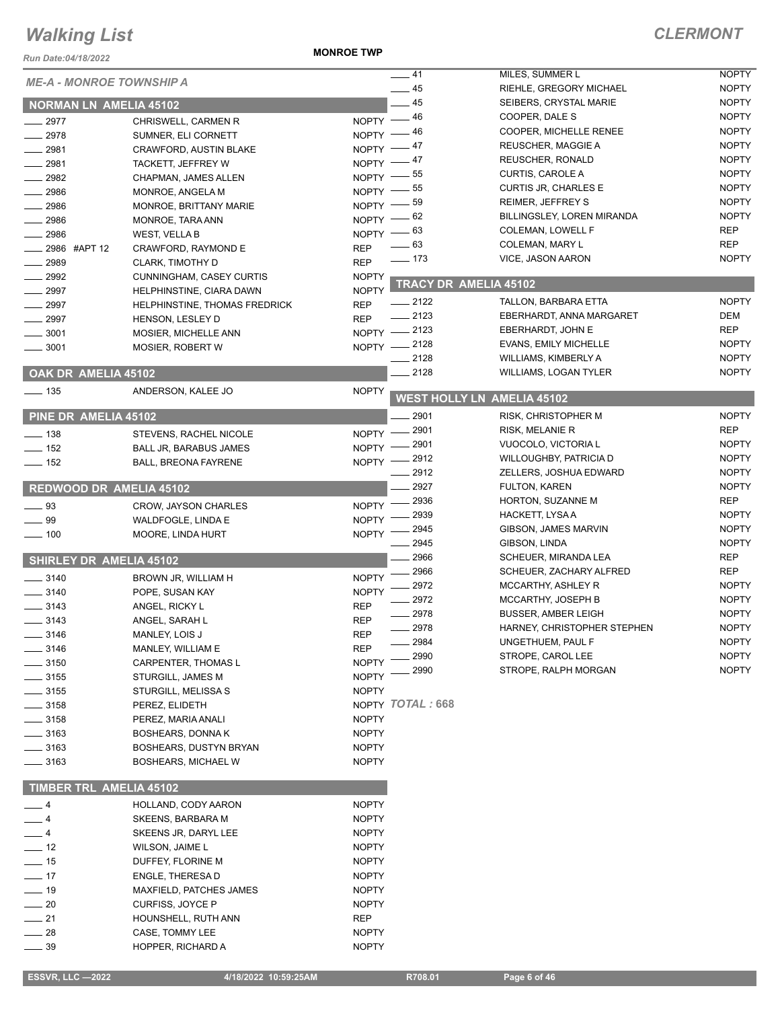#### *Run Date:04/18/2022*

**MONROE TWP**

#### *CLERMONT*

| NUII DAIC.VY/IV/LVLL            |                                 |                    |                       |                                            |                              |
|---------------------------------|---------------------------------|--------------------|-----------------------|--------------------------------------------|------------------------------|
| <b>ME-A - MONROE TOWNSHIP A</b> |                                 |                    | $-41$<br>$-45$        | MILES, SUMMER L<br>RIEHLE, GREGORY MICHAEL | <b>NOPTY</b><br><b>NOPTY</b> |
|                                 |                                 |                    | $-45$                 | SEIBERS, CRYSTAL MARIE                     | <b>NOPTY</b>                 |
| <b>NORMAN LN AMELIA 45102</b>   |                                 | NOPTY -46          |                       | COOPER, DALE S                             | <b>NOPTY</b>                 |
| $-2977$                         | CHRISWELL, CARMEN R             | NOPTY $-46$        |                       | COOPER, MICHELLE RENEE                     | <b>NOPTY</b>                 |
| 2978                            | SUMNER, ELI CORNETT             |                    |                       | REUSCHER, MAGGIE A                         | <b>NOPTY</b>                 |
| $-2981$                         | <b>CRAWFORD, AUSTIN BLAKE</b>   | NOPTY $-47$        | _ 47                  | REUSCHER, RONALD                           | <b>NOPTY</b>                 |
| 2981                            | TACKETT, JEFFREY W              | $N$ OPTY $-$       | 55                    | <b>CURTIS, CAROLE A</b>                    | <b>NOPTY</b>                 |
| 2982                            | CHAPMAN, JAMES ALLEN            | NOPTY $-$          | 55                    | <b>CURTIS JR, CHARLES E</b>                | <b>NOPTY</b>                 |
| 2986                            | MONROE, ANGELA M                | NOPTY -            | 59                    | REIMER, JEFFREY S                          | <b>NOPTY</b>                 |
| 2986                            | MONROE, BRITTANY MARIE          | NOPTY -            | 62                    | BILLINGSLEY, LOREN MIRANDA                 | <b>NOPTY</b>                 |
| 2986                            | MONROE, TARA ANN                | NOPTY -            |                       | COLEMAN, LOWELL F                          |                              |
| 2986                            | <b>WEST, VELLA B</b>            |                    | NOPTY $-63$           |                                            | <b>REP</b><br><b>REP</b>     |
| 2986 #APT 12                    | CRAWFORD, RAYMOND E             | <b>REP</b>         | _ 63                  | COLEMAN, MARY L                            | <b>NOPTY</b>                 |
| 2989                            | CLARK, TIMOTHY D                | <b>REP</b>         | $- 173$               | VICE, JASON AARON                          |                              |
| 2992                            | <b>CUNNINGHAM, CASEY CURTIS</b> | <b>NOPTY</b>       | TRACY DR AMELIA 45102 |                                            |                              |
| 2997                            | HELPHINSTINE, CIARA DAWN        | <b>NOPTY</b>       |                       |                                            |                              |
| 2997                            | HELPHINSTINE, THOMAS FREDRICK   | <b>REP</b>         | $-2122$               | TALLON, BARBARA ETTA                       | <b>NOPTY</b>                 |
| $\frac{1}{2997}$                | HENSON, LESLEY D                | <b>REP</b>         | $-2123$               | EBERHARDT, ANNA MARGARET                   | DEM                          |
| 3001                            | MOSIER, MICHELLE ANN            |                    | NOPTY -2123           | EBERHARDT, JOHN E                          | <b>REP</b>                   |
| 3001                            | MOSIER, ROBERT W                |                    | NOPTY - 2128          | <b>EVANS, EMILY MICHELLE</b>               | <b>NOPTY</b>                 |
|                                 |                                 |                    | 2128                  | WILLIAMS, KIMBERLY A                       | <b>NOPTY</b>                 |
| OAK DR AMELIA 45102             |                                 |                    | 2128                  | <b>WILLIAMS, LOGAN TYLER</b>               | <b>NOPTY</b>                 |
| $\frac{1}{2}$ 135               | ANDERSON, KALEE JO              | <b>NOPTY</b>       |                       | <b>WEST HOLLY LN AMELIA 45102</b>          |                              |
| PINE DR AMELIA 45102            |                                 |                    | 2901                  | <b>RISK, CHRISTOPHER M</b>                 | <b>NOPTY</b>                 |
|                                 |                                 | $NOPTY -$          | 2901                  | RISK, MELANIE R                            | <b>REP</b>                   |
| $\equiv$ 138                    | STEVENS, RACHEL NICOLE          |                    | 2901                  | VUOCOLO, VICTORIA L                        | <b>NOPTY</b>                 |
| $-152$                          | BALL JR, BARABUS JAMES          | NOPTY -<br>NOPTY - | 2912                  | <b>WILLOUGHBY, PATRICIA D</b>              | <b>NOPTY</b>                 |
| $\frac{1}{2}$ 152               | BALL, BREONA FAYRENE            |                    | 2912                  | ZELLERS, JOSHUA EDWARD                     | <b>NOPTY</b>                 |
| <b>REDWOOD DR AMELIA 45102</b>  |                                 |                    | 2927                  | <b>FULTON, KAREN</b>                       | <b>NOPTY</b>                 |
|                                 |                                 |                    | 2936                  | HORTON, SUZANNE M                          | <b>REP</b>                   |
| $\frac{1}{2}$ 93                | <b>CROW, JAYSON CHARLES</b>     | NOPTY -            | 2939                  | HACKETT, LYSA A                            | <b>NOPTY</b>                 |
| $\_\_\$ 99                      | WALDFOGLE, LINDA E              | <b>NOPTY</b>       | 2945                  | GIBSON, JAMES MARVIN                       | <b>NOPTY</b>                 |
| $\frac{1}{2}$ 100               | MOORE, LINDA HURT               | <b>NOPTY</b>       | 2945                  | GIBSON, LINDA                              | <b>NOPTY</b>                 |
|                                 |                                 |                    | 2966                  | SCHEUER, MIRANDA LEA                       | <b>REP</b>                   |
| <b>SHIRLEY DR AMELIA 45102</b>  |                                 |                    | 2966                  | SCHEUER, ZACHARY ALFRED                    | <b>REP</b>                   |
| $-3140$                         | BROWN JR, WILLIAM H             | <b>NOPTY</b>       | 2972                  | MCCARTHY, ASHLEY R                         | <b>NOPTY</b>                 |
| $- 3140$                        | POPE, SUSAN KAY                 | <b>NOPTY</b>       | 2972                  | MCCARTHY, JOSEPH B                         | <b>NOPTY</b>                 |
| $\frac{1}{2}$ 3143              | ANGEL, RICKY L                  | <b>REP</b>         | 2978                  | <b>BUSSER, AMBER LEIGH</b>                 | <b>NOPTY</b>                 |
| $\frac{1}{2}$ 3143              | ANGEL, SARAH L                  | <b>REP</b>         | 2978                  | HARNEY, CHRISTOPHER STEPHEN                | <b>NOPTY</b>                 |
| $\frac{1}{2}$ 3146              | MANLEY, LOIS J                  | REP                | 2984                  | UNGETHUEM, PAUL F                          | <b>NOPTY</b>                 |
| $\frac{1}{2}$ 3146              | MANLEY, WILLIAM E               | <b>REP</b>         | 2990                  | STROPE, CAROL LEE                          | <b>NOPTY</b>                 |
| $\frac{1}{2}$ 3150              | <b>CARPENTER, THOMAS L</b>      | <b>NOPTY</b>       | 2990                  | STROPE, RALPH MORGAN                       | <b>NOPTY</b>                 |
| $\frac{1}{2}$ 3155              | <b>STURGILL, JAMES M</b>        | <b>NOPTY</b>       |                       |                                            |                              |
| $\frac{1}{2}$ 3155              | STURGILL, MELISSA S             | <b>NOPTY</b>       |                       |                                            |                              |
| $\frac{1}{2}$ 3158              | PEREZ, ELIDETH                  |                    | NOPTY TOTAL: 668      |                                            |                              |
| $\frac{1}{2}$ 3158              | PEREZ, MARIA ANALI              | <b>NOPTY</b>       |                       |                                            |                              |
| __ 3163                         | <b>BOSHEARS, DONNAK</b>         | <b>NOPTY</b>       |                       |                                            |                              |
| $=$ 3163                        | BOSHEARS, DUSTYN BRYAN          | <b>NOPTY</b>       |                       |                                            |                              |
| $- 3163$                        | <b>BOSHEARS, MICHAEL W</b>      | <b>NOPTY</b>       |                       |                                            |                              |
| <b>TIMBER TRL AMELIA 45102</b>  |                                 |                    |                       |                                            |                              |
| $-4$                            | HOLLAND, CODY AARON             | <b>NOPTY</b>       |                       |                                            |                              |
| — 4                             | <b>SKEENS, BARBARA M</b>        | <b>NOPTY</b>       |                       |                                            |                              |
| __ 4                            | SKEENS JR, DARYL LEE            | <b>NOPTY</b>       |                       |                                            |                              |
| $\frac{1}{2}$ 12                | WILSON, JAIME L                 | <b>NOPTY</b>       |                       |                                            |                              |
| $-15$                           |                                 |                    |                       |                                            |                              |
| $\frac{1}{2}$ 17                | DUFFEY, FLORINE M               | <b>NOPTY</b>       |                       |                                            |                              |
|                                 | ENGLE, THERESA D                | <b>NOPTY</b>       |                       |                                            |                              |
| $\frac{1}{2}$ 19                | MAXFIELD, PATCHES JAMES         | <b>NOPTY</b>       |                       |                                            |                              |
| $\frac{1}{20}$                  | CURFISS, JOYCE P                | <b>NOPTY</b>       |                       |                                            |                              |
| $\frac{1}{21}$                  | HOUNSHELL, RUTH ANN             | REP                |                       |                                            |                              |
| $-28$                           | CASE, TOMMY LEE                 | <b>NOPTY</b>       |                       |                                            |                              |
| $-39$                           | HOPPER, RICHARD A               | <b>NOPTY</b>       |                       |                                            |                              |

 **ESSVR, LLC —2022 4/18/2022 10:59:25AM R708.01 Page 6 of 46**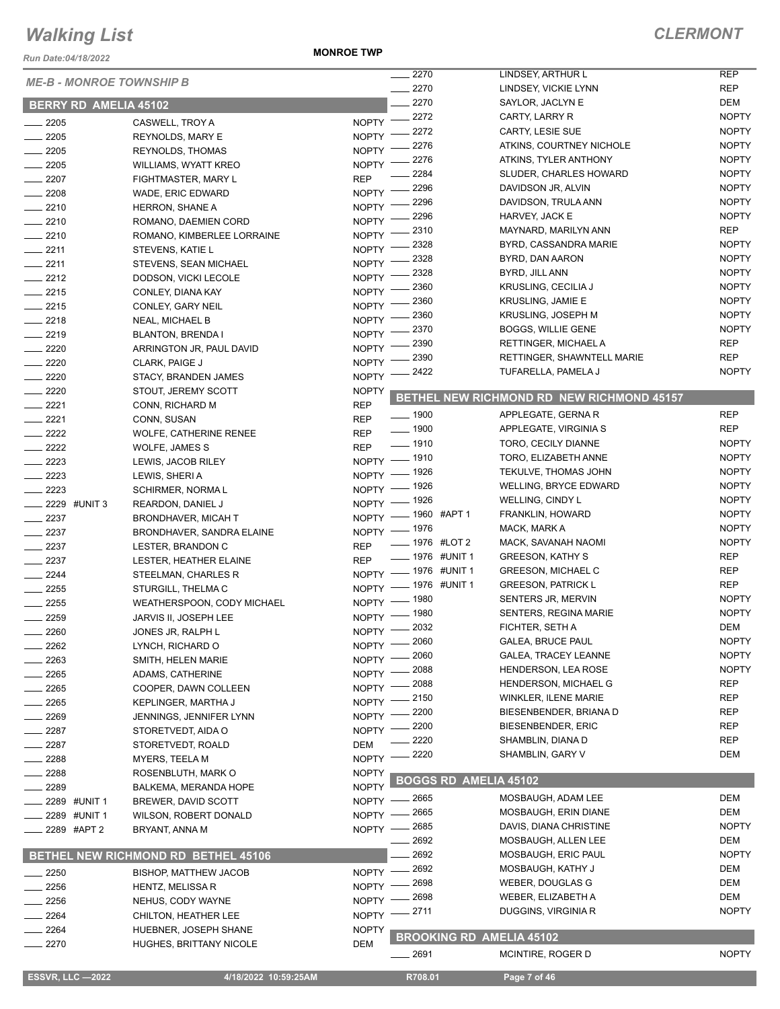*Run Date:04/18/2022*

**MONROE TWP**

|                                 |                                     |              | $-2270$                      | LINDSEY, ARTHUR L                         | <b>REP</b>   |
|---------------------------------|-------------------------------------|--------------|------------------------------|-------------------------------------------|--------------|
| <b>ME-B - MONROE TOWNSHIP B</b> |                                     | $-2270$      | LINDSEY, VICKIE LYNN         | <b>REP</b>                                |              |
| <b>BERRY RD AMELIA 45102</b>    |                                     |              | 2270                         | SAYLOR, JACLYN E                          | DEM          |
| $-2205$                         | CASWELL, TROY A                     | $NOPTY$ -    | .2272                        | CARTY, LARRY R                            | <b>NOPTY</b> |
| 2205                            | REYNOLDS, MARY E                    | <b>NOPTY</b> | 2272                         | <b>CARTY, LESIE SUE</b>                   | <b>NOPTY</b> |
| $-2205$                         | <b>REYNOLDS, THOMAS</b>             | <b>NOPTY</b> | 2276                         | ATKINS, COURTNEY NICHOLE                  | <b>NOPTY</b> |
| 2205                            | WILLIAMS, WYATT KREO                | <b>NOPTY</b> | 2276                         | ATKINS, TYLER ANTHONY                     | <b>NOPTY</b> |
| 2207                            | FIGHTMASTER, MARY L                 | <b>REP</b>   | 2284                         | SLUDER, CHARLES HOWARD                    | <b>NOPTY</b> |
| $-2208$                         | WADE, ERIC EDWARD                   | <b>NOPTY</b> | 2296                         | DAVIDSON JR, ALVIN                        | <b>NOPTY</b> |
| $-2210$                         | <b>HERRON, SHANE A</b>              | <b>NOPTY</b> | 2296                         | DAVIDSON, TRULA ANN                       | <b>NOPTY</b> |
| $-2210$                         | ROMANO, DAEMIEN CORD                | <b>NOPTY</b> | 2296                         | HARVEY, JACK E                            | <b>NOPTY</b> |
| $-2210$                         | ROMANO, KIMBERLEE LORRAINE          | <b>NOPTY</b> | 2310                         | MAYNARD, MARILYN ANN                      | <b>REP</b>   |
| $-2211$                         | STEVENS, KATIE L                    | <b>NOPTY</b> | 2328                         | BYRD, CASSANDRA MARIE                     | <b>NOPTY</b> |
| $-2211$                         | <b>STEVENS, SEAN MICHAEL</b>        | <b>NOPTY</b> | 2328                         | BYRD, DAN AARON                           | <b>NOPTY</b> |
| $\frac{2212}{2}$                |                                     | <b>NOPTY</b> | 2328                         | BYRD, JILL ANN                            | <b>NOPTY</b> |
| $-2215$                         | DODSON, VICKI LECOLE                | <b>NOPTY</b> | 2360                         | KRUSLING, CECILIA J                       | <b>NOPTY</b> |
|                                 | CONLEY, DIANA KAY                   |              | 2360                         | <b>KRUSLING, JAMIE E</b>                  | <b>NOPTY</b> |
| $-2215$                         | CONLEY, GARY NEIL                   | <b>NOPTY</b> | 2360                         | KRUSLING, JOSEPH M                        | <b>NOPTY</b> |
| $-2218$                         | <b>NEAL, MICHAEL B</b>              | <b>NOPTY</b> | 2370                         | <b>BOGGS, WILLIE GENE</b>                 | <b>NOPTY</b> |
| $-2219$                         | <b>BLANTON, BRENDA I</b>            | <b>NOPTY</b> | 2390                         | RETTINGER, MICHAEL A                      | <b>REP</b>   |
| 2220                            | ARRINGTON JR, PAUL DAVID            | <b>NOPTY</b> | 2390                         | RETTINGER, SHAWNTELL MARIE                | <b>REP</b>   |
| 2220                            | CLARK, PAIGE J                      | <b>NOPTY</b> | 2422                         | TUFARELLA, PAMELA J                       | <b>NOPTY</b> |
| 2220                            | STACY, BRANDEN JAMES                | <b>NOPTY</b> |                              |                                           |              |
| 2220                            | STOUT, JEREMY SCOTT                 | <b>NOPTY</b> |                              | BETHEL NEW RICHMOND RD NEW RICHMOND 45157 |              |
| 2221                            | CONN, RICHARD M                     | <b>REP</b>   | $\frac{1}{2}$ 1900           | APPLEGATE, GERNA R                        | <b>REP</b>   |
| 2221                            | CONN, SUSAN                         | <b>REP</b>   | $\frac{1}{2}$ 1900           | APPLEGATE, VIRGINIA S                     | <b>REP</b>   |
| 2222                            | <b>WOLFE, CATHERINE RENEE</b>       | <b>REP</b>   | ___ 1910                     | TORO, CECILY DIANNE                       | <b>NOPTY</b> |
| 2222                            | WOLFE, JAMES S                      | <b>REP</b>   | $-1910$                      | TORO, ELIZABETH ANNE                      | <b>NOPTY</b> |
| 2223                            | LEWIS, JACOB RILEY                  | <b>NOPTY</b> | 1926                         | TEKULVE, THOMAS JOHN                      | <b>NOPTY</b> |
| 2223                            | LEWIS, SHERI A                      | <b>NOPTY</b> |                              |                                           | <b>NOPTY</b> |
| 2223                            | SCHIRMER, NORMA L                   | <b>NOPTY</b> | . 1926                       | <b>WELLING, BRYCE EDWARD</b>              | <b>NOPTY</b> |
| 2229 #UNIT 3                    | REARDON, DANIEL J                   | <b>NOPTY</b> | _ 1926                       | WELLING, CINDY L                          |              |
| 2237                            | <b>BRONDHAVER, MICAH T</b>          | <b>NOPTY</b> | - 1960 #APT 1                | FRANKLIN, HOWARD                          | <b>NOPTY</b> |
| 2237                            | BRONDHAVER, SANDRA ELAINE           | $NOPTY =$    | $-1976$                      | MACK, MARK A                              | <b>NOPTY</b> |
| $-2237$                         | LESTER, BRANDON C                   | <b>REP</b>   | _ 1976 #LOT 2                | MACK, SAVANAH NAOMI                       | <b>NOPTY</b> |
| $\frac{1}{2237}$                | LESTER, HEATHER ELAINE              | <b>REP</b>   | _ 1976 #UNIT 1               | <b>GREESON, KATHY S</b>                   | <b>REP</b>   |
| $\frac{2244}{5}$                | STEELMAN, CHARLES R                 | <b>NOPTY</b> | _ 1976 #UNIT 1               | <b>GREESON, MICHAEL C</b>                 | <b>REP</b>   |
| 2255                            | STURGILL, THELMA C                  | NOPTY -      | _ 1976 #UNIT 1               | <b>GREESON, PATRICK L</b>                 | <b>REP</b>   |
| 2255                            | WEATHERSPOON, CODY MICHAEL          | $NOPTY =$    | $-1980$                      | SENTERS JR, MERVIN                        | <b>NOPTY</b> |
| 2259                            | JARVIS II, JOSEPH LEE               | $NOPTY$ –    | $-1980$                      | <b>SENTERS, REGINA MARIE</b>              | <b>NOPTY</b> |
| 2260                            | JONES JR, RALPH L                   |              | NOPTY - 2032                 | FICHTER, SETH A                           | DEM          |
| 2262                            | LYNCH, RICHARD O                    | $N$ OPTY $-$ | _ 2060                       | <b>GALEA, BRUCE PAUL</b>                  | <b>NOPTY</b> |
| 2263                            | SMITH, HELEN MARIE                  | <b>NOPTY</b> | 2060                         | <b>GALEA, TRACEY LEANNE</b>               | <b>NOPTY</b> |
| 2265                            | ADAMS, CATHERINE                    | <b>NOPTY</b> | 2088                         | <b>HENDERSON, LEA ROSE</b>                | <b>NOPTY</b> |
| 2265                            | COOPER, DAWN COLLEEN                | <b>NOPTY</b> | 2088                         | HENDERSON, MICHAEL G                      | <b>REP</b>   |
| 2265                            | KEPLINGER, MARTHA J                 | <b>NOPTY</b> | 2150                         | WINKLER, ILENE MARIE                      | <b>REP</b>   |
| 2269                            | JENNINGS, JENNIFER LYNN             | <b>NOPTY</b> | 2200                         | BIESENBENDER, BRIANA D                    | <b>REP</b>   |
| 2287                            | STORETVEDT, AIDA O                  | <b>NOPTY</b> | 2200                         | <b>BIESENBENDER, ERIC</b>                 | REP          |
| 2287                            | STORETVEDT, ROALD                   | <b>DEM</b>   | 2220                         | SHAMBLIN, DIANA D                         | <b>REP</b>   |
| 2288                            | <b>MYERS, TEELA M</b>               | <b>NOPTY</b> | 2220                         | SHAMBLIN, GARY V                          | <b>DEM</b>   |
| 2288                            | ROSENBLUTH, MARK O                  | <b>NOPTY</b> |                              |                                           |              |
| 2289                            | BALKEMA, MERANDA HOPE               | <b>NOPTY</b> | <b>BOGGS RD AMELIA 45102</b> |                                           |              |
| 2289 #UNIT 1                    | BREWER, DAVID SCOTT                 | NOPTY -      | . 2665                       | MOSBAUGH, ADAM LEE                        | <b>DEM</b>   |
| 2289 #UNIT 1                    | WILSON, ROBERT DONALD               | <b>NOPTY</b> | 2665                         | MOSBAUGH, ERIN DIANE                      | DEM          |
| 2289 #APT 2                     | BRYANT, ANNA M                      | <b>NOPTY</b> | 2685                         | DAVIS, DIANA CHRISTINE                    | <b>NOPTY</b> |
|                                 |                                     |              | 2692                         | MOSBAUGH, ALLEN LEE                       | DEM          |
|                                 | BETHEL NEW RICHMOND RD BETHEL 45106 |              | 2692                         | MOSBAUGH, ERIC PAUL                       | <b>NOPTY</b> |
| 2250                            | <b>BISHOP, MATTHEW JACOB</b>        | <b>NOPTY</b> | 2692                         | MOSBAUGH, KATHY J                         | DEM          |
| 2256                            | HENTZ, MELISSA R                    | <b>NOPTY</b> | 2698                         | WEBER, DOUGLAS G                          | DEM          |
| 2256                            | NEHUS, CODY WAYNE                   | <b>NOPTY</b> | 2698                         | WEBER, ELIZABETH A                        | DEM          |
| 2264                            | CHILTON, HEATHER LEE                | <b>NOPTY</b> | 2711                         | DUGGINS, VIRGINIA R                       | <b>NOPTY</b> |
| 2264                            | HUEBNER, JOSEPH SHANE               | <b>NOPTY</b> |                              |                                           |              |
| 2270                            | <b>HUGHES, BRITTANY NICOLE</b>      | <b>DEM</b>   |                              | <b>BROOKING RD AMELIA 45102</b>           |              |
|                                 |                                     |              | $- 2691$                     | MCINTIRE, ROGER D                         | <b>NOPTY</b> |
|                                 |                                     |              |                              |                                           |              |
| <b>ESSVR, LLC -2022</b>         | 4/18/2022 10:59:25AM                |              | R708.01                      | Page 7 of 46                              |              |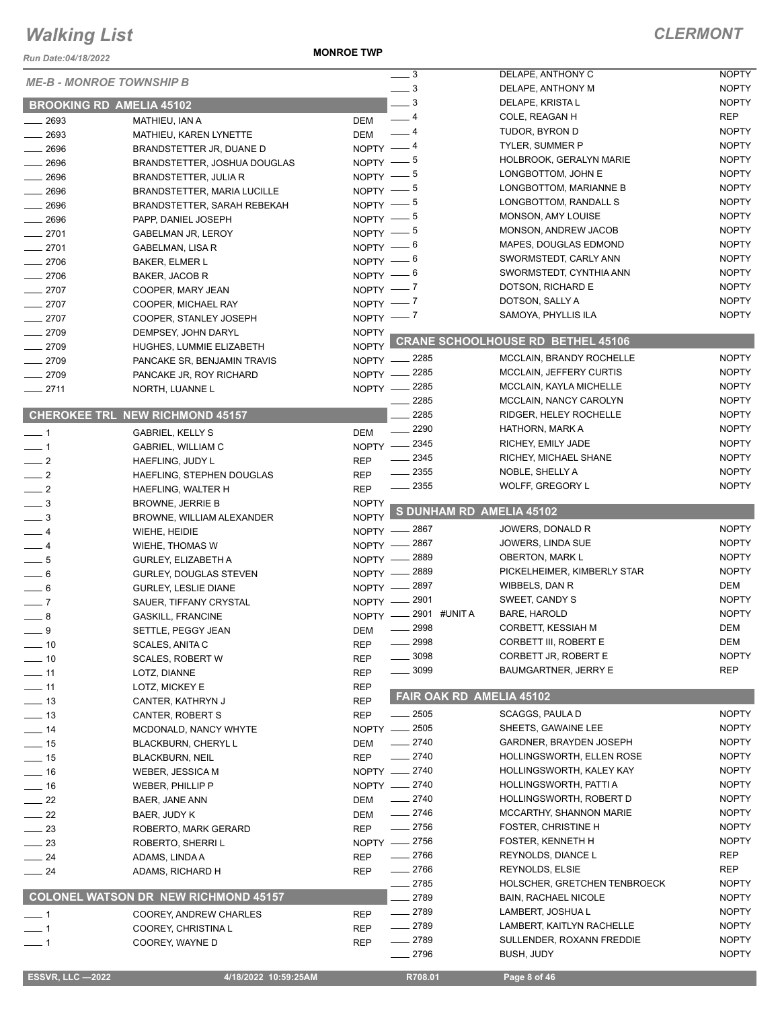*Run Date:04/18/2022*

**MONROE TWP**

| <b>ME-B - MONROE TOWNSHIP B</b> |                                      |              | $\overline{\phantom{0}}$ 3 | DELAPE, ANTHONY C                        | <b>NOPTY</b> |
|---------------------------------|--------------------------------------|--------------|----------------------------|------------------------------------------|--------------|
|                                 |                                      |              | $\frac{1}{2}$              | DELAPE, ANTHONY M                        | <b>NOPTY</b> |
| <b>BROOKING RD AMELIA 45102</b> |                                      |              | $\equiv$ 3                 | DELAPE, KRISTA L                         | <b>NOPTY</b> |
| $-2693$                         | MATHIEU, IAN A                       | DEM          | $-4$                       | COLE, REAGAN H                           | <b>REP</b>   |
| $\frac{1}{2693}$                | MATHIEU, KAREN LYNETTE               | DEM          | - 4                        | TUDOR, BYRON D                           | <b>NOPTY</b> |
| $- 2696$                        | BRANDSTETTER JR, DUANE D             | $N$ OPTY $-$ | _ 4                        | <b>TYLER, SUMMER P</b>                   | <b>NOPTY</b> |
| $\frac{1}{2696}$                |                                      | $NOPTY -$    | — 5                        | HOLBROOK, GERALYN MARIE                  | <b>NOPTY</b> |
|                                 | BRANDSTETTER, JOSHUA DOUGLAS         | NOPTY -      | - 5                        | LONGBOTTOM, JOHN E                       | <b>NOPTY</b> |
| 2696                            | BRANDSTETTER, JULIA R                |              | - 5                        | LONGBOTTOM, MARIANNE B                   | <b>NOPTY</b> |
| $- 2696$                        | BRANDSTETTER, MARIA LUCILLE          | $N$ OPTY $-$ |                            | LONGBOTTOM, RANDALL S                    | <b>NOPTY</b> |
| $-2696$                         | BRANDSTETTER, SARAH REBEKAH          | NOPTY $-$ 5  |                            | MONSON, AMY LOUISE                       | <b>NOPTY</b> |
| $- 2696$                        | PAPP, DANIEL JOSEPH                  | NOPTY $-$ 5  |                            |                                          |              |
| $-2701$                         | <b>GABELMAN JR, LEROY</b>            | NOPTY $-$ 5  |                            | MONSON, ANDREW JACOB                     | <b>NOPTY</b> |
| $-2701$                         | GABELMAN, LISA R                     | NOPTY $-6$   |                            | MAPES, DOUGLAS EDMOND                    | <b>NOPTY</b> |
| $-2706$                         | <b>BAKER, ELMER L</b>                | NOPTY $-6$   |                            | SWORMSTEDT, CARLY ANN                    | <b>NOPTY</b> |
| $-2706$                         | BAKER, JACOB R                       | NOPTY $-6$   |                            | SWORMSTEDT, CYNTHIA ANN                  | <b>NOPTY</b> |
| $-2707$                         | COOPER, MARY JEAN                    | NOPTY $-$ 7  |                            | DOTSON, RICHARD E                        | <b>NOPTY</b> |
| $-2707$                         | COOPER, MICHAEL RAY                  | NOPTY $-7$   |                            | DOTSON, SALLY A                          | <b>NOPTY</b> |
| $-2707$                         | COOPER, STANLEY JOSEPH               | NOPTY $-$ 7  |                            | SAMOYA, PHYLLIS ILA                      | <b>NOPTY</b> |
| $-2709$                         | DEMPSEY, JOHN DARYL                  | <b>NOPTY</b> |                            |                                          |              |
| $-2709$                         | HUGHES, LUMMIE ELIZABETH             | <b>NOPTY</b> |                            | <b>CRANE SCHOOLHOUSE RD BETHEL 45106</b> |              |
| $-2709$                         | PANCAKE SR, BENJAMIN TRAVIS          |              | NOPTY -2285                | MCCLAIN, BRANDY ROCHELLE                 | <b>NOPTY</b> |
| $-2709$                         |                                      |              | NOPTY -2285                | <b>MCCLAIN, JEFFERY CURTIS</b>           | <b>NOPTY</b> |
|                                 | PANCAKE JR, ROY RICHARD              |              | NOPTY -2285                | MCCLAIN, KAYLA MICHELLE                  | <b>NOPTY</b> |
| $-2711$                         | NORTH, LUANNE L                      |              | 2285                       | MCCLAIN, NANCY CAROLYN                   | <b>NOPTY</b> |
|                                 |                                      |              |                            |                                          |              |
|                                 | CHEROKEE TRL NEW RICHMOND 45157      |              | 2285                       | RIDGER, HELEY ROCHELLE                   | <b>NOPTY</b> |
| $\overline{\phantom{0}}$ 1      | <b>GABRIEL, KELLY S</b>              | <b>DEM</b>   | 2290                       | HATHORN, MARK A                          | <b>NOPTY</b> |
| $\overline{\phantom{0}}$ 1      | GABRIEL, WILLIAM C                   |              | NOPTY -2345                | RICHEY, EMILY JADE                       | <b>NOPTY</b> |
| $\frac{1}{2}$                   | HAEFLING, JUDY L                     | <b>REP</b>   | $-2345$                    | RICHEY, MICHAEL SHANE                    | <b>NOPTY</b> |
| $\frac{1}{2}$                   | HAEFLING, STEPHEN DOUGLAS            | <b>REP</b>   | $\frac{1}{2}$ 2355         | NOBLE, SHELLY A                          | <b>NOPTY</b> |
| $\frac{1}{2}$                   | HAEFLING, WALTER H                   | <b>REP</b>   | $\frac{1}{2}$ 2355         | WOLFF, GREGORY L                         | <b>NOPTY</b> |
| $\frac{3}{2}$                   | <b>BROWNE, JERRIE B</b>              | <b>NOPTY</b> |                            |                                          |              |
| $\frac{1}{2}$                   |                                      | <b>NOPTY</b> | S DUNHAM RD AMELIA 45102   |                                          |              |
|                                 | BROWNE, WILLIAM ALEXANDER            |              | NOPTY - 2867               | JOWERS, DONALD R                         | <b>NOPTY</b> |
| $-4$                            | WIEHE, HEIDIE                        |              | NOPTY - 2867               | JOWERS, LINDA SUE                        | <b>NOPTY</b> |
| $-4$                            | WIEHE, THOMAS W                      |              |                            | <b>OBERTON, MARK L</b>                   | <b>NOPTY</b> |
| $\frac{1}{2}$ 5                 | GURLEY, ELIZABETH A                  |              | NOPTY - 2889               |                                          |              |
| $\frac{1}{2}$ 6                 | <b>GURLEY, DOUGLAS STEVEN</b>        |              | NOPTY - 2889               | PICKELHEIMER, KIMBERLY STAR              | <b>NOPTY</b> |
| $\frac{1}{2}$ 6                 | <b>GURLEY, LESLIE DIANE</b>          |              | NOPTY -2897                | WIBBELS, DAN R                           | <b>DEM</b>   |
| $\sim$ 7                        | SAUER, TIFFANY CRYSTAL               |              | NOPTY -2901                | SWEET, CANDY S                           | <b>NOPTY</b> |
| $-8$                            | <b>GASKILL, FRANCINE</b>             | NOPTY -      | 2901 #UNIT A               | <b>BARE, HAROLD</b>                      | <b>NOPTY</b> |
| 9                               | SETTLE, PEGGY JEAN                   | DEM          | 2998                       | CORBETT, KESSIAH M                       | <b>DEM</b>   |
| $-10$                           | <b>SCALES, ANITA C</b>               | <b>REP</b>   | $-2998$                    | CORBETT III, ROBERT E                    | DEM          |
| $\frac{1}{2}$ 10                | <b>SCALES, ROBERT W</b>              | REP          | 3098                       | CORBETT JR, ROBERT E                     | <b>NOPTY</b> |
| $-11$                           | LOTZ, DIANNE                         | <b>REP</b>   | 3099                       | <b>BAUMGARTNER, JERRY E</b>              | REP          |
| $-11$                           | LOTZ, MICKEY E                       | <b>REP</b>   |                            |                                          |              |
| $\frac{1}{2}$ 13                |                                      | <b>REP</b>   | FAIR OAK RD AMELIA 45102   |                                          |              |
|                                 | CANTER, KATHRYN J                    |              | $\frac{1}{2505}$           | SCAGGS, PAULA D                          | <b>NOPTY</b> |
| $\frac{1}{2}$ 13                | CANTER, ROBERT S                     | <b>REP</b>   |                            |                                          |              |
| $\frac{1}{2}$ 14                | MCDONALD, NANCY WHYTE                |              | NOPTY - 2505               | SHEETS, GAWAINE LEE                      | <b>NOPTY</b> |
| $\frac{1}{2}$ 15                | BLACKBURN, CHERYL L                  | DEM          | $-2740$                    | GARDNER, BRAYDEN JOSEPH                  | <b>NOPTY</b> |
| $\equiv$ 15                     | <b>BLACKBURN, NEIL</b>               | <b>REP</b>   | $-2740$                    | HOLLINGSWORTH, ELLEN ROSE                | <b>NOPTY</b> |
| $\frac{1}{16}$                  | WEBER, JESSICA M                     |              | NOPTY -2740                | HOLLINGSWORTH, KALEY KAY                 | <b>NOPTY</b> |
| $\frac{1}{16}$                  | WEBER, PHILLIP P                     |              | NOPTY -2740                | HOLLINGSWORTH, PATTI A                   | <b>NOPTY</b> |
| $\frac{1}{2}$ 22                | BAER, JANE ANN                       | DEM          | $-2740$                    | HOLLINGSWORTH, ROBERT D                  | <b>NOPTY</b> |
| $\sim$ 22                       | BAER, JUDY K                         | DEM          | $-2746$                    | MCCARTHY, SHANNON MARIE                  | <b>NOPTY</b> |
| $\frac{1}{2}$ 23                | ROBERTO, MARK GERARD                 | <b>REP</b>   | $\frac{1}{2756}$           | FOSTER, CHRISTINE H                      | <b>NOPTY</b> |
| $\frac{1}{2}$ 23                | ROBERTO, SHERRI L                    |              | NOPTY -2756                | FOSTER, KENNETH H                        | <b>NOPTY</b> |
| $\frac{1}{24}$                  | ADAMS, LINDA A                       | <b>REP</b>   | $-2766$                    | REYNOLDS, DIANCE L                       | <b>REP</b>   |
|                                 |                                      |              | $-2766$                    | REYNOLDS, ELSIE                          | REP          |
| $\frac{1}{24}$                  | ADAMS, RICHARD H                     | REP          |                            |                                          |              |
|                                 |                                      |              | $-2785$                    | HOLSCHER, GRETCHEN TENBROECK             | <b>NOPTY</b> |
|                                 | COLONEL WATSON DR NEW RICHMOND 45157 |              | 2789                       | BAIN, RACHAEL NICOLE                     | <b>NOPTY</b> |
| $-1$                            | COOREY, ANDREW CHARLES               | <b>REP</b>   | $-2789$                    | LAMBERT, JOSHUA L                        | <b>NOPTY</b> |
| $\overline{\phantom{0}}$ 1      | COOREY, CHRISTINA L                  | <b>REP</b>   | $-2789$                    | LAMBERT, KAITLYN RACHELLE                | <b>NOPTY</b> |
| — 1                             | COOREY, WAYNE D                      | <b>REP</b>   | $-2789$                    | SULLENDER, ROXANN FREDDIE                | <b>NOPTY</b> |
|                                 |                                      |              | 2796                       | BUSH, JUDY                               | <b>NOPTY</b> |

 **ESSVR, LLC —2022 4/18/2022 10:59:25AM R708.01 Page 8 of 46**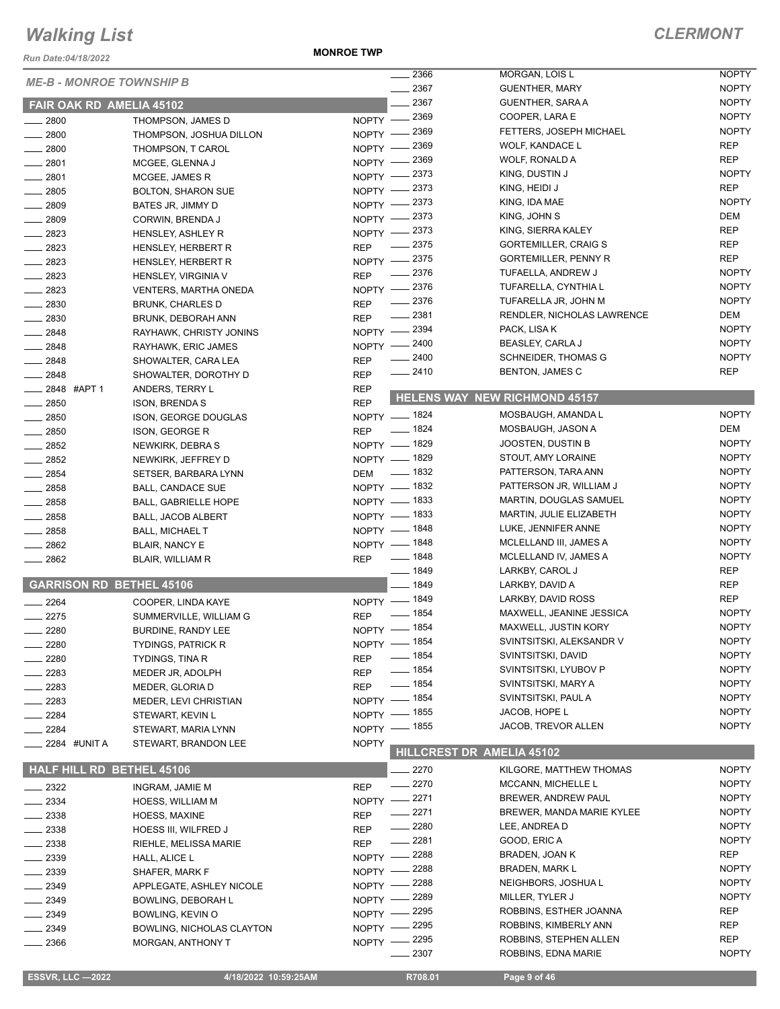*Run Date:04/18/2022*

#### **MONROE TWP**

|                                  |                              |              | 2366                   | MORGAN, LOIS L                       | <b>NOPTY</b> |
|----------------------------------|------------------------------|--------------|------------------------|--------------------------------------|--------------|
| <b>ME-B - MONROE TOWNSHIP B</b>  |                              |              | 2367                   | <b>GUENTHER, MARY</b>                | <b>NOPTY</b> |
| <b>FAIR OAK RD AMELIA 45102</b>  |                              |              | 2367                   | GUENTHER, SARA A                     | <b>NOPTY</b> |
| 2800                             | THOMPSON, JAMES D            |              | NOPTY -2369            | COOPER, LARA E                       | <b>NOPTY</b> |
| 2800                             | THOMPSON, JOSHUA DILLON      | $NOPTY -$    | - 2369                 | FETTERS, JOSEPH MICHAEL              | <b>NOPTY</b> |
| $-2800$                          | THOMPSON, T CAROL            | $N$ OPTY $-$ | 2369                   | <b>WOLF, KANDACE L</b>               | <b>REP</b>   |
| $-2801$                          |                              | $NOPTY -$    | 2369                   | WOLF, RONALD A                       | <b>REP</b>   |
|                                  | MCGEE, GLENNA J              |              | NOPTY -2373            | KING, DUSTIN J                       | <b>NOPTY</b> |
| $-2801$                          | MCGEE, JAMES R               |              | NOPTY -2373            | KING, HEIDI J                        | <b>REP</b>   |
| $-2805$                          | <b>BOLTON, SHARON SUE</b>    |              | NOPTY -2373            | KING, IDA MAE                        | <b>NOPTY</b> |
| 2809                             | BATES JR, JIMMY D            |              | NOPTY -2373            | KING, JOHN S                         | <b>DEM</b>   |
| $- 2809$                         | CORWIN, BRENDA J             |              | NOPTY -2373            | KING, SIERRA KALEY                   | <b>REP</b>   |
| $-2823$                          | HENSLEY, ASHLEY R            |              | $\frac{1}{2}$ 2375     | <b>GORTEMILLER, CRAIG S</b>          | <b>REP</b>   |
| $-2823$                          | HENSLEY, HERBERT R           | <b>REP</b>   |                        | <b>GORTEMILLER, PENNY R</b>          | <b>REP</b>   |
| $-2823$                          | HENSLEY, HERBERT R           |              | NOPTY -2375<br>$-2376$ | TUFAELLA, ANDREW J                   | <b>NOPTY</b> |
| $-2823$                          | HENSLEY, VIRGINIA V          | <b>REP</b>   |                        | TUFARELLA, CYNTHIA L                 | <b>NOPTY</b> |
| $\equiv$ 2823                    | <b>VENTERS, MARTHA ONEDA</b> |              | NOPTY -2376            |                                      |              |
| 2830                             | <b>BRUNK, CHARLES D</b>      | <b>REP</b>   | $-2376$                | TUFARELLA JR, JOHN M                 | <b>NOPTY</b> |
| 2830                             | BRUNK, DEBORAH ANN           | <b>REP</b>   | $-2381$                | RENDLER, NICHOLAS LAWRENCE           | DEM          |
| $-2848$                          | RAYHAWK, CHRISTY JONINS      |              | NOPTY -2394            | PACK, LISA K                         | <b>NOPTY</b> |
| 2848                             | RAYHAWK, ERIC JAMES          |              | NOPTY -2400            | BEASLEY, CARLA J                     | <b>NOPTY</b> |
| $-2848$                          | SHOWALTER, CARA LEA          | <b>REP</b>   | $-2400$                | <b>SCHNEIDER, THOMAS G</b>           | <b>NOPTY</b> |
| $-2848$                          | SHOWALTER, DOROTHY D         | <b>REP</b>   | $-2410$                | <b>BENTON, JAMES C</b>               | <b>REP</b>   |
| ____ 2848 #APT 1                 | ANDERS, TERRY L              | <b>REP</b>   |                        |                                      |              |
| $\frac{1}{2850}$                 | <b>ISON, BRENDA S</b>        | <b>REP</b>   |                        | <b>HELENS WAY NEW RICHMOND 45157</b> |              |
| 2850                             | ISON, GEORGE DOUGLAS         |              | NOPTY - 1824           | MOSBAUGH, AMANDA L                   | <b>NOPTY</b> |
| $-2850$                          | <b>ISON, GEORGE R</b>        | <b>REP</b>   | $- 1824$               | MOSBAUGH, JASON A                    | DEM          |
| $\frac{1}{2852}$                 | NEWKIRK, DEBRA S             |              | NOPTY - 1829           | JOOSTEN, DUSTIN B                    | <b>NOPTY</b> |
| $-2852$                          | NEWKIRK, JEFFREY D           |              | NOPTY - 1829           | STOUT, AMY LORAINE                   | <b>NOPTY</b> |
| $-2854$                          | SETSER, BARBARA LYNN         | <b>DEM</b>   | $\frac{1}{2}$ 1832     | PATTERSON, TARA ANN                  | <b>NOPTY</b> |
| 2858                             | <b>BALL, CANDACE SUE</b>     |              | NOPTY - 1832           | PATTERSON JR, WILLIAM J              | <b>NOPTY</b> |
| 2858                             | <b>BALL, GABRIELLE HOPE</b>  |              | NOPTY - 1833           | MARTIN, DOUGLAS SAMUEL               | <b>NOPTY</b> |
| 2858                             | BALL, JACOB ALBERT           |              | NOPTY - 1833           | MARTIN, JULIE ELIZABETH              | <b>NOPTY</b> |
| $= 2858$                         | <b>BALL, MICHAEL T</b>       |              | NOPTY - 1848           | LUKE, JENNIFER ANNE                  | <b>NOPTY</b> |
| $-2862$                          | <b>BLAIR, NANCY E</b>        |              | NOPTY - 1848           | MCLELLAND III, JAMES A               | <b>NOPTY</b> |
| 2862                             | <b>BLAIR, WILLIAM R</b>      | <b>REP</b>   | $- 1848$               | MCLELLAND IV, JAMES A                | <b>NOPTY</b> |
|                                  |                              |              | $- 1849$               | LARKBY, CAROL J                      | <b>REP</b>   |
| <b>GARRISON RD BETHEL 45106</b>  |                              |              | $- 1849$               | LARKBY, DAVID A                      | <b>REP</b>   |
| 2264                             | COOPER, LINDA KAYE           |              | NOPTY - 1849           | LARKBY, DAVID ROSS                   | <b>REP</b>   |
| 2275                             | SUMMERVILLE, WILLIAM G       | <b>REP</b>   | $- 1854$               | MAXWELL, JEANINE JESSICA             | <b>NOPTY</b> |
| 2280                             | BURDINE, RANDY LEE           |              | NOPTY - 1854           | MAXWELL, JUSTIN KORY                 | <b>NOPTY</b> |
| 2280                             | <b>TYDINGS, PATRICK R</b>    |              | NOPTY - 1854           | SVINTSITSKI, ALEKSANDR V             | <b>NOPTY</b> |
| 2280                             | <b>TYDINGS, TINA R</b>       | <b>REP</b>   | ____ 1854              | SVINTSITSKI, DAVID                   | <b>NOPTY</b> |
| 2283                             |                              | <b>REP</b>   | $- 1854$               | SVINTSITSKI, LYUBOV P                | <b>NOPTY</b> |
|                                  | MEDER JR, ADOLPH             |              | ____ 1854              | SVINTSITSKI, MARY A                  | <b>NOPTY</b> |
| 2283                             | MEDER, GLORIA D              | <b>REP</b>   | NOPTY - 1854           | SVINTSITSKI, PAUL A                  | <b>NOPTY</b> |
| 2283                             | MEDER, LEVI CHRISTIAN        | $NOPTY -$    | _ 1855                 | JACOB, HOPE L                        | <b>NOPTY</b> |
| 2284                             | STEWART, KEVIN L             |              | _ 1855                 | JACOB, TREVOR ALLEN                  | <b>NOPTY</b> |
| 2284                             | STEWART, MARIA LYNN          | $N$ OPTY $-$ |                        |                                      |              |
| 2284 #UNIT A                     | STEWART, BRANDON LEE         | <b>NOPTY</b> |                        | <b>HILLCREST DR AMELIA 45102</b>     |              |
| <b>HALF HILL RD BETHEL 45106</b> |                              |              | $-2270$                | KILGORE, MATTHEW THOMAS              | <b>NOPTY</b> |
|                                  |                              |              | $-2270$                | <b>MCCANN, MICHELLE L</b>            | <b>NOPTY</b> |
| $-2322$                          | INGRAM, JAMIE M              | <b>REP</b>   | $-2271$                |                                      | <b>NOPTY</b> |
| 2334                             | HOESS, WILLIAM M             | $NOPTY$ -    |                        | BREWER, ANDREW PAUL                  |              |
| 2338                             | <b>HOESS, MAXINE</b>         | <b>REP</b>   | 2271                   | BREWER, MANDA MARIE KYLEE            | <b>NOPTY</b> |
| 2338                             | HOESS III, WILFRED J         | <b>REP</b>   | 2280                   | LEE, ANDREA D                        | <b>NOPTY</b> |
| 2338                             | RIEHLE, MELISSA MARIE        | <b>REP</b>   | $-2281$                | GOOD, ERIC A                         | <b>NOPTY</b> |
| 2339                             | HALL, ALICE L                | $N$ OPTY $-$ | 2288                   | BRADEN, JOAN K                       | <b>REP</b>   |
| 2339                             | SHAFER, MARK F               | NOPTY -      | 2288                   | <b>BRADEN, MARK L</b>                | <b>NOPTY</b> |
| 2349                             | APPLEGATE, ASHLEY NICOLE     | NOPTY -      | 2288                   | NEIGHBORS, JOSHUA L                  | <b>NOPTY</b> |
| 2349                             | BOWLING, DEBORAH L           | $NOPTY -$    | $-2289$                | MILLER, TYLER J                      | <b>NOPTY</b> |
| 2349                             | BOWLING, KEVIN O             | $NOPTY -$    | - 2295                 | ROBBINS, ESTHER JOANNA               | REP          |
| $-2349$                          | BOWLING, NICHOLAS CLAYTON    | $NOPTY -$    | 2295                   | ROBBINS, KIMBERLY ANN                | <b>REP</b>   |
| 2366                             | <b>MORGAN, ANTHONY T</b>     | NOPTY -      | 2295                   | ROBBINS, STEPHEN ALLEN               | <b>REP</b>   |
|                                  |                              |              | 2307                   | ROBBINS, EDNA MARIE                  | <b>NOPTY</b> |
|                                  |                              |              |                        |                                      |              |
| <b>ESSVR, LLC -2022</b>          | 4/18/2022 10:59:25AM         |              | R708.01                | Page 9 of 46                         |              |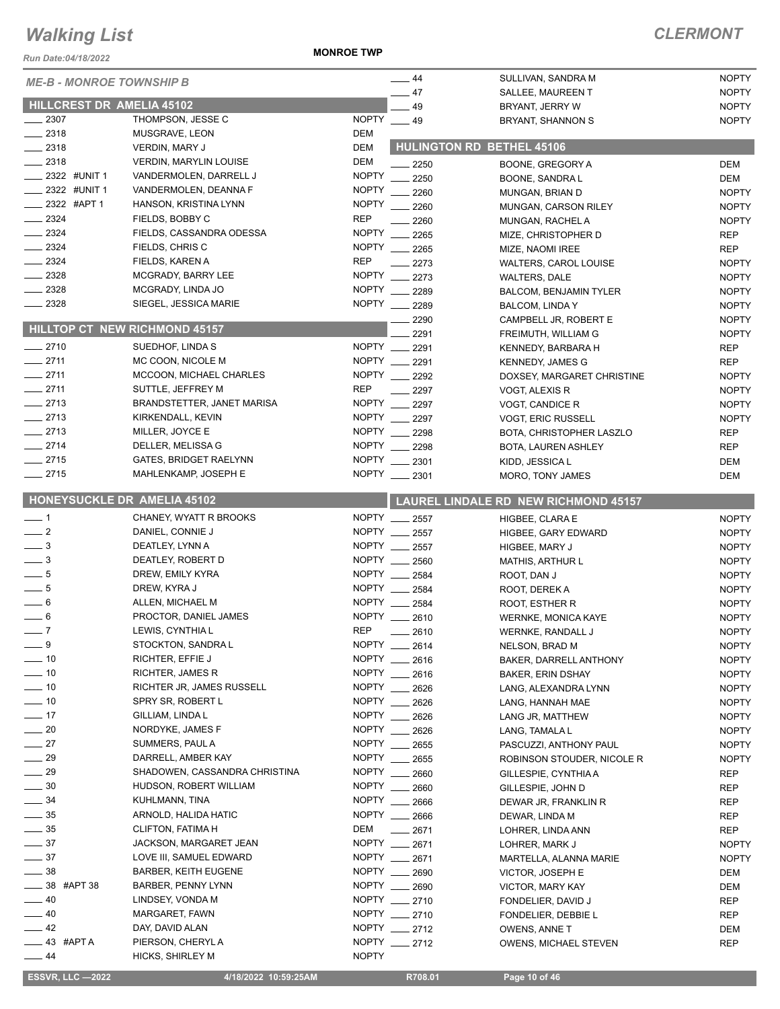*Run Date:04/18/2022*

#### **MONROE TWP**

#### *CLERMONT*

| NUII DAIC.VY IO/ZUZZ            |                                                 |              |                                      |                                                    |                              |
|---------------------------------|-------------------------------------------------|--------------|--------------------------------------|----------------------------------------------------|------------------------------|
| <b>ME-B - MONROE TOWNSHIP B</b> |                                                 |              | $\frac{1}{2}$ 44<br>$\frac{1}{2}$ 47 | SULLIVAN, SANDRA M<br>SALLEE, MAUREEN T            | <b>NOPTY</b><br><b>NOPTY</b> |
| HILLCREST DR AMELIA 45102       |                                                 |              | $-49$                                | BRYANT, JERRY W                                    | <b>NOPTY</b>                 |
| $-2307$                         | THOMPSON, JESSE C                               | NOPTY __ 49  |                                      | BRYANT, SHANNON S                                  | <b>NOPTY</b>                 |
| $\frac{1}{2318}$                | MUSGRAVE, LEON                                  | DEM          |                                      |                                                    |                              |
| $\frac{1}{2}$ 2318              | VERDIN, MARY J                                  | <b>DEM</b>   |                                      | <b>HULINGTON RD BETHEL 45106</b>                   |                              |
| 2318                            | <b>VERDIN, MARYLIN LOUISE</b>                   | <b>DEM</b>   | 2250                                 | BOONE, GREGORY A                                   | DEM                          |
| $=$ 2322 #UNIT 1                | VANDERMOLEN, DARRELL J                          | <b>NOPTY</b> | 2250                                 | BOONE, SANDRA L                                    | DEM                          |
| _ 2322 #UNIT 1                  | VANDERMOLEN, DEANNA F                           | <b>NOPTY</b> | 2260                                 | MUNGAN, BRIAN D                                    | <b>NOPTY</b>                 |
| $-2322$ #APT 1                  | HANSON, KRISTINA LYNN                           | <b>NOPTY</b> | 2260                                 | MUNGAN, CARSON RILEY                               | <b>NOPTY</b>                 |
| $-2324$                         | FIELDS, BOBBY C                                 | <b>REP</b>   | 2260                                 | MUNGAN, RACHEL A                                   | <b>NOPTY</b>                 |
| $-2324$                         | FIELDS, CASSANDRA ODESSA                        | <b>NOPTY</b> | 2265                                 | MIZE, CHRISTOPHER D                                | <b>REP</b>                   |
| $\frac{1}{2}$ 2324              | FIELDS, CHRIS C                                 | <b>NOPTY</b> | 2265                                 | MIZE, NAOMI IREE                                   | <b>REP</b>                   |
| $\frac{1}{2}$ 2324              | FIELDS, KAREN A                                 | <b>REP</b>   | 2273                                 | <b>WALTERS, CAROL LOUISE</b>                       | <b>NOPTY</b>                 |
| $\frac{2328}{2}$                | MCGRADY, BARRY LEE                              | <b>NOPTY</b> | 2273                                 | <b>WALTERS, DALE</b>                               | <b>NOPTY</b>                 |
| $-2328$                         | MCGRADY, LINDA JO                               | <b>NOPTY</b> | 2289                                 | <b>BALCOM, BENJAMIN TYLER</b>                      | <b>NOPTY</b>                 |
| 2328                            | SIEGEL, JESSICA MARIE                           | <b>NOPTY</b> | $\frac{1}{2289}$                     | BALCOM, LINDA Y                                    | <b>NOPTY</b>                 |
|                                 | <b>HILLTOP CT NEW RICHMOND 45157</b>            |              | 2290                                 | CAMPBELL JR, ROBERT E                              | <b>NOPTY</b>                 |
|                                 |                                                 |              | 2291                                 | FREIMUTH, WILLIAM G                                | <b>NOPTY</b>                 |
| $-2710$                         | SUEDHOF, LINDA S                                |              | NOPTY __ 2291                        | KENNEDY, BARBARA H                                 | <b>REP</b>                   |
| $-2711$                         | MC COON, NICOLE M                               |              | NOPTY __ 2291                        | <b>KENNEDY, JAMES G</b>                            | <b>REP</b>                   |
| $-2711$                         | MCCOON, MICHAEL CHARLES                         |              | NOPTY __ 2292                        | DOXSEY, MARGARET CHRISTINE                         | <b>NOPTY</b>                 |
| $-2711$                         | SUTTLE, JEFFREY M                               | <b>REP</b>   | $-2297$                              | VOGT, ALEXIS R                                     | <b>NOPTY</b>                 |
| $-2713$<br>$-2713$              | BRANDSTETTER, JANET MARISA<br>KIRKENDALL, KEVIN | NOPTY _      | 2297<br>NOPTY __ 2297                | VOGT, CANDICE R                                    | <b>NOPTY</b>                 |
| $-2713$                         | MILLER, JOYCE E                                 |              | NOPTY __ 2298                        | <b>VOGT, ERIC RUSSELL</b>                          | <b>NOPTY</b>                 |
| $-2714$                         | DELLER, MELISSA G                               |              | NOPTY __ 2298                        | BOTA, CHRISTOPHER LASZLO<br>BOTA, LAUREN ASHLEY    | <b>REP</b><br><b>REP</b>     |
| $-2715$                         | GATES, BRIDGET RAELYNN                          |              | NOPTY __ 2301                        | KIDD, JESSICA L                                    | DEM                          |
| $-2715$                         | MAHLENKAMP, JOSEPH E                            |              | NOPTY __ 2301                        | MORO, TONY JAMES                                   | DEM                          |
|                                 |                                                 |              |                                      |                                                    |                              |
|                                 | HONEYSUCKLE DR AMELIA 45102                     |              |                                      | <b>LAUREL LINDALE RD NEW RICHMOND 45157</b>        |                              |
| $-1$                            | CHANEY, WYATT R BROOKS                          |              | NOPTY __ 2557                        | HIGBEE, CLARA E                                    | <b>NOPTY</b>                 |
| $\frac{1}{2}$                   | DANIEL, CONNIE J                                |              | NOPTY __ 2557                        | HIGBEE, GARY EDWARD                                | <b>NOPTY</b>                 |
| $\equiv$ 3                      | DEATLEY, LYNN A                                 |              | NOPTY __ 2557                        | HIGBEE, MARY J                                     | <b>NOPTY</b>                 |
| $\frac{1}{2}$                   | DEATLEY, ROBERT D                               | <b>NOPTY</b> | 2560                                 | <b>MATHIS, ARTHUR L</b>                            | <b>NOPTY</b>                 |
| $-5$                            | DREW, EMILY KYRA                                |              | NOPTY __ 2584                        | ROOT, DAN J                                        | <b>NOPTY</b>                 |
| $-5$                            | DREW, KYRA J                                    |              | NOPTY __ 2584                        | ROOT, DEREK A                                      | <b>NOPTY</b>                 |
| $-6$                            | ALLEN, MICHAEL M                                | NOPTY ___    | 2584                                 | ROOT, ESTHER R                                     | <b>NOPTY</b>                 |
| $-6$                            | PROCTOR, DANIEL JAMES<br>LEWIS, CYNTHIA L       | <b>REP</b>   | NOPTY __ 2610                        | <b>WERNKE, MONICA KAYE</b>                         | <b>NOPTY</b>                 |
| $-7$<br>$-9$                    | STOCKTON, SANDRA L                              |              | $-2610$<br>NOPTY __ 2614             | WERNKE, RANDALL J                                  | <b>NOPTY</b>                 |
| $\frac{1}{10}$                  | RICHTER, EFFIE J                                |              | NOPTY __ 2616                        | NELSON, BRAD M                                     | <b>NOPTY</b>                 |
| $\frac{1}{2}$ 10                | RICHTER, JAMES R                                |              | NOPTY __ 2616                        | BAKER, DARRELL ANTHONY<br><b>BAKER, ERIN DSHAY</b> | <b>NOPTY</b><br><b>NOPTY</b> |
| $\frac{1}{2}$ 10                | RICHTER JR, JAMES RUSSELL                       |              | NOPTY __ 2626                        | LANG, ALEXANDRA LYNN                               | <b>NOPTY</b>                 |
| $\frac{1}{2}$ 10                | SPRY SR, ROBERT L                               | NOPTY ___    | 2626                                 | LANG, HANNAH MAE                                   | <b>NOPTY</b>                 |
| $-17$                           | GILLIAM, LINDA L                                |              | NOPTY __ 2626                        | LANG JR, MATTHEW                                   | <b>NOPTY</b>                 |
| $-20$                           | NORDYKE, JAMES F                                |              | NOPTY __ 2626                        | LANG, TAMALA L                                     | <b>NOPTY</b>                 |
| $\frac{1}{27}$                  | SUMMERS, PAUL A                                 |              | NOPTY __ 2655                        | PASCUZZI, ANTHONY PAUL                             | <b>NOPTY</b>                 |
| $\_\_$ 29                       | DARRELL, AMBER KAY                              |              | NOPTY ____ 2655                      | ROBINSON STOUDER, NICOLE R                         | <b>NOPTY</b>                 |
| $\_\_$ 29                       | SHADOWEN, CASSANDRA CHRISTINA                   |              | NOPTY __ 2660                        | GILLESPIE, CYNTHIA A                               | REP                          |
| $\frac{1}{2}$ 30                | HUDSON, ROBERT WILLIAM                          |              | NOPTY __ 2660                        | GILLESPIE, JOHN D                                  | REP                          |
| $-34$                           | KUHLMANN, TINA                                  |              | NOPTY __ 2666                        | DEWAR JR, FRANKLIN R                               | REP                          |
| $\frac{1}{2}$ 35                | ARNOLD, HALIDA HATIC                            |              | NOPTY __ 2666                        | DEWAR, LINDA M                                     | REP                          |
| $\frac{1}{2}$ 35                | <b>CLIFTON, FATIMA H</b>                        | DEM          | $-2671$                              | LOHRER, LINDA ANN                                  | <b>REP</b>                   |
| $\frac{1}{2}$ 37                | JACKSON, MARGARET JEAN                          |              | NOPTY __ 2671                        | LOHRER, MARK J                                     | <b>NOPTY</b>                 |
| $\frac{1}{2}$ 37                | LOVE III, SAMUEL EDWARD                         |              | NOPTY __ 2671                        | MARTELLA, ALANNA MARIE                             | <b>NOPTY</b>                 |
| $-38$                           | <b>BARBER, KEITH EUGENE</b>                     |              | NOPTY __ 2690                        | VICTOR, JOSEPH E                                   | DEM                          |
| $-38$ #APT 38                   | BARBER, PENNY LYNN                              |              | NOPTY __ 2690                        | VICTOR, MARY KAY                                   | DEM                          |
| $-40$                           | LINDSEY, VONDA M                                |              | NOPTY __ 2710                        | FONDELIER, DAVID J                                 | REP                          |
| $-40$                           | MARGARET, FAWN                                  |              | NOPTY __ 2710                        | FONDELIER, DEBBIE L                                | REP                          |
| $-42$                           | DAY, DAVID ALAN                                 |              | NOPTY __ 2712                        | OWENS, ANNE T                                      | DEM                          |
| —— 43 #APT A                    | PIERSON, CHERYLA                                |              | NOPTY __ 2712                        | OWENS, MICHAEL STEVEN                              | <b>REP</b>                   |
| $\frac{1}{2}$ 44                | HICKS, SHIRLEY M                                | <b>NOPTY</b> |                                      |                                                    |                              |

 **ESSVR, LLC —2022 4/18/2022 10:59:25AM R708.01 Page 10 of 46**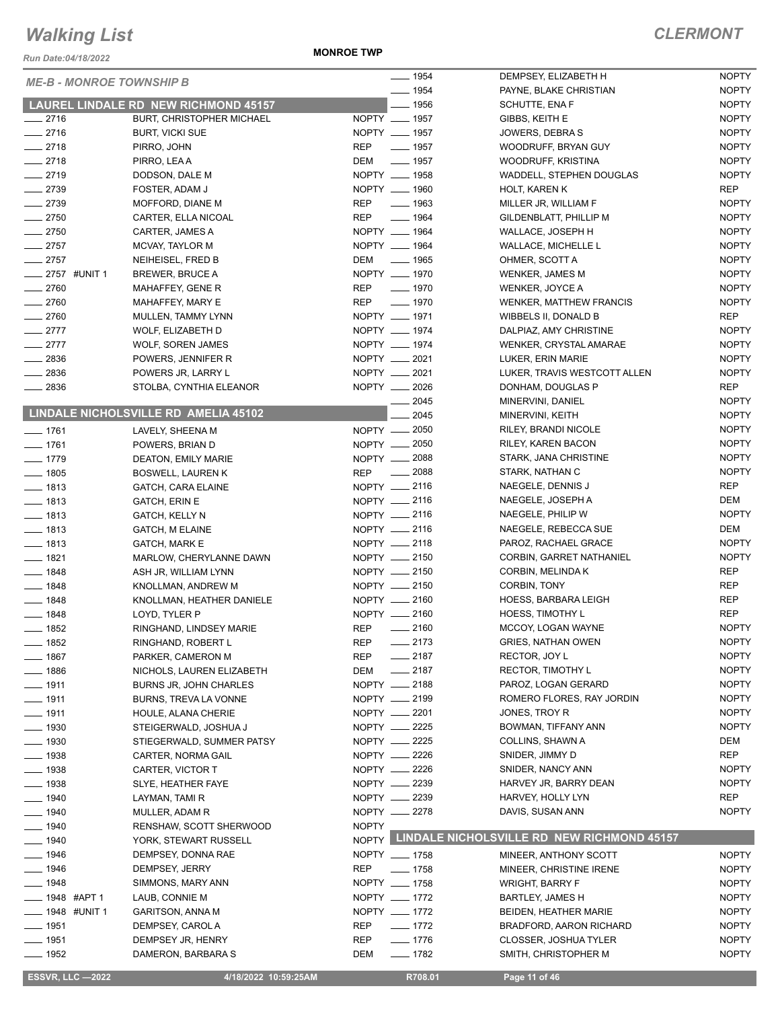*Run Date:04/18/2022*

**MONROE TWP**

| <b>ME-B - MONROE TOWNSHIP B</b> |                                      | $\frac{1}{2}$ 1954                                                                                                                                                                                                                                     | DEMPSEY, ELIZABETH H                             | <b>NOPTY</b> |
|---------------------------------|--------------------------------------|--------------------------------------------------------------------------------------------------------------------------------------------------------------------------------------------------------------------------------------------------------|--------------------------------------------------|--------------|
|                                 |                                      | $- 1954$                                                                                                                                                                                                                                               | PAYNE, BLAKE CHRISTIAN                           | <b>NOPTY</b> |
|                                 | LAUREL LINDALE RD NEW RICHMOND 45157 | $-1956$                                                                                                                                                                                                                                                | SCHUTTE, ENA F                                   | <b>NOPTY</b> |
| $-2716$                         | <b>BURT, CHRISTOPHER MICHAEL</b>     | NOPTY __ 1957                                                                                                                                                                                                                                          | GIBBS, KEITH E                                   | <b>NOPTY</b> |
| $-2716$                         | <b>BURT, VICKI SUE</b>               | NOPTY __ 1957                                                                                                                                                                                                                                          | JOWERS, DEBRAS                                   | <b>NOPTY</b> |
| $-2718$                         | PIRRO, JOHN                          | $- 1957$<br>REP                                                                                                                                                                                                                                        | WOODRUFF, BRYAN GUY                              | <b>NOPTY</b> |
| $-2718$                         | PIRRO, LEAA                          | $\frac{1}{2}$ 1957<br>DEM                                                                                                                                                                                                                              | WOODRUFF, KRISTINA                               | <b>NOPTY</b> |
| $-2719$                         | DODSON, DALE M                       | NOPTY __ 1958                                                                                                                                                                                                                                          | WADDELL, STEPHEN DOUGLAS                         | <b>NOPTY</b> |
| $-2739$                         | FOSTER, ADAM J                       | NOPTY __ 1960                                                                                                                                                                                                                                          | HOLT, KAREN K                                    | REP          |
| $-2739$                         | MOFFORD, DIANE M                     | <b>REP</b><br>$\equiv$ 1963                                                                                                                                                                                                                            | MILLER JR, WILLIAM F                             | <b>NOPTY</b> |
| $-2750$                         | CARTER, ELLA NICOAL                  | <b>REP</b><br>$- 1964$                                                                                                                                                                                                                                 | GILDENBLATT, PHILLIP M                           | <b>NOPTY</b> |
| $-2750$                         | CARTER, JAMES A                      | NOPTY __ 1964                                                                                                                                                                                                                                          | WALLACE, JOSEPH H                                | <b>NOPTY</b> |
| $-2757$                         | MCVAY, TAYLOR M                      | NOPTY __ 1964                                                                                                                                                                                                                                          | <b>WALLACE, MICHELLE L</b>                       | <b>NOPTY</b> |
| $-2757$                         | NEIHEISEL, FRED B                    | _____ 1965<br>DEM                                                                                                                                                                                                                                      | OHMER, SCOTT A                                   | <b>NOPTY</b> |
| ___ 2757 #UNIT 1                | <b>BREWER, BRUCE A</b>               | NOPTY __ 1970                                                                                                                                                                                                                                          | WENKER, JAMES M                                  | <b>NOPTY</b> |
| $-2760$                         | MAHAFFEY, GENE R                     | REP<br>$- 1970$                                                                                                                                                                                                                                        | WENKER, JOYCE A                                  | <b>NOPTY</b> |
| $-2760$                         | MAHAFFEY, MARY E                     | REP<br>$- 1970$                                                                                                                                                                                                                                        | <b>WENKER, MATTHEW FRANCIS</b>                   | <b>NOPTY</b> |
| $-2760$                         |                                      | NOPTY __ 1971                                                                                                                                                                                                                                          |                                                  | REP          |
|                                 | MULLEN, TAMMY LYNN                   | NOPTY __ 1974                                                                                                                                                                                                                                          | WIBBELS II, DONALD B                             |              |
| $\frac{2777}{2}$                | WOLF, ELIZABETH D                    |                                                                                                                                                                                                                                                        | DALPIAZ, AMY CHRISTINE                           | <b>NOPTY</b> |
| $-2777$                         | <b>WOLF, SOREN JAMES</b>             | NOPTY __ 1974                                                                                                                                                                                                                                          | WENKER, CRYSTAL AMARAE                           | <b>NOPTY</b> |
| $-2836$                         | POWERS, JENNIFER R                   | NOPTY __ 2021                                                                                                                                                                                                                                          | LUKER, ERIN MARIE                                | <b>NOPTY</b> |
| $-2836$                         | POWERS JR, LARRY L                   | NOPTY __ 2021                                                                                                                                                                                                                                          | LUKER, TRAVIS WESTCOTT ALLEN                     | <b>NOPTY</b> |
| $\frac{1}{2836}$                | STOLBA, CYNTHIA ELEANOR              | NOPTY __ 2026                                                                                                                                                                                                                                          | DONHAM, DOUGLAS P                                | REP          |
|                                 |                                      | _ 2045                                                                                                                                                                                                                                                 | MINERVINI, DANIEL                                | <b>NOPTY</b> |
|                                 | LINDALE NICHOLSVILLE RD AMELIA 45102 | 2045                                                                                                                                                                                                                                                   | MINERVINI, KEITH                                 | <b>NOPTY</b> |
| $- 1761$                        | LAVELY, SHEENA M                     | NOPTY - 2050                                                                                                                                                                                                                                           | RILEY, BRANDI NICOLE                             | <b>NOPTY</b> |
| $- 1761$                        | POWERS, BRIAN D                      | NOPTY - 2050                                                                                                                                                                                                                                           | RILEY, KAREN BACON                               | <b>NOPTY</b> |
| $- 1779$                        | DEATON, EMILY MARIE                  | NOPTY __ 2088                                                                                                                                                                                                                                          | STARK, JANA CHRISTINE                            | <b>NOPTY</b> |
| $- 1805$                        | <b>BOSWELL, LAUREN K</b>             | REP __ 2088                                                                                                                                                                                                                                            | STARK, NATHAN C                                  | <b>NOPTY</b> |
| $- 1813$                        | GATCH, CARA ELAINE                   | NOPTY -2116                                                                                                                                                                                                                                            | NAEGELE, DENNIS J                                | REP          |
| $- 1813$                        | <b>GATCH, ERIN E</b>                 | NOPTY __ 2116                                                                                                                                                                                                                                          | NAEGELE, JOSEPH A                                | DEM          |
| $- 1813$                        | GATCH, KELLY N                       | NOPTY __ 2116                                                                                                                                                                                                                                          | NAEGELE, PHILIP W                                | <b>NOPTY</b> |
| $- 1813$                        | <b>GATCH, M ELAINE</b>               | NOPTY __ 2116                                                                                                                                                                                                                                          | NAEGELE, REBECCA SUE                             | DEM          |
| $- 1813$                        | <b>GATCH, MARK E</b>                 | NOPTY __ 2118                                                                                                                                                                                                                                          | PAROZ, RACHAEL GRACE                             | <b>NOPTY</b> |
| $- 1821$                        | MARLOW, CHERYLANNE DAWN              | NOPTY __ 2150                                                                                                                                                                                                                                          | CORBIN, GARRET NATHANIEL                         | <b>NOPTY</b> |
| $- 1848$                        | ASH JR, WILLIAM LYNN                 | NOPTY -2150                                                                                                                                                                                                                                            | CORBIN, MELINDA K                                | REP          |
| $- 1848$                        | KNOLLMAN, ANDREW M                   | NOPTY __ 2150                                                                                                                                                                                                                                          | CORBIN, TONY                                     | <b>REP</b>   |
| $- 1848$                        | KNOLLMAN, HEATHER DANIELE            | NOPTY - 2160                                                                                                                                                                                                                                           | <b>HOESS, BARBARA LEIGH</b>                      | REP          |
| $- 1848$                        | LOYD, TYLER P                        | NOPTY __ 2160                                                                                                                                                                                                                                          | HOESS, TIMOTHY L                                 | <b>REP</b>   |
| $- 1852$                        | RINGHAND, LINDSEY MARIE              | $-2160$<br><b>REP</b>                                                                                                                                                                                                                                  | MCCOY, LOGAN WAYNE                               | <b>NOPTY</b> |
| 1852                            | RINGHAND, ROBERT L                   | <b>REP</b><br>- 2173                                                                                                                                                                                                                                   | <b>GRIES, NATHAN OWEN</b>                        | <b>NOPTY</b> |
|                                 |                                      | <u>and the state of the state of the state of the state of the state of the state of the state of the state of the state of the state of the state of the state of the state of the state of the state of the state of the state</u><br>$-2187$<br>REP | RECTOR, JOY L                                    | <b>NOPTY</b> |
| $- 1867$                        | PARKER, CAMERON M                    |                                                                                                                                                                                                                                                        |                                                  | <b>NOPTY</b> |
| $- 1886$                        | NICHOLS, LAUREN ELIZABETH            | $\frac{1}{2187}$<br>DEM                                                                                                                                                                                                                                | RECTOR, TIMOTHY L                                |              |
| $- 1911$                        | BURNS JR, JOHN CHARLES               | NOPTY __ 2188                                                                                                                                                                                                                                          | PAROZ, LOGAN GERARD                              | <b>NOPTY</b> |
| $- 1911$                        | BURNS, TREVA LA VONNE                | NOPTY __ 2199                                                                                                                                                                                                                                          | ROMERO FLORES, RAY JORDIN                        | <b>NOPTY</b> |
| $- 1911$                        | HOULE, ALANA CHERIE                  | NOPTY -2201                                                                                                                                                                                                                                            | JONES, TROY R                                    | <b>NOPTY</b> |
| <u>—</u> 1930                   | STEIGERWALD, JOSHUA J                | NOPTY 2225                                                                                                                                                                                                                                             | BOWMAN, TIFFANY ANN                              | <b>NOPTY</b> |
| $\frac{1}{2}$ 1930              | STIEGERWALD, SUMMER PATSY            | NOPTY __ 2225                                                                                                                                                                                                                                          | COLLINS, SHAWN A                                 | DEM          |
| $- 1938$                        | CARTER, NORMA GAIL                   | NOPTY __ 2226                                                                                                                                                                                                                                          | SNIDER, JIMMY D                                  | REP          |
| $\frac{1}{2}$ 1938              | CARTER, VICTOR T                     | NOPTY -2226                                                                                                                                                                                                                                            | SNIDER, NANCY ANN                                | <b>NOPTY</b> |
| $- 1938$                        | SLYE, HEATHER FAYE                   | NOPTY -2239                                                                                                                                                                                                                                            | HARVEY JR, BARRY DEAN                            | <b>NOPTY</b> |
| $- 1940$                        | LAYMAN, TAMI R                       | NOPTY __ 2239                                                                                                                                                                                                                                          | HARVEY, HOLLY LYN                                | REP          |
| $- 1940$                        | MULLER, ADAM R                       | NOPTY -2278                                                                                                                                                                                                                                            | DAVIS, SUSAN ANN                                 | <b>NOPTY</b> |
| $- 1940$                        | RENSHAW, SCOTT SHERWOOD              | <b>NOPTY</b>                                                                                                                                                                                                                                           |                                                  |              |
| $- 1940$                        | YORK, STEWART RUSSELL                |                                                                                                                                                                                                                                                        | NOPTY LINDALE NICHOLSVILLE RD NEW RICHMOND 45157 |              |
| $- 1946$                        | DEMPSEY, DONNA RAE                   | NOPTY __ 1758                                                                                                                                                                                                                                          | MINEER, ANTHONY SCOTT                            | <b>NOPTY</b> |
| $- 1946$                        | DEMPSEY, JERRY                       | <b>REP</b><br>$\frac{1}{2}$ 1758                                                                                                                                                                                                                       | MINEER, CHRISTINE IRENE                          | <b>NOPTY</b> |
| $\frac{1}{2}$ 1948              | SIMMONS, MARY ANN                    | NOPTY __ 1758                                                                                                                                                                                                                                          | <b>WRIGHT, BARRY F</b>                           | <b>NOPTY</b> |
| ___ 1948 #APT 1                 | LAUB, CONNIE M                       | NOPTY __ 1772                                                                                                                                                                                                                                          | BARTLEY, JAMES H                                 | <b>NOPTY</b> |
| ____ 1948 #UNIT 1               | <b>GARITSON, ANNA M</b>              | NOPTY __ 1772                                                                                                                                                                                                                                          | BEIDEN, HEATHER MARIE                            | <b>NOPTY</b> |
| $\frac{1}{2}$ 1951              | DEMPSEY, CAROL A                     | $- 1772$<br>REP                                                                                                                                                                                                                                        | BRADFORD, AARON RICHARD                          | <b>NOPTY</b> |
| $- 1951$                        | DEMPSEY JR, HENRY                    | $- 1776$<br>REP                                                                                                                                                                                                                                        | CLOSSER, JOSHUA TYLER                            | <b>NOPTY</b> |
| $\frac{1}{2}$ 1952              | DAMERON, BARBARA S                   | $- 1782$<br>DEM                                                                                                                                                                                                                                        | SMITH, CHRISTOPHER M                             | <b>NOPTY</b> |
|                                 |                                      |                                                                                                                                                                                                                                                        |                                                  |              |

 **ESSVR, LLC —2022 4/18/2022 10:59:25AM R708.01 Page 11 of 46**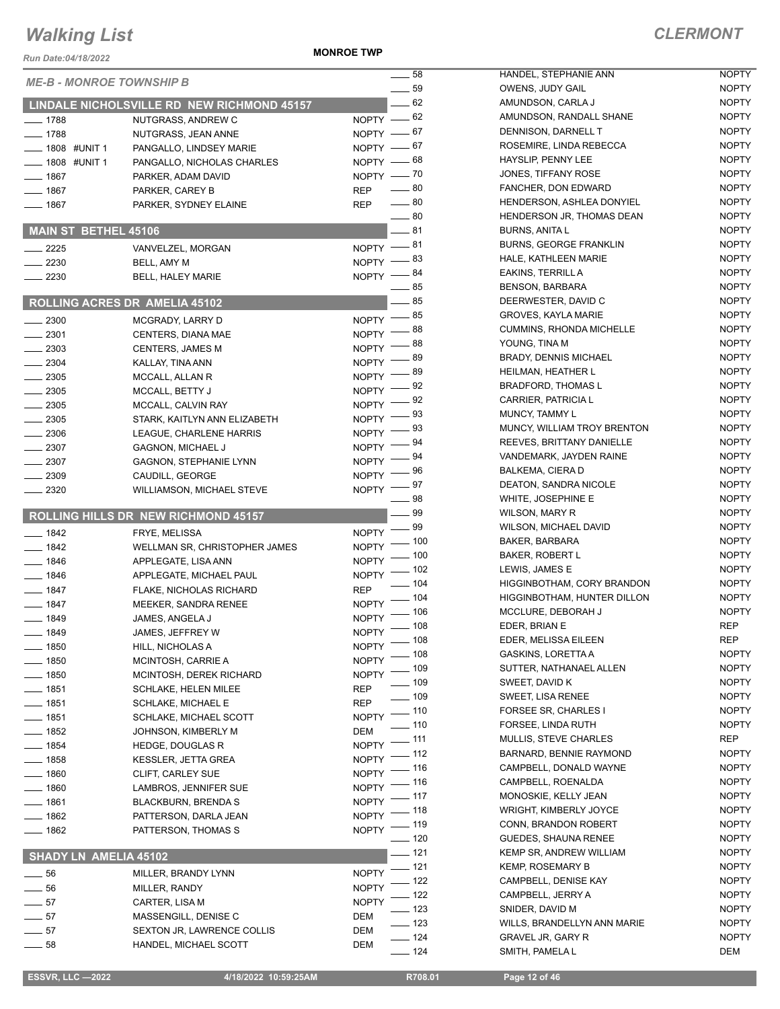**MONROE TWP**

| Run Date:04/18/2022                |                                                       |                              |                |
|------------------------------------|-------------------------------------------------------|------------------------------|----------------|
| <b>ME-B - MONROE TOWNSHIP B</b>    |                                                       |                              | 58             |
|                                    |                                                       |                              | 59<br>— 62     |
|                                    | LINDALE NICHOLSVILLE RD NEW RICHMOND 45157            |                              |                |
| $-1788$                            | NUTGRASS, ANDREW C                                    | NOPTY $-62$<br>NOPTY $-67$   |                |
| $-1788$                            | NUTGRASS, JEAN ANNE                                   |                              | $-67$          |
| — 1808 #UNIT 1<br>$-$ 1808 #UNIT 1 | PANGALLO, LINDSEY MARIE<br>PANGALLO, NICHOLAS CHARLES | $N$ OPTY $-$<br>NOPTY -      | — 68           |
| $=$ 1867 $\,$                      | PARKER, ADAM DAVID                                    | NOPTY - 70                   |                |
| — 1867                             | PARKER, CAREY B                                       | REP                          | $-80$          |
| $-1867$                            | PARKER, SYDNEY ELAINE                                 | REP                          | $\_\_80$       |
|                                    |                                                       |                              | $\equiv$ 80    |
| <b>MAIN ST BETHEL 45106</b>        |                                                       |                              | __ 81          |
| $-2225$                            | VANVELZEL, MORGAN                                     | NOPTY -81                    |                |
| $= 2230$                           | BELL, AMY M                                           | <b>NOPTY</b>                 | - 83           |
| $=2230$                            | <b>BELL, HALEY MARIE</b>                              | <b>NOPTY</b>                 | - 84<br>$-85$  |
|                                    | ROLLING ACRES DR AMELIA 45102                         |                              | $=$ 85         |
| $\sim$ 2300                        | MCGRADY, LARRY D                                      | <b>NOPTY</b>                 | - 85           |
| $-2301$                            | <b>CENTERS, DIANA MAE</b>                             | <b>NOPTY</b>                 | - 88           |
| $-2303$                            | <b>CENTERS, JAMES M</b>                               | <b>NOPTY</b>                 | - 88           |
| $-2304$                            | KALLAY, TINA ANN                                      | <b>NOPTY</b>                 | - 89           |
| $= 2305$                           | MCCALL, ALLAN R                                       | <b>NOPTY</b>                 | - 89           |
| $=2305$                            | MCCALL, BETTY J                                       | <b>NOPTY</b>                 | _ 92           |
| $-2305$                            | MCCALL, CALVIN RAY                                    | <b>NOPTY</b>                 | $= 92$         |
| $-2305$                            | STARK, KAITLYN ANN ELIZABETH                          | <b>NOPTY</b>                 | - 93           |
| $\equiv$ 2306                      | LEAGUE, CHARLENE HARRIS                               | <b>NOPTY</b>                 | - 93           |
| $-2307$                            | <b>GAGNON, MICHAEL J</b>                              | <b>NOPTY</b>                 | 94             |
| $\equiv$ 2307                      | <b>GAGNON, STEPHANIE LYNN</b>                         | <b>NOPTY</b>                 | 94<br>96       |
| $= 2309$                           | CAUDILL, GEORGE                                       | <b>NOPTY</b>                 | 97             |
| $-2320$                            | <b>WILLIAMSON, MICHAEL STEVE</b>                      | <b>NOPTY</b>                 | 98             |
|                                    | ROLLING HILLS DR NEW RICHMOND 45157                   |                              | 99             |
| $-1842$                            | FRYE, MELISSA                                         | <b>NOPTY</b>                 | - 99           |
| — 1842                             | WELLMAN SR, CHRISTOPHER JAMES                         | <b>NOPTY</b>                 | $-100$         |
| $-1846$                            | APPLEGATE, LISA ANN                                   | <b>NOPTY</b>                 | .100           |
| __ 1846                            | APPLEGATE, MICHAEL PAUL                               | <b>NOPTY</b>                 | $-102$         |
| $-1847$                            | FLAKE, NICHOLAS RICHARD                               | REP                          | $-104$<br>.104 |
| $-1847$                            | <b>MEEKER, SANDRA RENEE</b>                           | <b>NOPTY</b>                 | 106            |
| __ 1849                            | JAMES, ANGELA J                                       | <b>NOPTY</b>                 | _ 108          |
| - 1849                             | JAMES, JEFFREY W                                      | NOPTY                        | $-108$         |
| $=$ 1850                           | HILL, NICHOLAS A                                      | NOPTY                        | 108            |
| $- 1850$                           | MCINTOSH, CARRIE A                                    | NOPTY                        | . 109          |
| $-1850$                            | MCINTOSH, DEREK RICHARD                               | <b>NOPTY</b>                 | . 109          |
| $=$ 1851                           | <b>SCHLAKE, HELEN MILEE</b>                           | REP                          | . 109          |
| __ 1851<br>$-1851$                 | SCHLAKE, MICHAEL E<br>SCHLAKE, MICHAEL SCOTT          | REP<br><b>NOPTY</b>          | $-110$         |
| $-1852$                            | JOHNSON, KIMBERLY M                                   | DEM                          | 110            |
| $- 1854$                           | <b>HEDGE, DOUGLAS R</b>                               | <b>NOPTY</b>                 | 111            |
| __ 1858                            | <b>KESSLER, JETTA GREA</b>                            | <b>NOPTY</b>                 | 112            |
| $-1860$                            | <b>CLIFT, CARLEY SUE</b>                              | NOPTY                        | 116            |
| _ 1860                             | LAMBROS, JENNIFER SUE                                 | NOPTY                        | 116            |
| $-1861$                            | <b>BLACKBURN, BRENDA S</b>                            | <b>NOPTY</b>                 | 117            |
| $-1862$                            | PATTERSON, DARLA JEAN                                 | NOPTY                        | 118            |
| __ 1862                            | PATTERSON, THOMAS S                                   | <b>NOPTY</b>                 | 119<br>120     |
| SHADY LN AMELIA 45102              |                                                       |                              | $-121$         |
| $-56$                              |                                                       |                              | 121            |
| $-56$                              | MILLER, BRANDY LYNN                                   | NOPTY                        | 122            |
| $-57$                              | MILLER, RANDY                                         | <b>NOPTY</b><br><b>NOPTY</b> | 122            |
| $-57$                              | CARTER, LISA M<br>MASSENGILL, DENISE C                | DEM                          | 123            |
| $-57$                              | SEXTON JR, LAWRENCE COLLIS                            | DEM                          | 123            |
| _ 58                               | HANDEL, MICHAEL SCOTT                                 | DEM                          | 124            |
|                                    |                                                       |                              | 124            |

| 58  | HANDEL, STEPHANIE ANN           | <b>NOPTY</b> |
|-----|---------------------------------|--------------|
| 59  | OWENS, JUDY GAIL                | <b>NOPTY</b> |
| 62  | AMUNDSON, CARLA J               | <b>NOPTY</b> |
| 62  | AMUNDSON, RANDALL SHANE         | <b>NOPTY</b> |
| 67  | DENNISON, DARNELL T             | <b>NOPTY</b> |
| 67  | ROSEMIRE, LINDA REBECCA         | <b>NOPTY</b> |
| 68  | HAYSLIP, PENNY LEE              | <b>NOPTY</b> |
| 70  | JONES, TIFFANY ROSE             | <b>NOPTY</b> |
| 80  | FANCHER, DON EDWARD             | <b>NOPTY</b> |
| 80  | HENDERSON, ASHLEA DONYIEL       | <b>NOPTY</b> |
| 80  | HENDERSON JR. THOMAS DEAN       | <b>NOPTY</b> |
|     | <b>BURNS, ANITA L</b>           | <b>NOPTY</b> |
| 81  |                                 |              |
| 81  | <b>BURNS, GEORGE FRANKLIN</b>   | <b>NOPTY</b> |
| 83  | HALE, KATHLEEN MARIE            | <b>NOPTY</b> |
| 84  | EAKINS, TERRILL A               | <b>NOPTY</b> |
| 85  | <b>BENSON, BARBARA</b>          | <b>NOPTY</b> |
| 85  | DEERWESTER, DAVID C             | <b>NOPTY</b> |
| 85  | <b>GROVES, KAYLA MARIE</b>      | <b>NOPTY</b> |
| 88  | <b>CUMMINS, RHONDA MICHELLE</b> | <b>NOPTY</b> |
| 88  | YOUNG, TINA M                   | <b>NOPTY</b> |
| 89  | <b>BRADY, DENNIS MICHAEL</b>    | <b>NOPTY</b> |
| 89  | HEILMAN, HEATHER L              | <b>NOPTY</b> |
| 92  | <b>BRADFORD, THOMAS L</b>       | <b>NOPTY</b> |
| 92  | <b>CARRIER, PATRICIA L</b>      | <b>NOPTY</b> |
| 93  | <b>MUNCY, TAMMY L</b>           | <b>NOPTY</b> |
| 93  | MUNCY, WILLIAM TROY BRENTON     | <b>NOPTY</b> |
| 94  | REEVES, BRITTANY DANIELLE       | <b>NOPTY</b> |
| 94  | VANDEMARK, JAYDEN RAINE         | <b>NOPTY</b> |
| 96  | <b>BALKEMA, CIERA D</b>         | <b>NOPTY</b> |
| 97  | DEATON, SANDRA NICOLE           | <b>NOPTY</b> |
| 98  | WHITE, JOSEPHINE E              | <b>NOPTY</b> |
| 99  | WILSON, MARY R                  | <b>NOPTY</b> |
| 99  | <b>WILSON, MICHAEL DAVID</b>    | <b>NOPTY</b> |
| 100 | BAKER, BARBARA                  | <b>NOPTY</b> |
| 100 | <b>BAKER, ROBERT L</b>          | <b>NOPTY</b> |
| 102 | LEWIS, JAMES E                  | <b>NOPTY</b> |
|     | HIGGINBOTHAM, CORY BRANDON      | <b>NOPTY</b> |
| 104 | HIGGINBOTHAM, HUNTER DILLON     | <b>NOPTY</b> |
| 104 |                                 |              |
| 106 | MCCLURE, DEBORAH J              | <b>NOPTY</b> |
| 108 | EDER, BRIAN E                   | <b>REP</b>   |
| 108 | EDER, MELISSA EILEEN            | REP          |
| 108 | GASKINS, LORETTA A              | NOPTY        |
| 109 | SUTTER, NATHANAEL ALLEN         | NOPTY        |
| 109 | SWEET, DAVID K                  | <b>NOPTY</b> |
| 109 | <b>SWEET, LISA RENEE</b>        | <b>NOPTY</b> |
| 110 | <b>FORSEE SR, CHARLES I</b>     | <b>NOPTY</b> |
| 110 | FORSEE, LINDA RUTH              | NOPTY        |
| 111 | <b>MULLIS, STEVE CHARLES</b>    | REP          |
| 112 | BARNARD, BENNIE RAYMOND         | <b>NOPTY</b> |
| 116 | CAMPBELL, DONALD WAYNE          | <b>NOPTY</b> |
| 116 | CAMPBELL, ROENALDA              | <b>NOPTY</b> |
| 117 | MONOSKIE, KELLY JEAN            | NOPTY        |
| 118 | <b>WRIGHT, KIMBERLY JOYCE</b>   | <b>NOPTY</b> |
| 119 | CONN, BRANDON ROBERT            | <b>NOPTY</b> |
| 120 | <b>GUEDES, SHAUNA RENEE</b>     | NOPTY        |
| 121 | KEMP SR, ANDREW WILLIAM         | <b>NOPTY</b> |
| 121 | <b>KEMP, ROSEMARY B</b>         | <b>NOPTY</b> |
| 122 | CAMPBELL, DENISE KAY            | NOPTY        |
| 122 | CAMPBELL, JERRY A               | NOPTY        |
| 123 | SNIDER, DAVID M                 | NOPTY        |
| 123 | WILLS, BRANDELLYN ANN MARIE     | NOPTY        |
| 124 | <b>GRAVEL JR, GARY R</b>        | NOPTY        |
| 124 | SMITH, PAMELA L                 | DEM          |
|     |                                 |              |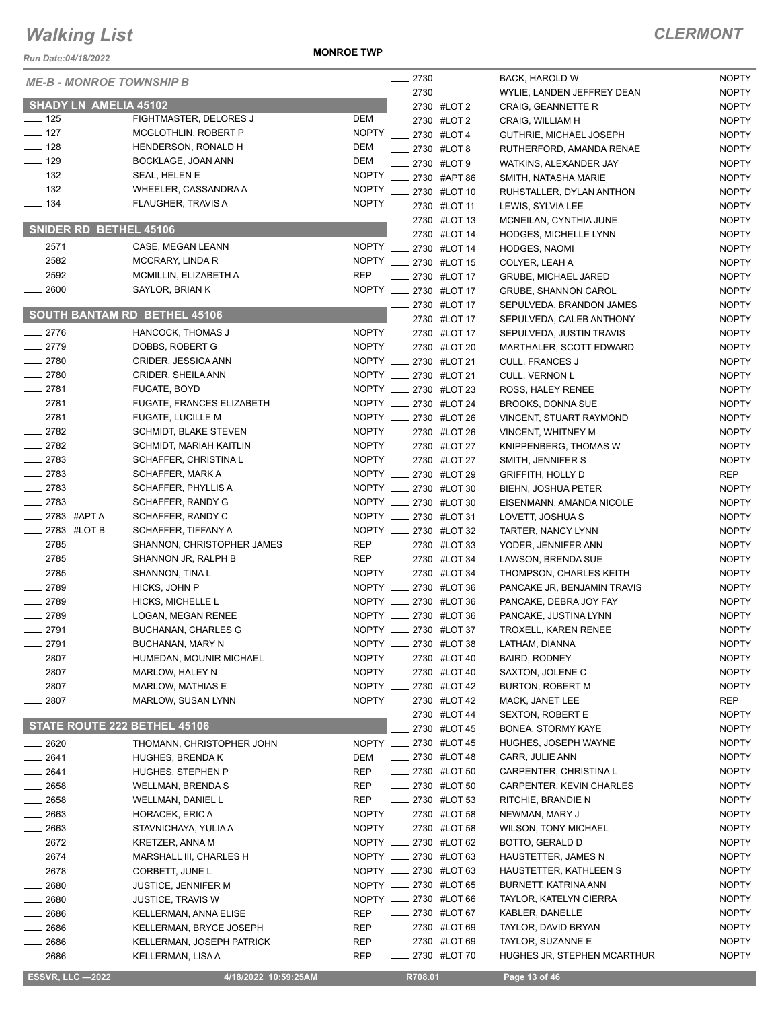*Run Date:04/18/2022*

**MONROE TWP**

| <b>KUILDAIG.04/10/ZUZZ</b>      |                                                         |              |                                                |                                               |                              |
|---------------------------------|---------------------------------------------------------|--------------|------------------------------------------------|-----------------------------------------------|------------------------------|
| <b>ME-B - MONROE TOWNSHIP B</b> |                                                         |              | $-2730$                                        | BACK, HAROLD W                                | <b>NOPTY</b>                 |
| <b>SHADY LN AMELIA 45102</b>    |                                                         |              | $-2730$                                        | WYLIE, LANDEN JEFFREY DEAN                    | <b>NOPTY</b>                 |
| $\frac{1}{2}$ 125               | FIGHTMASTER, DELORES J                                  | DEM          | __ 2730 #LOT 2<br>$2730$ #LOT 2                | <b>CRAIG, GEANNETTE R</b><br>CRAIG, WILLIAM H | <b>NOPTY</b><br><b>NOPTY</b> |
| $- 127$                         | MCGLOTHLIN, ROBERT P                                    | <b>NOPTY</b> | -2730 #LOT4                                    | GUTHRIE, MICHAEL JOSEPH                       | <b>NOPTY</b>                 |
| $\frac{1}{2}$ 128               | HENDERSON, RONALD H                                     | DEM          | ____ 2730 #LOT 8                               | RUTHERFORD, AMANDA RENAE                      | <b>NOPTY</b>                 |
| $\frac{1}{2}$ 129               | BOCKLAGE, JOAN ANN                                      | DEM          | ____ 2730 #LOT 9                               | WATKINS, ALEXANDER JAY                        | <b>NOPTY</b>                 |
| $\frac{1}{2}$ 132               | SEAL, HELEN E                                           |              | NOPTY __ 2730 #APT 86                          | SMITH, NATASHA MARIE                          | <b>NOPTY</b>                 |
| $\frac{1}{2}$ 132               | WHEELER, CASSANDRA A                                    | <b>NOPTY</b> | ___ 2730 #LOT 10                               | RUHSTALLER, DYLAN ANTHON                      | <b>NOPTY</b>                 |
| $\frac{1}{2}$ 134               | <b>FLAUGHER, TRAVIS A</b>                               |              | NOPTY __ 2730 #LOT 11                          | LEWIS, SYLVIA LEE                             | <b>NOPTY</b>                 |
|                                 |                                                         |              | ____ 2730 #LOT 13                              | MCNEILAN, CYNTHIA JUNE                        | <b>NOPTY</b>                 |
| SNIDER RD BETHEL 45106          |                                                         |              | 2730 #LOT 14                                   | <b>HODGES, MICHELLE LYNN</b>                  | <b>NOPTY</b>                 |
| $-2571$                         | CASE, MEGAN LEANN                                       |              | NOPTY __ 2730 #LOT 14                          | HODGES, NAOMI                                 | <b>NOPTY</b>                 |
| $\frac{1}{2582}$                | MCCRARY, LINDA R                                        |              | NOPTY __ 2730 #LOT 15                          | COLYER, LEAH A                                | <b>NOPTY</b>                 |
| $\frac{1}{2592}$                | MCMILLIN, ELIZABETH A                                   | <b>REP</b>   | -2730 #LOT 17                                  | <b>GRUBE, MICHAEL JARED</b>                   | <b>NOPTY</b>                 |
| $- 2600$                        | SAYLOR, BRIAN K                                         |              | NOPTY __ 2730 #LOT 17                          | <b>GRUBE, SHANNON CAROL</b>                   | <b>NOPTY</b>                 |
|                                 |                                                         |              | _ 2730 #LOT 17                                 | SEPULVEDA, BRANDON JAMES                      | <b>NOPTY</b>                 |
|                                 | <b>SOUTH BANTAM RD BETHEL 45106</b>                     |              | 2730 #LOT 17                                   | SEPULVEDA, CALEB ANTHONY                      | <b>NOPTY</b>                 |
| $-2776$                         | HANCOCK, THOMAS J                                       |              | NOPTY ____ 2730 #LOT 17                        | SEPULVEDA, JUSTIN TRAVIS                      | <b>NOPTY</b>                 |
| $-2779$                         | DOBBS, ROBERT G                                         |              | NOPTY __ 2730 #LOT 20                          | MARTHALER, SCOTT EDWARD                       | <b>NOPTY</b>                 |
| $-2780$                         | CRIDER, JESSICA ANN                                     |              | NOPTY __ 2730 #LOT 21                          | CULL, FRANCES J                               | <b>NOPTY</b>                 |
| $-2780$                         | CRIDER, SHEILA ANN                                      |              | NOPTY __ 2730 #LOT 21                          | CULL, VERNON L                                | <b>NOPTY</b>                 |
| $-2781$                         | FUGATE, BOYD                                            |              | NOPTY _____ 2730 #LOT 23                       | ROSS, HALEY RENEE                             | <b>NOPTY</b>                 |
| $-2781$                         | <b>FUGATE, FRANCES ELIZABETH</b>                        |              | NOPTY __ 2730 #LOT 24<br>NOPTY __ 2730 #LOT 26 | <b>BROOKS, DONNA SUE</b>                      | <b>NOPTY</b>                 |
| $-2781$                         | <b>FUGATE, LUCILLE M</b>                                |              | NOPTY ____ 2730 #LOT 26                        | VINCENT, STUART RAYMOND                       | <b>NOPTY</b>                 |
| $\frac{1}{2782}$<br>$-2782$     | SCHMIDT, BLAKE STEVEN                                   |              | NOPTY __ 2730 #LOT 27                          | VINCENT, WHITNEY M                            | <b>NOPTY</b><br><b>NOPTY</b> |
| $-2783$                         | <b>SCHMIDT, MARIAH KAITLIN</b><br>SCHAFFER, CHRISTINA L |              | NOPTY __ 2730 #LOT 27                          | KNIPPENBERG, THOMAS W                         | <b>NOPTY</b>                 |
| $-2783$                         | SCHAFFER, MARK A                                        |              | NOPTY ____ 2730 #LOT 29                        | SMITH, JENNIFER S<br><b>GRIFFITH, HOLLY D</b> | REP                          |
| $-2783$                         | SCHAFFER, PHYLLIS A                                     |              | NOPTY __ 2730 #LOT 30                          | BIEHN, JOSHUA PETER                           | <b>NOPTY</b>                 |
| $-2783$                         | SCHAFFER, RANDY G                                       |              | NOPTY __ 2730 #LOT 30                          | EISENMANN, AMANDA NICOLE                      | <b>NOPTY</b>                 |
| $\frac{1}{2783}$ #APTA          | SCHAFFER, RANDY C                                       |              | NOPTY __ 2730 #LOT 31                          | LOVETT, JOSHUA S                              | <b>NOPTY</b>                 |
| $\frac{1}{2783}$ #LOT B         | SCHAFFER, TIFFANY A                                     |              | NOPTY __ 2730 #LOT 32                          | TARTER, NANCY LYNN                            | <b>NOPTY</b>                 |
| $-2785$                         | SHANNON, CHRISTOPHER JAMES                              | REP          | $\frac{1}{2730}$ #LOT 33                       | YODER, JENNIFER ANN                           | <b>NOPTY</b>                 |
| $-2785$                         | SHANNON JR, RALPH B                                     | REP          | <b>EXELORE 2730 #LOT 34</b>                    | LAWSON, BRENDA SUE                            | <b>NOPTY</b>                 |
| $-2785$                         | SHANNON, TINA L                                         |              | NOPTY __ 2730 #LOT 34                          | THOMPSON, CHARLES KEITH                       | <b>NOPTY</b>                 |
| $-2789$                         | HICKS, JOHN P                                           |              | NOPTY __ 2730 #LOT 36                          | PANCAKE JR, BENJAMIN TRAVIS                   | <b>NOPTY</b>                 |
| $-2789$                         | HICKS, MICHELLE L                                       |              | NOPTY __ 2730 #LOT 36                          | PANCAKE, DEBRA JOY FAY                        | <b>NOPTY</b>                 |
| $-2789$                         | LOGAN, MEGAN RENEE                                      |              | NOPTY __ 2730 #LOT 36                          | PANCAKE, JUSTINA LYNN                         | <b>NOPTY</b>                 |
| $-2791$                         | <b>BUCHANAN, CHARLES G</b>                              |              | NOPTY __ 2730 #LOT 37                          | TROXELL, KAREN RENEE                          | <b>NOPTY</b>                 |
| ___ 2791                        | BUCHANAN, MARY N                                        |              | NOPTY __ 2730 #LOT 38                          | LATHAM, DIANNA                                | <b>NOPTY</b>                 |
| $-2807$                         | HUMEDAN, MOUNIR MICHAEL                                 |              | NOPTY ____ 2730 #LOT 40                        | BAIRD, RODNEY                                 | <b>NOPTY</b>                 |
| _ 2807                          | MARLOW, HALEY N                                         |              | NOPTY __ 2730 #LOT 40                          | SAXTON, JOLENE C                              | <b>NOPTY</b>                 |
| 2807                            | MARLOW, MATHIAS E                                       |              | NOPTY _____ 2730 #LOT 42                       | BURTON, ROBERT M                              | <b>NOPTY</b>                 |
| 2807                            | MARLOW, SUSAN LYNN                                      |              | NOPTY __ 2730 #LOT 42                          | MACK, JANET LEE                               | REP                          |
| STATE ROUTE 222 BETHEL 45106    |                                                         |              | ____ 2730 #LOT 44                              | <b>SEXTON, ROBERT E</b>                       | <b>NOPTY</b>                 |
|                                 |                                                         |              | 2730 #LOT 45                                   | BONEA, STORMY KAYE                            | <b>NOPTY</b>                 |
| 2620                            | THOMANN, CHRISTOPHER JOHN                               |              | NOPTY __ 2730 #LOT 45                          | HUGHES, JOSEPH WAYNE                          | <b>NOPTY</b><br><b>NOPTY</b> |
| __ 2641                         | HUGHES, BRENDA K                                        | DEM<br>REP   | $\frac{1}{2730}$ #LOT 48<br>-2730 #LOT 50      | CARR, JULIE ANN<br>CARPENTER, CHRISTINA L     | <b>NOPTY</b>                 |
| ____ 2641<br>____ 2658          | HUGHES, STEPHEN P<br><b>WELLMAN, BRENDA S</b>           | <b>REP</b>   | <b>EXECUTE:</b> 2730 #LOT 50                   | CARPENTER, KEVIN CHARLES                      | <b>NOPTY</b>                 |
| $\_\_2$ 2658                    | WELLMAN, DANIEL L                                       | <b>REP</b>   | <b>LEGGLE 2730 #LOT 53</b>                     | RITCHIE, BRANDIE N                            | <b>NOPTY</b>                 |
| $-2663$                         | HORACEK, ERIC A                                         |              | NOPTY __ 2730 #LOT 58                          | NEWMAN, MARY J                                | <b>NOPTY</b>                 |
| _ 2663                          | STAVNICHAYA, YULIA A                                    |              | NOPTY __ 2730 #LOT 58                          | <b>WILSON, TONY MICHAEL</b>                   | <b>NOPTY</b>                 |
| $-2672$                         | <b>KRETZER, ANNA M</b>                                  |              | NOPTY __ 2730 #LOT 62                          | BOTTO, GERALD D                               | <b>NOPTY</b>                 |
| __ 2674                         | MARSHALL III, CHARLES H                                 |              | NOPTY __ 2730 #LOT 63                          | HAUSTETTER, JAMES N                           | <b>NOPTY</b>                 |
| 2678                            | CORBETT, JUNE L                                         |              | NOPTY __ 2730 #LOT 63                          | HAUSTETTER, KATHLEEN S                        | <b>NOPTY</b>                 |
| 2680                            | JUSTICE, JENNIFER M                                     |              | NOPTY __ 2730 #LOT 65                          | BURNETT, KATRINA ANN                          | <b>NOPTY</b>                 |
| _ 2680                          | <b>JUSTICE, TRAVIS W</b>                                |              | NOPTY __ 2730 #LOT 66                          | TAYLOR, KATELYN CIERRA                        | <b>NOPTY</b>                 |
| __ 2686                         | KELLERMAN, ANNA ELISE                                   | <b>REP</b>   | -2730 #LOT 67                                  | KABLER, DANELLE                               | <b>NOPTY</b>                 |
| $=2686$                         | KELLERMAN, BRYCE JOSEPH                                 | <b>REP</b>   | <b>EXECUTE:</b> 2730 #LOT 69                   | TAYLOR, DAVID BRYAN                           | <b>NOPTY</b>                 |
| __ 2686                         | KELLERMAN, JOSEPH PATRICK                               | REP          |                                                | TAYLOR, SUZANNE E                             | <b>NOPTY</b>                 |
| $-2686$                         | KELLERMAN, LISA A                                       | <b>REP</b>   | -2730 #LOT 70                                  | HUGHES JR, STEPHEN MCARTHUR                   | <b>NOPTY</b>                 |
| <b>ESSVR, LLC -2022</b>         | 4/18/2022 10:59:25AM                                    |              | R708.01                                        | Page 13 of 46                                 |                              |
|                                 |                                                         |              |                                                |                                               |                              |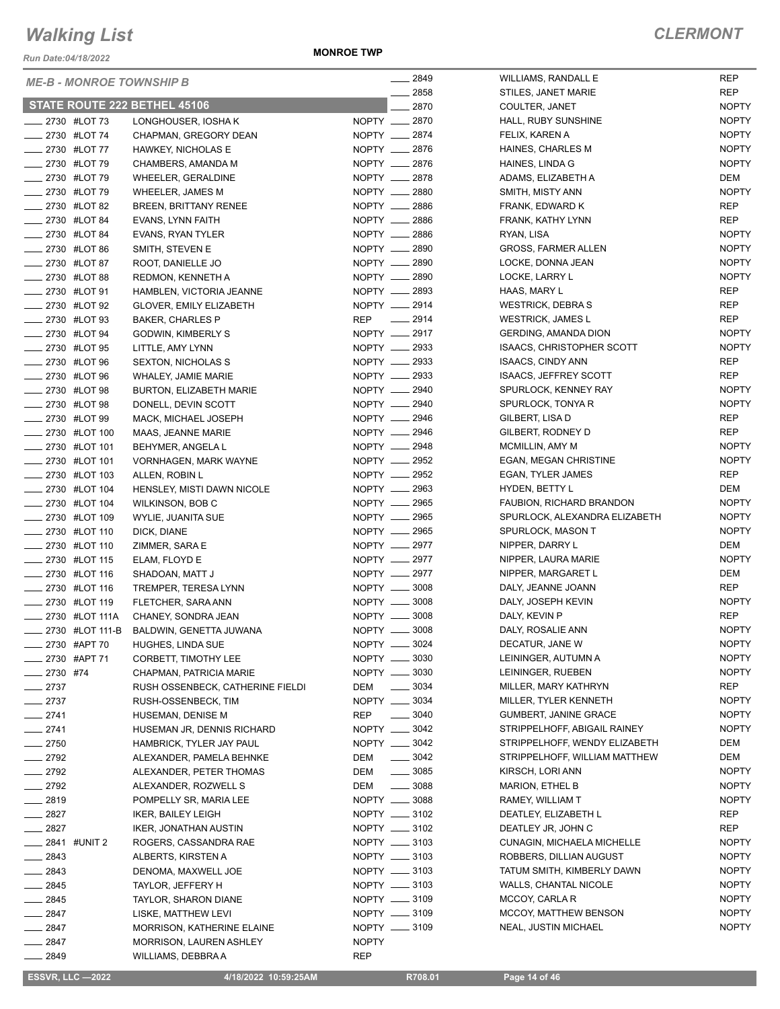*Run Date:04/18/2022*

**MONROE TWP**

| <b>ME-B - MONROE TOWNSHIP B</b> |                                            |              | $-2849$             | WILLIAMS, RANDALL E              | <b>REP</b>          |
|---------------------------------|--------------------------------------------|--------------|---------------------|----------------------------------|---------------------|
|                                 |                                            |              | 2858                | STILES, JANET MARIE              | <b>REP</b>          |
| STATE ROUTE 222 BETHEL 45106    |                                            |              | 2870                | COULTER, JANET                   | <b>NOPTY</b>        |
| <b>______ 2730 #LOT 73</b>      | LONGHOUSER, IOSHA K                        |              | NOPTY __ 2870       | HALL, RUBY SUNSHINE              | <b>NOPTY</b>        |
| <b>2730 #LOT 74</b>             | CHAPMAN, GREGORY DEAN                      |              | NOPTY __ 2874       | FELIX, KAREN A                   | <b>NOPTY</b>        |
| <b>______ 2730 #LOT 77</b>      | <b>HAWKEY, NICHOLAS E</b>                  |              | NOPTY __ 2876       | HAINES, CHARLES M                | <b>NOPTY</b>        |
| <b>2730 #LOT 79</b>             | CHAMBERS, AMANDA M                         |              | NOPTY __ 2876       | HAINES, LINDA G                  | <b>NOPTY</b>        |
| <b>2730 #LOT 79</b>             | <b>WHEELER, GERALDINE</b>                  |              | NOPTY __ 2878       | ADAMS, ELIZABETH A               | DEM                 |
| <b>______ 2730 #LOT 79</b>      | <b>WHEELER, JAMES M</b>                    |              | NOPTY __ 2880       | SMITH, MISTY ANN                 | <b>NOPTY</b>        |
| <b>______ 2730 #LOT 82</b>      | BREEN, BRITTANY RENEE                      |              | NOPTY __ 2886       | FRANK, EDWARD K                  | <b>REP</b>          |
| <b>2730 #LOT 84</b>             | EVANS, LYNN FAITH                          |              | NOPTY __ 2886       | FRANK, KATHY LYNN                | <b>REP</b>          |
| ____ 2730 #LOT 84               | EVANS, RYAN TYLER                          |              | NOPTY __ 2886       | RYAN, LISA                       | <b>NOPTY</b>        |
| <b>2730 #LOT 86</b>             | SMITH, STEVEN E                            |              | NOPTY __ 2890       | <b>GROSS, FARMER ALLEN</b>       | <b>NOPTY</b>        |
| <b>______ 2730 #LOT 87</b>      | ROOT, DANIELLE JO                          |              | NOPTY __ 2890       | LOCKE, DONNA JEAN                | <b>NOPTY</b>        |
| <b>LEGGLE 2730 #LOT 88</b>      | REDMON, KENNETH A                          |              | NOPTY __ 2890       | LOCKE, LARRY L                   | <b>NOPTY</b>        |
| <b>_____ 2730 #LOT 91</b>       | HAMBLEN, VICTORIA JEANNE                   |              | NOPTY __ 2893       | HAAS, MARY L                     | <b>REP</b>          |
| ____ 2730 #LOT 92               | <b>GLOVER, EMILY ELIZABETH</b>             |              | NOPTY __ 2914       | <b>WESTRICK, DEBRAS</b>          | <b>REP</b>          |
| <b>2730 #LOT 93</b>             | <b>BAKER, CHARLES P</b>                    |              | REP __ 2914         | <b>WESTRICK, JAMES L</b>         | <b>REP</b>          |
| <b>2730 #LOT 94</b>             | GODWIN, KIMBERLY S                         |              | NOPTY __ 2917       | <b>GERDING, AMANDA DION</b>      | <b>NOPTY</b>        |
| <b>______ 2730 #LOT 95</b>      | LITTLE, AMY LYNN                           |              | NOPTY __ 2933       | <b>ISAACS, CHRISTOPHER SCOTT</b> | <b>NOPTY</b>        |
| -2730 #LOT 96                   | <b>SEXTON, NICHOLAS S</b>                  |              | NOPTY __ 2933       | <b>ISAACS, CINDY ANN</b>         | <b>REP</b>          |
| <b>2730 #LOT 96</b>             | WHALEY, JAMIE MARIE                        |              | NOPTY __ 2933       | <b>ISAACS, JEFFREY SCOTT</b>     | <b>REP</b>          |
| <b>______ 2730 #LOT 98</b>      | BURTON, ELIZABETH MARIE                    |              | NOPTY __ 2940       | SPURLOCK, KENNEY RAY             | <b>NOPTY</b>        |
| <b>2730 #LOT 98</b>             | DONELL, DEVIN SCOTT                        |              | NOPTY __ 2940       | SPURLOCK, TONYA R                | <b>NOPTY</b>        |
| <b>2730 #LOT 99</b>             | MACK, MICHAEL JOSEPH                       |              | NOPTY __ 2946       | GILBERT, LISA D                  | REP                 |
| <b>______ 2730 #LOT 100</b>     | MAAS, JEANNE MARIE                         |              | NOPTY __ 2946       | GILBERT, RODNEY D                | <b>REP</b>          |
| <b>LEGGE 2730 #LOT 101</b>      | BEHYMER, ANGELA L                          |              | NOPTY __ 2948       | MCMILLIN, AMY M                  | <b>NOPTY</b>        |
| <b>LEGGE 2730 #LOT 101</b>      | <b>VORNHAGEN, MARK WAYNE</b>               |              | NOPTY __ 2952       | EGAN, MEGAN CHRISTINE            | <b>NOPTY</b>        |
| <b>_____ 2730 #LOT 103</b>      | ALLEN, ROBIN L                             |              | NOPTY __ 2952       | EGAN, TYLER JAMES                | REP                 |
| ____ 2730 #LOT 104              | HENSLEY, MISTI DAWN NICOLE                 |              | NOPTY __ 2963       | HYDEN, BETTY L                   | DEM                 |
| <b>_____ 2730 #LOT 104</b>      | <b>WILKINSON, BOB C</b>                    |              | NOPTY __ 2965       | FAUBION, RICHARD BRANDON         | <b>NOPTY</b>        |
| <b>LEGGE 2730 #LOT 109</b>      | WYLIE, JUANITA SUE                         |              | NOPTY __ 2965       | SPURLOCK, ALEXANDRA ELIZABETH    | <b>NOPTY</b>        |
| <b>_____</b> 2730 #LOT 110      | DICK, DIANE                                |              | NOPTY __ 2965       | SPURLOCK, MASON T                | <b>NOPTY</b>        |
| <b>_____ 2730 #LOT 110</b>      | ZIMMER, SARA E                             |              | NOPTY __ 2977       | NIPPER, DARRY L                  | DEM                 |
| <b>LETTEL 2730 #LOT 115</b>     | ELAM, FLOYD E                              |              | NOPTY __ 2977       | NIPPER, LAURA MARIE              | <b>NOPTY</b>        |
| <b>_____ 2730 #LOT 116</b>      | SHADOAN, MATT J                            |              | NOPTY __ 2977       | NIPPER, MARGARET L               | DEM                 |
| ____ 2730 #LOT 116              |                                            |              | NOPTY __ 3008       | DALY, JEANNE JOANN               | <b>REP</b>          |
| <b>_____ 2730 #LOT 119</b>      | TREMPER, TERESA LYNN<br>FLETCHER, SARA ANN |              | NOPTY __ 3008       | DALY, JOSEPH KEVIN               | <b>NOPTY</b>        |
| <b>_____ 2730 #LOT 111A</b>     |                                            |              | NOPTY __ 3008       | DALY, KEVIN P                    | <b>REP</b>          |
| <b>LETTE 111-B</b>              | CHANEY, SONDRA JEAN                        |              | NOPTY __ 3008       | DALY, ROSALIE ANN                | <b>NOPTY</b>        |
|                                 | BALDWIN, GENETTA JUWANA                    |              | NOPTY __ 3024       | DECATUR, JANE W                  | <b>NOPTY</b>        |
| ____ 2730 #APT 70               | <b>HUGHES, LINDA SUE</b>                   |              |                     |                                  | <b>NOPTY</b>        |
| $\frac{1}{2730}$ #APT 71        | CORBETT, TIMOTHY LEE                       |              | NOPTY __ 3030       | LEININGER, AUTUMN A              |                     |
| $-2730$ #74                     | CHAPMAN, PATRICIA MARIE                    |              | NOPTY __ 3030       | LEININGER, RUEBEN                | <b>NOPTY</b><br>REP |
| $-2737$                         | RUSH OSSENBECK, CATHERINE FIELDI           | DEM          | $\frac{1}{2}$ 3034  | MILLER, MARY KATHRYN             |                     |
| $-2737$                         | RUSH-OSSENBECK, TIM                        |              | NOPTY __ 3034       | MILLER, TYLER KENNETH            | <b>NOPTY</b>        |
| $-2741$                         | HUSEMAN, DENISE M                          | <b>REP</b>   | $\frac{1}{2}$ 3040  | <b>GUMBERT, JANINE GRACE</b>     | <b>NOPTY</b>        |
| $-2741$                         | HUSEMAN JR, DENNIS RICHARD                 |              | NOPTY __ 3042       | STRIPPELHOFF, ABIGAIL RAINEY     | <b>NOPTY</b>        |
| $-2750$                         | HAMBRICK, TYLER JAY PAUL                   |              | NOPTY <u>- 3042</u> | STRIPPELHOFF, WENDY ELIZABETH    | DEM                 |
| $-2792$                         | ALEXANDER, PAMELA BEHNKE                   | DEM          | $\frac{1}{2}$ 3042  | STRIPPELHOFF, WILLIAM MATTHEW    | DEM                 |
| $-2792$                         | ALEXANDER, PETER THOMAS                    | DEM          | $\frac{1}{2}$ 3085  | KIRSCH, LORI ANN                 | <b>NOPTY</b>        |
| $-2792$                         | ALEXANDER, ROZWELL S                       | DEM          | $\frac{1}{2}$ 3088  | <b>MARION, ETHEL B</b>           | <b>NOPTY</b>        |
| $-2819$                         | POMPELLY SR, MARIA LEE                     |              | NOPTY __ 3088       | RAMEY, WILLIAM T                 | <b>NOPTY</b>        |
| $-2827$                         | IKER, BAILEY LEIGH                         |              | NOPTY __ 3102       | DEATLEY, ELIZABETH L             | REP                 |
| $-2827$                         | IKER, JONATHAN AUSTIN                      |              | NOPTY __ 3102       | DEATLEY JR, JOHN C               | REP                 |
| <b>_____ 2841 #UNIT 2</b>       | ROGERS, CASSANDRA RAE                      |              | NOPTY <u>_</u> 3103 | CUNAGIN, MICHAELA MICHELLE       | <b>NOPTY</b>        |
| $-2843$                         | ALBERTS, KIRSTEN A                         |              | NOPTY __ 3103       | ROBBERS, DILLIAN AUGUST          | <b>NOPTY</b>        |
| $\frac{2843}{200}$              | DENOMA, MAXWELL JOE                        |              | NOPTY __ 3103       | TATUM SMITH, KIMBERLY DAWN       | <b>NOPTY</b>        |
| $-2845$                         | TAYLOR, JEFFERY H                          |              | NOPTY __ 3103       | <b>WALLS, CHANTAL NICOLE</b>     | <b>NOPTY</b>        |
| $-2845$                         | TAYLOR, SHARON DIANE                       |              | NOPTY __ 3109       | MCCOY, CARLA R                   | <b>NOPTY</b>        |
| $-2847$                         | LISKE, MATTHEW LEVI                        |              | NOPTY __ 3109       | MCCOY, MATTHEW BENSON            | <b>NOPTY</b>        |
| $-2847$                         | <b>MORRISON, KATHERINE ELAINE</b>          |              | NOPTY __ 3109       | <b>NEAL, JUSTIN MICHAEL</b>      | <b>NOPTY</b>        |
| $\frac{2847}{ }$                | <b>MORRISON, LAUREN ASHLEY</b>             | <b>NOPTY</b> |                     |                                  |                     |
| $-2849$                         | WILLIAMS, DEBBRA A                         | <b>REP</b>   |                     |                                  |                     |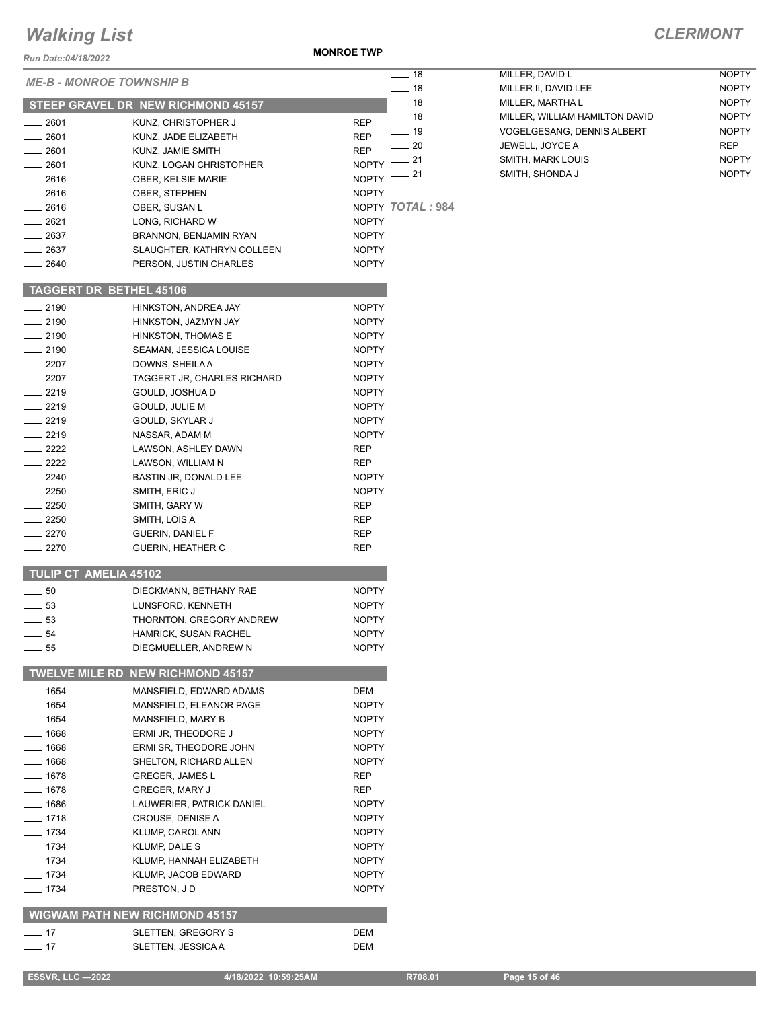#### *Run Date:04/18/2022*

**MONROE TWP**

| Run Date:04/18/2022             |                                       |              |                  |
|---------------------------------|---------------------------------------|--------------|------------------|
| <b>ME-B - MONROE TOWNSHIP B</b> |                                       |              | ____ 18<br>— 18  |
|                                 | STEEP GRAVEL DR NEW RICHMOND 45157    |              | __ 18            |
| $-2601$                         | KUNZ, CHRISTOPHER J                   | REP          | — 18             |
| $-2601$                         | KUNZ, JADE ELIZABETH                  | REP          | $-19$            |
| $-2601$                         | KUNZ, JAMIE SMITH                     | REP          | $-20$            |
| __ 2601                         | KUNZ, LOGAN CHRISTOPHER               | <b>NOPTY</b> | $= 21$           |
| $= 2616$                        | <b>OBER, KELSIE MARIE</b>             | <b>NOPTY</b> | 21               |
| $-2616$                         | OBER, STEPHEN                         | <b>NOPTY</b> |                  |
| $-2616$                         | OBER, SUSAN L                         |              | NOPTY TOTAL: 984 |
| $-2621$                         | LONG, RICHARD W                       | <b>NOPTY</b> |                  |
| __ 2637                         | BRANNON, BENJAMIN RYAN                | <b>NOPTY</b> |                  |
| __ 2637                         | SLAUGHTER, KATHRYN COLLEEN            | <b>NOPTY</b> |                  |
| $=2640$                         | PERSON, JUSTIN CHARLES                | <b>NOPTY</b> |                  |
| <b>TAGGERT DR BETHEL 45106</b>  |                                       |              |                  |
| $-2190$                         | HINKSTON, ANDREA JAY                  | <b>NOPTY</b> |                  |
| $-2190$                         | HINKSTON, JAZMYN JAY                  | <b>NOPTY</b> |                  |
| $-2190$                         | HINKSTON, THOMAS E                    | <b>NOPTY</b> |                  |
| __ 2190                         | SEAMAN, JESSICA LOUISE                | <b>NOPTY</b> |                  |
| $= 2207$                        | DOWNS, SHEILA A                       | <b>NOPTY</b> |                  |
| $-2207$                         | TAGGERT JR. CHARLES RICHARD           | <b>NOPTY</b> |                  |
| __ 2219                         | GOULD, JOSHUA D                       | <b>NOPTY</b> |                  |
| $-2219$                         | GOULD, JULIE M                        | <b>NOPTY</b> |                  |
| $-2219$                         | GOULD, SKYLAR J                       | <b>NOPTY</b> |                  |
| $-2219$                         | NASSAR, ADAM M                        | <b>NOPTY</b> |                  |
| $-2222$                         | LAWSON, ASHLEY DAWN                   | REP          |                  |
| $-2222$                         | LAWSON, WILLIAM N                     | REP          |                  |
| $-2240$                         | BASTIN JR, DONALD LEE                 | <b>NOPTY</b> |                  |
| $-2250$                         | SMITH, ERIC J                         | <b>NOPTY</b> |                  |
| $-2250$                         | SMITH, GARY W                         | <b>REP</b>   |                  |
| $-2250$                         | SMITH, LOIS A                         | REP          |                  |
| $\equiv$ 2270                   | GUERIN, DANIEL F                      | REP          |                  |
| 2270                            | GUERIN, HEATHER C                     | REP          |                  |
| <b>TULIP CT AMELIA 45102</b>    |                                       |              |                  |
| 50<br>$\sim$                    | DIECKMANN, BETHANY RAE                | <b>NOPTY</b> |                  |
| $-53$                           | LUNSFORD, KENNETH                     | <b>NOPTY</b> |                  |
| $-53$                           | THORNTON, GREGORY ANDREW              | <b>NOPTY</b> |                  |
| $-54$                           | HAMRICK, SUSAN RACHEL                 | NOPTY        |                  |
| $-55$                           | DIEGMUELLER, ANDREW N                 | <b>NOPTY</b> |                  |
|                                 | TWELVE MILE RD NEW RICHMOND 45157     |              |                  |
| $-1654$                         | MANSFIELD, EDWARD ADAMS               | DEM          |                  |
| $- 1654$                        | MANSFIELD. ELEANOR PAGE               | <b>NOPTY</b> |                  |
| $- 1654$                        | MANSFIELD, MARY B                     | <b>NOPTY</b> |                  |
| $- 1668$                        | ERMI JR, THEODORE J                   | <b>NOPTY</b> |                  |
| ___ 1668                        | ERMI SR, THEODORE JOHN                | <b>NOPTY</b> |                  |
| __ 1668                         | SHELTON, RICHARD ALLEN                | NOPTY        |                  |
| $- 1678$                        | <b>GREGER, JAMES L</b>                | REP          |                  |
| $- 1678$                        | <b>GREGER, MARY J</b>                 | REP          |                  |
| $- 1686$                        | LAUWERIER, PATRICK DANIEL             | <b>NOPTY</b> |                  |
| $-1718$                         | CROUSE, DENISE A                      | <b>NOPTY</b> |                  |
| $- 1734$                        | KLUMP, CAROL ANN                      | <b>NOPTY</b> |                  |
| ___ 1734                        | KLUMP, DALE S                         | <b>NOPTY</b> |                  |
| ___ 1734                        | KLUMP, HANNAH ELIZABETH               | NOPTY        |                  |
| $- 1734$                        | KLUMP, JACOB EDWARD                   | <b>NOPTY</b> |                  |
| $- 1734$                        | PRESTON, JD                           | <b>NOPTY</b> |                  |
|                                 | <b>WIGWAM PATH NEW RICHMOND 45157</b> |              |                  |
| $-17$                           | SLETTEN, GREGORY S                    | DEM          |                  |
|                                 |                                       |              |                  |
| $-17$                           | SLETTEN, JESSICA A                    | DEM          |                  |

| 18 | MILLER. DAVID L                | <b>NOPTY</b> |
|----|--------------------------------|--------------|
| 18 | MILLER II. DAVID LEE           | <b>NOPTY</b> |
| 18 | MILLER, MARTHA L               | <b>NOPTY</b> |
| 18 | MILLER. WILLIAM HAMILTON DAVID | <b>NOPTY</b> |
| 19 | VOGELGESANG. DENNIS ALBERT     | <b>NOPTY</b> |
| 20 | JEWELL, JOYCE A                | <b>REP</b>   |
| 21 | <b>SMITH. MARK LOUIS</b>       | <b>NOPTY</b> |
| 21 | SMITH, SHONDA J                | <b>NOPTY</b> |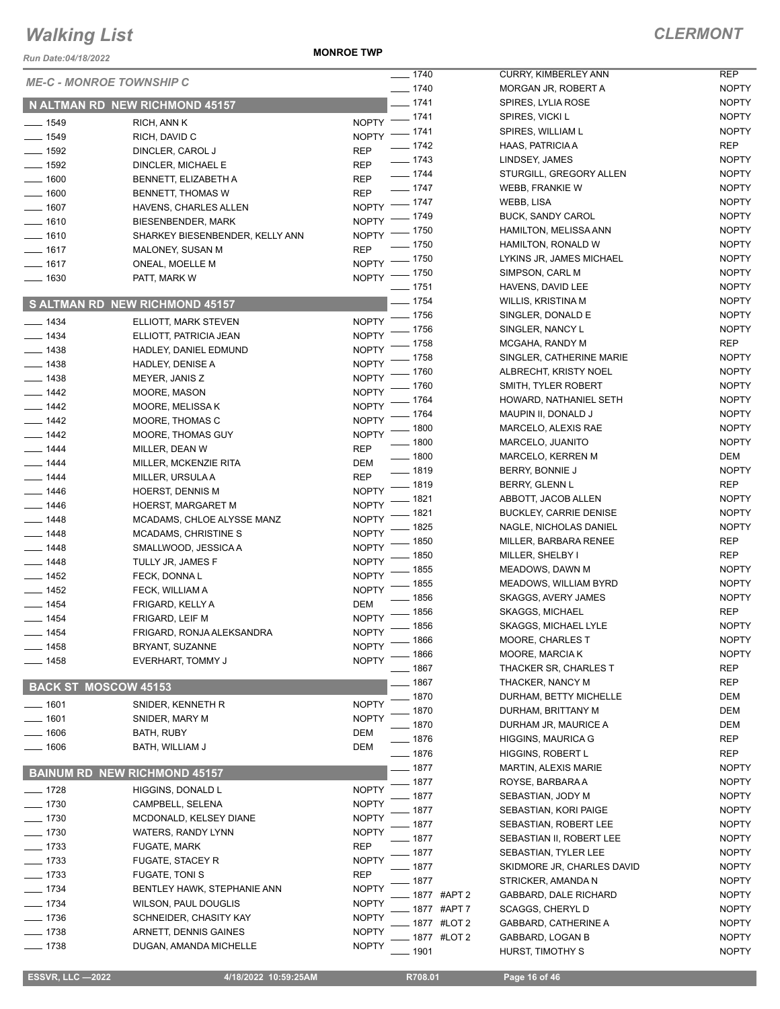*Run Date:04/18/2022*

**MONROE TWP**

| <i>Run Date:04/18/2022</i>      |                                       |                                      |
|---------------------------------|---------------------------------------|--------------------------------------|
| <b>ME-C - MONROE TOWNSHIP C</b> |                                       | $- 1740$<br>$=$ 1740                 |
|                                 | N ALTMAN RD NEW RICHMOND 45157        | _ 1741                               |
| ____ 1549                       | RICH, ANN K                           | $=$ 1741<br><b>NOPTY</b>             |
| $- 1549$                        | RICH, DAVID C                         | $-1741$<br><b>NOPTY</b>              |
| __ 1592                         | DINCLER, CAROL J                      | $-1742$<br><b>REP</b>                |
| $-1592$                         | DINCLER, MICHAEL E                    | __ 1743<br>REP                       |
| $=$ 1600                        | BENNETT, ELIZABETH A                  | $- 1744$<br>REP                      |
| $- 1600$                        | <b>BENNETT, THOMAS W</b>              | $-1747$<br><b>REP</b>                |
| $- 1607$                        | HAVENS, CHARLES ALLEN                 | $-1747$<br><b>NOPTY</b>              |
| $-1610$                         | BIESENBENDER, MARK                    | $-1749$<br><b>NOPTY</b>              |
| $-1610$                         | SHARKEY BIESENBENDER, KELLY ANN       | . 1750<br><b>NOPTY</b><br>1750       |
| — 1617                          | MALONEY, SUSAN M                      | REP<br>1750                          |
| __ 1617                         | ONEAL, MOELLE M                       | <b>NOPTY</b><br>- 1750               |
| __ 1630                         | PATT, MARK W                          | <b>NOPTY</b><br>_ 1751               |
|                                 | S ALTMAN RD NEW RICHMOND 45157        | _ 1754                               |
| $- 1434$                        | ELLIOTT, MARK STEVEN                  | . 1756<br><b>NOPTY</b>               |
| $- 1434$                        | ELLIOTT, PATRICIA JEAN                | 1756<br><b>NOPTY</b>                 |
| $- 1438$                        | HADLEY, DANIEL EDMUND                 | 1758<br><b>NOPTY</b>                 |
| $- 1438$                        | HADLEY, DENISE A                      | 1758<br><b>NOPTY</b>                 |
| $- 1438$                        | MEYER, JANIS Z                        | - 1760<br><b>NOPTY</b>               |
| ___ 1442                        | MOORE, MASON                          | . 1760<br><b>NOPTY</b>               |
| $- 1442$                        | MOORE, MELISSA K                      | 1764<br><b>NOPTY</b>                 |
| $-1442$                         | MOORE, THOMAS C                       | 1764<br><b>NOPTY</b>                 |
| $- 1442$                        | MOORE, THOMAS GUY                     | 1800<br><b>NOPTY</b>                 |
| $- 1444$                        | MILLER, DEAN W                        | 1800<br>REP                          |
| $-$ 1444                        | MILLER, MCKENZIE RITA                 | 1800<br>DEM                          |
| $-1444$                         | MILLER, URSULA A                      | 1819<br>REP<br>1819                  |
| $- 1446$                        | HOERST, DENNIS M                      | <b>NOPTY</b><br>1821                 |
| $- 1446$                        | <b>HOERST, MARGARET M</b>             | <b>NOPTY</b><br>1821                 |
| $- 1448$                        | MCADAMS, CHLOE ALYSSE MANZ            | <b>NOPTY</b><br>1825                 |
| ___ 1448                        | <b>MCADAMS, CHRISTINE S</b>           | <b>NOPTY</b><br>1850                 |
| __ 1448                         | SMALLWOOD, JESSICA A                  | <b>NOPTY</b><br>1850                 |
| _ 1448                          | TULLY JR, JAMES F                     | <b>NOPTY</b><br>1855                 |
| __ 1452                         | FECK, DONNA L                         | <b>NOPTY</b><br>. 1855               |
| $-1452$                         | FECK, WILLIAM A                       | <b>NOPTY</b><br>1856                 |
| __ 1454                         | FRIGARD, KELLY A                      | DEM<br>1856                          |
| $-1454$                         | FRIGARD, LEIF M                       | <b>NOPTY</b><br>1856                 |
| __ 1454                         | FRIGARD, RONJA ALEKSANDRA             | <b>NOPTY</b><br>1866                 |
| — 1458                          | BRYANT, SUZANNE                       | <b>NOPTY</b><br>1866                 |
| $-1458$                         | EVERHART, TOMMY J                     | <b>NOPTY</b><br>1867                 |
| <b>BACK ST MOSCOW 45153</b>     |                                       | 1867                                 |
| $-1601$                         | SNIDER, KENNETH R                     | 1870<br><b>NOPTY</b>                 |
| $-1601$                         | SNIDER, MARY M                        | 1870<br><b>NOPTY</b>                 |
| $-1606$                         | <b>BATH, RUBY</b>                     | 1870<br>DEM                          |
| $-1606$                         | BATH, WILLIAM J                       | 1876<br>DEM<br>1876                  |
|                                 |                                       | 1877                                 |
|                                 | <b>BAINUM RD NEW RICHMOND 45157</b>   | 1877                                 |
| $-1728$<br>$-1730$              | HIGGINS, DONALD L<br>CAMPBELL, SELENA | <b>NOPTY</b><br>1877<br><b>NOPTY</b> |
| $-1730$                         | MCDONALD, KELSEY DIANE                | 1877<br><b>NOPTY</b>                 |
| $-1730$                         | WATERS, RANDY LYNN                    | 1877<br><b>NOPTY</b>                 |
| _ 1733                          | FUGATE, MARK                          | 1877<br>REP                          |
| $-1733$                         | <b>FUGATE, STACEY R</b>               | 1877<br><b>NOPTY</b>                 |
| _ 1733                          | FUGATE, TONI S                        | 1877<br>REP                          |
| __ 1734                         | BENTLEY HAWK, STEPHANIE ANN           | 1877<br><b>NOPTY</b>                 |
| $-1734$                         | WILSON, PAUL DOUGLIS                  | 1877 #APT 2<br><b>NOPTY</b>          |
| $-1736$                         | SCHNEIDER, CHASITY KAY                | 1877 #APT 7<br><b>NOPTY</b>          |
| $-1738$                         | ARNETT, DENNIS GAINES                 | 1877 #LOT 2<br><b>NOPTY</b>          |
| 1738                            | DUGAN, AMANDA MICHELLE                | 1877 #LOT 2<br><b>NOPTY</b><br>1901  |
|                                 |                                       |                                      |

| $\overline{1740}$ |                 | CURRY, KIMBERLEY ANN          | REP          |
|-------------------|-----------------|-------------------------------|--------------|
| $-1740$           |                 | MORGAN JR. ROBERT A           | <b>NOPTY</b> |
| $-1741$           |                 | SPIRES, LYLIA ROSE            | <b>NOPTY</b> |
| $-1741$           |                 | SPIRES, VICKI L               | <b>NOPTY</b> |
| $-1741$           |                 | SPIRES. WILLIAM L             | <b>NOPTY</b> |
| $-1742$           |                 |                               |              |
|                   |                 | HAAS, PATRICIA A              | REP          |
| $-1743$           |                 | LINDSEY, JAMES                | <b>NOPTY</b> |
| $-1744$           |                 | STURGILL, GREGORY ALLEN       | <b>NOPTY</b> |
| $-1747$           |                 | WEBB, FRANKIE W               | <b>NOPTY</b> |
| $-1747$           |                 | WEBB, LISA                    | <b>NOPTY</b> |
| $-1749$           |                 | BUCK, SANDY CAROL             | <b>NOPTY</b> |
|                   |                 |                               |              |
| $-1750$           |                 | <b>HAMILTON, MELISSA ANN</b>  | <b>NOPTY</b> |
| $-1750$           |                 | HAMILTON, RONALD W            | <b>NOPTY</b> |
| $-1750$           |                 | LYKINS JR, JAMES MICHAEL      | <b>NOPTY</b> |
| $-1750$           |                 | SIMPSON, CARL M               | <b>NOPTY</b> |
| $-1751$           |                 | HAVENS, DAVID LEE             | <b>NOPTY</b> |
| $-1754$           |                 | WILLIS, KRISTINA M            | <b>NOPTY</b> |
| $-1756$           |                 |                               | <b>NOPTY</b> |
|                   |                 | SINGLER, DONALD E             |              |
| $-1756$           |                 | SINGLER, NANCY L              | <b>NOPTY</b> |
| $-1758$           |                 | MCGAHA, RANDY M               | <b>REP</b>   |
| $-1758$           |                 | SINGLER, CATHERINE MARIE      | <b>NOPTY</b> |
| — 1760            |                 | ALBRECHT. KRISTY NOEL         | <b>NOPTY</b> |
| $-1760$           |                 | SMITH, TYLER ROBERT           | <b>NOPTY</b> |
| $-1764$           |                 | HOWARD, NATHANIEL SETH        | <b>NOPTY</b> |
|                   |                 |                               |              |
| $-1764$           |                 | MAUPIN II, DONALD J           | <b>NOPTY</b> |
| $-1800$           |                 | MARCELO, ALEXIS RAE           | <b>NOPTY</b> |
| $-1800$           |                 | MARCELO, JUANITO              | <b>NOPTY</b> |
| __ 1800           |                 | MARCELO, KERREN M             | DEM          |
| $-1819$           |                 | BERRY, BONNIE J               | <b>NOPTY</b> |
| $-1819$           |                 | BERRY, GLENN L                | REP          |
| $-1821$           |                 | ABBOTT, JACOB ALLEN           | <b>NOPTY</b> |
| $-1821$           |                 | <b>BUCKLEY, CARRIE DENISE</b> | <b>NOPTY</b> |
|                   |                 |                               |              |
| $-1825$           |                 | NAGLE, NICHOLAS DANIEL        | <b>NOPTY</b> |
| __ 1850           |                 | MILLER, BARBARA RENEE         | REP          |
| $-1850$           |                 | MILLER, SHELBY I              | REP          |
| $-1855$           |                 | MEADOWS, DAWN M               | <b>NOPTY</b> |
| __ 1855           |                 | MEADOWS, WILLIAM BYRD         | <b>NOPTY</b> |
| $-1856$           |                 | SKAGGS, AVERY JAMES           | <b>NOPTY</b> |
| __ 1856           |                 | <b>SKAGGS, MICHAEL</b>        | <b>REP</b>   |
|                   |                 |                               |              |
| $-1856$           |                 | <b>SKAGGS, MICHAEL LYLE</b>   | <b>NOPTY</b> |
| $-1866$           |                 | MOORE, CHARLES T              | NOPTY        |
| $-1866$           |                 | MOORE, MARCIA K               | <b>NOPTY</b> |
| $-1867$           |                 | THACKER SR, CHARLES T         | <b>REP</b>   |
| $-1867$           |                 | THACKER, NANCY M              | REP          |
| $-1870$           |                 | DURHAM, BETTY MICHELLE        | DEM          |
| $-1870$           |                 | DURHAM, BRITTANY M            | <b>DEM</b>   |
| $-1870$           |                 |                               |              |
|                   |                 | DURHAM JR, MAURICE A          | DEM          |
| __ 1876           |                 | <b>HIGGINS, MAURICA G</b>     | REP          |
| $-1876$           |                 | <b>HIGGINS, ROBERT L</b>      | REP          |
| $-1877$           |                 | <b>MARTIN, ALEXIS MARIE</b>   | <b>NOPTY</b> |
| $-1877$           |                 | ROYSE, BARBARA A              | <b>NOPTY</b> |
| $-1877$           |                 | SEBASTIAN, JODY M             | <b>NOPTY</b> |
| $-1877$           |                 | SEBASTIAN, KORI PAIGE         | <b>NOPTY</b> |
| __ 1877           |                 | SEBASTIAN, ROBERT LEE         | <b>NOPTY</b> |
|                   |                 |                               |              |
| — 1877            |                 | SEBASTIAN II, ROBERT LEE      | <b>NOPTY</b> |
| __ 1877           |                 | SEBASTIAN, TYLER LEE          | <b>NOPTY</b> |
| __ 1877           |                 | SKIDMORE JR, CHARLES DAVID    | <b>NOPTY</b> |
| $-1877$           |                 | STRICKER, AMANDA N            | <b>NOPTY</b> |
|                   | — 1877 #APT 2   | GABBARD, DALE RICHARD         | <b>NOPTY</b> |
|                   | $-$ 1877 #APT 7 | <b>SCAGGS, CHERYLD</b>        | <b>NOPTY</b> |
|                   | __ 1877 #LOT 2  | GABBARD, CATHERINE A          | <b>NOPTY</b> |
|                   |                 |                               |              |
|                   | __ 1877 #LOT 2  | GABBARD, LOGAN B              | <b>NOPTY</b> |
| __ 1901           |                 | HURST, TIMOTHY S              | <b>NOPTY</b> |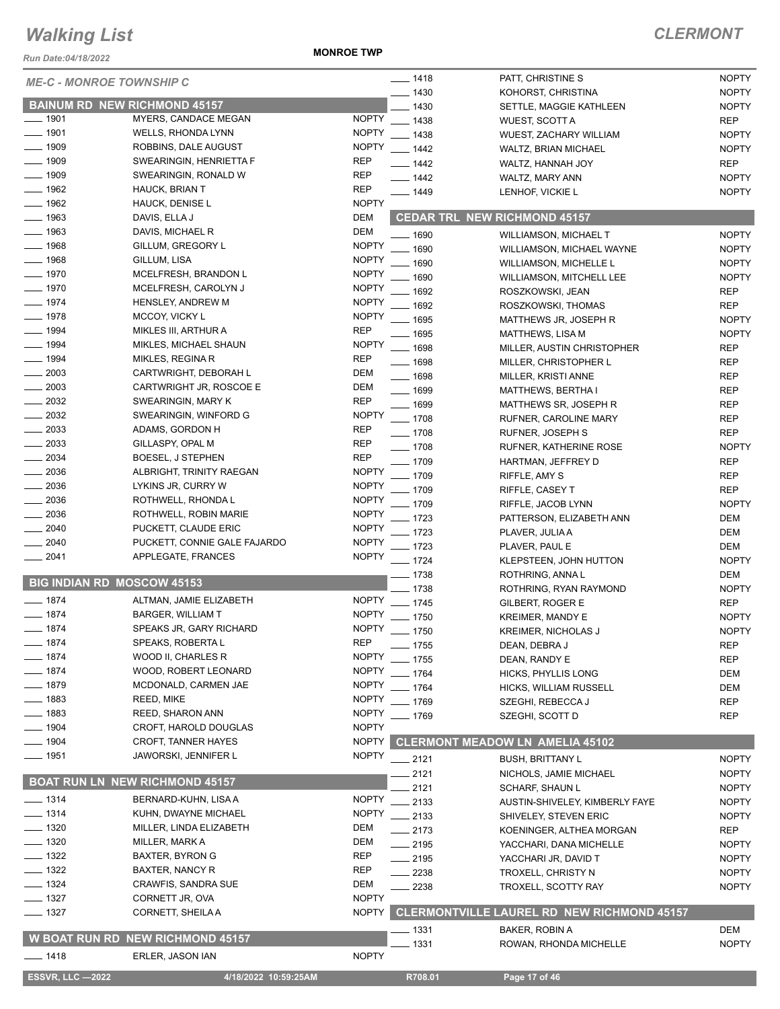*Run Date:04/18/2022*

**MONROE TWP**

| <b>ME-C - MONROE TOWNSHIP C</b>     |                                       |              | $- 1418$           | PATT, CHRISTINE S                                 | <b>NOPTY</b> |
|-------------------------------------|---------------------------------------|--------------|--------------------|---------------------------------------------------|--------------|
|                                     |                                       |              | $-1430$            | KOHORST, CHRISTINA                                | <b>NOPTY</b> |
| <b>BAINUM RD NEW RICHMOND 45157</b> |                                       |              | $-1430$            | SETTLE, MAGGIE KATHLEEN                           | <b>NOPTY</b> |
| $- 1901$                            | MYERS, CANDACE MEGAN                  | <b>NOPTY</b> | $- 1438$           | WUEST, SCOTT A                                    | <b>REP</b>   |
| $- 1901$                            | WELLS, RHONDA LYNN                    | <b>NOPTY</b> | $- 1438$           | WUEST, ZACHARY WILLIAM                            | <b>NOPTY</b> |
| $\frac{1}{2}$ 1909                  | ROBBINS, DALE AUGUST                  | <b>NOPTY</b> | $- 1442$           | WALTZ, BRIAN MICHAEL                              | <b>NOPTY</b> |
| $- 1909$                            | SWEARINGIN, HENRIETTA F               | <b>REP</b>   | $- 1442$           | WALTZ, HANNAH JOY                                 | <b>REP</b>   |
| $\frac{1}{2}$ 1909                  | SWEARINGIN, RONALD W                  | <b>REP</b>   | $- 1442$           | WALTZ, MARY ANN                                   | <b>NOPTY</b> |
| $- 1962$                            | <b>HAUCK, BRIAN T</b>                 | <b>REP</b>   | $- 1449$           | LENHOF, VICKIE L                                  | <b>NOPTY</b> |
| $- 1962$                            | <b>HAUCK, DENISE L</b>                | <b>NOPTY</b> |                    |                                                   |              |
| $\frac{1}{2}$ 1963                  | DAVIS, ELLA J                         | DEM          |                    | <b>CEDAR TRL NEW RICHMOND 45157</b>               |              |
| $- 1963$                            | DAVIS, MICHAEL R                      | DEM          |                    |                                                   |              |
| $- 1968$                            | GILLUM, GREGORY L                     | <b>NOPTY</b> | $- 1690$           | <b>WILLIAMSON, MICHAEL T</b>                      | <b>NOPTY</b> |
| $- 1968$                            | GILLUM, LISA                          | <b>NOPTY</b> | 1690               | WILLIAMSON, MICHAEL WAYNE                         | <b>NOPTY</b> |
| $- 1970$                            |                                       | <b>NOPTY</b> | 1690               | <b>WILLIAMSON, MICHELLE L</b>                     | <b>NOPTY</b> |
|                                     | MCELFRESH, BRANDON L                  |              | . 1690             | <b>WILLIAMSON, MITCHELL LEE</b>                   | <b>NOPTY</b> |
| $- 1970$                            | MCELFRESH, CAROLYN J                  | <b>NOPTY</b> | 1692               | ROSZKOWSKI, JEAN                                  | <b>REP</b>   |
| $- 1974$                            | <b>HENSLEY, ANDREW M</b>              | <b>NOPTY</b> | $-1692$            | ROSZKOWSKI, THOMAS                                | <b>REP</b>   |
| $- 1978$                            | MCCOY, VICKY L                        | <b>NOPTY</b> | $- 1695$           | MATTHEWS JR, JOSEPH R                             | <b>NOPTY</b> |
| $- 1994$                            | MIKLES III, ARTHUR A                  | <b>REP</b>   | $- 1695$           | <b>MATTHEWS, LISA M</b>                           | <b>NOPTY</b> |
| $- 1994$                            | MIKLES, MICHAEL SHAUN                 | <b>NOPTY</b> | $- 1698$           | MILLER, AUSTIN CHRISTOPHER                        | <b>REP</b>   |
| $- 1994$                            | MIKLES, REGINA R                      | <b>REP</b>   | $- 1698$           | MILLER, CHRISTOPHER L                             | <b>REP</b>   |
| $\frac{1}{2003}$                    | CARTWRIGHT, DEBORAH L                 | DEM          | $- 1698$           | MILLER, KRISTI ANNE                               | <b>REP</b>   |
| $\frac{1}{2003}$                    | CARTWRIGHT JR, ROSCOE E               | DEM          | $- 1699$           | MATTHEWS, BERTHA I                                | <b>REP</b>   |
| $\frac{2032}{20}$                   | SWEARINGIN, MARY K                    | <b>REP</b>   | <u>_____</u> 1699  | MATTHEWS SR, JOSEPH R                             | <b>REP</b>   |
| $\frac{1}{2032}$                    | SWEARINGIN, WINFORD G                 | <b>NOPTY</b> | $- 1708$           | RUFNER, CAROLINE MARY                             | <b>REP</b>   |
| $\frac{1}{2033}$                    | ADAMS, GORDON H                       | <b>REP</b>   |                    |                                                   |              |
| $\frac{1}{2033}$                    | GILLASPY, OPAL M                      | <b>REP</b>   | $\frac{1}{2}$ 1708 | RUFNER, JOSEPH S                                  | <b>REP</b>   |
| $\frac{1}{2034}$                    | BOESEL, J STEPHEN                     | <b>REP</b>   | $- 1708$           | RUFNER, KATHERINE ROSE                            | <b>NOPTY</b> |
|                                     |                                       |              | $- 1709$           | HARTMAN, JEFFREY D                                | <b>REP</b>   |
| $\frac{1}{2036}$                    | ALBRIGHT, TRINITY RAEGAN              | <b>NOPTY</b> | $-1709$            | RIFFLE, AMY S                                     | <b>REP</b>   |
| $-2036$                             | LYKINS JR, CURRY W                    | <b>NOPTY</b> | $- 1709$           | RIFFLE, CASEY T                                   | <b>REP</b>   |
| $\frac{1}{2036}$                    | ROTHWELL, RHONDA L                    | <b>NOPTY</b> | $-1709$            | RIFFLE, JACOB LYNN                                | <b>NOPTY</b> |
| $\frac{1}{2036}$                    | ROTHWELL, ROBIN MARIE                 | <b>NOPTY</b> | $-1723$            | PATTERSON, ELIZABETH ANN                          | <b>DEM</b>   |
| $-2040$                             | PUCKETT, CLAUDE ERIC                  | <b>NOPTY</b> | $-1723$            | PLAVER, JULIA A                                   | <b>DEM</b>   |
| $- 2040$                            | PUCKETT, CONNIE GALE FAJARDO          | <b>NOPTY</b> | $-1723$            | PLAVER, PAUL E                                    | <b>DEM</b>   |
| $-2041$                             | APPLEGATE, FRANCES                    | <b>NOPTY</b> | $- 1724$           | KLEPSTEEN, JOHN HUTTON                            | <b>NOPTY</b> |
|                                     |                                       |              | $- 1738$           | ROTHRING, ANNA L                                  | <b>DEM</b>   |
| <b>BIG INDIAN RD MOSCOW 45153</b>   |                                       |              | $-1738$            | ROTHRING, RYAN RAYMOND                            | <b>NOPTY</b> |
| $- 1874$                            | ALTMAN, JAMIE ELIZABETH               |              | NOPTY __ 1745      | GILBERT, ROGER E                                  | <b>REP</b>   |
| $- 1874$                            | <b>BARGER, WILLIAM T</b>              | <b>NOPTY</b> | $- 1750$           | KREIMER, MANDY E                                  | <b>NOPTY</b> |
| $-1874$                             | SPEAKS JR, GARY RICHARD               | <b>NOPTY</b> |                    |                                                   |              |
| $-1874$                             | SPEAKS, ROBERTA L                     | <b>REP</b>   | $- 1750$           | KREIMER, NICHOLAS J                               | <b>NOPTY</b> |
| $-1874$                             |                                       | <b>NOPTY</b> | _ 1755             | DEAN, DEBRA J                                     | <b>REP</b>   |
|                                     | WOOD II, CHARLES R                    |              | 1755               | DEAN, RANDY E                                     | <b>REP</b>   |
| $- 1874$                            | WOOD, ROBERT LEONARD                  | <b>NOPTY</b> | $-1764$            | <b>HICKS, PHYLLIS LONG</b>                        | <b>DEM</b>   |
| $- 1879$                            | MCDONALD, CARMEN JAE                  | <b>NOPTY</b> | $-1764$            | HICKS, WILLIAM RUSSELL                            | <b>DEM</b>   |
| $= 1883$                            | REED, MIKE                            | <b>NOPTY</b> | $-1769$            | SZEGHI, REBECCA J                                 | <b>REP</b>   |
| $-1883$                             | <b>REED, SHARON ANN</b>               | <b>NOPTY</b> | $- 1769$           | SZEGHI, SCOTT D                                   | <b>REP</b>   |
| $-1904$                             | CROFT, HAROLD DOUGLAS                 | <b>NOPTY</b> |                    |                                                   |              |
| $\frac{1}{2}$ 1904                  | <b>CROFT, TANNER HAYES</b>            | <b>NOPTY</b> |                    | <b>CLERMONT MEADOW LN AMELIA 45102</b>            |              |
| $- 1951$                            | JAWORSKI, JENNIFER L                  | <b>NOPTY</b> | $-2121$            | <b>BUSH, BRITTANY L</b>                           | <b>NOPTY</b> |
|                                     |                                       |              | 2121               | NICHOLS, JAMIE MICHAEL                            | <b>NOPTY</b> |
|                                     | <b>BOAT RUN LN NEW RICHMOND 45157</b> |              | 2121               | <b>SCHARF, SHAUN L</b>                            | <b>NOPTY</b> |
| $- 1314$                            | BERNARD-KUHN, LISA A                  | <b>NOPTY</b> | 2133               | AUSTIN-SHIVELEY, KIMBERLY FAYE                    | <b>NOPTY</b> |
| $- 1314$                            | KUHN, DWAYNE MICHAEL                  | <b>NOPTY</b> | $-2133$            | SHIVELEY, STEVEN ERIC                             | <b>NOPTY</b> |
| $-1320$                             | MILLER, LINDA ELIZABETH               | DEM          | $-2173$            | KOENINGER, ALTHEA MORGAN                          | <b>REP</b>   |
| $-1320$                             | MILLER, MARK A                        | DEM          |                    |                                                   |              |
| $-1322$                             | BAXTER, BYRON G                       | <b>REP</b>   | $-2195$            | YACCHARI, DANA MICHELLE                           | <b>NOPTY</b> |
| $- 1322$                            |                                       | <b>REP</b>   | $-2195$            | YACCHARI JR, DAVID T                              | <b>NOPTY</b> |
|                                     | BAXTER, NANCY R                       |              | 2238               | TROXELL, CHRISTY N                                | <b>NOPTY</b> |
| $- 1324$                            | <b>CRAWFIS, SANDRA SUE</b>            | DEM          | 2238               | TROXELL, SCOTTY RAY                               | <b>NOPTY</b> |
| $- 1327$                            | CORNETT JR, OVA                       | <b>NOPTY</b> |                    |                                                   |              |
| $\frac{1}{2}$ 1327                  | CORNETT, SHEILA A                     | <b>NOPTY</b> |                    | <b>CLERMONTVILLE LAUREL RD NEW RICHMOND 45157</b> |              |
|                                     |                                       |              | _ 1331             | BAKER, ROBIN A                                    | <b>DEM</b>   |
|                                     | W BOAT RUN RD NEW RICHMOND 45157      |              | $-1331$            | ROWAN, RHONDA MICHELLE                            | <b>NOPTY</b> |
| $- 1418$                            | ERLER, JASON IAN                      | <b>NOPTY</b> |                    |                                                   |              |
| <b>ESSVR, LLC -2022</b>             | 4/18/2022 10:59:25AM                  |              | R708.01            | Page 17 of 46                                     |              |
|                                     |                                       |              |                    |                                                   |              |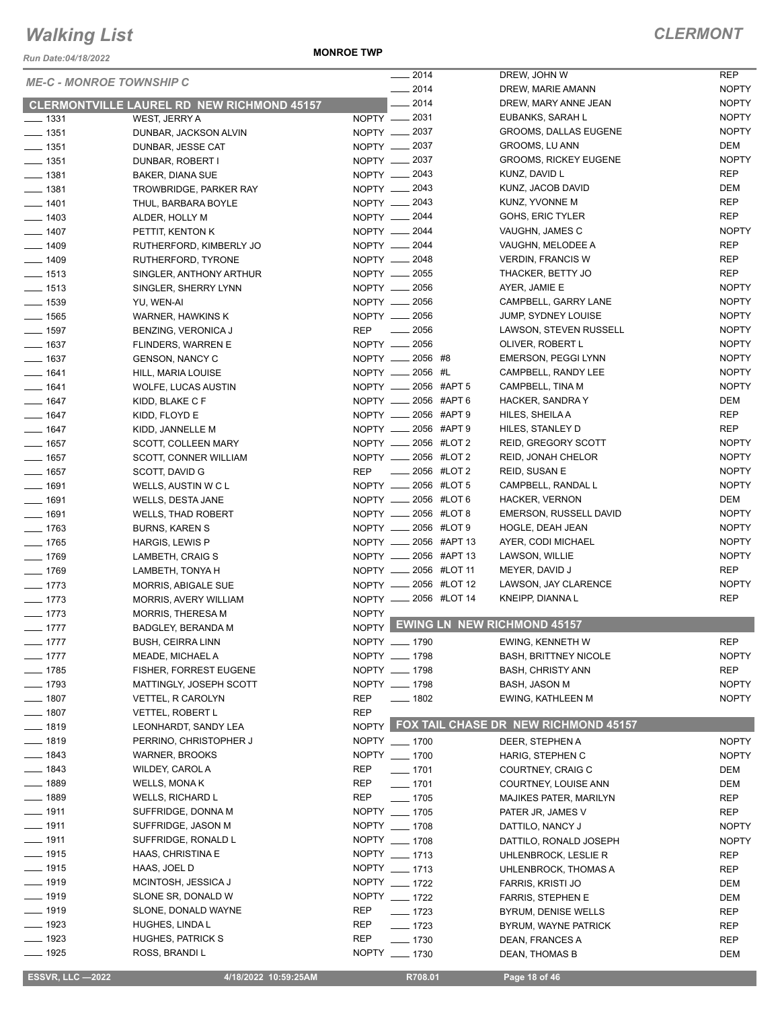*Run Date:04/18/2022*

**MONROE TWP**

| <b>ME-C - MONROE TOWNSHIP C</b> |                                                   |              | $-2014$               | DREW, JOHN W                         | <b>REP</b>   |
|---------------------------------|---------------------------------------------------|--------------|-----------------------|--------------------------------------|--------------|
|                                 |                                                   |              | $-2014$               | DREW, MARIE AMANN                    | <b>NOPTY</b> |
|                                 | <b>CLERMONTVILLE LAUREL RD NEW RICHMOND 45157</b> |              | $-2014$               | DREW, MARY ANNE JEAN                 | <b>NOPTY</b> |
| $\frac{1}{2}$ 1331              | WEST, JERRY A                                     |              | $NOPTY$ __ 2031       | EUBANKS, SARAH L                     | <b>NOPTY</b> |
| $- 1351$                        | DUNBAR, JACKSON ALVIN                             |              | NOPTY - 2037          | GROOMS, DALLAS EUGENE                | <b>NOPTY</b> |
| $\frac{1}{2}$ 1351              | DUNBAR, JESSE CAT                                 |              | NOPTY __ 2037         | GROOMS, LU ANN                       | DEM          |
| $- 1351$                        | DUNBAR, ROBERT I                                  |              | NOPTY - 2037          | <b>GROOMS, RICKEY EUGENE</b>         | <b>NOPTY</b> |
| $- 1381$                        | <b>BAKER, DIANA SUE</b>                           |              | NOPTY <u>_</u> 2043   | KUNZ, DAVID L                        | <b>REP</b>   |
| $- 1381$                        | TROWBRIDGE, PARKER RAY                            |              | NOPTY __ 2043         | KUNZ, JACOB DAVID                    | DEM          |
| $- 1401$                        | THUL, BARBARA BOYLE                               |              | NOPTY -2043           | KUNZ, YVONNE M                       | <b>REP</b>   |
| $- 1403$                        | ALDER, HOLLY M                                    |              | NOPTY __ 2044         | GOHS, ERIC TYLER                     | <b>REP</b>   |
| $- 1407$                        | PETTIT, KENTON K                                  |              | NOPTY __ 2044         | VAUGHN, JAMES C                      | <b>NOPTY</b> |
| $- 1409$                        | RUTHERFORD, KIMBERLY JO                           |              | NOPTY __ 2044         | VAUGHN, MELODEE A                    | <b>REP</b>   |
| $- 1409$                        | RUTHERFORD, TYRONE                                |              | NOPTY __ 2048         | <b>VERDIN, FRANCIS W</b>             | <b>REP</b>   |
| $- 1513$                        | SINGLER, ANTHONY ARTHUR                           |              | NOPTY __ 2055         | THACKER, BETTY JO                    | <b>REP</b>   |
| $\frac{1}{2}$ 1513              | SINGLER, SHERRY LYNN                              |              | NOPTY __ 2056         | AYER, JAMIE E                        | <b>NOPTY</b> |
| $\frac{1}{2}$ 1539              | YU, WEN-AI                                        |              | NOPTY 2056            | CAMPBELL, GARRY LANE                 | <b>NOPTY</b> |
| $- 1565$                        | WARNER, HAWKINS K                                 |              | NOPTY 2056            | JUMP, SYDNEY LOUISE                  | <b>NOPTY</b> |
| $- 1597$                        | BENZING, VERONICA J                               |              | REP __ 2056           | LAWSON, STEVEN RUSSELL               | <b>NOPTY</b> |
| $- 1637$                        | FLINDERS, WARREN E                                |              | NOPTY __ 2056         | OLIVER, ROBERT L                     | <b>NOPTY</b> |
| $- 1637$                        | <b>GENSON, NANCY C</b>                            |              | NOPTY __ 2056 #8      | EMERSON, PEGGI LYNN                  | <b>NOPTY</b> |
| $- 1641$                        | HILL, MARIA LOUISE                                |              | NOPTY __ 2056 #L      | CAMPBELL, RANDY LEE                  | <b>NOPTY</b> |
| $- 1641$                        | WOLFE, LUCAS AUSTIN                               |              | NOPTY __ 2056 #APT 5  | CAMPBELL, TINA M                     | <b>NOPTY</b> |
| $- 1647$                        |                                                   |              | NOPTY __ 2056 #APT 6  | HACKER, SANDRA Y                     | <b>DEM</b>   |
| $- 1647$                        | KIDD, BLAKE C F                                   |              | NOPTY __ 2056 #APT 9  | HILES, SHEILA A                      | <b>REP</b>   |
| $- 1647$                        | KIDD, FLOYD E                                     |              | NOPTY __ 2056 #APT 9  | HILES, STANLEY D                     | <b>REP</b>   |
|                                 | KIDD, JANNELLE M                                  |              | NOPTY __ 2056 #LOT 2  |                                      | <b>NOPTY</b> |
| $- 1657$                        | SCOTT, COLLEEN MARY                               |              |                       | REID, GREGORY SCOTT                  |              |
| $- 1657$                        | SCOTT, CONNER WILLIAM                             |              | NOPTY __ 2056 #LOT 2  | REID, JONAH CHELOR                   | <b>NOPTY</b> |
| $- 1657$                        | SCOTT, DAVID G                                    | REP          | <b>LEGGE #LOT 2</b>   | REID, SUSAN E                        | <b>NOPTY</b> |
| $- 1691$                        | WELLS, AUSTIN W C L                               |              | NOPTY __ 2056 #LOT 5  | CAMPBELL, RANDAL L                   | <b>NOPTY</b> |
| $- 1691$                        | WELLS, DESTA JANE                                 |              | NOPTY __ 2056 #LOT 6  | <b>HACKER, VERNON</b>                | <b>DEM</b>   |
| $- 1691$                        | <b>WELLS, THAD ROBERT</b>                         |              | NOPTY __ 2056 #LOT 8  | <b>EMERSON, RUSSELL DAVID</b>        | <b>NOPTY</b> |
| $- 1763$                        | <b>BURNS, KAREN S</b>                             |              | NOPTY __ 2056 #LOT 9  | HOGLE, DEAH JEAN                     | <b>NOPTY</b> |
| $- 1765$                        | HARGIS, LEWIS P                                   |              | NOPTY __ 2056 #APT 13 | AYER, CODI MICHAEL                   | <b>NOPTY</b> |
| $- 1769$                        | LAMBETH, CRAIG S                                  |              | NOPTY __ 2056 #APT 13 | LAWSON, WILLIE                       | <b>NOPTY</b> |
| $- 1769$                        | LAMBETH, TONYA H                                  |              | NOPTY __ 2056 #LOT 11 | MEYER, DAVID J                       | <b>REP</b>   |
| $- 1773$                        | <b>MORRIS, ABIGALE SUE</b>                        |              | NOPTY __ 2056 #LOT 12 | LAWSON, JAY CLARENCE                 | <b>NOPTY</b> |
| $- 1773$                        | MORRIS, AVERY WILLIAM                             |              | NOPTY __ 2056 #LOT 14 | KNEIPP, DIANNA L                     | <b>REP</b>   |
| $- 1773$                        | MORRIS, THERESA M                                 | <b>NOPTY</b> |                       | <b>EWING LN NEW RICHMOND 45157</b>   |              |
| $-1777$                         | BADGLEY, BERANDA M                                | NOPTY        |                       |                                      |              |
| $-1777$                         | BUSH, CEIRRA LINN                                 |              | NOPTY __ 1790         | EWING, KENNETH W                     | REP          |
| $- 1777$                        | MEADE, MICHAEL A                                  |              | NOPTY __ 1798         | <b>BASH, BRITTNEY NICOLE</b>         | <b>NOPTY</b> |
| $- 1785$                        | <b>FISHER, FORREST EUGENE</b>                     |              | NOPTY __ 1798         | <b>BASH, CHRISTY ANN</b>             | REP          |
| $- 1793$                        | MATTINGLY, JOSEPH SCOTT                           |              | NOPTY __ 1798         | BASH, JASON M                        | <b>NOPTY</b> |
| $\frac{1}{2}$ 1807              | <b>VETTEL, R CAROLYN</b>                          | <b>REP</b>   | $- 1802$              | EWING, KATHLEEN M                    | <b>NOPTY</b> |
| $- 1807$                        | VETTEL, ROBERT L                                  | <b>REP</b>   |                       |                                      |              |
| $- 1819$                        | LEONHARDT, SANDY LEA                              | NOPTY        |                       | FOX TAIL CHASE DR NEW RICHMOND 45157 |              |
| $- 1819$                        | PERRINO, CHRISTOPHER J                            |              | NOPTY __ 1700         | DEER, STEPHEN A                      | <b>NOPTY</b> |
| $- 1843$                        | <b>WARNER, BROOKS</b>                             |              | NOPTY __ 1700         | HARIG, STEPHEN C                     | <b>NOPTY</b> |
| $- 1843$                        | WILDEY, CAROL A                                   | <b>REP</b>   | $- 1701$              | COURTNEY, CRAIG C                    | DEM          |
| $- 1889$                        | WELLS, MONA K                                     | REP          | $- 1701$              | COURTNEY, LOUISE ANN                 | DEM          |
| $- 1889$                        | <b>WELLS, RICHARD L</b>                           | <b>REP</b>   | $- 1705$              | MAJIKES PATER, MARILYN               | REP          |
| $\frac{1}{2}$ 1911              | SUFFRIDGE, DONNA M                                |              | NOPTY __ 1705         | PATER JR, JAMES V                    | <b>REP</b>   |
| $- 1911$                        | SUFFRIDGE, JASON M                                |              | NOPTY __ 1708         | DATTILO, NANCY J                     | <b>NOPTY</b> |
| $\frac{1}{2}$ 1911              | SUFFRIDGE, RONALD L                               |              | NOPTY __ 1708         | DATTILO, RONALD JOSEPH               | <b>NOPTY</b> |
| $- 1915$                        | HAAS, CHRISTINA E                                 |              | NOPTY __ 1713         | UHLENBROCK, LESLIE R                 | <b>REP</b>   |
| $- 1915$                        | HAAS, JOEL D                                      |              | NOPTY __ 1713         | UHLENBROCK, THOMAS A                 | REP          |
| $\frac{1}{2}$ 1919              | MCINTOSH, JESSICA J                               |              | NOPTY __ 1722         | FARRIS, KRISTI JO                    | DEM          |
| $- 1919$                        | SLONE SR, DONALD W                                |              | NOPTY __ 1722         | FARRIS, STEPHEN E                    | DEM          |
| $\frac{1}{2}$ 1919              | SLONE, DONALD WAYNE                               | REP          | $- 1723$              | BYRUM, DENISE WELLS                  | REP          |
| $\frac{1}{2}$ 1923              | HUGHES, LINDA L                                   | REP          | $- 1723$              | BYRUM, WAYNE PATRICK                 | REP          |
| $- 1923$                        | HUGHES, PATRICK S                                 | <b>REP</b>   | $- 1730$              | DEAN, FRANCES A                      | <b>REP</b>   |
| $- 1925$                        | ROSS, BRANDI L                                    |              | NOPTY __ 1730         | DEAN, THOMAS B                       | <b>DEM</b>   |
|                                 |                                                   |              |                       |                                      |              |

 **ESSVR, LLC —2022 4/18/2022 10:59:25AM R708.01 Page 18 of 46**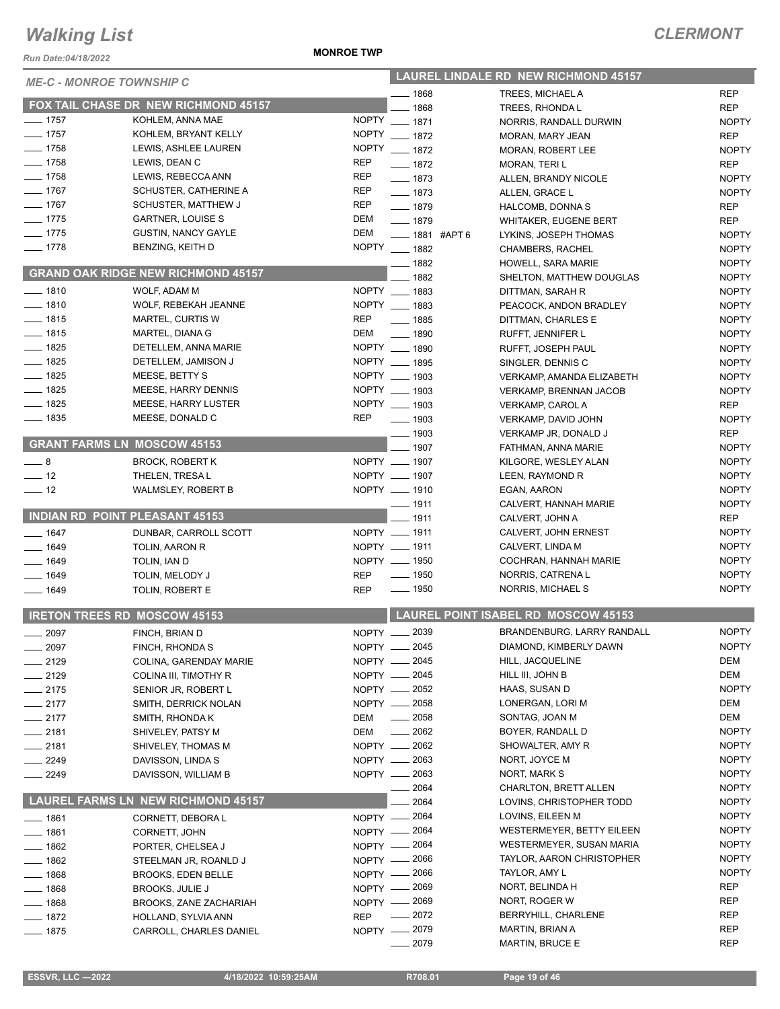*Run Date:04/18/2022*

#### **MONROE TWP**

| <b>ME-C - MONROE TOWNSHIP C</b> |                                           |            | <b>LAUREL LINDALE RD NEW RICHMOND 45157</b> |                                            |              |  |
|---------------------------------|-------------------------------------------|------------|---------------------------------------------|--------------------------------------------|--------------|--|
|                                 |                                           |            | $- 1868$                                    | <b>TREES. MICHAEL A</b>                    | <b>REP</b>   |  |
|                                 | FOX TAIL CHASE DR NEW RICHMOND 45157      |            | $-1868$                                     | TREES, RHONDAL                             | <b>REP</b>   |  |
| $- 1757$                        | KOHLEM, ANNA MAE                          |            | NOPTY __ 1871                               | NORRIS, RANDALL DURWIN                     | <b>NOPTY</b> |  |
| $- 1757$                        | KOHLEM, BRYANT KELLY                      |            | NOPTY __ 1872                               | MORAN, MARY JEAN                           | <b>REP</b>   |  |
| $- 1758$                        | LEWIS, ASHLEE LAUREN                      |            | NOPTY __ 1872                               | MORAN, ROBERT LEE                          | <b>NOPTY</b> |  |
| $- 1758$                        | LEWIS, DEAN C                             | REP        | $- 1872$                                    | MORAN, TERIL                               | <b>REP</b>   |  |
| $- 1758$                        | LEWIS, REBECCA ANN                        | <b>REP</b> | $- 1873$                                    | ALLEN, BRANDY NICOLE                       | <b>NOPTY</b> |  |
| $- 1767$                        | SCHUSTER, CATHERINE A                     | REP        | $- 1873$                                    | ALLEN, GRACE L                             | <b>NOPTY</b> |  |
| $- 1767$                        | SCHUSTER, MATTHEW J                       | <b>REP</b> | $- 1879$                                    | HALCOMB, DONNA S                           | <b>REP</b>   |  |
| $- 1775$                        | <b>GARTNER, LOUISE S</b>                  | DEM        | $- 1879$                                    | <b>WHITAKER, EUGENE BERT</b>               | <b>REP</b>   |  |
| $- 1775$                        | <b>GUSTIN, NANCY GAYLE</b>                | DEM        | -881 #APT 6                                 | LYKINS, JOSEPH THOMAS                      | <b>NOPTY</b> |  |
| $- 1778$                        | BENZING, KEITH D                          |            | NOPTY __ 1882                               | CHAMBERS, RACHEL                           | <b>NOPTY</b> |  |
|                                 | <b>GRAND OAK RIDGE NEW RICHMOND 45157</b> |            | $- 1882$                                    | HOWELL, SARA MARIE                         | <b>NOPTY</b> |  |
|                                 |                                           |            | $- 1882$                                    | SHELTON, MATTHEW DOUGLAS                   | <b>NOPTY</b> |  |
| $- 1810$                        | WOLF, ADAM M                              |            | NOPTY __ 1883                               | DITTMAN, SARAH R                           | <b>NOPTY</b> |  |
| $- 1810$                        | WOLF, REBEKAH JEANNE                      |            | NOPTY __ 1883                               | PEACOCK, ANDON BRADLEY                     | <b>NOPTY</b> |  |
| $- 1815$                        | MARTEL, CURTIS W                          | <b>REP</b> | $- 1885$                                    | DITTMAN, CHARLES E                         | <b>NOPTY</b> |  |
| $- 1815$                        | MARTEL, DIANA G                           | DEM        | $\frac{1}{2}$ 1890                          | RUFFT, JENNIFER L                          | <b>NOPTY</b> |  |
| $- 1825$                        | DETELLEM, ANNA MARIE                      |            | NOPTY __ 1890                               | RUFFT, JOSEPH PAUL                         | <b>NOPTY</b> |  |
| $- 1825$                        | DETELLEM, JAMISON J                       |            | NOPTY __ 1895                               | SINGLER, DENNIS C                          | <b>NOPTY</b> |  |
| $- 1825$                        | MEESE, BETTY S                            |            | NOPTY __ 1903                               | VERKAMP, AMANDA ELIZABETH                  | <b>NOPTY</b> |  |
| $- 1825$                        | MEESE, HARRY DENNIS                       |            | NOPTY __ 1903                               | <b>VERKAMP, BRENNAN JACOB</b>              | <b>NOPTY</b> |  |
| $- 1825$                        | <b>MEESE, HARRY LUSTER</b>                |            | NOPTY __ 1903                               | <b>VERKAMP, CAROLA</b>                     | <b>REP</b>   |  |
| $\frac{1}{2}$ 1835              | MEESE, DONALD C                           | <b>REP</b> | $\frac{1}{2}$ 1903                          | VERKAMP, DAVID JOHN                        | <b>NOPTY</b> |  |
|                                 | <b>GRANT FARMS LN MOSCOW 45153</b>        |            | $- 1903$                                    | VERKAMP JR, DONALD J                       | <b>REP</b>   |  |
|                                 |                                           |            | $- 1907$                                    | FATHMAN, ANNA MARIE                        | <b>NOPTY</b> |  |
| $-8$                            | <b>BROCK, ROBERT K</b>                    |            | NOPTY __ 1907                               | KILGORE, WESLEY ALAN                       | <b>NOPTY</b> |  |
| $\frac{1}{2}$ 12                | THELEN, TRESAL                            |            | NOPTY __ 1907                               | LEEN, RAYMOND R                            | <b>NOPTY</b> |  |
| $\frac{1}{2}$ 12                | <b>WALMSLEY, ROBERT B</b>                 |            | NOPTY __ 1910                               | EGAN, AARON                                | <b>NOPTY</b> |  |
|                                 | <b>INDIAN RD POINT PLEASANT 45153</b>     |            | $- 1911$                                    | CALVERT, HANNAH MARIE                      | <b>NOPTY</b> |  |
|                                 |                                           |            | $- 1911$                                    | CALVERT, JOHN A                            | <b>REP</b>   |  |
| $- 1647$                        | DUNBAR, CARROLL SCOTT                     |            | NOPTY __ 1911                               | CALVERT, JOHN ERNEST                       | <b>NOPTY</b> |  |
| $- 1649$                        | TOLIN, AARON R                            |            | NOPTY __ 1911                               | CALVERT, LINDA M                           | <b>NOPTY</b> |  |
| $- 1649$                        | TOLIN, IAN D                              |            | NOPTY __ 1950                               | COCHRAN, HANNAH MARIE                      | <b>NOPTY</b> |  |
| $- 1649$                        | TOLIN, MELODY J                           | <b>REP</b> | $\frac{1}{2}$ 1950                          | NORRIS, CATRENA L                          | <b>NOPTY</b> |  |
| $- 1649$                        | TOLIN, ROBERT E                           | <b>REP</b> | $\frac{1}{2}$ 1950                          | NORRIS, MICHAEL S                          | <b>NOPTY</b> |  |
|                                 | <b>IRETON TREES RD MOSCOW 45153</b>       |            |                                             | <b>LAUREL POINT ISABEL RD MOSCOW 45153</b> |              |  |
| $- 2097$                        | FINCH, BRIAN D                            |            | NOPTY __ 2039                               | BRANDENBURG, LARRY RANDALL                 | <b>NOPTY</b> |  |
| 2097                            | FINCH, RHONDA S                           |            | NOPTY __ 2045                               | DIAMOND, KIMBERLY DAWN                     | <b>NOPTY</b> |  |
| 2129                            | COLINA, GARENDAY MARIE                    |            | NOPTY __ 2045                               | HILL, JACQUELINE                           | DEM          |  |
| $-2129$                         | COLINA III, TIMOTHY R                     |            | NOPTY <u>_</u> 2045                         | HILL III, JOHN B                           | DEM          |  |
| $-2175$                         | SENIOR JR, ROBERT L                       |            | NOPTY - 2052                                | HAAS, SUSAN D                              | <b>NOPTY</b> |  |
| $-2177$                         | SMITH, DERRICK NOLAN                      |            | NOPTY __ 2058                               | LONERGAN, LORI M                           | DEM          |  |
| $-2177$                         | SMITH, RHONDA K                           | DEM        | $\frac{1}{2058}$                            | SONTAG, JOAN M                             | DEM          |  |
| $-2181$                         | SHIVELEY, PATSY M                         | DEM        | $\frac{1}{2062}$                            | BOYER, RANDALL D                           | <b>NOPTY</b> |  |
| $-2181$                         | SHIVELEY, THOMAS M                        |            | NOPTY - 2062                                | SHOWALTER, AMY R                           | <b>NOPTY</b> |  |
| __ 2249                         | DAVISSON, LINDA S                         |            | NOPTY - 2063                                | NORT, JOYCE M                              | <b>NOPTY</b> |  |
| $-2249$                         | DAVISSON, WILLIAM B                       |            | NOPTY - 2063                                | NORT, MARK S                               | <b>NOPTY</b> |  |
|                                 |                                           |            | 2064                                        | CHARLTON, BRETT ALLEN                      | <b>NOPTY</b> |  |
|                                 | <b>LAUREL FARMS LN NEW RICHMOND 45157</b> |            | 2064                                        | LOVINS, CHRISTOPHER TODD                   | <b>NOPTY</b> |  |
| $-1861$                         | CORNETT, DEBORA L                         |            | NOPTY - 2064                                | LOVINS, EILEEN M                           | <b>NOPTY</b> |  |
| $-1861$                         | CORNETT, JOHN                             |            | NOPTY - 2064                                | <b>WESTERMEYER, BETTY EILEEN</b>           | <b>NOPTY</b> |  |
| $=$ 1862                        | PORTER, CHELSEA J                         |            | NOPTY - 2064                                | WESTERMEYER, SUSAN MARIA                   | <b>NOPTY</b> |  |
| $-1862$                         | STEELMAN JR, ROANLD J                     |            | NOPTY - 2066                                | TAYLOR, AARON CHRISTOPHER                  | <b>NOPTY</b> |  |
| ___ 1868                        | <b>BROOKS, EDEN BELLE</b>                 |            | NOPTY - 2066                                | TAYLOR, AMY L                              | <b>NOPTY</b> |  |
| $- 1868$                        | <b>BROOKS, JULIE J</b>                    |            | NOPTY - 2069                                | NORT, BELINDA H                            | REP          |  |
| $- 1868$                        | BROOKS, ZANE ZACHARIAH                    |            | NOPTY - 2069                                | NORT, ROGER W                              | REP          |  |
| — 1872                          | HOLLAND, SYLVIA ANN                       | <b>REP</b> | _ 2072                                      | BERRYHILL, CHARLENE                        | REP          |  |
| $- 1875$                        | CARROLL, CHARLES DANIEL                   |            | NOPTY - 2079                                | MARTIN, BRIAN A                            | <b>REP</b>   |  |
|                                 |                                           |            | 2079                                        | <b>MARTIN, BRUCE E</b>                     | <b>REP</b>   |  |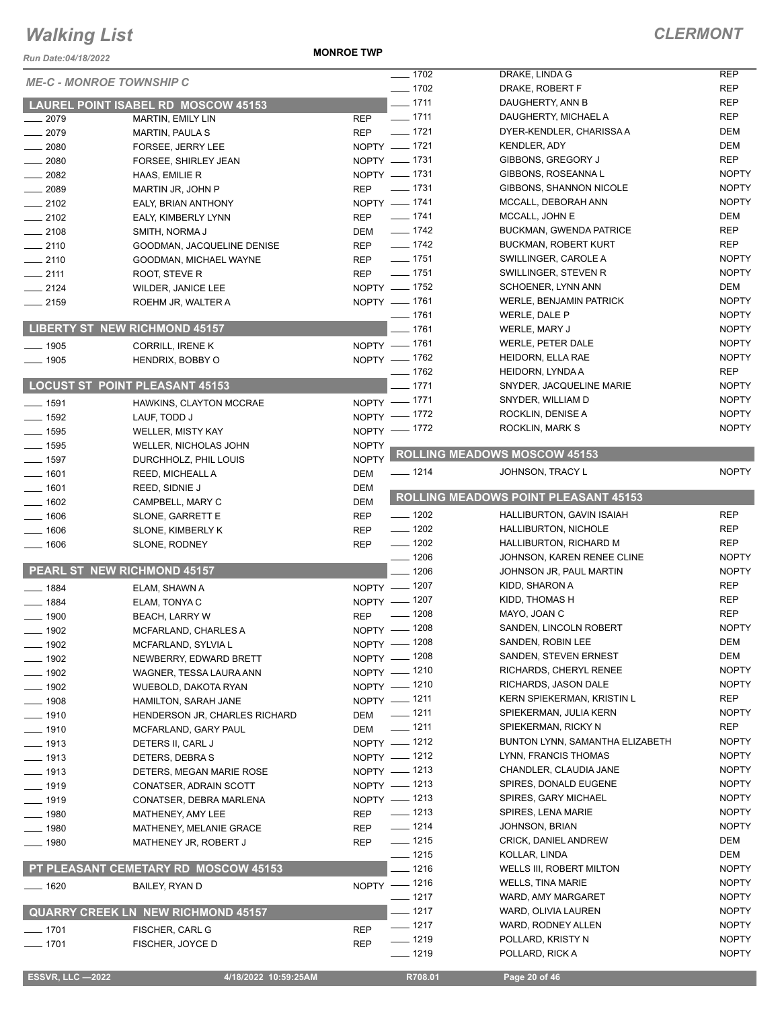*Run Date:04/18/2022*

**MONROE TWP**

|                    |                                            |              | $- 1702$             | DRAKE, LINDA G                              | <b>REP</b>                   |
|--------------------|--------------------------------------------|--------------|----------------------|---------------------------------------------|------------------------------|
|                    | <b>ME-C - MONROE TOWNSHIP C</b>            |              |                      |                                             |                              |
|                    |                                            |              | $- 1702$             | DRAKE, ROBERT F                             | <b>REP</b>                   |
|                    | <b>LAUREL POINT ISABEL RD MOSCOW 45153</b> |              | $- 1711$             | DAUGHERTY, ANN B                            | <b>REP</b>                   |
| $-2079$            | <b>MARTIN, EMILY LIN</b>                   | <b>REP</b>   | $- 1711$             | DAUGHERTY, MICHAEL A                        | <b>REP</b>                   |
| $-2079$            | <b>MARTIN, PAULA S</b>                     | <b>REP</b>   | $- 1721$             | DYER-KENDLER, CHARISSA A                    | <b>DEM</b>                   |
| $\frac{1}{2080}$   | FORSEE, JERRY LEE                          | NOPTY - 1721 |                      | <b>KENDLER, ADY</b>                         | DEM                          |
| $-2080$            | FORSEE, SHIRLEY JEAN                       | NOPTY - 1731 |                      | GIBBONS, GREGORY J                          | <b>REP</b>                   |
| $\frac{1}{2082}$   | HAAS, EMILIE R                             | NOPTY - 1731 |                      | GIBBONS, ROSEANNA L                         | <b>NOPTY</b>                 |
|                    |                                            | <b>REP</b>   | $\frac{1}{2}$ 1731   | GIBBONS, SHANNON NICOLE                     | <b>NOPTY</b>                 |
| $\frac{1}{2089}$   | MARTIN JR, JOHN P                          |              |                      |                                             |                              |
| $\equiv$ 2102      | EALY, BRIAN ANTHONY                        | NOPTY - 1741 |                      | MCCALL, DEBORAH ANN                         | <b>NOPTY</b>                 |
| $-2102$            | EALY, KIMBERLY LYNN                        | <b>REP</b>   | $- 1741$             | MCCALL, JOHN E                              | DEM                          |
| $-2108$            | SMITH, NORMA J                             | <b>DEM</b>   | $\frac{1}{2}$ 1742   | <b>BUCKMAN, GWENDA PATRICE</b>              | <b>REP</b>                   |
| $-2110$            | GOODMAN, JACQUELINE DENISE                 | <b>REP</b>   | $- 1742$             | <b>BUCKMAN, ROBERT KURT</b>                 | <b>REP</b>                   |
| $-2110$            | GOODMAN, MICHAEL WAYNE                     | <b>REP</b>   | $\frac{1}{2}$ 1751   | SWILLINGER, CAROLE A                        | <b>NOPTY</b>                 |
| $-2111$            | ROOT, STEVE R                              | <b>REP</b>   | $\frac{1}{2}$ 1751   | SWILLINGER, STEVEN R                        | <b>NOPTY</b>                 |
| $\frac{1}{2124}$   | WILDER, JANICE LEE                         | NOPTY - 1752 |                      | SCHOENER, LYNN ANN                          | DEM                          |
|                    |                                            | NOPTY - 1761 |                      | <b>WERLE, BENJAMIN PATRICK</b>              | <b>NOPTY</b>                 |
| $-2159$            | ROEHM JR, WALTER A                         |              |                      |                                             |                              |
|                    |                                            |              | $- 1761$             | WERLE, DALE P                               | <b>NOPTY</b>                 |
|                    | <b>LIBERTY ST NEW RICHMOND 45157</b>       |              | $-1761$              | WERLE, MARY J                               | <b>NOPTY</b>                 |
| $-1905$            | CORRILL, IRENE K                           | NOPTY - 1761 |                      | <b>WERLE, PETER DALE</b>                    | <b>NOPTY</b>                 |
| $-1905$            | HENDRIX, BOBBY O                           | NOPTY - 1762 |                      | HEIDORN, ELLA RAE                           | <b>NOPTY</b>                 |
|                    |                                            |              | $- 1762$             | HEIDORN, LYNDA A                            | <b>REP</b>                   |
|                    | <b>LOCUST ST POINT PLEASANT 45153</b>      |              | $-1771$              | SNYDER, JACQUELINE MARIE                    | <b>NOPTY</b>                 |
|                    |                                            | NOPTY - 1771 |                      | SNYDER, WILLIAM D                           | <b>NOPTY</b>                 |
| $- 1591$           | HAWKINS, CLAYTON MCCRAE                    |              |                      |                                             | <b>NOPTY</b>                 |
| $\frac{1}{2}$ 1592 | LAUF, TODD J                               | NOPTY - 1772 |                      | ROCKLIN, DENISE A                           |                              |
| $- 1595$           | <b>WELLER, MISTY KAY</b>                   | NOPTY - 1772 |                      | ROCKLIN, MARK S                             | <b>NOPTY</b>                 |
| $- 1595$           | WELLER, NICHOLAS JOHN                      | <b>NOPTY</b> |                      |                                             |                              |
| $\frac{1}{2}$ 1597 | DURCHHOLZ, PHIL LOUIS                      | <b>NOPTY</b> |                      | <b>ROLLING MEADOWS MOSCOW 45153</b>         |                              |
| $- 1601$           | REED, MICHEALL A                           | <b>DEM</b>   | $- 1214$             | JOHNSON, TRACY L                            | <b>NOPTY</b>                 |
| $- 1601$           | REED, SIDNIE J                             | <b>DEM</b>   |                      |                                             |                              |
|                    |                                            | <b>DEM</b>   |                      | <b>ROLLING MEADOWS POINT PLEASANT 45153</b> |                              |
| $- 1602$           | CAMPBELL, MARY C                           |              | $- 1202$             |                                             | <b>REP</b>                   |
| $-1606$            | SLONE, GARRETT E                           | <b>REP</b>   |                      | HALLIBURTON, GAVIN ISAIAH                   |                              |
| $-1606$            | SLONE, KIMBERLY K                          | <b>REP</b>   | $- 1202$             | HALLIBURTON, NICHOLE                        | <b>REP</b>                   |
| 1606               | SLONE, RODNEY                              | <b>REP</b>   | $- 1202$             | HALLIBURTON, RICHARD M                      | <b>REP</b>                   |
|                    |                                            |              | $- 1206$             | JOHNSON, KAREN RENEE CLINE                  | <b>NOPTY</b>                 |
|                    | PEARL ST NEW RICHMOND 45157                |              | $- 1206$             | JOHNSON JR, PAUL MARTIN                     | <b>NOPTY</b>                 |
| $- 1884$           | ELAM, SHAWN A                              | NOPTY - 1207 |                      | KIDD, SHARON A                              | <b>REP</b>                   |
| $- 1884$           | ELAM, TONYA C                              | NOPTY - 1207 |                      | KIDD, THOMAS H                              | <b>REP</b>                   |
|                    |                                            | <b>REP</b>   | $- 1208$             | MAYO, JOAN C                                | <b>REP</b>                   |
| $- 1900$           | <b>BEACH, LARRY W</b>                      |              |                      | SANDEN, LINCOLN ROBERT                      | <b>NOPTY</b>                 |
| $- 1902$           | MCFARLAND, CHARLES A                       | NOPTY - 1208 |                      |                                             |                              |
| _ 1902             | MCFARLAND, SYLVIA L                        | NOPTY - 1208 |                      | SANDEN, ROBIN LEE                           | DEM                          |
| 1902               | NEWBERRY, EDWARD BRETT                     | NOPTY - 1208 |                      | SANDEN, STEVEN ERNEST                       | DEM                          |
| $-1902$            | WAGNER, TESSA LAURA ANN                    | NOPTY - 1210 |                      | RICHARDS, CHERYL RENEE                      | <b>NOPTY</b>                 |
| $\frac{1}{2}$ 1902 | WUEBOLD, DAKOTA RYAN                       | NOPTY - 1210 |                      | RICHARDS, JASON DALE                        | <b>NOPTY</b>                 |
| $- 1908$           | HAMILTON, SARAH JANE                       | NOPTY - 1211 |                      | KERN SPIEKERMAN, KRISTIN L                  | <b>REP</b>                   |
| $- 1910$           | HENDERSON JR, CHARLES RICHARD              | DEM          | $- 1211$             | SPIEKERMAN, JULIA KERN                      | <b>NOPTY</b>                 |
|                    |                                            |              | $- 1211$             | SPIEKERMAN, RICKY N                         | REP                          |
| $- 1910$           | MCFARLAND, GARY PAUL                       | DEM          |                      |                                             | <b>NOPTY</b>                 |
| $- 1913$           | DETERS II, CARL J                          | NOPTY - 1212 |                      | BUNTON LYNN, SAMANTHA ELIZABETH             |                              |
| $\frac{1}{2}$ 1913 | DETERS, DEBRA S                            | NOPTY - 1212 |                      | LYNN, FRANCIS THOMAS                        | <b>NOPTY</b>                 |
| $- 1913$           | DETERS, MEGAN MARIE ROSE                   | NOPTY - 1213 |                      | CHANDLER, CLAUDIA JANE                      | <b>NOPTY</b>                 |
| $- 1919$           | CONATSER, ADRAIN SCOTT                     | NOPTY - 1213 |                      | SPIRES, DONALD EUGENE                       | <b>NOPTY</b>                 |
| $- 1919$           | CONATSER, DEBRA MARLENA                    | NOPTY - 1213 |                      | SPIRES, GARY MICHAEL                        | <b>NOPTY</b>                 |
| __ 1980            | MATHENEY, AMY LEE                          | <b>REP</b>   | $- 1213$             | SPIRES, LENA MARIE                          | <b>NOPTY</b>                 |
|                    |                                            |              | $- 1214$             | JOHNSON, BRIAN                              | <b>NOPTY</b>                 |
| $-1980$            | MATHENEY, MELANIE GRACE                    | <b>REP</b>   | $- 1215$             | CRICK, DANIEL ANDREW                        | DEM                          |
|                    | MATHENEY JR, ROBERT J                      | REP          |                      |                                             |                              |
| $-1980$            |                                            |              | $- 1215$             | KOLLAR, LINDA                               | DEM                          |
|                    |                                            |              |                      |                                             | <b>NOPTY</b>                 |
|                    | PT PLEASANT CEMETARY RD MOSCOW 45153       |              | $-1216$              | WELLS III, ROBERT MILTON                    |                              |
| $- 1620$           | BAILEY, RYAN D                             | NOPTY - 1216 |                      | WELLS, TINA MARIE                           | <b>NOPTY</b>                 |
|                    |                                            |              | $- 1217$             | WARD, AMY MARGARET                          | <b>NOPTY</b>                 |
|                    |                                            |              | $-1217$              | WARD, OLIVIA LAUREN                         | <b>NOPTY</b>                 |
|                    | <b>QUARRY CREEK LN NEW RICHMOND 45157</b>  |              | $- 1217$             | WARD, RODNEY ALLEN                          | <b>NOPTY</b>                 |
| $- 1701$           | FISCHER, CARL G                            | <b>REP</b>   |                      |                                             |                              |
| $- 1701$           | FISCHER, JOYCE D                           | REP          | $- 1219$<br>$- 1219$ | POLLARD, KRISTY N<br>POLLARD, RICK A        | <b>NOPTY</b><br><b>NOPTY</b> |

 **ESSVR, LLC —2022 4/18/2022 10:59:25AM R708.01 Page 20 of 46**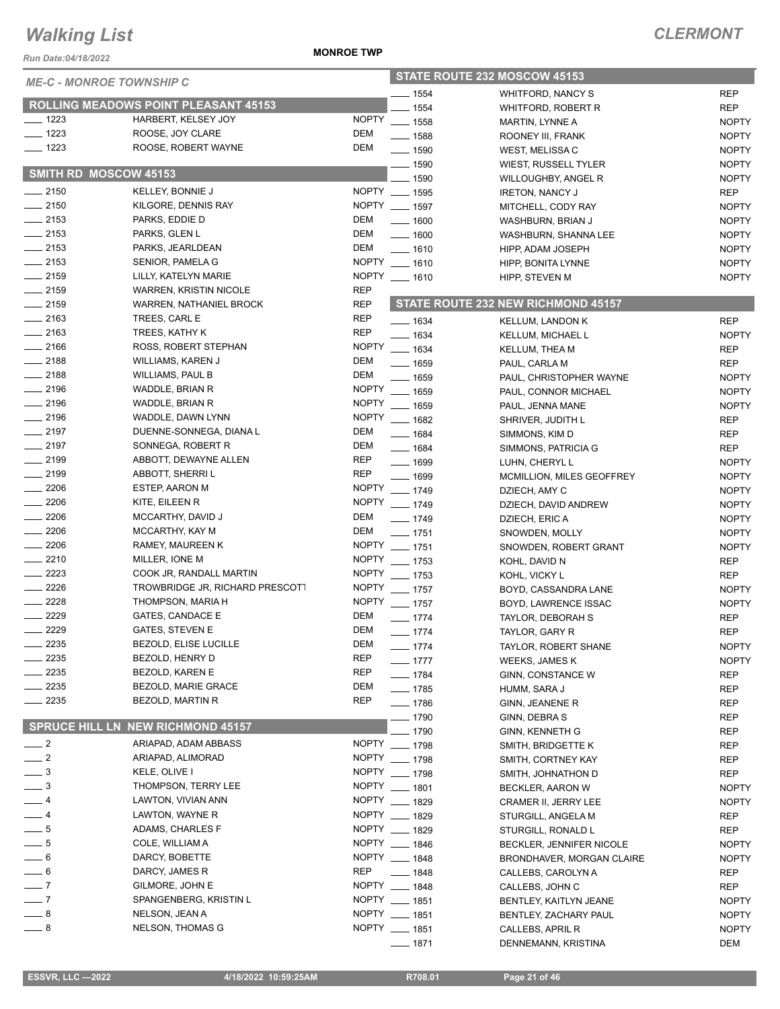*Run Date:04/18/2022*

#### **MONROE TWP**

| <b>ME-C - MONROE TOWNSHIP C</b> |                                             |                          | STATE ROUTE 232 MOSCOW 45153 |                                       |                              |  |
|---------------------------------|---------------------------------------------|--------------------------|------------------------------|---------------------------------------|------------------------------|--|
|                                 |                                             |                          | $- 1554$                     | <b>WHITFORD, NANCY S</b>              | <b>REP</b>                   |  |
|                                 | <b>ROLLING MEADOWS POINT PLEASANT 45153</b> |                          | $- 1554$                     | WHITFORD, ROBERT R                    | <b>REP</b>                   |  |
| $\frac{1}{2}$ 1223              | HARBERT, KELSEY JOY                         | <b>NOPTY</b>             | $- 1558$                     | MARTIN, LYNNE A                       | <b>NOPTY</b>                 |  |
| $- 1223$                        | ROOSE, JOY CLARE                            | DEM                      | $- 1588$                     | ROONEY III, FRANK                     | <b>NOPTY</b>                 |  |
| $- 1223$                        | ROOSE, ROBERT WAYNE                         | DEM                      | $- 1590$                     | WEST, MELISSA C                       | <b>NOPTY</b>                 |  |
| SMITH RD MOSCOW 45153           |                                             |                          | $\frac{1}{2}$ 1590           | WIEST, RUSSELL TYLER                  | <b>NOPTY</b>                 |  |
|                                 |                                             |                          | $- 1590$                     | WILLOUGHBY, ANGEL R                   | <b>NOPTY</b>                 |  |
| $-2150$                         | <b>KELLEY, BONNIE J</b>                     |                          | NOPTY __ 1595                | <b>IRETON, NANCY J</b>                | <b>REP</b>                   |  |
| $-2150$                         | KILGORE, DENNIS RAY                         |                          | NOPTY __ 1597                | MITCHELL, CODY RAY                    | <b>NOPTY</b>                 |  |
| $-2153$                         | PARKS, EDDIE D                              | DEM                      | $- 1600$                     | WASHBURN, BRIAN J                     | <b>NOPTY</b>                 |  |
| $\frac{1}{2153}$                | PARKS, GLEN L                               | DEM                      | $- 1600$                     | WASHBURN, SHANNA LEE                  | <b>NOPTY</b>                 |  |
| $-2153$                         | PARKS, JEARLDEAN                            | DEM                      | $- 1610$                     | HIPP, ADAM JOSEPH                     | <b>NOPTY</b>                 |  |
| $-2153$                         | SENIOR, PAMELA G                            |                          | NOPTY __ 1610                | HIPP, BONITA LYNNE                    | <b>NOPTY</b>                 |  |
| $-2159$                         | LILLY, KATELYN MARIE                        |                          | NOPTY __ 1610                | HIPP, STEVEN M                        | <b>NOPTY</b>                 |  |
| $-2159$<br>$-2159$              | WARREN, KRISTIN NICOLE                      | <b>REP</b><br><b>REP</b> |                              | STATE ROUTE 232 NEW RICHMOND 45157    |                              |  |
| $-2163$                         | WARREN, NATHANIEL BROCK<br>TREES, CARL E    | <b>REP</b>               |                              |                                       |                              |  |
| $\frac{1}{2163}$                | TREES, KATHY K                              | <b>REP</b>               | $- 1634$                     | <b>KELLUM, LANDON K</b>               | <b>REP</b>                   |  |
| $-2166$                         | ROSS, ROBERT STEPHAN                        | <b>NOPTY</b>             | $- 1634$                     | KELLUM, MICHAEL L                     | <b>NOPTY</b>                 |  |
| $-2188$                         | WILLIAMS, KAREN J                           | <b>DEM</b>               | $- 1634$                     | <b>KELLUM, THEA M</b>                 | <b>REP</b>                   |  |
| $\frac{1}{2188}$                | <b>WILLIAMS, PAUL B</b>                     | <b>DEM</b>               | $- 1659$                     | PAUL, CARLA M                         | <b>REP</b>                   |  |
| $-2196$                         | WADDLE, BRIAN R                             | <b>NOPTY</b>             | $- 1659$                     | PAUL, CHRISTOPHER WAYNE               | <b>NOPTY</b>                 |  |
| $-2196$                         | WADDLE, BRIAN R                             | <b>NOPTY</b>             | $\frac{1}{2}$ 1659           | PAUL, CONNOR MICHAEL                  | <b>NOPTY</b>                 |  |
| $-2196$                         | WADDLE, DAWN LYNN                           | <b>NOPTY</b>             | $- 1659$                     | PAUL, JENNA MANE                      | <b>NOPTY</b>                 |  |
| $-2197$                         | DUENNE-SONNEGA, DIANA L                     | <b>DEM</b>               | $- 1682$                     | SHRIVER, JUDITH L                     | <b>REP</b>                   |  |
| $-2197$                         | SONNEGA, ROBERT R                           | <b>DEM</b>               | $- 1684$<br>$- 1684$         | SIMMONS, KIM D                        | <b>REP</b>                   |  |
| $-2199$                         | ABBOTT, DEWAYNE ALLEN                       | <b>REP</b>               | $- 1699$                     | SIMMONS, PATRICIA G                   | <b>REP</b>                   |  |
| $-2199$                         | ABBOTT, SHERRI L                            | <b>REP</b>               | $- 1699$                     | LUHN, CHERYL L                        | <b>NOPTY</b>                 |  |
| $-2206$                         | <b>ESTEP, AARON M</b>                       | <b>NOPTY</b>             | $- 1749$                     | MCMILLION, MILES GEOFFREY             | <b>NOPTY</b>                 |  |
| $-2206$                         | KITE, EILEEN R                              |                          | NOPTY __ 1749                | DZIECH, AMY C<br>DZIECH, DAVID ANDREW | <b>NOPTY</b><br><b>NOPTY</b> |  |
| $-2206$                         | MCCARTHY, DAVID J                           | <b>DEM</b>               | $- 1749$                     |                                       | <b>NOPTY</b>                 |  |
| $-2206$                         | MCCARTHY, KAY M                             | DEM                      | $- 1751$                     | DZIECH, ERIC A<br>SNOWDEN, MOLLY      | <b>NOPTY</b>                 |  |
| $-2206$                         | RAMEY, MAUREEN K                            |                          | NOPTY __ 1751                | SNOWDEN, ROBERT GRANT                 | <b>NOPTY</b>                 |  |
| $-2210$                         | MILLER, IONE M                              | <b>NOPTY</b>             | $- 1753$                     | KOHL, DAVID N                         | <b>REP</b>                   |  |
| $\frac{2223}{2}$                | COOK JR, RANDALL MARTIN                     | <b>NOPTY</b>             | $- 1753$                     | KOHL, VICKY L                         | <b>REP</b>                   |  |
| $-2226$                         | TROWBRIDGE JR, RICHARD PRESCOTT             | <b>NOPTY</b>             | $- 1757$                     | BOYD, CASSANDRA LANE                  | <b>NOPTY</b>                 |  |
| $-2228$                         | THOMPSON, MARIA H                           |                          | NOPTY __ 1757                | BOYD, LAWRENCE ISSAC                  | <b>NOPTY</b>                 |  |
| $-2229$                         | <b>GATES, CANDACE E</b>                     | <b>DEM</b>               | $- 1774$                     | TAYLOR, DEBORAH S                     | <b>REP</b>                   |  |
| $-2229$                         | <b>GATES, STEVEN E</b>                      | DEM                      | $- 1774$                     | TAYLOR, GARY R                        | <b>REP</b>                   |  |
| $=$ 2235                        | <b>BEZOLD, ELISE LUCILLE</b>                | DEM                      | $- 1774$                     | TAYLOR, ROBERT SHANE                  | <b>NOPTY</b>                 |  |
| 2235                            | BEZOLD, HENRY D                             | <b>REP</b>               | $- 1777$                     | WEEKS, JAMES K                        | <b>NOPTY</b>                 |  |
| $-2235$                         | BEZOLD, KAREN E                             | REP                      | $- 1784$                     | GINN, CONSTANCE W                     | REP                          |  |
| $-2235$                         | BEZOLD, MARIE GRACE                         | <b>DEM</b>               | $- 1785$                     | HUMM, SARA J                          | <b>REP</b>                   |  |
| $-2235$                         | BEZOLD, MARTIN R                            | <b>REP</b>               | $- 1786$                     | GINN, JEANENE R                       | <b>REP</b>                   |  |
|                                 |                                             |                          | $-1790$                      | GINN, DEBRA S                         | <b>REP</b>                   |  |
|                                 | <b>SPRUCE HILL LN NEW RICHMOND 45157</b>    |                          | $-1790$                      | <b>GINN, KENNETH G</b>                | REP                          |  |
| $\frac{1}{2}$                   | ARIAPAD, ADAM ABBASS                        |                          | NOPTY __ 1798                | SMITH, BRIDGETTE K                    | REP                          |  |
| $-2$                            | ARIAPAD, ALIMORAD                           |                          | NOPTY __ 1798                | SMITH, CORTNEY KAY                    | REP                          |  |
| $\_\_$ 3                        | KELE, OLIVE I                               |                          | NOPTY __ 1798                | SMITH, JOHNATHON D                    | <b>REP</b>                   |  |
| $\overline{\phantom{0}}^3$      | THOMPSON, TERRY LEE                         |                          | NOPTY __ 1801                | BECKLER, AARON W                      | <b>NOPTY</b>                 |  |
| $-4$                            | LAWTON, VIVIAN ANN                          |                          | NOPTY __ 1829                | CRAMER II, JERRY LEE                  | <b>NOPTY</b>                 |  |
| $-4$                            | LAWTON, WAYNE R                             |                          | NOPTY __ 1829                | STURGILL, ANGELA M                    | <b>REP</b>                   |  |
| $-5$                            | ADAMS, CHARLES F                            |                          | NOPTY __ 1829                | STURGILL, RONALD L                    | <b>REP</b>                   |  |
| $-5$                            | COLE, WILLIAM A                             |                          | NOPTY __ 1846                | BECKLER, JENNIFER NICOLE              | <b>NOPTY</b>                 |  |
| $-6$                            | DARCY, BOBETTE                              |                          | NOPTY __ 1848                | BRONDHAVER, MORGAN CLAIRE             | <b>NOPTY</b>                 |  |
| $= 6$                           | DARCY, JAMES R                              | <b>REP</b>               | $-1848$                      | CALLEBS, CAROLYN A                    | REP                          |  |
| $-7$                            | GILMORE, JOHN E                             |                          | NOPTY __ 1848                | CALLEBS, JOHN C                       | <b>REP</b>                   |  |
| $-7$                            | SPANGENBERG, KRISTIN L                      |                          | NOPTY __ 1851                | BENTLEY, KAITLYN JEANE                | <b>NOPTY</b>                 |  |
| $-8$                            | NELSON, JEAN A                              |                          | NOPTY __ 1851                | BENTLEY, ZACHARY PAUL                 | <b>NOPTY</b>                 |  |
| $-8$                            | NELSON, THOMAS G                            |                          | NOPTY __ 1851                | CALLEBS, APRIL R                      | <b>NOPTY</b>                 |  |
|                                 |                                             |                          | —— 1871                      | DENNEMANN, KRISTINA                   | DEM                          |  |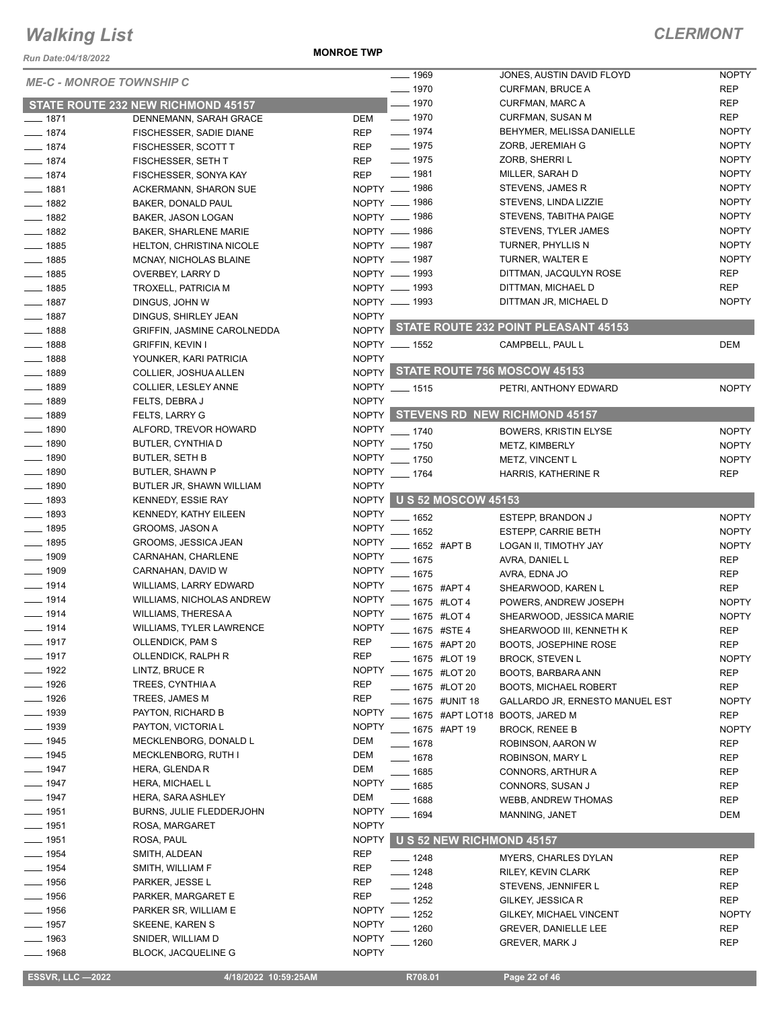*Run Date:04/18/2022*

**MONROE TWP**

| <b>ME-C - MONROE TOWNSHIP C</b> |                                              |                     | ___ 1969                           | JONES, AUSTIN DAVID FLOYD                  | <b>NOPTY</b>               |
|---------------------------------|----------------------------------------------|---------------------|------------------------------------|--------------------------------------------|----------------------------|
|                                 |                                              |                     | $- 1970$                           | <b>CURFMAN, BRUCE A</b>                    | <b>REP</b>                 |
|                                 | STATE ROUTE 232 NEW RICHMOND 45157           |                     | $- 1970$                           | <b>CURFMAN, MARC A</b>                     | <b>REP</b>                 |
| $- 1871$                        | DENNEMANN, SARAH GRACE                       | DEM                 | $- 1970$                           | <b>CURFMAN, SUSAN M</b>                    | <b>REP</b>                 |
| $- 1874$                        | FISCHESSER, SADIE DIANE                      | <b>REP</b>          | $- 1974$                           | BEHYMER, MELISSA DANIELLE                  | <b>NOPTY</b>               |
| $- 1874$                        | FISCHESSER, SCOTT T                          | <b>REP</b>          | $- 1975$                           | ZORB, JEREMIAH G                           | <b>NOPTY</b>               |
| $- 1874$                        | FISCHESSER, SETH T                           | <b>REP</b>          | $- 1975$                           | ZORB, SHERRI L                             | <b>NOPTY</b>               |
| $- 1874$                        | FISCHESSER, SONYA KAY                        | <b>REP</b>          | $- 1981$                           | MILLER, SARAH D                            | <b>NOPTY</b>               |
| $- 1881$                        | ACKERMANN, SHARON SUE                        |                     | NOPTY __ 1986                      | STEVENS, JAMES R                           | <b>NOPTY</b>               |
| $- 1882$                        | <b>BAKER, DONALD PAUL</b>                    |                     | NOPTY - 1986                       | STEVENS, LINDA LIZZIE                      | <b>NOPTY</b>               |
| $- 1882$                        | BAKER, JASON LOGAN                           |                     | NOPTY __ 1986                      | STEVENS, TABITHA PAIGE                     | <b>NOPTY</b>               |
| $- 1882$                        | <b>BAKER, SHARLENE MARIE</b>                 |                     | NOPTY __ 1986                      | STEVENS, TYLER JAMES                       | <b>NOPTY</b>               |
| $- 1885$                        | <b>HELTON, CHRISTINA NICOLE</b>              |                     | NOPTY __ 1987                      | TURNER, PHYLLIS N                          | <b>NOPTY</b>               |
| $- 1885$                        | MCNAY, NICHOLAS BLAINE                       |                     | NOPTY __ 1987                      | TURNER, WALTER E                           | <b>NOPTY</b>               |
| $-1885$                         | OVERBEY, LARRY D                             |                     | NOPTY - 1993                       | DITTMAN, JACQULYN ROSE                     | <b>REP</b>                 |
| $-1885$                         | TROXELL, PATRICIA M                          |                     | NOPTY __ 1993                      | DITTMAN, MICHAEL D                         | <b>REP</b>                 |
| $- 1887$                        | DINGUS, JOHN W                               |                     | NOPTY - 1993                       | DITTMAN JR, MICHAEL D                      | <b>NOPTY</b>               |
| $- 1887$                        | DINGUS, SHIRLEY JEAN                         | <b>NOPTY</b>        |                                    |                                            |                            |
| $- 1888$                        | <b>GRIFFIN, JASMINE CAROLNEDDA</b>           |                     |                                    | NOPTY STATE ROUTE 232 POINT PLEASANT 45153 |                            |
| $- 1888$                        | <b>GRIFFIN, KEVIN I</b>                      |                     | NOPTY __ 1552                      | CAMPBELL, PAUL L                           | <b>DEM</b>                 |
| $- 1888$                        | YOUNKER, KARI PATRICIA                       | <b>NOPTY</b>        |                                    |                                            |                            |
| $- 1889$                        | COLLIER, JOSHUA ALLEN                        |                     | NOPTY STATE ROUTE 756 MOSCOW 45153 |                                            |                            |
| $- 1889$                        | COLLIER, LESLEY ANNE                         |                     | NOPTY __ 1515                      | PETRI, ANTHONY EDWARD                      | <b>NOPTY</b>               |
| $- 1889$                        | FELTS, DEBRA J                               | <b>NOPTY</b>        |                                    |                                            |                            |
| $- 1889$                        | FELTS, LARRY G                               |                     |                                    | NOPTY STEVENS RD NEW RICHMOND 45157        |                            |
| $\frac{1}{2}$ 1890              | ALFORD, TREVOR HOWARD                        |                     | NOPTY __ 1740                      | <b>BOWERS, KRISTIN ELYSE</b>               | <b>NOPTY</b>               |
| $- 1890$                        | BUTLER, CYNTHIA D                            |                     | NOPTY __ 1750                      | METZ, KIMBERLY                             | <b>NOPTY</b>               |
| $- 1890$                        | <b>BUTLER, SETH B</b>                        |                     | NOPTY __ 1750                      | METZ, VINCENT L                            | <b>NOPTY</b>               |
| $-1890$                         | BUTLER, SHAWN P                              | <b>NOPTY</b>        | $- 1764$                           | HARRIS, KATHERINE R                        | <b>REP</b>                 |
| $- 1890$                        | BUTLER JR, SHAWN WILLIAM                     | <b>NOPTY</b>        |                                    |                                            |                            |
| $- 1893$                        | KENNEDY, ESSIE RAY                           |                     | NOPTY US 52 MOSCOW 45153           |                                            |                            |
| $- 1893$                        | KENNEDY, KATHY EILEEN                        | <b>NOPTY</b>        | $- 1652$                           |                                            | <b>NOPTY</b>               |
| $\frac{1}{2}$ 1895              | GROOMS, JASON A                              | <b>NOPTY</b>        | $-1652$                            | ESTEPP, BRANDON J                          |                            |
| $- 1895$                        | GROOMS, JESSICA JEAN                         | <b>NOPTY</b>        |                                    | <b>ESTEPP, CARRIE BETH</b>                 | <b>NOPTY</b>               |
| $- 1909$                        | CARNAHAN, CHARLENE                           | <b>NOPTY</b>        | ____ 1652 #APT B<br>$-1675$        | LOGAN II, TIMOTHY JAY                      | <b>NOPTY</b><br><b>REP</b> |
| $\frac{1}{2}$ 1909              | CARNAHAN, DAVID W                            | <b>NOPTY</b>        |                                    | AVRA, DANIEL L                             |                            |
| $- 1914$                        | WILLIAMS, LARRY EDWARD                       | <b>NOPTY</b>        | $-1675$                            | AVRA, EDNA JO                              | <b>REP</b>                 |
| $- 1914$                        | <b>WILLIAMS, NICHOLAS ANDREW</b>             | <b>NOPTY</b>        | 1675 #APT 4                        | SHEARWOOD, KAREN L                         | <b>REP</b>                 |
| $- 1914$                        | WILLIAMS, THERESA A                          | <b>NOPTY</b>        | 1675 #LOT 4                        | POWERS, ANDREW JOSEPH                      | <b>NOPTY</b>               |
| $- 1914$                        | <b>WILLIAMS, TYLER LAWRENCE</b>              | <b>NOPTY</b>        | 1675 #LOT 4<br>____ 1675 #STE 4    | SHEARWOOD, JESSICA MARIE                   | <b>NOPTY</b>               |
| $- 1917$                        | OLLENDICK, PAM S                             | <b>KFP</b>          |                                    | SHEARWOOD III, KENNETH K                   | <b>REP</b>                 |
| ___ 1917                        | OLLENDICK, RALPH R                           | <b>REP</b>          | <sub>—</sub> 1675 #APT 20          | <b>BOOTS, JOSEPHINE ROSE</b>               | <b>REP</b>                 |
| $- 1922$                        | LINTZ, BRUCE R                               | <b>NOPTY</b>        | 1675 #LOT 19                       | <b>BROCK, STEVEN L</b>                     | <b>NOPTY</b>               |
| $- 1926$                        | TREES, CYNTHIA A                             | <b>REP</b>          | 1675 #LOT 20                       | BOOTS, BARBARA ANN                         | REP                        |
| $- 1926$                        | TREES, JAMES M                               | <b>REP</b>          | _ 1675 #LOT 20                     | <b>BOOTS, MICHAEL ROBERT</b>               | <b>REP</b>                 |
| $\frac{1}{2}$ 1939              | PAYTON, RICHARD B                            | <b>NOPTY</b>        | 1675 #UNIT 18                      | GALLARDO JR, ERNESTO MANUEL EST            | <b>NOPTY</b>               |
| <u>_</u> __ 1939                | PAYTON, VICTORIA L                           | <b>NOPTY</b>        |                                    | 1675 #APT LOT18 BOOTS, JARED M             | <b>REP</b>                 |
| $-1945$                         |                                              |                     | __ 1675 #APT 19                    | <b>BROCK, RENEE B</b>                      | <b>NOPTY</b>               |
| 1945                            | MECKLENBORG, DONALD L<br>MECKLENBORG, RUTH I | DEM<br><b>DEM</b>   | $- 1678$                           | ROBINSON, AARON W                          | <b>REP</b>                 |
|                                 |                                              |                     | $- 1678$                           | ROBINSON, MARY L                           | REP                        |
| $-1947$                         | HERA, GLENDA R                               | DEM<br><b>NOPTY</b> | _ 1685                             | CONNORS, ARTHUR A                          | <b>REP</b>                 |
| $-1947$                         | HERA, MICHAEL L                              |                     | __ 1685                            | CONNORS, SUSAN J                           | REP                        |
| $- 1947$                        | HERA, SARA ASHLEY                            | DEM                 | __ 1688                            | <b>WEBB, ANDREW THOMAS</b>                 | REP                        |
| $- 1951$                        | <b>BURNS, JULIE FLEDDERJOHN</b>              | <b>NOPTY</b>        | __ 1694                            | MANNING, JANET                             | DEM                        |
| $\frac{1}{2}$ 1951              | ROSA, MARGARET                               | <b>NOPTY</b>        |                                    |                                            |                            |
| $- 1951$                        | ROSA, PAUL                                   | <b>NOPTY</b>        | U S 52 NEW RICHMOND 45157          |                                            |                            |
| $- 1954$                        | SMITH, ALDEAN                                | <b>REP</b>          | $- 1248$                           | <b>MYERS, CHARLES DYLAN</b>                | <b>REP</b>                 |
| $\frac{1}{2}$ 1954              | SMITH, WILLIAM F                             | REP                 | $-1248$                            | RILEY, KEVIN CLARK                         | <b>REP</b>                 |
| $\frac{1}{2}$ 1956              | PARKER, JESSE L                              | <b>REP</b>          | $-1248$                            | STEVENS, JENNIFER L                        | <b>REP</b>                 |
| $\frac{1}{2}$ 1956              | PARKER, MARGARET E                           | <b>REP</b>          | . 1252                             | GILKEY, JESSICA R                          | REP                        |
| $- 1956$                        | PARKER SR, WILLIAM E                         | <b>NOPTY</b>        | 1252                               | GILKEY, MICHAEL VINCENT                    | <b>NOPTY</b>               |
| $-1957$                         | SKEENE, KAREN S                              | <b>NOPTY</b>        | 1260                               | <b>GREVER, DANIELLE LEE</b>                | <b>REP</b>                 |
| 1963                            | SNIDER, WILLIAM D                            | <b>NOPTY</b>        | 1260                               | <b>GREVER, MARK J</b>                      | <b>REP</b>                 |
| $-1968$                         | <b>BLOCK, JACQUELINE G</b>                   | <b>NOPTY</b>        |                                    |                                            |                            |
| <b>ESSVR, LLC -2022</b>         | 4/18/2022 10:59:25AM                         |                     | R708.01                            | Page 22 of 46                              |                            |
|                                 |                                              |                     |                                    |                                            |                            |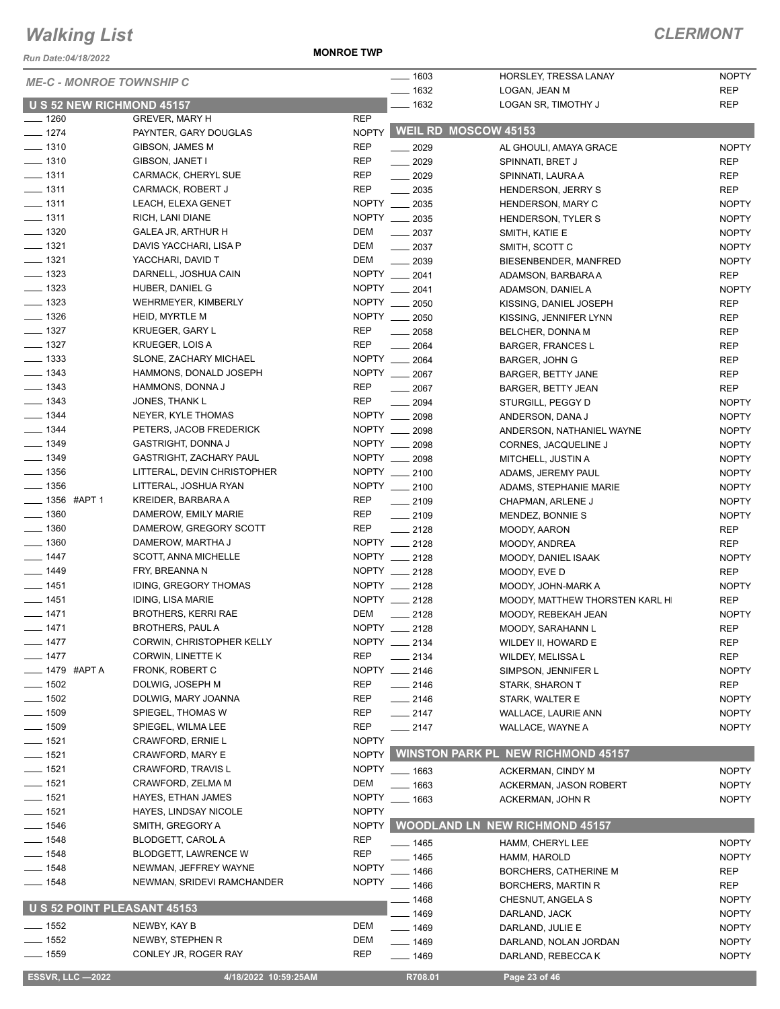*Run Date:04/18/2022*

**MONROE TWP**

| <b>ME-C - MONROE TOWNSHIP C</b> |                                                 |              | $- 1603$                    | HORSLEY, TRESSA LANAY                     | <b>NOPTY</b> |
|---------------------------------|-------------------------------------------------|--------------|-----------------------------|-------------------------------------------|--------------|
|                                 |                                                 |              | $- 1632$                    | LOGAN, JEAN M                             | <b>REP</b>   |
| U S 52 NEW RICHMOND 45157       |                                                 |              | $-1632$                     | LOGAN SR, TIMOTHY J                       | <b>REP</b>   |
| $- 1260$                        | <b>GREVER, MARY H</b>                           | <b>REP</b>   | <b>WEIL RD MOSCOW 45153</b> |                                           |              |
| $- 1274$                        | PAYNTER, GARY DOUGLAS<br><b>GIBSON, JAMES M</b> | <b>NOPTY</b> |                             |                                           |              |
| $- 1310$                        |                                                 | <b>REP</b>   | $-2029$                     | AL GHOULI, AMAYA GRACE                    | <b>NOPTY</b> |
| $- 1310$                        | GIBSON, JANET I                                 | <b>REP</b>   | $-2029$                     | SPINNATI, BRET J                          | <b>REP</b>   |
| $- 1311$                        | CARMACK, CHERYL SUE                             | <b>REP</b>   | $-2029$                     | SPINNATI, LAURA A                         | <b>REP</b>   |
| $- 1311$                        | CARMACK, ROBERT J                               | <b>REP</b>   | $\frac{1}{2035}$            | <b>HENDERSON, JERRY S</b>                 | <b>REP</b>   |
| $- 1311$                        | LEACH, ELEXA GENET                              |              | NOPTY __ 2035               | HENDERSON, MARY C                         | <b>NOPTY</b> |
| $\frac{1}{2}$ 1311              | RICH, LANI DIANE                                |              | NOPTY __ 2035               | HENDERSON, TYLER S                        | <b>NOPTY</b> |
| $- 1320$                        | GALEA JR, ARTHUR H                              | DEM          | $\frac{1}{2037}$            | SMITH, KATIE E                            | <b>NOPTY</b> |
| $- 1321$                        | DAVIS YACCHARI, LISA P                          | <b>DEM</b>   | $\frac{1}{2037}$            | SMITH, SCOTT C                            | <b>NOPTY</b> |
| $- 1321$                        | YACCHARI, DAVID T                               | DEM          | $\frac{1}{2039}$            | BIESENBENDER, MANFRED                     | <b>NOPTY</b> |
| $- 1323$                        | DARNELL, JOSHUA CAIN                            |              | NOPTY __ 2041               | ADAMSON, BARBARA A                        | <b>REP</b>   |
| $\frac{1}{2}$ 1323              | HUBER, DANIEL G                                 |              | NOPTY __ 2041               | ADAMSON, DANIEL A                         | <b>NOPTY</b> |
| $\frac{1}{2}$ 1323              | WEHRMEYER, KIMBERLY                             |              | NOPTY __ 2050               | KISSING, DANIEL JOSEPH                    | <b>REP</b>   |
| $\frac{1}{2}$ 1326              | HEID, MYRTLE M                                  |              | NOPTY __ 2050               | KISSING, JENNIFER LYNN                    | <b>REP</b>   |
| $- 1327$                        | <b>KRUEGER, GARY L</b>                          | <b>REP</b>   | 2058                        | BELCHER, DONNA M                          | <b>REP</b>   |
| $- 1327$                        | KRUEGER, LOIS A                                 | <b>REP</b>   | 2064                        | <b>BARGER, FRANCES L</b>                  | <b>REP</b>   |
| $\frac{1}{2}$ 1333              | SLONE, ZACHARY MICHAEL                          |              | NOPTY __ 2064               | <b>BARGER, JOHN G</b>                     | <b>REP</b>   |
| $- 1343$                        | HAMMONS, DONALD JOSEPH                          |              | NOPTY __ 2067               | <b>BARGER, BETTY JANE</b>                 | <b>REP</b>   |
| $- 1343$                        | HAMMONS, DONNA J                                | REP          | $-2067$                     | <b>BARGER, BETTY JEAN</b>                 | <b>REP</b>   |
| $\frac{1}{2}$ 1343              | JONES, THANK L                                  | <b>REP</b>   | $\frac{1}{2094}$            | STURGILL, PEGGY D                         | <b>NOPTY</b> |
| $- 1344$                        | NEYER, KYLE THOMAS                              |              | NOPTY __ 2098               | ANDERSON, DANA J                          | <b>NOPTY</b> |
| $- 1344$                        | PETERS, JACOB FREDERICK                         |              | NOPTY __ 2098               | ANDERSON, NATHANIEL WAYNE                 | <b>NOPTY</b> |
| $\frac{1}{2}$ 1349              | <b>GASTRIGHT, DONNA J</b>                       |              | NOPTY __ 2098               | CORNES, JACQUELINE J                      | <b>NOPTY</b> |
| $- 1349$                        | <b>GASTRIGHT, ZACHARY PAUL</b>                  |              | NOPTY __ 2098               | MITCHELL, JUSTIN A                        | <b>NOPTY</b> |
| $- 1356$                        | LITTERAL, DEVIN CHRISTOPHER                     |              | NOPTY __ 2100               | ADAMS, JEREMY PAUL                        | <b>NOPTY</b> |
| $\frac{1}{2}$ 1356              | LITTERAL, JOSHUA RYAN                           |              | NOPTY __ 2100               | ADAMS, STEPHANIE MARIE                    | <b>NOPTY</b> |
| ___ 1356 #APT 1                 | KREIDER, BARBARA A                              | REP          | $\frac{1}{2109}$            | CHAPMAN, ARLENE J                         | <b>NOPTY</b> |
| $\frac{1}{2}$ 1360              | DAMEROW, EMILY MARIE                            | <b>REP</b>   | $-2109$                     | MENDEZ, BONNIE S                          | <b>NOPTY</b> |
| $- 1360$                        | DAMEROW, GREGORY SCOTT                          | REP          | $-2128$                     | MOODY, AARON                              | <b>REP</b>   |
| $- 1360$                        | DAMEROW, MARTHA J                               |              | NOPTY __ 2128               | MOODY, ANDREA                             | <b>REP</b>   |
| $- 1447$                        | SCOTT, ANNA MICHELLE                            |              | NOPTY __ 2128               | MOODY, DANIEL ISAAK                       | <b>NOPTY</b> |
| $- 1449$                        | FRY, BREANNA N                                  |              | NOPTY __ 2128               | MOODY, EVE D                              | <b>REP</b>   |
| $- 1451$                        | <b>IDING, GREGORY THOMAS</b>                    |              | NOPTY __ 2128               | MOODY, JOHN-MARK A                        | <b>NOPTY</b> |
| $- 1451$                        | <b>IDING, LISA MARIE</b>                        |              | NOPTY __ 2128               | MOODY. MATTHEW THORSTEN KARL HI           | <b>REP</b>   |
| $- 1471$                        | <b>BROTHERS, KERRI RAE</b>                      | DEM          | $-2128$                     | MOODY, REBEKAH JEAN                       | <b>NOPTY</b> |
| $- 1471$                        | <b>BROTHERS, PAUL A</b>                         |              | NOPTY __ 2128               | MOODY, SARAHANN L                         | <b>REP</b>   |
| $-1477$                         | CORWIN, CHRISTOPHER KELLY                       |              | NOPTY __ 2134               | WILDEY II, HOWARD E                       | REP          |
| $- 1477$                        | CORWIN, LINETTE K                               | <b>REP</b>   | ____ 2134                   | <b>WILDEY, MELISSA L</b>                  | <b>REP</b>   |
| ____ 1479   #APT A              | FRONK, ROBERT C                                 | NOPTY        | $-2146$                     | SIMPSON, JENNIFER L                       | <b>NOPTY</b> |
| $- 1502$                        | DOLWIG, JOSEPH M                                | REP          | $-2146$                     | STARK, SHARON T                           | <b>REP</b>   |
| $\frac{1}{2}$ 1502              | DOLWIG, MARY JOANNA                             | <b>REP</b>   | $-2146$                     |                                           | <b>NOPTY</b> |
| $\frac{1}{2}$ 1509              | SPIEGEL, THOMAS W                               | <b>REP</b>   |                             | STARK, WALTER E                           |              |
| $- 1509$                        | SPIEGEL, WILMA LEE                              | <b>REP</b>   | $-2147$                     | WALLACE, LAURIE ANN                       | <b>NOPTY</b> |
|                                 |                                                 | <b>NOPTY</b> | $-2147$                     | WALLACE, WAYNE A                          | <b>NOPTY</b> |
| $- 1521$                        | CRAWFORD, ERNIE L                               | <b>NOPTY</b> |                             | <b>WINSTON PARK PL NEW RICHMOND 45157</b> |              |
| $- 1521$                        | CRAWFORD, MARY E                                |              |                             |                                           |              |
| $\frac{1}{2}$ 1521              | CRAWFORD, TRAVIS L                              | <b>NOPTY</b> | $- 1663$                    | ACKERMAN, CINDY M                         | <b>NOPTY</b> |
| $\frac{1}{2}$ 1521              | CRAWFORD, ZELMA M                               | DEM          | _ 1663                      | ACKERMAN, JASON ROBERT                    | <b>NOPTY</b> |
| ____ 1521                       | HAYES, ETHAN JAMES                              | <b>NOPTY</b> | $- 1663$                    | ACKERMAN, JOHN R                          | <b>NOPTY</b> |
| $- 1521$                        | <b>HAYES, LINDSAY NICOLE</b>                    | <b>NOPTY</b> |                             |                                           |              |
| $- 1546$                        | SMITH, GREGORY A                                | <b>NOPTY</b> |                             | <b>WOODLAND LN NEW RICHMOND 45157</b>     |              |
| —— 1548                         | <b>BLODGETT, CAROL A</b>                        | <b>REP</b>   | _ 1465                      | HAMM, CHERYL LEE                          | <b>NOPTY</b> |
| $\frac{1}{2}$ 1548              | <b>BLODGETT, LAWRENCE W</b>                     | <b>REP</b>   | . 1465                      | HAMM, HAROLD                              | <b>NOPTY</b> |
| $- 1548$                        | NEWMAN, JEFFREY WAYNE                           | <b>NOPTY</b> | _ 1466                      | BORCHERS, CATHERINE M                     | REP          |
| $- 1548$                        | NEWMAN, SRIDEVI RAMCHANDER                      | <b>NOPTY</b> | $- 1466$                    | BORCHERS, MARTIN R                        | <b>REP</b>   |
|                                 |                                                 |              | __ 1468                     | CHESNUT, ANGELA S                         | <b>NOPTY</b> |
| U S 52 POINT PLEASANT 45153     |                                                 |              | __ 1469                     | DARLAND, JACK                             | <b>NOPTY</b> |
| $\frac{1}{1552}$                | NEWBY, KAY B                                    | <b>DEM</b>   | $- 1469$                    | DARLAND, JULIE E                          | <b>NOPTY</b> |
| $\frac{1}{2}$ 1552              | NEWBY, STEPHEN R                                | DEM          | $- 1469$                    | DARLAND, NOLAN JORDAN                     | <b>NOPTY</b> |
| $- 1559$                        | CONLEY JR, ROGER RAY                            | <b>REP</b>   | ___ 1469                    | DARLAND, REBECCA K                        | <b>NOPTY</b> |
|                                 |                                                 |              |                             |                                           |              |
| <b>ESSVR, LLC-2022</b>          | 4/18/2022 10:59:25AM                            |              | R708.01                     | Page 23 of 46                             |              |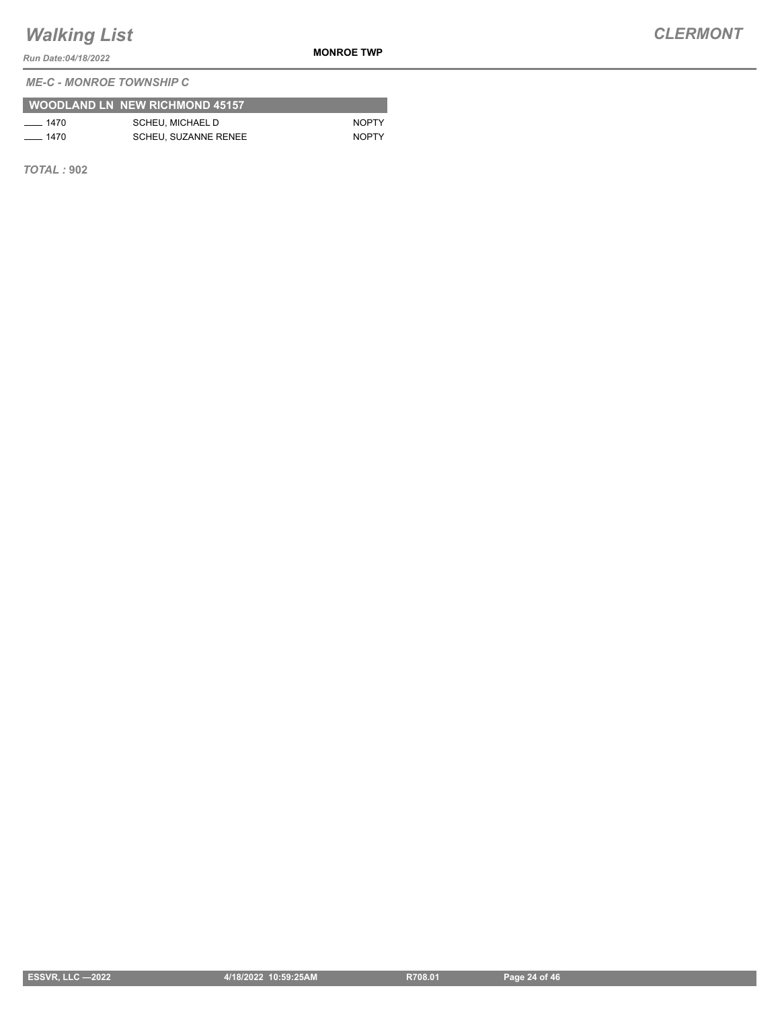*Run Date:04/18/2022*

**MONROE TWP**

*ME-C - MONROE TOWNSHIP C*

|          | <b>WOODLAND LN NEW RICHMOND 45157</b> |              |
|----------|---------------------------------------|--------------|
| $- 1470$ | SCHEU. MICHAEL D                      | <b>NOPTY</b> |
| $- 1470$ | <b>SCHEU, SUZANNE RENEE</b>           | <b>NOPTY</b> |

*TOTAL :* **902**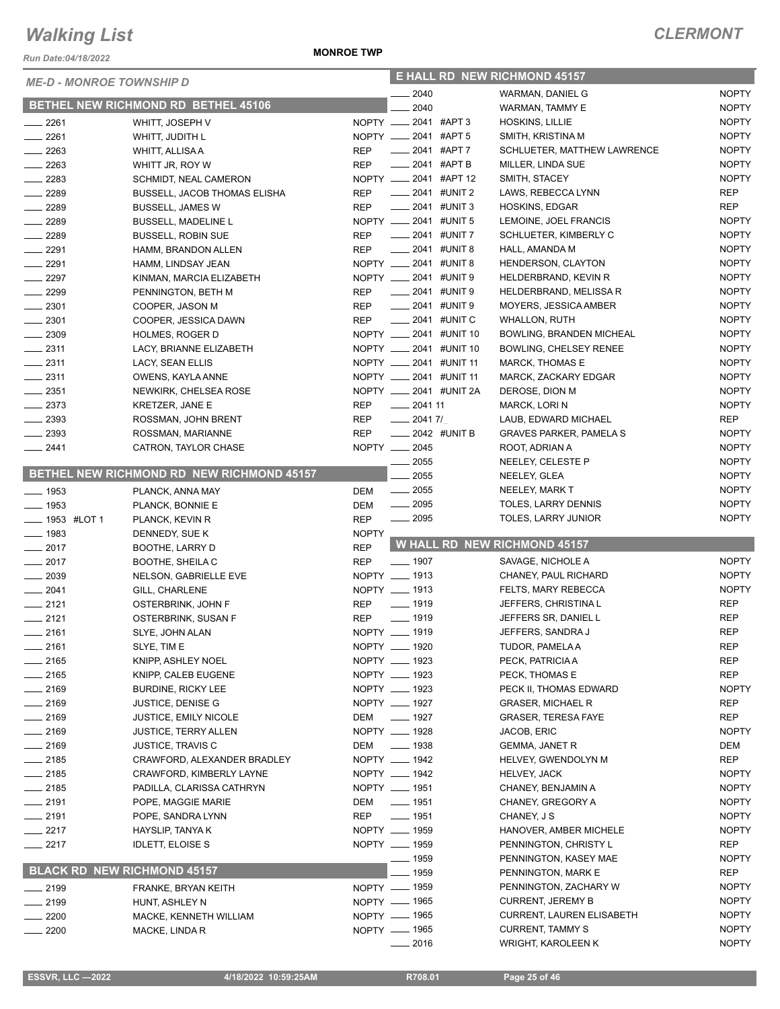*Run Date:04/18/2022*

#### **MONROE TWP**

| <b>ME-D - MONROE TOWNSHIP D</b>    |                                                       |              |                                          | <b>E HALL RD NEW RICHMOND 45157</b>           |                              |
|------------------------------------|-------------------------------------------------------|--------------|------------------------------------------|-----------------------------------------------|------------------------------|
|                                    |                                                       |              | 2040                                     | <b>WARMAN, DANIEL G</b>                       | <b>NOPTY</b>                 |
|                                    | BETHEL NEW RICHMOND RD BETHEL 45106                   |              | 2040                                     | <b>WARMAN, TAMMY E</b>                        | <b>NOPTY</b>                 |
| $-2261$                            | WHITT, JOSEPH V                                       |              | NOPTY __ 2041 #APT 3                     | HOSKINS, LILLIE                               | <b>NOPTY</b>                 |
| 2261                               | WHITT, JUDITH L                                       |              | NOPTY __ 2041 #APT 5                     | SMITH, KRISTINA M                             | <b>NOPTY</b>                 |
| $\frac{2263}{2}$                   | WHITT, ALLISA A                                       | <b>REP</b>   | $\frac{1}{2041}$ #APT 7                  | SCHLUETER, MATTHEW LAWRENCE                   | <b>NOPTY</b>                 |
| $\equiv$ 2263                      | WHITT JR, ROY W                                       | <b>REP</b>   | ____ 2041 #APT B                         | MILLER, LINDA SUE                             | <b>NOPTY</b>                 |
| $-2283$                            | SCHMIDT, NEAL CAMERON                                 |              | NOPTY _____ 2041 #APT 12                 | SMITH, STACEY                                 | <b>NOPTY</b>                 |
| $- 2289$                           | BUSSELL, JACOB THOMAS ELISHA                          | <b>REP</b>   | $\frac{1}{2041}$ #UNIT 2                 | LAWS, REBECCA LYNN                            | <b>REP</b>                   |
| $-2289$                            | <b>BUSSELL, JAMES W</b>                               | <b>REP</b>   | $\frac{1}{2041}$ #UNIT 3                 | <b>HOSKINS, EDGAR</b>                         | <b>REP</b>                   |
| $-2289$                            | <b>BUSSELL, MADELINE L</b>                            |              | NOPTY __ 2041 #UNIT 5                    | LEMOINE, JOEL FRANCIS                         | <b>NOPTY</b>                 |
| $\frac{1}{2289}$                   | <b>BUSSELL, ROBIN SUE</b>                             | <b>REP</b>   | $-2041$ #UNIT 7                          | SCHLUETER, KIMBERLY C                         | <b>NOPTY</b>                 |
| $-2291$                            | HAMM, BRANDON ALLEN                                   | <b>REP</b>   | $\frac{1}{2041}$ #UNIT 8                 | HALL, AMANDA M                                | <b>NOPTY</b>                 |
| $-2291$                            | HAMM, LINDSAY JEAN                                    |              | NOPTY __ 2041 #UNIT 8                    | HENDERSON, CLAYTON                            | <b>NOPTY</b>                 |
| $-2297$                            | KINMAN, MARCIA ELIZABETH                              |              | NOPTY __ 2041 #UNIT 9                    | HELDERBRAND, KEVIN R                          | <b>NOPTY</b>                 |
| $-2299$                            | PENNINGTON, BETH M                                    | REP          | -2041 #UNIT 9                            | HELDERBRAND, MELISSA R                        | <b>NOPTY</b>                 |
| $\frac{1}{2}$ 2301                 | COOPER, JASON M                                       | <b>REP</b>   | $\frac{1}{2041}$ #UNIT 9                 | MOYERS, JESSICA AMBER                         | <b>NOPTY</b>                 |
| $-2301$                            | COOPER, JESSICA DAWN                                  | REP          | $\frac{1}{2041}$ #UNIT C                 | <b>WHALLON, RUTH</b>                          | <b>NOPTY</b>                 |
| $-2309$                            | HOLMES, ROGER D                                       |              | NOPTY __ 2041 #UNIT 10                   | BOWLING, BRANDEN MICHEAL                      | <b>NOPTY</b>                 |
| $\frac{1}{2311}$                   | LACY, BRIANNE ELIZABETH                               |              | NOPTY __ 2041 #UNIT 10                   | BOWLING, CHELSEY RENEE                        | <b>NOPTY</b>                 |
| $-2311$                            | LACY, SEAN ELLIS                                      |              | NOPTY __ 2041 #UNIT 11                   | <b>MARCK, THOMAS E</b>                        | <b>NOPTY</b>                 |
| $\frac{2311}{2}$                   | OWENS, KAYLA ANNE                                     |              | NOPTY __ 2041 #UNIT 11                   | MARCK, ZACKARY EDGAR                          | <b>NOPTY</b>                 |
| $\frac{1}{2}$ 2351                 | NEWKIRK, CHELSEA ROSE                                 |              | NOPTY __ 2041 #UNIT 2A                   | DEROSE, DION M                                | <b>NOPTY</b>                 |
| $-2373$                            | <b>KRETZER, JANE E</b>                                | <b>REP</b>   | $-204111$                                | MARCK, LORIN                                  | <b>NOPTY</b>                 |
| $\equiv$ 2393                      | ROSSMAN, JOHN BRENT                                   | <b>REP</b>   | $-20417/$                                | LAUB, EDWARD MICHAEL                          | REP                          |
| $-2393$                            | ROSSMAN, MARIANNE                                     | <b>REP</b>   | $\frac{1}{2042}$ #UNIT B                 | <b>GRAVES PARKER, PAMELA S</b>                | <b>NOPTY</b>                 |
| $-2441$                            | CATRON, TAYLOR CHASE                                  |              | NOPTY __ 2045                            | ROOT, ADRIAN A                                | <b>NOPTY</b>                 |
|                                    |                                                       |              | 2055                                     | NEELEY, CELESTE P                             | <b>NOPTY</b>                 |
|                                    | BETHEL NEW RICHMOND RD NEW RICHMOND 45157             |              | 2055                                     | NEELEY, GLEA                                  | <b>NOPTY</b>                 |
| $\frac{1}{2}$ 1953                 | PLANCK, ANNA MAY                                      | DEM          | $\frac{1}{2055}$                         | NEELEY, MARK T                                | <b>NOPTY</b>                 |
| $- 1953$                           | PLANCK, BONNIE E                                      | DEM          | $\frac{1}{2095}$                         | TOLES, LARRY DENNIS                           | <b>NOPTY</b>                 |
| <b>______ 1953 #LOT 1</b>          | PLANCK, KEVIN R                                       | <b>REP</b>   | $\frac{1}{2095}$                         | TOLES, LARRY JUNIOR                           | <b>NOPTY</b>                 |
| $\frac{1}{2}$ 1983                 | DENNEDY, SUE K                                        | <b>NOPTY</b> |                                          |                                               |                              |
| $-2017$                            | BOOTHE, LARRY D                                       | <b>REP</b>   |                                          | W HALL RD NEW RICHMOND 45157                  |                              |
|                                    |                                                       |              |                                          |                                               |                              |
| $\frac{1}{2017}$                   | <b>BOOTHE, SHEILA C</b>                               | <b>REP</b>   | $- 1907$                                 | SAVAGE, NICHOLE A                             | <b>NOPTY</b>                 |
| $\frac{1}{2039}$                   | NELSON, GABRIELLE EVE                                 |              | NOPTY __ 1913                            | CHANEY, PAUL RICHARD                          | <b>NOPTY</b>                 |
| $-2041$                            | GILL, CHARLENE                                        |              | NOPTY __ 1913                            | FELTS, MARY REBECCA                           | <b>NOPTY</b>                 |
| $-2121$                            | OSTERBRINK, JOHN F                                    | <b>REP</b>   | $\frac{1}{2}$ 1919                       | JEFFERS, CHRISTINA L                          | <b>REP</b>                   |
| $-2121$                            | OSTERBRINK, SUSAN F                                   | <b>REP</b>   | $- 1919$                                 | JEFFERS SR, DANIEL L                          | <b>REP</b>                   |
| $-2161$                            | SLYE, JOHN ALAN                                       |              | NOPTY __ 1919                            | JEFFERS, SANDRA J                             | <b>REP</b>                   |
|                                    | SLYE, TIM E                                           |              |                                          | TUDOR, PAMELA A                               |                              |
| —— 2161<br>$- 2165$                |                                                       |              | NOPTY __ 1920<br>NOPTY __ 1923           | PECK, PATRICIA A                              | <b>REP</b><br><b>REP</b>     |
| $-2165$                            | KNIPP, ASHLEY NOEL                                    |              | NOPTY __ 1923                            | PECK, THOMAS E                                | <b>REP</b>                   |
| _ 2169                             | KNIPP, CALEB EUGENE<br><b>BURDINE, RICKY LEE</b>      |              |                                          | PECK II, THOMAS EDWARD                        | <b>NOPTY</b>                 |
| $-2169$                            |                                                       |              | NOPTY - 1923<br>NOPTY __ 1927            | <b>GRASER, MICHAEL R</b>                      | <b>REP</b>                   |
|                                    | JUSTICE, DENISE G                                     |              |                                          | <b>GRASER, TERESA FAYE</b>                    | <b>REP</b>                   |
| $-2169$                            | <b>JUSTICE, EMILY NICOLE</b>                          |              | DEM __ 1927<br>NOPTY __ 1928             |                                               |                              |
| $- 2169$                           | <b>JUSTICE, TERRY ALLEN</b>                           |              | $\frac{1}{2}$ 1938                       | JACOB, ERIC<br><b>GEMMA, JANET R</b>          | <b>NOPTY</b><br>DEM          |
| __ 2169                            | <b>JUSTICE, TRAVIS C</b>                              | DEM          | NOPTY __ 1942                            |                                               | <b>REP</b>                   |
| _ 2185                             | CRAWFORD, ALEXANDER BRADLEY                           |              |                                          | HELVEY, GWENDOLYN M                           | <b>NOPTY</b>                 |
| __ 2185<br>__ 2185                 | CRAWFORD, KIMBERLY LAYNE<br>PADILLA, CLARISSA CATHRYN |              | NOPTY __ 1942                            | <b>HELVEY, JACK</b><br>CHANEY, BENJAMIN A     | <b>NOPTY</b>                 |
|                                    |                                                       |              | NOPTY __ 1951                            |                                               |                              |
| $-2191$                            | POPE, MAGGIE MARIE                                    | DEM          | $\frac{1}{2}$ 1951<br>$\frac{1}{2}$ 1951 | CHANEY, GREGORY A                             | <b>NOPTY</b><br><b>NOPTY</b> |
| $-2191$                            | POPE, SANDRA LYNN                                     | REP          |                                          | CHANEY, J S                                   |                              |
| $-2217$                            | HAYSLIP, TANYA K                                      |              | NOPTY __ 1959                            | HANOVER, AMBER MICHELE                        | <b>NOPTY</b>                 |
| 2217                               | <b>IDLETT, ELOISE S</b>                               |              | NOPTY __ 1959                            | PENNINGTON, CHRISTY L                         | <b>REP</b>                   |
| <b>BLACK RD NEW RICHMOND 45157</b> |                                                       |              | $-1959$                                  | PENNINGTON, KASEY MAE                         | <b>NOPTY</b>                 |
|                                    |                                                       |              | 1959                                     | PENNINGTON, MARK E                            | REP                          |
| $\frac{1}{2199}$                   | FRANKE, BRYAN KEITH                                   |              | NOPTY - 1959                             | PENNINGTON, ZACHARY W                         | <b>NOPTY</b>                 |
| $= 2199$                           | HUNT, ASHLEY N                                        |              | NOPTY - 1965                             | <b>CURRENT, JEREMY B</b>                      | <b>NOPTY</b>                 |
| 2200                               | MACKE, KENNETH WILLIAM                                |              | NOPTY __ 1965                            | <b>CURRENT, LAUREN ELISABETH</b>              | <b>NOPTY</b>                 |
| 2200                               | MACKE, LINDA R                                        |              | NOPTY - 1965<br>_ 2016                   | <b>CURRENT, TAMMY S</b><br>WRIGHT, KAROLEEN K | <b>NOPTY</b><br><b>NOPTY</b> |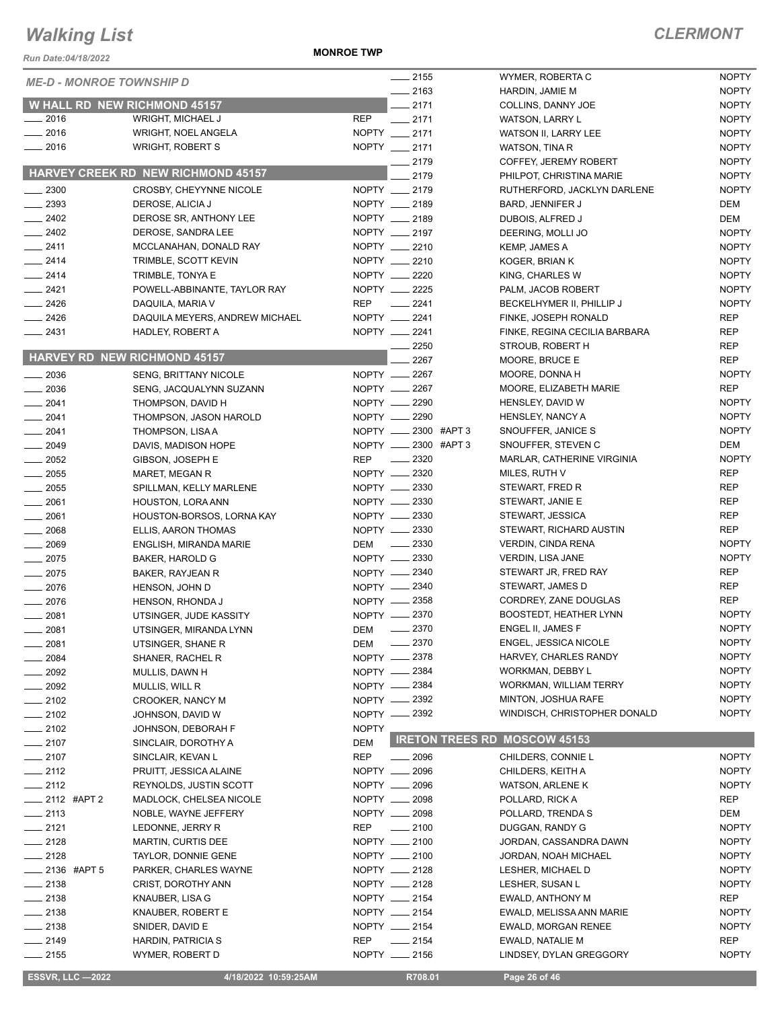*Run Date:04/18/2022*

**MONROE TWP**

| <i>ME-D - MONROE TOWNSHIP D</i>     |                                           |              | $-2155$              | WYMER, ROBERTA C                    | <b>NOPTY</b> |
|-------------------------------------|-------------------------------------------|--------------|----------------------|-------------------------------------|--------------|
|                                     |                                           |              | $-2163$              | HARDIN, JAMIE M                     | <b>NOPTY</b> |
| <b>W HALL RD NEW RICHMOND 45157</b> |                                           |              | $-2171$              | COLLINS, DANNY JOE                  | <b>NOPTY</b> |
| $-2016$                             | WRIGHT, MICHAEL J                         | <b>REP</b>   | $-2171$              | <b>WATSON, LARRY L</b>              | <b>NOPTY</b> |
| $\frac{1}{2016}$                    | WRIGHT, NOEL ANGELA                       |              | NOPTY __ 2171        | WATSON II, LARRY LEE                | <b>NOPTY</b> |
| $-2016$                             | <b>WRIGHT, ROBERT S</b>                   |              | NOPTY __ 2171        | WATSON, TINA R                      | <b>NOPTY</b> |
|                                     |                                           |              | $-2179$              | COFFEY, JEREMY ROBERT               | <b>NOPTY</b> |
|                                     | <b>HARVEY CREEK RD NEW RICHMOND 45157</b> |              | 2179                 | PHILPOT, CHRISTINA MARIE            | <b>NOPTY</b> |
| $\frac{1}{2}$ 2300                  | CROSBY, CHEYYNNE NICOLE                   |              | NOPTY __ 2179        | RUTHERFORD, JACKLYN DARLENE         | <b>NOPTY</b> |
| $\frac{1}{2}$ 2393                  | DEROSE, ALICIA J                          |              | NOPTY __ 2189        | BARD, JENNIFER J                    | DEM          |
| $-2402$                             | DEROSE SR, ANTHONY LEE                    |              | NOPTY __ 2189        | DUBOIS, ALFRED J                    | <b>DEM</b>   |
| $-2402$                             | DEROSE, SANDRA LEE                        |              | NOPTY __ 2197        | DEERING, MOLLI JO                   | <b>NOPTY</b> |
| $-2411$                             | MCCLANAHAN, DONALD RAY                    |              | NOPTY __ 2210        | KEMP, JAMES A                       | <b>NOPTY</b> |
| $-2414$                             | TRIMBLE, SCOTT KEVIN                      |              | NOPTY __ 2210        | KOGER, BRIAN K                      | <b>NOPTY</b> |
| $-2414$                             | TRIMBLE, TONYA E                          |              | NOPTY __ 2220        | KING, CHARLES W                     | <b>NOPTY</b> |
| $-2421$                             | POWELL-ABBINANTE, TAYLOR RAY              |              | NOPTY __ 2225        | PALM, JACOB ROBERT                  | <b>NOPTY</b> |
| $\frac{2426}{5}$                    | DAQUILA, MARIA V                          | REP          | $\frac{2241}{225}$   | BECKELHYMER II, PHILLIP J           | <b>NOPTY</b> |
| $-2426$                             | DAQUILA MEYERS, ANDREW MICHAEL            |              | NOPTY __ 2241        | FINKE, JOSEPH RONALD                | <b>REP</b>   |
| $-2431$                             | HADLEY, ROBERT A                          |              | NOPTY __ 2241        | FINKE, REGINA CECILIA BARBARA       | <b>REP</b>   |
|                                     |                                           |              | 2250                 | STROUB, ROBERT H                    | <b>REP</b>   |
|                                     | <b>HARVEY RD NEW RICHMOND 45157</b>       |              | 2267                 | MOORE, BRUCE E                      | <b>REP</b>   |
| $-2036$                             | <b>SENG, BRITTANY NICOLE</b>              |              | NOPTY __ 2267        | MOORE, DONNA H                      | <b>NOPTY</b> |
| $-2036$                             | SENG, JACQUALYNN SUZANN                   |              | NOPTY -2267          | MOORE, ELIZABETH MARIE              | <b>REP</b>   |
| $\frac{1}{2041}$                    | THOMPSON, DAVID H                         |              | NOPTY __ 2290        | HENSLEY, DAVID W                    | <b>NOPTY</b> |
| $-2041$                             | THOMPSON, JASON HAROLD                    |              | NOPTY -2290          | HENSLEY, NANCY A                    | <b>NOPTY</b> |
| $-2041$                             | THOMPSON, LISA A                          |              | NOPTY __ 2300 #APT 3 | SNOUFFER, JANICE S                  | <b>NOPTY</b> |
| $\frac{1}{2049}$                    | DAVIS, MADISON HOPE                       |              | NOPTY __ 2300 #APT 3 | SNOUFFER, STEVEN C                  | <b>DEM</b>   |
|                                     |                                           |              | $\frac{1}{2}$ 2320   | MARLAR, CATHERINE VIRGINIA          | <b>NOPTY</b> |
| $\frac{1}{2052}$                    | GIBSON, JOSEPH E                          | <b>REP</b>   | NOPTY __ 2320        |                                     | <b>REP</b>   |
| $\frac{1}{2055}$                    | MARET, MEGAN R                            |              |                      | MILES, RUTH V                       |              |
| $\frac{1}{2055}$                    | SPILLMAN, KELLY MARLENE                   |              | NOPTY 2330           | STEWART, FRED R                     | <b>REP</b>   |
| $-2061$                             | HOUSTON, LORA ANN                         |              | NOPTY -2330          | STEWART, JANIE E                    | <b>REP</b>   |
| $-2061$                             | HOUSTON-BORSOS, LORNA KAY                 |              | NOPTY __ 2330        | STEWART, JESSICA                    | REP          |
| $\frac{1}{2068}$                    | ELLIS, AARON THOMAS                       |              | NOPTY -2330          | STEWART, RICHARD AUSTIN             | <b>REP</b>   |
| $- 2069$                            | ENGLISH, MIRANDA MARIE                    | DEM          | $\frac{2330}{255}$   | <b>VERDIN, CINDA RENA</b>           | <b>NOPTY</b> |
| $\frac{1}{2075}$                    | BAKER, HAROLD G                           |              | NOPTY __ 2330        | <b>VERDIN, LISA JANE</b>            | <b>NOPTY</b> |
| $-2075$                             | BAKER, RAYJEAN R                          |              | NOPTY -2340          | STEWART JR, FRED RAY                | <b>REP</b>   |
| $-2076$                             | HENSON, JOHN D                            |              | NOPTY __ 2340        | STEWART, JAMES D                    | <b>REP</b>   |
| $-2076$                             | HENSON, RHONDA J                          |              | NOPTY 2358           | CORDREY, ZANE DOUGLAS               | <b>REP</b>   |
| $\frac{1}{2081}$                    | UTSINGER, JUDE KASSITY                    |              | NOPTY __ 2370        | <b>BOOSTEDT, HEATHER LYNN</b>       | <b>NOPTY</b> |
| 2081                                | UTSINGER, MIRANDA LYNN                    | DEM —        | 2370                 | ENGEL II, JAMES F                   | <b>NOPTY</b> |
| 2081                                | UTSINGER, SHANE R                         | DEM          | $-2370$              | <b>ENGEL, JESSICA NICOLE</b>        | <b>NOPTY</b> |
| 2084                                | SHANER, RACHEL R                          |              | NOPTY __ 2378        | HARVEY, CHARLES RANDY               | <b>NOPTY</b> |
| 2092                                | MULLIS, DAWN H                            |              | NOPTY -2384          | WORKMAN, DEBBY L                    | <b>NOPTY</b> |
| 2092                                | MULLIS, WILL R                            |              | NOPTY __ 2384        | <b>WORKMAN, WILLIAM TERRY</b>       | <b>NOPTY</b> |
| $-2102$                             | CROOKER, NANCY M                          |              | NOPTY -2392          | MINTON, JOSHUA RAFE                 | <b>NOPTY</b> |
| $-2102$                             | JOHNSON, DAVID W                          |              | NOPTY __ 2392        | WINDISCH, CHRISTOPHER DONALD        | <b>NOPTY</b> |
| $-2102$                             | JOHNSON, DEBORAH F                        | <b>NOPTY</b> |                      |                                     |              |
| $-2107$                             | SINCLAIR, DOROTHY A                       | DEM          |                      | <b>IRETON TREES RD MOSCOW 45153</b> |              |
| $-2107$                             | SINCLAIR, KEVAN L                         | <b>REP</b>   | $\frac{1}{2096}$     | CHILDERS, CONNIE L                  | <b>NOPTY</b> |
| $-2112$                             | PRUITT, JESSICA ALAINE                    |              | NOPTY __ 2096        | CHILDERS, KEITH A                   | <b>NOPTY</b> |
| $-2112$                             | <b>REYNOLDS, JUSTIN SCOTT</b>             |              | NOPTY __ 2096        | <b>WATSON, ARLENE K</b>             | <b>NOPTY</b> |
| $\frac{1}{2112}$ #APT 2             | MADLOCK, CHELSEA NICOLE                   |              | NOPTY __ 2098        | POLLARD, RICK A                     | <b>REP</b>   |
| $\frac{1}{2113}$                    | NOBLE, WAYNE JEFFERY                      |              | NOPTY __ 2098        | POLLARD, TRENDA S                   | DEM          |
| $-2121$                             | LEDONNE, JERRY R                          | REP          | $\frac{1}{2100}$     | DUGGAN, RANDY G                     | <b>NOPTY</b> |
| $-2128$                             | MARTIN, CURTIS DEE                        |              | NOPTY __ 2100        | JORDAN, CASSANDRA DAWN              | <b>NOPTY</b> |
| $-2128$                             | TAYLOR, DONNIE GENE                       |              | NOPTY __ 2100        | JORDAN, NOAH MICHAEL                | <b>NOPTY</b> |
| _____ 2136 #APT 5                   | PARKER, CHARLES WAYNE                     |              | NOPTY __ 2128        | LESHER, MICHAEL D                   | <b>NOPTY</b> |
| $-2138$                             | CRIST, DOROTHY ANN                        |              | NOPTY __ 2128        | LESHER, SUSAN L                     | <b>NOPTY</b> |
| $-2138$                             | KNAUBER, LISA G                           |              | NOPTY __ 2154        | EWALD, ANTHONY M                    | <b>REP</b>   |
| $-2138$                             |                                           |              | NOPTY __ 2154        | EWALD, MELISSA ANN MARIE            | <b>NOPTY</b> |
|                                     | KNAUBER, ROBERT E                         |              |                      |                                     |              |
| $-2138$                             | SNIDER, DAVID E                           |              | NOPTY __ 2154        | <b>EWALD, MORGAN RENEE</b>          | <b>NOPTY</b> |
| $-2149$                             | HARDIN, PATRICIA S                        | REP          | $\frac{1}{2154}$     | EWALD, NATALIE M                    | REP          |
| $-2155$                             | WYMER, ROBERT D                           |              | NOPTY __ 2156        | LINDSEY, DYLAN GREGGORY             | <b>NOPTY</b> |
| <b>ESSVR, LLC -2022</b>             | 4/18/2022 10:59:25AM                      |              | R708.01              | Page 26 of 46                       |              |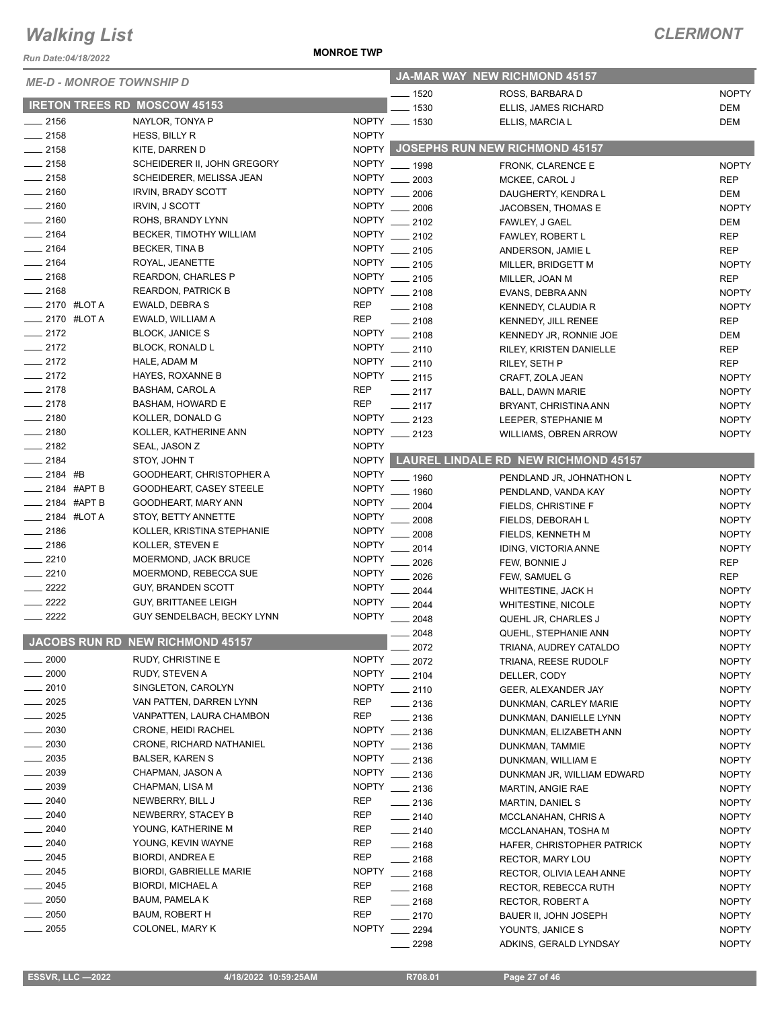*Run Date:04/18/2022*

#### **MONROE TWP**

| <b>ME-D - MONROE TOWNSHIP D</b> |             | JA-MAR WAY NEW RICHMOND 45157       |                 |                  |                                            |              |
|---------------------------------|-------------|-------------------------------------|-----------------|------------------|--------------------------------------------|--------------|
|                                 |             | _ 1520                              | ROSS, BARBARA D | <b>NOPTY</b>     |                                            |              |
|                                 |             | <b>IRETON TREES RD MOSCOW 45153</b> |                 | 1530             | ELLIS, JAMES RICHARD                       | <b>DEM</b>   |
| $-2156$                         |             | NAYLOR, TONYA P                     |                 | NOPTY __ 1530    | ELLIS, MARCIA L                            | <b>DEM</b>   |
| $-2158$                         |             | HESS, BILLY R                       | <b>NOPTY</b>    |                  |                                            |              |
| $-2158$                         |             | KITE, DARREN D                      |                 |                  | NOPTY JOSEPHS RUN NEW RICHMOND 45157       |              |
| $-2158$                         |             | SCHEIDERER II, JOHN GREGORY         |                 | NOPTY __ 1998    | FRONK, CLARENCE E                          | <b>NOPTY</b> |
| $-2158$                         |             | SCHEIDERER, MELISSA JEAN            | <b>NOPTY</b>    | 2003             | MCKEE, CAROL J                             | <b>REP</b>   |
| $- 2160$                        |             | <b>IRVIN, BRADY SCOTT</b>           | <b>NOPTY</b>    | 2006             | DAUGHERTY, KENDRA L                        | <b>DEM</b>   |
| $-2160$                         |             | <b>IRVIN, J SCOTT</b>               | <b>NOPTY</b>    | 2006             | JACOBSEN, THOMAS E                         | <b>NOPTY</b> |
| $-2160$                         |             | ROHS, BRANDY LYNN                   | <b>NOPTY</b>    | 2102             | FAWLEY, J GAEL                             | <b>DEM</b>   |
| $-2164$                         |             | BECKER, TIMOTHY WILLIAM             |                 | NOPTY __ 2102    | FAWLEY, ROBERT L                           | <b>REP</b>   |
| $-2164$                         |             | <b>BECKER, TINA B</b>               |                 | NOPTY __ 2105    | ANDERSON, JAMIE L                          | <b>REP</b>   |
| $-2164$                         |             | ROYAL, JEANETTE                     |                 | NOPTY __ 2105    | MILLER, BRIDGETT M                         | <b>NOPTY</b> |
| $-2168$                         |             | REARDON, CHARLES P                  |                 | NOPTY __ 2105    | MILLER, JOAN M                             | <b>REP</b>   |
| $-2168$                         |             | <b>REARDON, PATRICK B</b>           | <b>NOPTY</b>    | $-2108$          | EVANS, DEBRA ANN                           | <b>NOPTY</b> |
| ____ 2170 #LOT A                |             | EWALD, DEBRA S                      | <b>REP</b>      | $-2108$          | KENNEDY, CLAUDIA R                         | <b>NOPTY</b> |
| ____ 2170 #LOT A                |             | EWALD, WILLIAM A                    | <b>REP</b>      | 2108             | KENNEDY, JILL RENEE                        | <b>REP</b>   |
| $-2172$                         |             | <b>BLOCK, JANICE S</b>              |                 | NOPTY __ 2108    | KENNEDY JR, RONNIE JOE                     | <b>DEM</b>   |
| $-2172$                         |             | <b>BLOCK, RONALD L</b>              |                 | NOPTY __ 2110    | RILEY, KRISTEN DANIELLE                    | <b>REP</b>   |
| $-2172$                         |             | HALE, ADAM M                        |                 | NOPTY __ 2110    | RILEY, SETH P                              | <b>REP</b>   |
| $-2172$                         |             | HAYES, ROXANNE B                    | <b>NOPTY</b>    | $-2115$          | CRAFT, ZOLA JEAN                           | <b>NOPTY</b> |
| $-2178$                         |             | BASHAM, CAROL A                     | <b>REP</b>      | $-2117$          | <b>BALL, DAWN MARIE</b>                    | <b>NOPTY</b> |
| $-2178$                         |             | BASHAM, HOWARD E                    | <b>REP</b>      | 2117             | BRYANT, CHRISTINA ANN                      | <b>NOPTY</b> |
| $-2180$                         |             | KOLLER, DONALD G                    | <b>NOPTY</b>    | 2123             | LEEPER, STEPHANIE M                        | <b>NOPTY</b> |
| $-2180$                         |             | KOLLER, KATHERINE ANN               | <b>NOPTY</b>    | $-2123$          | <b>WILLIAMS, OBREN ARROW</b>               | <b>NOPTY</b> |
| $-2182$                         |             | SEAL, JASON Z                       | <b>NOPTY</b>    |                  |                                            |              |
| $-2184$                         |             | STOY, JOHN T                        |                 |                  | NOPTY LAUREL LINDALE RD NEW RICHMOND 45157 |              |
| _ 2184 #B                       |             | GOODHEART, CHRISTOPHER A            | <b>NOPTY</b>    | 1960             | PENDLAND JR, JOHNATHON L                   | <b>NOPTY</b> |
|                                 | 2184 #APT B | GOODHEART, CASEY STEELE             | <b>NOPTY</b>    | 1960             | PENDLAND, VANDA KAY                        | <b>NOPTY</b> |
| _ 2184 #APT B                   |             | GOODHEART, MARY ANN                 | <b>NOPTY</b>    | 2004             | FIELDS, CHRISTINE F                        | <b>NOPTY</b> |
| ____ 2184 #LOT A                |             | STOY, BETTY ANNETTE                 | <b>NOPTY</b>    | 2008             | FIELDS, DEBORAH L                          | <b>NOPTY</b> |
| $-2186$                         |             | KOLLER, KRISTINA STEPHANIE          | <b>NOPTY</b>    | 2008             | FIELDS, KENNETH M                          | <b>NOPTY</b> |
| $-2186$                         |             | KOLLER, STEVEN E                    | <b>NOPTY</b>    | 2014             | IDING, VICTORIA ANNE                       | <b>NOPTY</b> |
| $-2210$                         |             | MOERMOND, JACK BRUCE                | <b>NOPTY</b>    | 2026             | FEW, BONNIE J                              | <b>REP</b>   |
| $-2210$                         |             | MOERMOND, REBECCA SUE               | <b>NOPTY</b>    | 2026             | FEW, SAMUEL G                              | <b>REP</b>   |
| $-2222$                         |             | <b>GUY, BRANDEN SCOTT</b>           | <b>NOPTY</b>    | 2044             | WHITESTINE, JACK H                         | <b>NOPTY</b> |
| $-2222$                         |             | <b>GUY, BRITTANEE LEIGH</b>         | <b>NOPTY</b>    | 2044             | <b>WHITESTINE, NICOLE</b>                  | <b>NOPTY</b> |
| $-2222$                         |             | GUY SENDELBACH, BECKY LYNN          | <b>NOPTY</b>    | 2048             | QUEHL JR, CHARLES J                        | <b>NOPTY</b> |
|                                 |             | JACOBS RUN RD NEW RICHMOND 45157    |                 | 2048             | QUEHL, STEPHANIE ANN                       | <b>NOPTY</b> |
|                                 |             |                                     |                 | 2072             | TRIANA, AUDREY CATALDO                     | <b>NOPTY</b> |
| $\frac{1}{2000}$                |             | RUDY, CHRISTINE E                   | <b>NOPTY</b>    | 2072             | TRIANA, REESE RUDOLF                       | <b>NOPTY</b> |
| $\frac{1}{2000}$                |             | RUDY, STEVEN A                      |                 | NOPTY __ 2104    | DELLER, CODY                               | <b>NOPTY</b> |
| $-2010$                         |             | SINGLETON, CAROLYN                  |                 | NOPTY __ 2110    | GEER, ALEXANDER JAY                        | <b>NOPTY</b> |
| $-2025$                         |             | VAN PATTEN, DARREN LYNN             | <b>REP</b>      | $-2136$          | DUNKMAN, CARLEY MARIE                      | <b>NOPTY</b> |
| $\frac{1}{2025}$                |             | VANPATTEN, LAURA CHAMBON            | <b>REP</b>      | $-2136$          | DUNKMAN, DANIELLE LYNN                     | <b>NOPTY</b> |
| $- 2030$                        |             | CRONE, HEIDI RACHEL                 | NOPTY           | $-2136$          | DUNKMAN, ELIZABETH ANN                     | <b>NOPTY</b> |
| $\frac{1}{2030}$                |             | CRONE, RICHARD NATHANIEL            |                 | NOPTY __ 2136    | DUNKMAN, TAMMIE                            | <b>NOPTY</b> |
| $\frac{1}{2035}$                |             | <b>BALSER, KAREN S</b>              |                 | NOPTY __ 2136    | DUNKMAN, WILLIAM E                         | <b>NOPTY</b> |
| $-2039$                         |             | CHAPMAN, JASON A                    |                 | NOPTY __ 2136    | DUNKMAN JR, WILLIAM EDWARD                 | <b>NOPTY</b> |
| $\frac{1}{2039}$                |             | CHAPMAN, LISA M                     |                 | NOPTY __ 2136    | <b>MARTIN, ANGIE RAE</b>                   | <b>NOPTY</b> |
| $- 2040$                        |             | NEWBERRY, BILL J                    | <b>REP</b>      | $-2136$          | <b>MARTIN, DANIEL S</b>                    | <b>NOPTY</b> |
| $-2040$                         |             | NEWBERRY, STACEY B                  | <b>REP</b>      | $-2140$          | MCCLANAHAN, CHRIS A                        | <b>NOPTY</b> |
| $- 2040$                        |             | YOUNG, KATHERINE M                  | REP             | $-2140$          | MCCLANAHAN, TOSHA M                        | <b>NOPTY</b> |
| $- 2040$                        |             | YOUNG, KEVIN WAYNE                  | REP             | $-2168$          | HAFER, CHRISTOPHER PATRICK                 | <b>NOPTY</b> |
| $-2045$                         |             | <b>BIORDI, ANDREA E</b>             | <b>REP</b>      | $-2168$          | RECTOR, MARY LOU                           | <b>NOPTY</b> |
| $-2045$                         |             | <b>BIORDI, GABRIELLE MARIE</b>      | <b>NOPTY</b>    | $-2168$          | RECTOR, OLIVIA LEAH ANNE                   | <b>NOPTY</b> |
| $-2045$                         |             | <b>BIORDI, MICHAEL A</b>            | REP             | $-2168$          | RECTOR, REBECCA RUTH                       | <b>NOPTY</b> |
| $\frac{1}{2050}$                |             | BAUM, PAMELA K                      | <b>REP</b>      | $-2168$          | RECTOR, ROBERT A                           | <b>NOPTY</b> |
| $- 2050$                        |             | BAUM, ROBERT H                      | <b>REP</b>      | $-2170$          | BAUER II, JOHN JOSEPH                      | <b>NOPTY</b> |
| $\frac{1}{2055}$                |             | COLONEL, MARY K                     | <b>NOPTY</b>    | $\frac{1}{2294}$ | YOUNTS, JANICE S                           | <b>NOPTY</b> |
|                                 |             |                                     |                 | 2298             | ADKINS, GERALD LYNDSAY                     | <b>NOPTY</b> |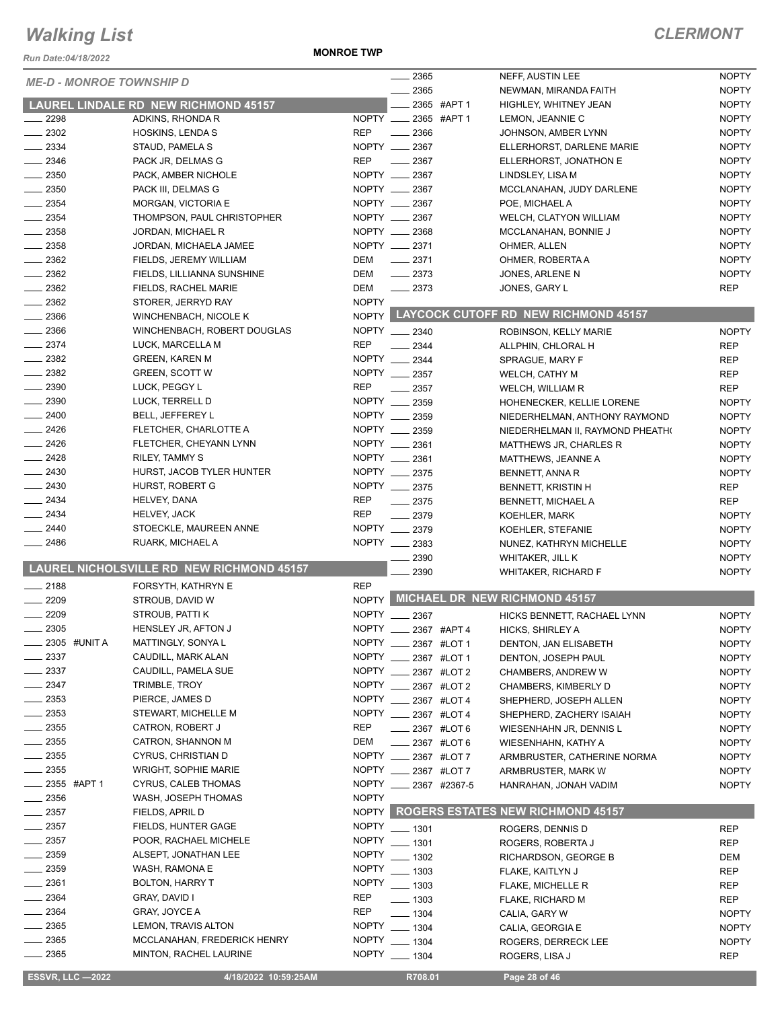#### *Run Date:04/18/2022*

**MONROE TWP**

| KUII Dale.∪4⁄ 10⁄∠∪∠∠           |                                             |              | . 2365                                            | NEFF, AUSTIN LEE                           | <b>NOPTY</b> |
|---------------------------------|---------------------------------------------|--------------|---------------------------------------------------|--------------------------------------------|--------------|
| <b>ME-D - MONROE TOWNSHIP D</b> |                                             |              | 2365                                              | NEWMAN, MIRANDA FAITH                      | <b>NOPTY</b> |
|                                 | <b>LAUREL LINDALE RD NEW RICHMOND 45157</b> |              | 2365 #APT 1                                       | HIGHLEY, WHITNEY JEAN                      | <b>NOPTY</b> |
| 2298                            | ADKINS, RHONDA R                            |              | NOPTY __ 2365 #APT 1                              | LEMON, JEANNIE C                           | <b>NOPTY</b> |
| $\frac{1}{2}$ 2302              | HOSKINS, LENDA S                            | <b>REP</b>   | 2366                                              | JOHNSON, AMBER LYNN                        | <b>NOPTY</b> |
| 2334                            | STAUD, PAMELA S                             |              | NOPTY __ 2367                                     | ELLERHORST, DARLENE MARIE                  | <b>NOPTY</b> |
| 2346                            | PACK JR, DELMAS G                           | <b>REP</b>   | $\frac{1}{2}$ 2367                                | ELLERHORST, JONATHON E                     | <b>NOPTY</b> |
| 2350                            | PACK, AMBER NICHOLE                         |              | NOPTY __ 2367                                     | LINDSLEY, LISA M                           | <b>NOPTY</b> |
| 2350                            | PACK III, DELMAS G                          |              | NOPTY __ 2367                                     | MCCLANAHAN, JUDY DARLENE                   | <b>NOPTY</b> |
| 2354                            | MORGAN, VICTORIA E                          |              | NOPTY __ 2367                                     | POE, MICHAEL A                             | <b>NOPTY</b> |
| 2354                            | THOMPSON, PAUL CHRISTOPHER                  |              | NOPTY __ 2367                                     | <b>WELCH, CLATYON WILLIAM</b>              | <b>NOPTY</b> |
| $-2358$                         | JORDAN, MICHAEL R                           |              | NOPTY __ 2368                                     | MCCLANAHAN, BONNIE J                       | <b>NOPTY</b> |
| $-2358$                         |                                             |              | NOPTY __ 2371                                     |                                            | <b>NOPTY</b> |
| $\frac{1}{2}$ 2362              | JORDAN, MICHAELA JAMEE                      | <b>DEM</b>   | $\frac{1}{2}$ 2371                                | OHMER, ALLEN                               | <b>NOPTY</b> |
| $-2362$                         | FIELDS, JEREMY WILLIAM                      |              |                                                   | OHMER, ROBERTA A                           | <b>NOPTY</b> |
|                                 | FIELDS, LILLIANNA SUNSHINE                  | <b>DEM</b>   | $-2373$                                           | JONES, ARLENE N                            |              |
| $\frac{2362}{2}$                | FIELDS, RACHEL MARIE                        | DEM          | $-2373$                                           | JONES, GARY L                              | <b>REP</b>   |
| $\frac{1}{2}$ 2362              | STORER, JERRYD RAY                          | <b>NOPTY</b> |                                                   | NOPTY LAYCOCK CUTOFF RD NEW RICHMOND 45157 |              |
| 2366                            | <b>WINCHENBACH, NICOLE K</b>                |              |                                                   |                                            |              |
| $\frac{1}{2}$ 2366              | WINCHENBACH, ROBERT DOUGLAS                 |              | NOPTY __ 2340                                     | ROBINSON, KELLY MARIE                      | <b>NOPTY</b> |
| 2374                            | LUCK, MARCELLA M                            | <b>REP</b>   | $-2344$                                           | ALLPHIN, CHLORAL H                         | <b>REP</b>   |
| 2382                            | <b>GREEN, KAREN M</b>                       |              | NOPTY __ 2344                                     | SPRAGUE, MARY F                            | <b>REP</b>   |
| $\frac{1}{2}$ 2382              | <b>GREEN, SCOTT W</b>                       |              | NOPTY __ 2357                                     | WELCH, CATHY M                             | <b>REP</b>   |
| 2390                            | LUCK, PEGGY L                               | <b>REP</b>   | 2357                                              | WELCH, WILLIAM R                           | <b>REP</b>   |
| 2390                            | LUCK, TERRELL D                             | NOPTY __     | 2359                                              | HOHENECKER, KELLIE LORENE                  | <b>NOPTY</b> |
| 2400                            | BELL, JEFFEREY L                            |              | NOPTY __ 2359                                     | NIEDERHELMAN, ANTHONY RAYMOND              | <b>NOPTY</b> |
| 2426                            | FLETCHER, CHARLOTTE A                       | <b>NOPTY</b> | 2359                                              | NIEDERHELMAN II, RAYMOND PHEATH(           | <b>NOPTY</b> |
| 2426                            | FLETCHER, CHEYANN LYNN                      |              | NOPTY __ 2361                                     | MATTHEWS JR, CHARLES R                     | <b>NOPTY</b> |
| 2428                            | RILEY, TAMMY S                              |              | NOPTY __ 2361                                     | MATTHEWS, JEANNE A                         | <b>NOPTY</b> |
| $-2430$                         | HURST, JACOB TYLER HUNTER                   | NOPTY _      | 2375                                              | BENNETT, ANNA R                            | <b>NOPTY</b> |
| $\sim$ 2430                     | HURST, ROBERT G                             |              | NOPTY __ 2375                                     | <b>BENNETT, KRISTIN H</b>                  | <b>REP</b>   |
| $\frac{2434}{5}$                | HELVEY, DANA                                | <b>REP</b>   | 2375                                              | BENNETT, MICHAEL A                         | <b>REP</b>   |
| $\frac{2434}{5}$                | <b>HELVEY, JACK</b>                         | <b>REP</b>   | 2379                                              | <b>KOEHLER, MARK</b>                       | <b>NOPTY</b> |
| 2440                            | STOECKLE, MAUREEN ANNE                      |              | NOPTY __ 2379                                     | KOEHLER, STEFANIE                          | <b>NOPTY</b> |
| $-2486$                         | RUARK, MICHAEL A                            |              | NOPTY 2383                                        | NUNEZ, KATHRYN MICHELLE                    | <b>NOPTY</b> |
|                                 |                                             |              | 2390                                              | WHITAKER, JILL K                           | <b>NOPTY</b> |
|                                 | LAUREL NICHOLSVILLE RD NEW RICHMOND 45157   |              | 2390                                              | <b>WHITAKER, RICHARD F</b>                 | <b>NOPTY</b> |
| $-2188$                         | FORSYTH, KATHRYN E                          | <b>REP</b>   |                                                   |                                            |              |
| 2209                            | STROUB, DAVID W                             |              |                                                   | NOPTY MICHAEL DR NEW RICHMOND 45157        |              |
| 2209                            | STROUB, PATTI K                             | <b>NOPTY</b> | 2367                                              | HICKS BENNETT, RACHAEL LYNN                | <b>NOPTY</b> |
| 2305                            | HENSLEY JR, AFTON J                         | <b>NOPTY</b> | $-2367$ #APT 4                                    | HICKS, SHIRLEY A                           | <b>NOPTY</b> |
| 2305 #UNIT A                    | MATTINGLY, SONYA L                          |              | NOPTY __ 2367 #LOT 1                              | DENTON, JAN ELISABETH                      | <b>NOPTY</b> |
| _ 2337                          | CAUDILL, MARK ALAN                          |              | NOPTY __ 2367 #LOT 1                              | DENTON, JOSEPH PAUL                        | <b>NOPTY</b> |
| $-2337$                         | CAUDILL, PAMELA SUE                         |              | NOPTY __ 2367 #LOT 2                              | CHAMBERS, ANDREW W                         | <b>NOPTY</b> |
| 2347                            | TRIMBLE, TROY                               |              | NOPTY __ 2367 #LOT 2                              | CHAMBERS, KIMBERLY D                       | <b>NOPTY</b> |
| $\frac{1}{2}$ 2353              | PIERCE, JAMES D                             |              | NOPTY __ 2367 #LOT 4                              | SHEPHERD, JOSEPH ALLEN                     | <b>NOPTY</b> |
| $-2353$                         | STEWART, MICHELLE M                         |              | NOPTY __ 2367 #LOT 4                              | SHEPHERD, ZACHERY ISAIAH                   | <b>NOPTY</b> |
| $\frac{1}{2}$ 2355              | CATRON, ROBERT J                            | REP          | $\frac{1}{2}$ 2367 #LOT 6                         | WIESENHAHN JR, DENNIS L                    | <b>NOPTY</b> |
| $\frac{1}{2}$ 2355              | CATRON, SHANNON M                           | DEM          |                                                   |                                            |              |
| $-2355$                         | CYRUS, CHRISTIAN D                          |              | $\frac{1}{2}$ 2367 #LOT 6<br>NOPTY __ 2367 #LOT 7 | WIESENHAHN, KATHY A                        | <b>NOPTY</b> |
|                                 |                                             |              |                                                   | ARMBRUSTER, CATHERINE NORMA                | <b>NOPTY</b> |
| $\frac{1}{2}$ 2355              | <b>WRIGHT, SOPHIE MARIE</b>                 |              | NOPTY __ 2367 #LOT 7                              | ARMBRUSTER, MARK W                         | <b>NOPTY</b> |
| ____ 2355 #APT 1                | <b>CYRUS, CALEB THOMAS</b>                  |              | NOPTY 2367 #2367-5                                | HANRAHAN, JONAH VADIM                      | <b>NOPTY</b> |
| $\frac{1}{2}$ 2356              | WASH, JOSEPH THOMAS                         | <b>NOPTY</b> |                                                   |                                            |              |
| $\frac{1}{2}$ 2357              | FIELDS, APRIL D                             |              |                                                   | NOPTY ROGERS ESTATES NEW RICHMOND 45157    |              |
| $\sim$ 2357                     | FIELDS, HUNTER GAGE                         |              | NOPTY __ 1301                                     | ROGERS, DENNIS D                           | <b>REP</b>   |
| $\frac{1}{2}$ 2357              | POOR, RACHAEL MICHELE                       |              | NOPTY __ 1301                                     | ROGERS, ROBERTA J                          | <b>REP</b>   |
| $-2359$                         | ALSEPT, JONATHAN LEE                        |              | NOPTY __ 1302                                     | RICHARDSON, GEORGE B                       | DEM          |
| $-2359$                         | WASH, RAMONA E                              |              | NOPTY __ 1303                                     | FLAKE, KAITLYN J                           | <b>REP</b>   |
| $-2361$                         | <b>BOLTON, HARRY T</b>                      |              | NOPTY __ 1303                                     | FLAKE, MICHELLE R                          | <b>REP</b>   |
| 2364                            | <b>GRAY, DAVID I</b>                        | <b>REP</b>   | $- 1303$                                          | FLAKE, RICHARD M                           | <b>REP</b>   |
| $-2364$                         | GRAY, JOYCE A                               | <b>REP</b>   | $- 1304$                                          | CALIA, GARY W                              | <b>NOPTY</b> |
| $-2365$                         | LEMON, TRAVIS ALTON                         |              | NOPTY __ 1304                                     | CALIA, GEORGIA E                           | <b>NOPTY</b> |
| _ 2365                          | MCCLANAHAN, FREDERICK HENRY                 |              | NOPTY __ 1304                                     | ROGERS, DERRECK LEE                        | <b>NOPTY</b> |
| $-2365$                         | <b>MINTON, RACHEL LAURINE</b>               |              | NOPTY __ 1304                                     | ROGERS, LISA J                             | <b>REP</b>   |
|                                 |                                             |              |                                                   |                                            |              |
| <b>ESSVR, LLC -2022</b>         | 4/18/2022 10:59:25AM                        |              | R708.01                                           | Page 28 of 46                              |              |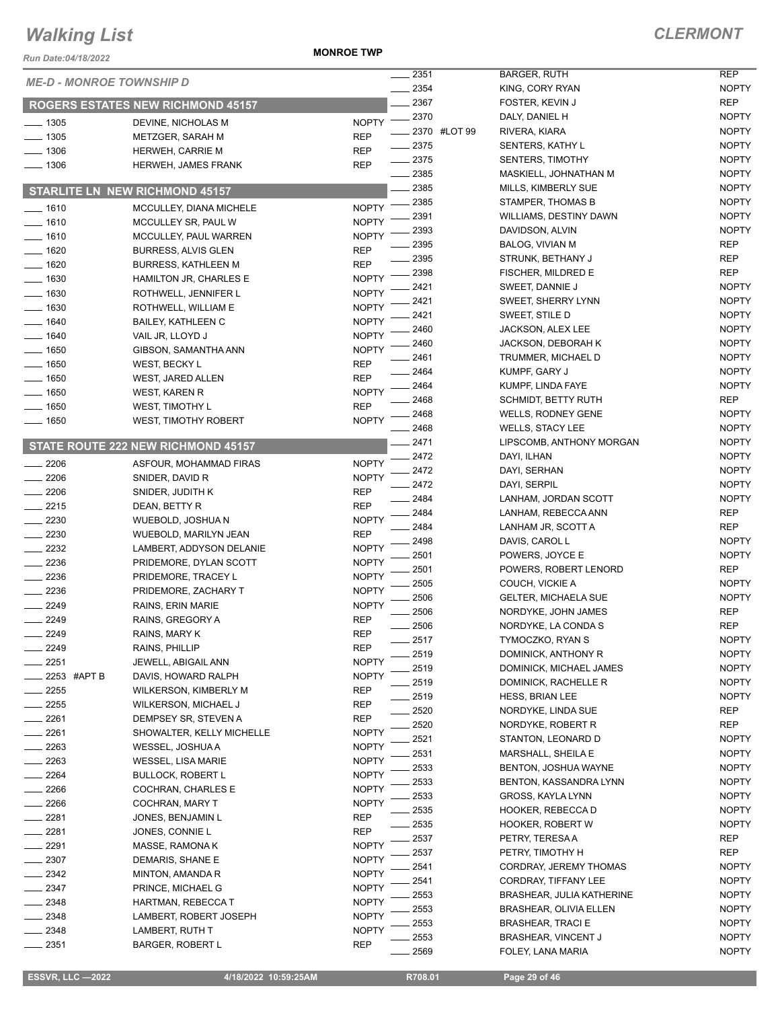*Run Date:04/18/2022*

**MONROE TWP**

#### *CLERMONT*

| <b>Run Date:04/18/2022</b>      |                                           |                                      |              |                                        |                              |
|---------------------------------|-------------------------------------------|--------------------------------------|--------------|----------------------------------------|------------------------------|
| <b>ME-D - MONROE TOWNSHIP D</b> |                                           | 2351<br>2354                         |              | <b>BARGER, RUTH</b><br>KING, CORY RYAN | <b>REP</b><br><b>NOPTY</b>   |
|                                 |                                           | 2367                                 |              | FOSTER, KEVIN J                        | <b>REP</b>                   |
|                                 | <b>ROGERS ESTATES NEW RICHMOND 45157</b>  | 2370                                 |              | DALY, DANIEL H                         | <b>NOPTY</b>                 |
| $-1305$                         | <b>DEVINE. NICHOLAS M</b>                 | <b>NOPTY</b>                         | 2370 #LOT 99 | RIVERA, KIARA                          | <b>NOPTY</b>                 |
| $-1305$                         | METZGER, SARAH M                          | <b>REP</b><br>2375                   |              | SENTERS, KATHY L                       | <b>NOPTY</b>                 |
| $-1306$                         | <b>HERWEH, CARRIE M</b>                   | <b>REP</b><br>$-2375$                |              | <b>SENTERS, TIMOTHY</b>                | <b>NOPTY</b>                 |
| $- 1306$                        | <b>HERWEH, JAMES FRANK</b>                | <b>REP</b><br>$-2385$                |              | MASKIELL, JOHNATHAN M                  | <b>NOPTY</b>                 |
|                                 | <b>STARLITE LN NEW RICHMOND 45157</b>     | 2385                                 |              | MILLS, KIMBERLY SUE                    | <b>NOPTY</b>                 |
|                                 |                                           | 2385                                 |              | STAMPER, THOMAS B                      | <b>NOPTY</b>                 |
| $- 1610$                        | MCCULLEY, DIANA MICHELE                   | <b>NOPTY</b><br>2391                 |              | WILLIAMS, DESTINY DAWN                 | <b>NOPTY</b>                 |
| $- 1610$                        | MCCULLEY SR, PAUL W                       | <b>NOPTY</b><br>2393                 |              | DAVIDSON, ALVIN                        | <b>NOPTY</b>                 |
| $-1610$                         | MCCULLEY, PAUL WARREN                     | <b>NOPTY</b><br>2395                 |              | BALOG, VIVIAN M                        | <b>REP</b>                   |
| $-1620$                         | <b>BURRESS, ALVIS GLEN</b>                | <b>REP</b><br>2395                   |              | STRUNK, BETHANY J                      | <b>REP</b>                   |
| $-1620$                         | <b>BURRESS, KATHLEEN M</b>                | <b>REP</b><br>2398                   |              | FISCHER, MILDRED E                     | <b>REP</b>                   |
| $-1630$                         | HAMILTON JR, CHARLES E                    | <b>NOPTY</b><br>2421                 |              | SWEET, DANNIE J                        | <b>NOPTY</b>                 |
| 1630                            | ROTHWELL, JENNIFER L                      | <b>NOPTY</b><br>2421                 |              | <b>SWEET, SHERRY LYNN</b>              | <b>NOPTY</b>                 |
| 1630                            | ROTHWELL, WILLIAM E                       | <b>NOPTY</b><br>2421                 |              | SWEET, STILE D                         | <b>NOPTY</b>                 |
| 1640<br>$-1640$                 | <b>BAILEY, KATHLEEN C</b>                 | <b>NOPTY</b><br>2460<br><b>NOPTY</b> |              | <b>JACKSON, ALEX LEE</b>               | <b>NOPTY</b>                 |
|                                 | VAIL JR, LLOYD J<br>GIBSON, SAMANTHA ANN  | 2460<br><b>NOPTY</b>                 |              | <b>JACKSON, DEBORAH K</b>              | <b>NOPTY</b>                 |
| $-1650$<br>1650                 |                                           | 2461<br><b>REP</b>                   |              | TRUMMER, MICHAEL D                     | <b>NOPTY</b>                 |
|                                 | WEST, BECKY L                             | 2464<br><b>REP</b>                   |              | KUMPF, GARY J                          | <b>NOPTY</b>                 |
| 1650<br>1650                    | <b>WEST, JARED ALLEN</b><br>WEST, KAREN R | 2464<br><b>NOPTY</b>                 |              | KUMPF, LINDA FAYE                      | <b>NOPTY</b>                 |
| 1650                            | <b>WEST, TIMOTHY L</b>                    | 2468<br><b>REP</b>                   |              | <b>SCHMIDT, BETTY RUTH</b>             | <b>REP</b>                   |
| $-1650$                         | <b>WEST, TIMOTHY ROBERT</b>               | 2468<br><b>NOPTY</b>                 |              | <b>WELLS, RODNEY GENE</b>              | <b>NOPTY</b>                 |
|                                 |                                           | 2468                                 |              | <b>WELLS, STACY LEE</b>                | <b>NOPTY</b>                 |
|                                 | STATE ROUTE 222 NEW RICHMOND 45157        | $-2471$                              |              | LIPSCOMB, ANTHONY MORGAN               | <b>NOPTY</b>                 |
| 2206                            | ASFOUR, MOHAMMAD FIRAS                    | 2472<br><b>NOPTY</b>                 |              | DAYI, ILHAN                            | <b>NOPTY</b>                 |
| 2206                            | SNIDER, DAVID R                           | 2472<br><b>NOPTY</b>                 |              | DAYI, SERHAN                           | <b>NOPTY</b>                 |
| 2206                            | SNIDER, JUDITH K                          | 2472<br><b>REP</b>                   |              | DAYI, SERPIL                           | <b>NOPTY</b>                 |
| 2215                            | DEAN, BETTY R                             | 2484<br><b>REP</b>                   |              | LANHAM, JORDAN SCOTT                   | <b>NOPTY</b>                 |
| $-2230$                         | WUEBOLD, JOSHUA N                         | 2484<br><b>NOPTY</b>                 |              | LANHAM, REBECCA ANN                    | <b>REP</b>                   |
| 2230                            | WUEBOLD, MARILYN JEAN                     | 2484<br><b>REP</b>                   |              | LANHAM JR, SCOTT A                     | <b>REP</b>                   |
| 2232                            | LAMBERT, ADDYSON DELANIE                  | 2498<br><b>NOPTY</b>                 |              | DAVIS, CAROL L                         | <b>NOPTY</b>                 |
| 2236                            | PRIDEMORE, DYLAN SCOTT                    | 2501<br><b>NOPTY</b>                 |              | POWERS, JOYCE E                        | <b>NOPTY</b>                 |
| 2236                            | PRIDEMORE, TRACEY L                       | 2501<br><b>NOPTY</b>                 |              | POWERS, ROBERT LENORD                  | <b>REP</b>                   |
| $-2236$                         | PRIDEMORE, ZACHARY T                      | 2505<br><b>NOPTY</b>                 |              | COUCH, VICKIE A                        | <b>NOPTY</b>                 |
| 2249                            | RAINS, ERIN MARIE                         | 2506<br><b>NOPTY</b>                 |              | <b>GELTER, MICHAELA SUE</b>            | <b>NOPTY</b>                 |
| 2249                            | RAINS, GREGORY A                          | 2506<br><b>REP</b>                   |              | NORDYKE, JOHN JAMES                    | <b>REP</b>                   |
| 2249                            | RAINS, MARY K                             | 2506<br><b>REP</b>                   |              | NORDYKE, LA CONDA S                    | <b>REP</b>                   |
| 2249                            | RAINS, PHILLIP                            | $-2517$<br><b>REP</b>                |              | TYMOCZKO, RYAN S                       | <b>NOPTY</b>                 |
| 2251                            | JEWELL, ABIGAIL ANN                       | 2519<br><b>NOPTY</b>                 |              | DOMINICK, ANTHONY R                    | <b>NOPTY</b>                 |
| 2253 #APT B                     | DAVIS, HOWARD RALPH                       | 2519<br><b>NOPTY</b>                 |              | DOMINICK, MICHAEL JAMES                | <b>NOPTY</b>                 |
| 2255                            | WILKERSON, KIMBERLY M                     | 2519<br><b>REP</b>                   |              | DOMINICK, RACHELLE R                   | <b>NOPTY</b>                 |
| 2255                            | WILKERSON, MICHAEL J                      | 2519<br><b>REP</b>                   |              | <b>HESS, BRIAN LEE</b>                 | <b>NOPTY</b>                 |
| 2261                            | DEMPSEY SR, STEVEN A                      | 2520<br><b>REP</b>                   |              | NORDYKE, LINDA SUE                     | REP                          |
| 2261                            | SHOWALTER, KELLY MICHELLE                 | 2520<br><b>NOPTY</b>                 |              | NORDYKE, ROBERT R                      | REP                          |
| 2263                            | WESSEL, JOSHUA A                          | 2521<br><b>NOPTY</b>                 |              | STANTON, LEONARD D                     | <b>NOPTY</b>                 |
| 2263                            | <b>WESSEL, LISA MARIE</b>                 | 2531<br><b>NOPTY</b>                 |              | MARSHALL, SHEILA E                     | <b>NOPTY</b>                 |
| 2264                            | <b>BULLOCK, ROBERT L</b>                  | 2533<br><b>NOPTY</b>                 |              | <b>BENTON, JOSHUA WAYNE</b>            | <b>NOPTY</b>                 |
| 2266                            | COCHRAN, CHARLES E                        | 2533<br><b>NOPTY</b>                 |              | BENTON, KASSANDRA LYNN                 | <b>NOPTY</b>                 |
| 2266                            | COCHRAN, MARY T                           | 2533<br><b>NOPTY</b><br>2535         |              | GROSS, KAYLA LYNN                      | <b>NOPTY</b><br><b>NOPTY</b> |
| 2281                            | JONES, BENJAMIN L                         | <b>REP</b>                           |              | HOOKER, REBECCA D                      |                              |
| 2281                            | JONES, CONNIE L                           | 2535<br><b>REP</b><br>2537           |              | HOOKER, ROBERT W                       | <b>NOPTY</b>                 |
| 2291                            | MASSE, RAMONA K                           | <b>NOPTY</b><br>2537                 |              | PETRY, TERESA A<br>PETRY, TIMOTHY H    | REP<br>REP                   |
| 2307                            | DEMARIS, SHANE E                          | <b>NOPTY</b><br>2541                 |              | CORDRAY, JEREMY THOMAS                 | <b>NOPTY</b>                 |
| $-2342$                         | MINTON, AMANDA R                          | <b>NOPTY</b><br>2541                 |              |                                        | <b>NOPTY</b>                 |
| 2347                            | PRINCE, MICHAEL G                         | <b>NOPTY</b><br>2553                 |              | CORDRAY, TIFFANY LEE                   | <b>NOPTY</b>                 |
| $-2348$                         | HARTMAN, REBECCA T                        | <b>NOPTY</b><br>2553                 |              | BRASHEAR, JULIA KATHERINE              | <b>NOPTY</b>                 |
| 2348                            | LAMBERT, ROBERT JOSEPH                    | <b>NOPTY</b><br>2553                 |              | BRASHEAR, OLIVIA ELLEN                 |                              |
| 2348                            | LAMBERT, RUTH T                           | <b>NOPTY</b>                         |              | <b>BRASHEAR, TRACI E</b>               | <b>NOPTY</b>                 |
| 2351                            | <b>BARGER, ROBERT L</b>                   | 2553<br><b>REP</b>                   |              | BRASHEAR, VINCENT J                    | <b>NOPTY</b>                 |

|                | NOPIY                        |
|----------------|------------------------------|
|                | <b>REP</b>                   |
|                | <b>NOPTY</b><br><b>NOPTY</b> |
|                | <b>NOPTY</b>                 |
|                | <b>NOPTY</b>                 |
| м              | <b>NOPTY</b>                 |
|                | <b>NOPTY</b>                 |
|                | <b>NOPTY</b>                 |
| ٧N             | <b>NOPTY</b>                 |
|                | <b>NOPTY</b>                 |
|                | <b>REP</b>                   |
|                | <b>REP</b>                   |
|                | <b>REP</b>                   |
|                | <b>NOPTY</b>                 |
|                | <b>NOPTY</b>                 |
|                | <b>NOPTY</b>                 |
|                | <b>NOPTY</b>                 |
|                | <b>NOPTY</b>                 |
|                | <b>NOPTY</b>                 |
|                | <b>NOPTY</b>                 |
|                | <b>NOPTY</b>                 |
|                | <b>REP</b>                   |
|                | <b>NOPTY</b>                 |
|                | <b>NOPTY</b>                 |
| ORGAN          | <b>NOPTY</b>                 |
|                | <b>NOPTY</b>                 |
|                | <b>NOPTY</b>                 |
|                | <b>NOPTY</b>                 |
| $\mathsf{T}$   | <b>NOPTY</b>                 |
| I              | <b>REP</b>                   |
|                | <b>REP</b>                   |
|                | <b>NOPTY</b><br><b>NOPTY</b> |
| ORD            | <b>REP</b>                   |
|                | <b>NOPTY</b>                 |
| $\overline{a}$ | <b>NOPTY</b>                 |
|                | <b>REP</b>                   |
|                | <b>REP</b>                   |
|                | NOPTY                        |
|                | <b>NOPTY</b>                 |
| <b>MES</b>     | <b>NOPTY</b>                 |
| l              | <b>NOPTY</b>                 |
|                | <b>NOPTY</b>                 |
|                | <b>REP</b>                   |
|                | <b>REP</b>                   |
|                | <b>NOPTY</b>                 |
|                | <b>NOPTY</b>                 |
| lΕ             | <b>NOPTY</b>                 |
| YNN            | <b>NOPTY</b>                 |
|                | <b>NOPTY</b>                 |
|                | <b>NOPTY</b>                 |
|                | <b>NOPTY</b>                 |
|                | <b>REP</b><br><b>REP</b>     |
| MAS            | <b>NOPTY</b>                 |
|                | <b>NOPTY</b>                 |
| ERINE          | <b>NOPTY</b>                 |
| ΞN             | <b>NOPTY</b>                 |
|                | <b>NOPTY</b>                 |
|                | <b>NOPTY</b>                 |
|                | <b>NOPTY</b>                 |
|                |                              |

2569 FOLEY, LANA MARIA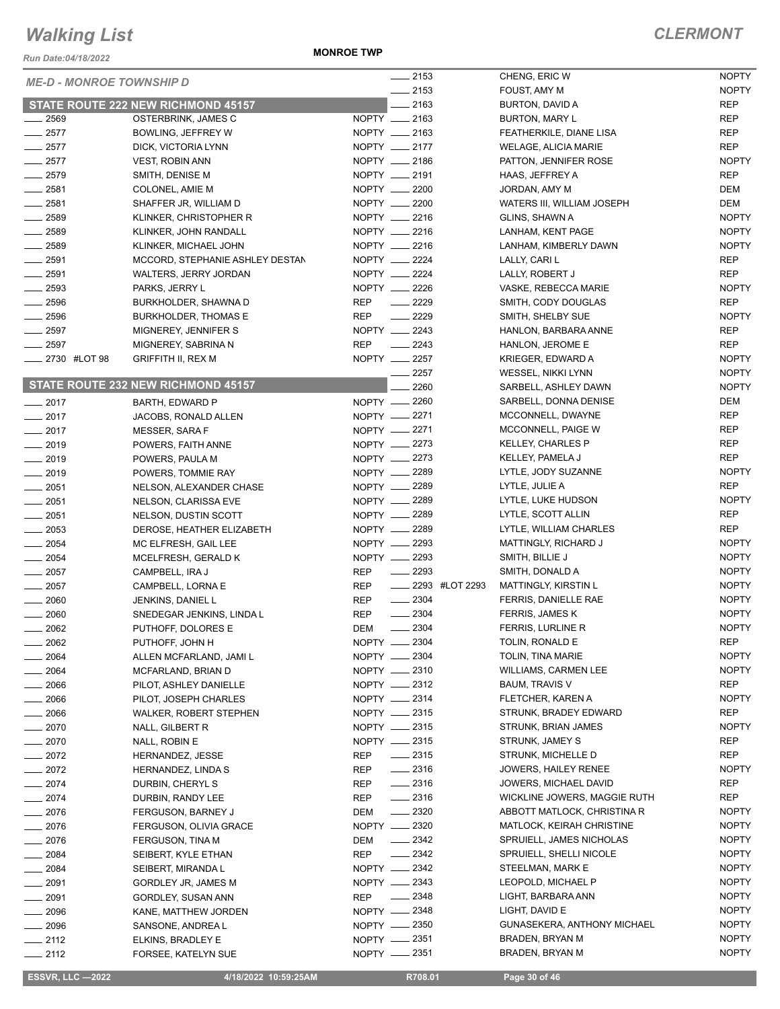*Run Date:04/18/2022*

**MONROE TWP**

#### *CLERMONT*

|                                 |                                    |            | $-2153$                     | CHENG, ERIC W                | <b>NOPTY</b> |
|---------------------------------|------------------------------------|------------|-----------------------------|------------------------------|--------------|
| <b>ME-D - MONROE TOWNSHIP D</b> |                                    |            | $-2153$                     | FOUST, AMY M                 | <b>NOPTY</b> |
|                                 |                                    |            |                             |                              |              |
|                                 | STATE ROUTE 222 NEW RICHMOND 45157 |            | $-2163$                     | BURTON, DAVID A              | <b>REP</b>   |
| . 2569                          | OSTERBRINK, JAMES C                |            | NOPTY __ 2163               | <b>BURTON, MARY L</b>        | <b>REP</b>   |
| $-2577$                         | BOWLING, JEFFREY W                 |            | NOPTY __ 2163               | FEATHERKILE, DIANE LISA      | <b>REP</b>   |
| $-2577$                         | DICK, VICTORIA LYNN                |            | NOPTY __ 2177               | <b>WELAGE, ALICIA MARIE</b>  | <b>REP</b>   |
| $-2577$                         | <b>VEST, ROBIN ANN</b>             |            | NOPTY __ 2186               | PATTON, JENNIFER ROSE        | <b>NOPTY</b> |
| $-2579$                         | SMITH, DENISE M                    |            | NOPTY __ 2191               | HAAS, JEFFREY A              | <b>REP</b>   |
| $\frac{1}{2581}$                | COLONEL, AMIE M                    |            | NOPTY __ 2200               | JORDAN, AMY M                | <b>DEM</b>   |
| $-2581$                         | SHAFFER JR, WILLIAM D              |            | NOPTY __ 2200               | WATERS III, WILLIAM JOSEPH   | <b>DEM</b>   |
| $-2589$                         | KLINKER, CHRISTOPHER R             |            | NOPTY __ 2216               | GLINS, SHAWN A               | <b>NOPTY</b> |
| $\frac{1}{2589}$                |                                    |            | NOPTY __ 2216               |                              | <b>NOPTY</b> |
|                                 | KLINKER, JOHN RANDALL              |            |                             | LANHAM, KENT PAGE            |              |
| $-2589$                         | KLINKER, MICHAEL JOHN              |            | NOPTY __ 2216               | LANHAM, KIMBERLY DAWN        | <b>NOPTY</b> |
| $\frac{1}{2591}$                | MCCORD, STEPHANIE ASHLEY DESTAN    |            | NOPTY __ 2224               | LALLY, CARI L                | <b>REP</b>   |
| $-2591$                         | WALTERS, JERRY JORDAN              |            | NOPTY __ 2224               | LALLY, ROBERT J              | <b>REP</b>   |
| 2593                            | PARKS, JERRY L                     |            | NOPTY __ 2226               | VASKE, REBECCA MARIE         | <b>NOPTY</b> |
| $-2596$                         | BURKHOLDER, SHAWNA D               | <b>REP</b> | $-2229$                     | SMITH, CODY DOUGLAS          | <b>REP</b>   |
| $-2596$                         | <b>BURKHOLDER, THOMAS E</b>        | <b>REP</b> | $\frac{2229}{2}$            | SMITH, SHELBY SUE            | <b>NOPTY</b> |
| $-2597$                         | MIGNEREY, JENNIFER S               |            | NOPTY __ 2243               | HANLON, BARBARA ANNE         | <b>REP</b>   |
| $-2597$                         | MIGNEREY, SABRINA N                | <b>REP</b> | $-2243$                     | HANLON, JEROME E             | <b>REP</b>   |
| 2730 #LOT 98                    | <b>GRIFFITH II, REX M</b>          |            | NOPTY __ 2257               | KRIEGER, EDWARD A            | <b>NOPTY</b> |
|                                 |                                    |            |                             |                              |              |
|                                 | STATE ROUTE 232 NEW RICHMOND 45157 |            | 2257                        | WESSEL, NIKKI LYNN           | <b>NOPTY</b> |
|                                 |                                    |            | 2260                        | SARBELL, ASHLEY DAWN         | <b>NOPTY</b> |
| $\frac{1}{2017}$                | BARTH, EDWARD P                    |            | NOPTY __ 2260               | SARBELL, DONNA DENISE        | DEM          |
| $-2017$                         | JACOBS, RONALD ALLEN               |            | NOPTY __ 2271               | MCCONNELL, DWAYNE            | <b>REP</b>   |
| $-2017$                         | <b>MESSER, SARA F</b>              |            | NOPTY -2271                 | MCCONNELL, PAIGE W           | <b>REP</b>   |
| $-2019$                         | POWERS, FAITH ANNE                 |            | NOPTY __ 2273               | <b>KELLEY, CHARLES P</b>     | <b>REP</b>   |
| $-2019$                         | POWERS, PAULA M                    |            | NOPTY -2273                 | KELLEY, PAMELA J             | <b>REP</b>   |
| $-2019$                         | POWERS, TOMMIE RAY                 |            | NOPTY __ 2289               | LYTLE, JODY SUZANNE          | <b>NOPTY</b> |
|                                 |                                    |            | NOPTY __ 2289               | LYTLE, JULIE A               | <b>REP</b>   |
| $-2051$                         | NELSON, ALEXANDER CHASE            |            |                             |                              |              |
| $-2051$                         | NELSON, CLARISSA EVE               |            | NOPTY __ 2289               | LYTLE, LUKE HUDSON           | <b>NOPTY</b> |
| $-2051$                         | NELSON, DUSTIN SCOTT               |            | NOPTY __ 2289               | LYTLE, SCOTT ALLIN           | <b>REP</b>   |
| $-2053$                         | DEROSE, HEATHER ELIZABETH          |            | NOPTY __ 2289               | LYTLE, WILLIAM CHARLES       | <b>REP</b>   |
| $\frac{1}{2054}$                | MC ELFRESH, GAIL LEE               |            | NOPTY __ 2293               | MATTINGLY, RICHARD J         | <b>NOPTY</b> |
| $-2054$                         | MCELFRESH, GERALD K                |            | NOPTY -2293                 | SMITH, BILLIE J              | <b>NOPTY</b> |
| $-2057$                         | CAMPBELL, IRA J                    | <b>REP</b> | $-2293$                     | SMITH, DONALD A              | <b>NOPTY</b> |
| $\frac{1}{2057}$                | CAMPBELL, LORNA E                  | <b>REP</b> | <b>LEGGE 2293 #LOT 2293</b> | MATTINGLY, KIRSTIN L         | <b>NOPTY</b> |
| $\frac{1}{2060}$                | JENKINS, DANIEL L                  | <b>REP</b> | $\frac{1}{2}$ 2304          | FERRIS, DANIELLE RAE         | <b>NOPTY</b> |
| $- 2060$                        | SNEDEGAR JENKINS, LINDA L          | <b>REP</b> | $\frac{2304}{2}$            | FERRIS, JAMES K              | <b>NOPTY</b> |
|                                 | PUTHOFF, DOLORES E                 | <b>DEM</b> | $\frac{1}{2}$ 2304          | FERRIS, LURLINE R            | <b>NOPTY</b> |
| $-2062$                         |                                    |            |                             |                              |              |
| - 2062                          | PUTHOFF, JOHN H                    |            | NOPTY __ 2304               | TOLIN, RONALD E              | REP          |
| 2064                            | ALLEN MCFARLAND, JAMI L            |            | NOPTY __ 2304               | TOLIN, TINA MARIE            | <b>NOPTY</b> |
| 2064                            | MCFARLAND, BRIAN D                 |            | NOPTY __ 2310               | <b>WILLIAMS, CARMEN LEE</b>  | <b>NOPTY</b> |
| $=2066$                         | PILOT, ASHLEY DANIELLE             |            | NOPTY __ 2312               | <b>BAUM, TRAVIS V</b>        | <b>REP</b>   |
| _ 2066                          | PILOT, JOSEPH CHARLES              |            | NOPTY -2314                 | FLETCHER, KAREN A            | <b>NOPTY</b> |
| $=2066$                         | WALKER, ROBERT STEPHEN             |            | NOPTY -2315                 | STRUNK, BRADEY EDWARD        | <b>REP</b>   |
| $= 2070$                        | NALL, GILBERT R                    |            | NOPTY 2315                  | <b>STRUNK, BRIAN JAMES</b>   | <b>NOPTY</b> |
| $= 2070$                        | NALL, ROBIN E                      |            | NOPTY __ 2315               | STRUNK, JAMEY S              | REP          |
| $-2072$                         | HERNANDEZ, JESSE                   | <b>REP</b> | $\frac{1}{2}$ 2315          | STRUNK, MICHELLE D           | REP          |
|                                 |                                    |            | $-2316$                     |                              | <b>NOPTY</b> |
| $-2072$                         | HERNANDEZ, LINDA S                 | <b>REP</b> |                             | JOWERS, HAILEY RENEE         |              |
| $-2074$                         | DURBIN, CHERYL S                   | <b>REP</b> | $-2316$                     | JOWERS, MICHAEL DAVID        | REP          |
| $-2074$                         | DURBIN, RANDY LEE                  | REP        | $-2316$                     | WICKLINE JOWERS, MAGGIE RUTH | REP          |
| _ 2076                          | FERGUSON, BARNEY J                 | DEM        | $-2320$                     | ABBOTT MATLOCK, CHRISTINA R  | <b>NOPTY</b> |
| $=2076$                         | FERGUSON, OLIVIA GRACE             |            | NOPTY __ 2320               | MATLOCK, KEIRAH CHRISTINE    | <b>NOPTY</b> |
| $-2076$                         | FERGUSON, TINA M                   | <b>DEM</b> | $-2342$                     | SPRUIELL, JAMES NICHOLAS     | <b>NOPTY</b> |
| __ 2084                         | SEIBERT, KYLE ETHAN                | <b>REP</b> | 2342                        | SPRUIELL, SHELLI NICOLE      | <b>NOPTY</b> |
| $-2084$                         | SEIBERT, MIRANDA L                 |            | NOPTY __ 2342               | STEELMAN, MARK E             | <b>NOPTY</b> |
|                                 |                                    |            | NOPTY -2343                 | LEOPOLD, MICHAEL P           | <b>NOPTY</b> |
| $=2091$                         | GORDLEY JR, JAMES M                |            |                             |                              |              |
| $-2091$                         | GORDLEY, SUSAN ANN                 | REP        | $\frac{2348}{2}$            | LIGHT, BARBARA ANN           | <b>NOPTY</b> |
| _ 2096                          | KANE, MATTHEW JORDEN               |            | NOPTY __ 2348               | LIGHT, DAVID E               | <b>NOPTY</b> |
| $-2096$                         | SANSONE, ANDREA L                  |            | NOPTY - 2350                | GUNASEKERA, ANTHONY MICHAEL  | <b>NOPTY</b> |
| $-2112$                         | ELKINS, BRADLEY E                  |            | NOPTY __ 2351               | BRADEN, BRYAN M              | <b>NOPTY</b> |
| $=$ 2112                        | FORSEE, KATELYN SUE                |            | NOPTY __ 2351               | BRADEN, BRYAN M              | <b>NOPTY</b> |
|                                 |                                    |            |                             |                              |              |

 **ESSVR, LLC —2022 4/18/2022 10:59:25AM R708.01 Page 30 of 46**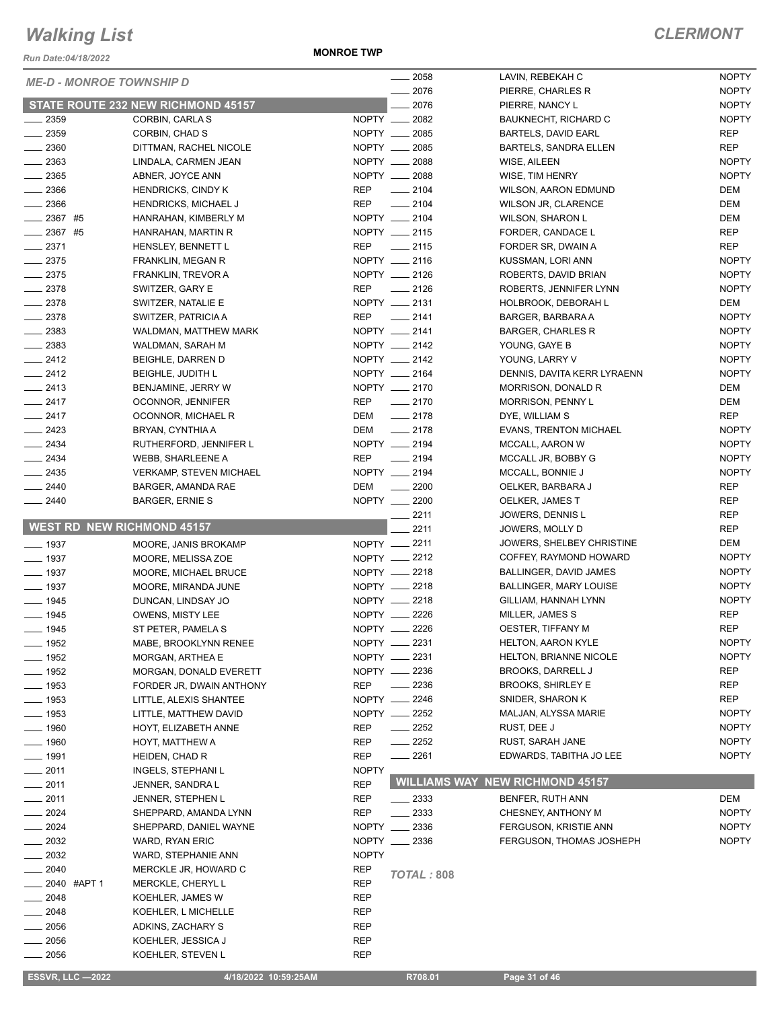*Run Date:04/18/2022*

**MONROE TWP**

| <b>ME-D - MONROE TOWNSHIP D</b>   |                                           |              | $-2058$            | LAVIN, REBEKAH C                       | <b>NOPTY</b> |
|-----------------------------------|-------------------------------------------|--------------|--------------------|----------------------------------------|--------------|
|                                   |                                           |              | 2076               | PIERRE, CHARLES R                      | <b>NOPTY</b> |
|                                   | <b>STATE ROUTE 232 NEW RICHMOND 45157</b> |              | 2076               | PIERRE, NANCY L                        | <b>NOPTY</b> |
| $-2359$                           | CORBIN, CARLA S                           |              | NOPTY __ 2082      | <b>BAUKNECHT, RICHARD C</b>            | <b>NOPTY</b> |
| $\frac{1}{2}$ 2359                | CORBIN, CHAD S                            |              | NOPTY __ 2085      | <b>BARTELS, DAVID EARL</b>             | <b>REP</b>   |
| $\frac{1}{2}$ 2360                | DITTMAN, RACHEL NICOLE                    |              | NOPTY __ 2085      | <b>BARTELS, SANDRA ELLEN</b>           | <b>REP</b>   |
| $-2363$                           | LINDALA, CARMEN JEAN                      |              | NOPTY __ 2088      | WISE, AILEEN                           | <b>NOPTY</b> |
| $\frac{1}{2}$ 2365                | ABNER, JOYCE ANN                          |              | NOPTY __ 2088      | WISE, TIM HENRY                        | <b>NOPTY</b> |
| $-2366$                           | <b>HENDRICKS, CINDY K</b>                 | <b>REP</b>   | $-2104$            | <b>WILSON, AARON EDMUND</b>            | DEM          |
| $-2366$                           | <b>HENDRICKS, MICHAEL J</b>               | <b>REP</b>   | $-2104$            | <b>WILSON JR, CLARENCE</b>             | DEM          |
| $-2367$ #5                        | HANRAHAN, KIMBERLY M                      |              | NOPTY __ 2104      | <b>WILSON, SHARON L</b>                | DEM          |
| $2367$ #5                         | HANRAHAN, MARTIN R                        |              | NOPTY __ 2115      | FORDER, CANDACE L                      | <b>REP</b>   |
| $-2371$                           | HENSLEY, BENNETT L                        | <b>REP</b>   | $\frac{1}{2115}$   | FORDER SR, DWAIN A                     | REP          |
| $-2375$                           | FRANKLIN, MEGAN R                         |              | NOPTY __ 2116      | KUSSMAN, LORI ANN                      | <b>NOPTY</b> |
| $-2375$                           | <b>FRANKLIN, TREVOR A</b>                 |              | NOPTY __ 2126      | ROBERTS, DAVID BRIAN                   | <b>NOPTY</b> |
| $-2378$                           | SWITZER, GARY E                           | <b>REP</b>   | $-2126$            | ROBERTS, JENNIFER LYNN                 | <b>NOPTY</b> |
| $-2378$                           | SWITZER, NATALIE E                        |              | NOPTY __ 2131      | HOLBROOK, DEBORAH L                    | DEM          |
| $-2378$                           | SWITZER, PATRICIA A                       |              | REP __ 2141        | BARGER, BARBARA A                      | <b>NOPTY</b> |
| $\frac{1}{2}$ 2383                | WALDMAN, MATTHEW MARK                     |              | NOPTY __ 2141      | <b>BARGER, CHARLES R</b>               | <b>NOPTY</b> |
| $\frac{2383}{2}$                  | WALDMAN, SARAH M                          |              | NOPTY __ 2142      | YOUNG, GAYE B                          | <b>NOPTY</b> |
| $-2412$                           | BEIGHLE, DARREN D                         |              | NOPTY __ 2142      | YOUNG, LARRY V                         | <b>NOPTY</b> |
| $\frac{2412}{2}$                  | <b>BEIGHLE, JUDITH L</b>                  |              | NOPTY __ 2164      | DENNIS, DAVITA KERR LYRAENN            | <b>NOPTY</b> |
| $-2413$                           | BENJAMINE, JERRY W                        |              | NOPTY __ 2170      | MORRISON, DONALD R                     | DEM          |
| $-2417$                           | OCONNOR, JENNIFER                         | <b>REP</b>   | $\frac{1}{2170}$   | <b>MORRISON, PENNY L</b>               | DEM          |
| $-2417$                           | OCONNOR, MICHAEL R                        | DEM          | $\frac{1}{2178}$   | DYE, WILLIAM S                         | <b>REP</b>   |
| $\frac{2423}{2}$                  | BRYAN, CYNTHIA A                          | DEM          | $\frac{1}{2178}$   | <b>EVANS, TRENTON MICHAEL</b>          | <b>NOPTY</b> |
| $-2434$                           | RUTHERFORD, JENNIFER L                    |              | NOPTY __ 2194      | MCCALL, AARON W                        | <b>NOPTY</b> |
| $\frac{1}{2434}$                  | <b>WEBB, SHARLEENE A</b>                  | <b>REP</b>   | $\frac{1}{2194}$   | MCCALL JR, BOBBY G                     | <b>NOPTY</b> |
| $-2435$                           | <b>VERKAMP, STEVEN MICHAEL</b>            |              | NOPTY __ 2194      | MCCALL, BONNIE J                       | <b>NOPTY</b> |
| $-2440$                           | BARGER, AMANDA RAE                        | DEM          | $\frac{1}{2200}$   | OELKER, BARBARA J                      | <b>REP</b>   |
| $-2440$                           | <b>BARGER, ERNIE S</b>                    |              | NOPTY __ 2200      | OELKER, JAMES T                        | <b>REP</b>   |
|                                   |                                           |              |                    |                                        | <b>REP</b>   |
|                                   |                                           |              |                    |                                        |              |
|                                   |                                           |              | 2211               | JOWERS, DENNIS L                       |              |
| <b>WEST RD NEW RICHMOND 45157</b> |                                           |              | 2211               | JOWERS, MOLLY D                        | <b>REP</b>   |
| $\frac{1}{2}$ 1937                | MOORE, JANIS BROKAMP                      |              | NOPTY __ 2211      | JOWERS, SHELBEY CHRISTINE              | DEM          |
| $\frac{1}{2}$ 1937                | MOORE, MELISSA ZOE                        |              | NOPTY __ 2212      | COFFEY, RAYMOND HOWARD                 | <b>NOPTY</b> |
| $- 1937$                          | MOORE, MICHAEL BRUCE                      |              | NOPTY -2218        | BALLINGER, DAVID JAMES                 | <b>NOPTY</b> |
| $\frac{1}{2}$ 1937                | MOORE, MIRANDA JUNE                       |              | NOPTY __ 2218      | <b>BALLINGER, MARY LOUISE</b>          | <b>NOPTY</b> |
| $- 1945$                          | DUNCAN, LINDSAY JO                        |              | NOPTY __ 2218      | GILLIAM, HANNAH LYNN                   | <b>NOPTY</b> |
| $- 1945$                          | <b>OWENS, MISTY LEE</b>                   |              | NOPTY 2226         | MILLER, JAMES S                        | <b>REP</b>   |
| $- 1945$                          | ST PETER, PAMELA S                        |              | NOPTY __ 2226      | OESTER, TIFFANY M                      | <b>REP</b>   |
| _ 1952                            | MABE, BROOKLYNN RENEE                     |              | NOPTY -2231        | HELTON, AARON KYLE                     | <b>NOPTY</b> |
| $-$ 1952                          | MORGAN, ARTHEA E                          |              | NOPTY __ 2231      | HELTON, BRIANNE NICOLE                 | <b>NOPTY</b> |
| $-1952$                           | MORGAN, DONALD EVERETT                    |              | NOPTY -2236        | <b>BROOKS, DARRELL J</b>               | REP          |
| $-1953$                           | FORDER JR, DWAIN ANTHONY                  | <b>REP</b>   | $-2236$            | <b>BROOKS, SHIRLEY E</b>               | <b>REP</b>   |
| $-1953$                           | LITTLE, ALEXIS SHANTEE                    |              | NOPTY __ 2246      | SNIDER, SHARON K                       | <b>REP</b>   |
| _ 1953                            | LITTLE, MATTHEW DAVID                     |              | NOPTY -2252        | MALJAN, ALYSSA MARIE                   | <b>NOPTY</b> |
| $-1960$                           | HOYT, ELIZABETH ANNE                      | REP          | $\frac{1}{2252}$   | RUST, DEE J                            | <b>NOPTY</b> |
| <sub>__</sub> _ 1960              | HOYT, MATTHEW A                           | REP          | $-2252$            | RUST, SARAH JANE                       | <b>NOPTY</b> |
| $- 1991$                          | HEIDEN, CHAD R                            | <b>REP</b>   | $-2261$            | EDWARDS, TABITHA JO LEE                | <b>NOPTY</b> |
| $-2011$                           | INGELS, STEPHANI L                        | <b>NOPTY</b> |                    |                                        |              |
| 2011                              | JENNER, SANDRA L                          | <b>REP</b>   |                    | <b>WILLIAMS WAY NEW RICHMOND 45157</b> |              |
| 2011                              | JENNER, STEPHEN L                         | REP          | $\frac{1}{2}$ 2333 | BENFER, RUTH ANN                       | DEM          |
| 2024                              | SHEPPARD, AMANDA LYNN                     | <b>REP</b>   | 2333               | CHESNEY, ANTHONY M                     | <b>NOPTY</b> |
| 2024                              | SHEPPARD, DANIEL WAYNE                    |              | NOPTY __ 2336      | FERGUSON, KRISTIE ANN                  | <b>NOPTY</b> |
| 2032                              | WARD, RYAN ERIC                           |              | NOPTY __ 2336      | FERGUSON, THOMAS JOSHEPH               | <b>NOPTY</b> |
| 2032                              | WARD, STEPHANIE ANN                       | <b>NOPTY</b> |                    |                                        |              |
| $=2040$                           | MERCKLE JR, HOWARD C                      | <b>REP</b>   | <b>TOTAL: 808</b>  |                                        |              |
| 2040 #APT 1                       | MERCKLE, CHERYL L                         | <b>REP</b>   |                    |                                        |              |
| $=2048$                           | KOEHLER, JAMES W                          | REP          |                    |                                        |              |
| 2048                              | KOEHLER, L MICHELLE                       | <b>REP</b>   |                    |                                        |              |
| 2056                              | ADKINS, ZACHARY S                         | REP          |                    |                                        |              |
| 2056<br>2056                      | KOEHLER, JESSICA J<br>KOEHLER, STEVEN L   | REP<br>REP   |                    |                                        |              |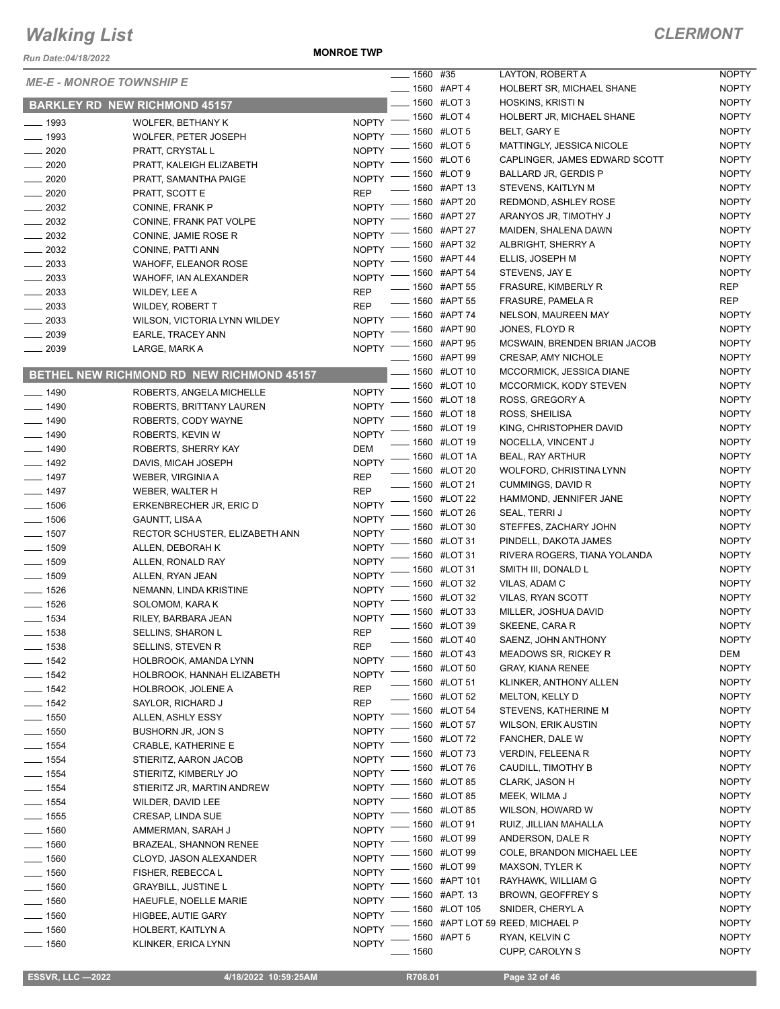*Run Date:04/18/2022*

**MONROE TWP**

|                                 |                                           |              |      | 1560 #35                   | LAYTON, ROBERT A                 | <b>NOPTY</b> |
|---------------------------------|-------------------------------------------|--------------|------|----------------------------|----------------------------------|--------------|
| <b>ME-E - MONROE TOWNSHIP E</b> |                                           |              |      | $\frac{1}{2}$ 1560 #APT 4  |                                  | <b>NOPTY</b> |
|                                 |                                           |              |      |                            | HOLBERT SR, MICHAEL SHANE        |              |
|                                 | <b>BARKLEY RD NEW RICHMOND 45157</b>      |              |      | __ 1560 #LOT 3             | HOSKINS, KRISTI N                | <b>NOPTY</b> |
| $- 1993$                        | <b>WOLFER, BETHANY K</b>                  | <b>NOPTY</b> |      | $- 1560$ #LOT 4            | HOLBERT JR, MICHAEL SHANE        | <b>NOPTY</b> |
| $- 1993$                        | WOLFER, PETER JOSEPH                      | <b>NOPTY</b> |      | - 1560 #LOT 5              | <b>BELT, GARY E</b>              | <b>NOPTY</b> |
| $- 2020$                        | PRATT, CRYSTAL L                          | <b>NOPTY</b> |      | 1560 #LOT 5                | MATTINGLY, JESSICA NICOLE        | <b>NOPTY</b> |
| $\frac{1}{2020}$                | PRATT, KALEIGH ELIZABETH                  | <b>NOPTY</b> |      | 1560 #LOT 6                | CAPLINGER, JAMES EDWARD SCOTT    | <b>NOPTY</b> |
| $-2020$                         | PRATT, SAMANTHA PAIGE                     | <b>NOPTY</b> |      | 1560 #LOT 9                | BALLARD JR, GERDIS P             | <b>NOPTY</b> |
| $- 2020$                        | PRATT, SCOTT E                            | <b>REP</b>   |      | 1560 #APT 13               | STEVENS, KAITLYN M               | <b>NOPTY</b> |
| 2032                            | CONINE, FRANK P                           | <b>NOPTY</b> |      | - 1560 #APT 20             | REDMOND, ASHLEY ROSE             | <b>NOPTY</b> |
| $\frac{1}{2032}$                | CONINE, FRANK PAT VOLPE                   | <b>NOPTY</b> |      | 1560 #APT 27               | ARANYOS JR, TIMOTHY J            | <b>NOPTY</b> |
| $\frac{1}{2032}$                | CONINE, JAMIE ROSE R                      | <b>NOPTY</b> |      | 1560 #APT 27               | MAIDEN, SHALENA DAWN             | <b>NOPTY</b> |
| $\frac{2032}{200}$              | CONINE, PATTI ANN                         | <b>NOPTY</b> |      | 1560 #APT 32               | ALBRIGHT, SHERRY A               | <b>NOPTY</b> |
| $\frac{1}{2033}$                | <b>WAHOFF, ELEANOR ROSE</b>               | <b>NOPTY</b> |      | 1560 #APT 44               | ELLIS, JOSEPH M                  | <b>NOPTY</b> |
| 2033                            |                                           | <b>NOPTY</b> |      | . 1560 #APT 54             | STEVENS, JAY E                   | <b>NOPTY</b> |
|                                 | WAHOFF, IAN ALEXANDER                     |              |      | <b>______ 1560 #APT 55</b> | <b>FRASURE, KIMBERLY R</b>       | <b>REP</b>   |
| $\frac{1}{2033}$                | WILDEY, LEE A                             | <b>REP</b>   |      | __ 1560 #APT 55            | <b>FRASURE, PAMELA R</b>         | <b>REP</b>   |
| $\frac{1}{2033}$                | <b>WILDEY, ROBERT T</b>                   | <b>REP</b>   |      | 1560 #APT 74               | <b>NELSON, MAUREEN MAY</b>       | <b>NOPTY</b> |
| $\frac{2033}{200}$              | WILSON, VICTORIA LYNN WILDEY              | <b>NOPTY</b> |      | 1560 #APT 90               | JONES, FLOYD R                   | <b>NOPTY</b> |
| $-2039$                         | EARLE, TRACEY ANN                         | <b>NOPTY</b> |      | 1560 #APT 95               | MCSWAIN, BRENDEN BRIAN JACOB     | <b>NOPTY</b> |
| 2039                            | LARGE, MARK A                             | <b>NOPTY</b> |      | _ 1560 #APT 99             | CRESAP, AMY NICHOLE              | <b>NOPTY</b> |
|                                 |                                           |              |      | 1560 #LOT 10               | MCCORMICK, JESSICA DIANE         | <b>NOPTY</b> |
|                                 | BETHEL NEW RICHMOND RD NEW RICHMOND 45157 |              |      |                            |                                  |              |
| $- 1490$                        | ROBERTS, ANGELA MICHELLE                  | <b>NOPTY</b> |      | 1560 #LOT 10               | MCCORMICK, KODY STEVEN           | <b>NOPTY</b> |
| $-1490$                         | ROBERTS, BRITTANY LAUREN                  | <b>NOPTY</b> |      | 1560 #LOT 18               | ROSS, GREGORY A                  | <b>NOPTY</b> |
| $- 1490$                        | ROBERTS, CODY WAYNE                       | <b>NOPTY</b> |      | 1560 #LOT 18               | ROSS, SHEILISA                   | <b>NOPTY</b> |
| $- 1490$                        | ROBERTS, KEVIN W                          | <b>NOPTY</b> |      | 1560 #LOT 19               | KING, CHRISTOPHER DAVID          | <b>NOPTY</b> |
| $- 1490$                        | ROBERTS, SHERRY KAY                       | <b>DEM</b>   |      | 1560 #LOT 19               | NOCELLA, VINCENT J               | <b>NOPTY</b> |
| $- 1492$                        | DAVIS, MICAH JOSEPH                       | <b>NOPTY</b> |      | 1560 #LOT 1A               | <b>BEAL, RAY ARTHUR</b>          | <b>NOPTY</b> |
| $\frac{1}{2}$ 1497              | WEBER, VIRGINIA A                         | <b>REP</b>   |      | 1560 #LOT 20               | WOLFORD, CHRISTINA LYNN          | <b>NOPTY</b> |
| $- 1497$                        | WEBER, WALTER H                           | <b>REP</b>   |      | 1560 #LOT 21               | CUMMINGS, DAVID R                | <b>NOPTY</b> |
| $- 1506$                        |                                           | <b>NOPTY</b> |      | 1560 #LOT 22               | HAMMOND, JENNIFER JANE           | <b>NOPTY</b> |
|                                 | ERKENBRECHER JR, ERIC D                   |              |      | 1560 #LOT 26               | SEAL, TERRI J                    | <b>NOPTY</b> |
| $- 1506$                        | <b>GAUNTT, LISA A</b>                     | <b>NOPTY</b> |      | 1560 #LOT 30               | STEFFES, ZACHARY JOHN            | <b>NOPTY</b> |
| $- 1507$                        | RECTOR SCHUSTER, ELIZABETH ANN            | <b>NOPTY</b> |      | 1560 #LOT 31               | PINDELL, DAKOTA JAMES            | <b>NOPTY</b> |
| $- 1509$                        | ALLEN, DEBORAH K                          | <b>NOPTY</b> |      | 1560 #LOT 31               | RIVERA ROGERS, TIANA YOLANDA     | <b>NOPTY</b> |
| $\frac{1}{2}$ 1509              | ALLEN, RONALD RAY                         | <b>NOPTY</b> |      | 1560 #LOT 31               | SMITH III, DONALD L              | <b>NOPTY</b> |
| $- 1509$                        | ALLEN, RYAN JEAN                          | <b>NOPTY</b> |      | 1560 #LOT 32               | VILAS, ADAM C                    | <b>NOPTY</b> |
| $- 1526$                        | NEMANN, LINDA KRISTINE                    | <b>NOPTY</b> |      | 1560 #LOT 32               | <b>VILAS, RYAN SCOTT</b>         | <b>NOPTY</b> |
| $- 1526$                        | SOLOMOM, KARA K                           | <b>NOPTY</b> |      | 1560 #LOT 33               | MILLER, JOSHUA DAVID             | <b>NOPTY</b> |
| $- 1534$                        | RILEY, BARBARA JEAN                       | <b>NOPTY</b> |      |                            |                                  | <b>NOPTY</b> |
| 1538                            | SELLINS, SHARON L                         | <b>REP</b>   |      | 1560 #LOT 39               | SKEENE, CARA R                   |              |
| $- 1538$                        | SELLINS, STEVEN R                         | <b>REP</b>   |      | _ 1560 #LOT 40             | SAENZ, JOHN ANTHONY              | <b>NOPTY</b> |
| $- 1542$                        | HOLBROOK, AMANDA LYNN                     | <b>NOPTY</b> |      | 1560 #LOT 43               | <b>MEADOWS SR, RICKEY R</b>      | DEM          |
| $- 1542$                        | HOLBROOK, HANNAH ELIZABETH                | <b>NOPTY</b> |      | 1560 #LOT 50               | GRAY, KIANA RENEE                | <b>NOPTY</b> |
| $- 1542$                        | HOLBROOK, JOLENE A                        | <b>REP</b>   |      | 1560 #LOT 51               | KLINKER, ANTHONY ALLEN           | <b>NOPTY</b> |
| $- 1542$                        | SAYLOR, RICHARD J                         | <b>REP</b>   |      | 1560 #LOT 52               | <b>MELTON, KELLY D</b>           | <b>NOPTY</b> |
| $\frac{1}{2}$ 1550              | ALLEN, ASHLY ESSY                         | <b>NOPTY</b> |      | 1560 #LOT 54               | STEVENS, KATHERINE M             | <b>NOPTY</b> |
| $\frac{1}{2}$ 1550              | BUSHORN JR, JON S                         | <b>NOPTY</b> |      | 1560 #LOT 57               | <b>WILSON, ERIK AUSTIN</b>       | <b>NOPTY</b> |
| $- 1554$                        | <b>CRABLE, KATHERINE E</b>                | <b>NOPTY</b> |      | 1560 #LOT 72               | FANCHER, DALE W                  | <b>NOPTY</b> |
| $- 1554$                        | STIERITZ, AARON JACOB                     | <b>NOPTY</b> |      | 1560 #LOT 73               | VERDIN, FELEENA R                | <b>NOPTY</b> |
|                                 |                                           | <b>NOPTY</b> |      | 1560 #LOT 76               | CAUDILL, TIMOTHY B               | <b>NOPTY</b> |
| $\frac{1}{2}$ 1554              | STIERITZ, KIMBERLY JO                     |              |      | 1560 #LOT 85               | CLARK, JASON H                   | <b>NOPTY</b> |
| $- 1554$                        | STIERITZ JR, MARTIN ANDREW                | <b>NOPTY</b> |      | 1560 #LOT 85               | MEEK, WILMA J                    | <b>NOPTY</b> |
| $- 1554$                        | WILDER, DAVID LEE                         | <b>NOPTY</b> |      | 1560 #LOT 85               | WILSON, HOWARD W                 | <b>NOPTY</b> |
| $\frac{1}{2}$ 1555              | CRESAP, LINDA SUE                         | <b>NOPTY</b> |      | 1560 #LOT 91               | RUIZ, JILLIAN MAHALLA            | <b>NOPTY</b> |
| $- 1560$                        | AMMERMAN, SARAH J                         | <b>NOPTY</b> |      | 1560 #LOT 99               | ANDERSON, DALE R                 | <b>NOPTY</b> |
| $- 1560$                        | BRAZEAL, SHANNON RENEE                    | <b>NOPTY</b> |      | 1560 #LOT 99               | COLE, BRANDON MICHAEL LEE        | <b>NOPTY</b> |
| $\frac{1}{2}$ 1560              | CLOYD, JASON ALEXANDER                    | <b>NOPTY</b> |      | 1560 #LOT 99               | <b>MAXSON, TYLER K</b>           | <b>NOPTY</b> |
| $-1560$                         | FISHER, REBECCAL                          | <b>NOPTY</b> |      | 1560 #APT 101              | RAYHAWK, WILLIAM G               | <b>NOPTY</b> |
| $- 1560$                        | <b>GRAYBILL, JUSTINE L</b>                | <b>NOPTY</b> |      |                            |                                  |              |
| $-1560$                         | HAEUFLE, NOELLE MARIE                     | <b>NOPTY</b> |      | 1560 #APT. 13              | <b>BROWN, GEOFFREY S</b>         | <b>NOPTY</b> |
| $- 1560$                        | HIGBEE, AUTIE GARY                        | <b>NOPTY</b> |      | 1560 #LOT 105              | SNIDER, CHERYL A                 | <b>NOPTY</b> |
| $- 1560$                        | HOLBERT, KAITLYN A                        | <b>NOPTY</b> |      |                            | 1560 #APT LOT 59 REED, MICHAEL P | <b>NOPTY</b> |
| $- 1560$                        | KLINKER, ERICA LYNN                       | <b>NOPTY</b> |      | 1560 #APT 5                | RYAN, KELVIN C                   | <b>NOPTY</b> |
|                                 |                                           |              | 1560 |                            | CUPP, CAROLYN S                  | <b>NOPTY</b> |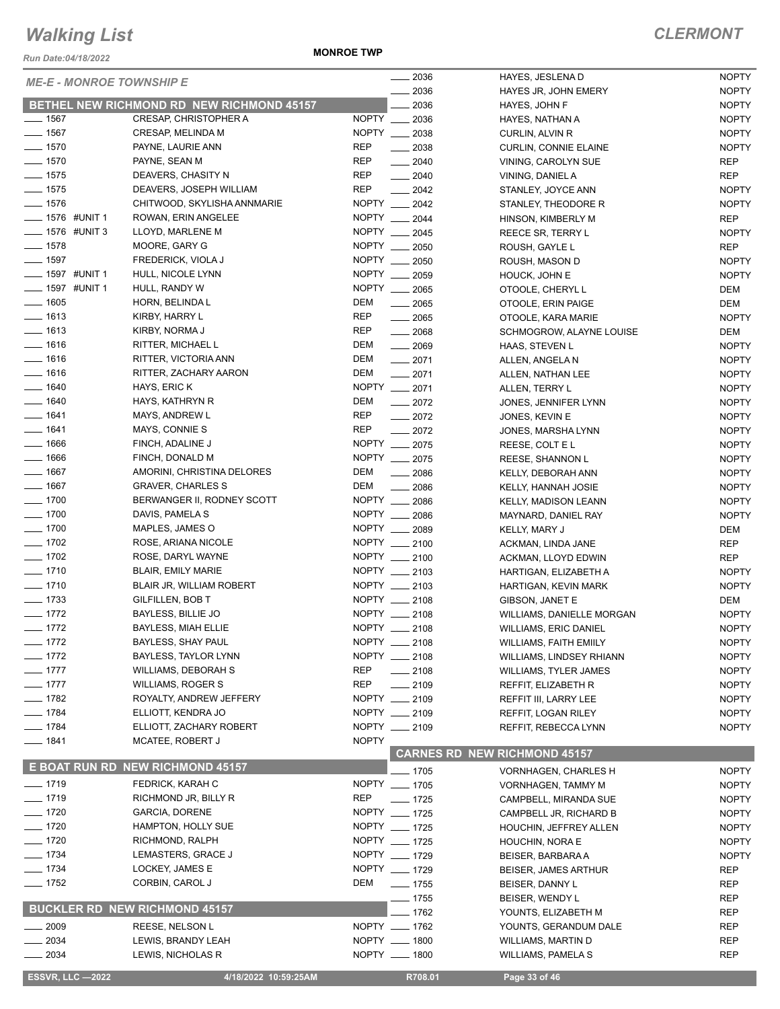*Run Date:04/18/2022*

**MONROE TWP**

| <b>ME-E - MONROE TOWNSHIP E</b> |                                           |              | $-2036$            | HAYES, JESLENA D                    | <b>NOPTY</b> |
|---------------------------------|-------------------------------------------|--------------|--------------------|-------------------------------------|--------------|
|                                 |                                           |              | 2036               | HAYES JR, JOHN EMERY                | <b>NOPTY</b> |
|                                 | BETHEL NEW RICHMOND RD NEW RICHMOND 45157 |              | 2036               | HAYES, JOHN F                       | <b>NOPTY</b> |
| $- 1567$                        | CRESAP, CHRISTOPHER A                     |              | NOPTY __ 2036      | HAYES, NATHAN A                     | <b>NOPTY</b> |
| $- 1567$                        | CRESAP, MELINDA M                         |              | NOPTY __ 2038      | CURLIN, ALVIN R                     | <b>NOPTY</b> |
| $- 1570$                        | PAYNE, LAURIE ANN                         | <b>REP</b>   | $- 2038$           | <b>CURLIN, CONNIE ELAINE</b>        | <b>NOPTY</b> |
| $- 1570$                        | PAYNE, SEAN M                             | REP          | $-2040$            | VINING, CAROLYN SUE                 | <b>REP</b>   |
| $-1575$                         | DEAVERS, CHASITY N                        | REP          | $-2040$            | VINING, DANIEL A                    | <b>REP</b>   |
| $- 1575$                        | DEAVERS, JOSEPH WILLIAM                   | <b>REP</b>   | $\frac{2042}{200}$ | STANLEY, JOYCE ANN                  | <b>NOPTY</b> |
| $- 1576$                        | CHITWOOD, SKYLISHA ANNMARIE               |              | NOPTY __ 2042      | STANLEY, THEODORE R                 | <b>NOPTY</b> |
| <b>LETTE #UNIT 1</b>            | ROWAN, ERIN ANGELEE                       |              | NOPTY __ 2044      | HINSON, KIMBERLY M                  | <b>REP</b>   |
| <b>_____ 1576 #UNIT 3</b>       | LLOYD, MARLENE M                          |              | NOPTY __ 2045      | REECE SR, TERRY L                   | <b>NOPTY</b> |
| $- 1578$                        | MOORE, GARY G                             |              | NOPTY __ 2050      | ROUSH, GAYLE L                      | <b>REP</b>   |
| $- 1597$                        | FREDERICK, VIOLA J                        |              | NOPTY __ 2050      | ROUSH, MASON D                      | <b>NOPTY</b> |
| __ 1597 #UNIT 1                 | HULL, NICOLE LYNN                         |              | NOPTY __ 2059      | HOUCK, JOHN E                       | <b>NOPTY</b> |
| _ 1597 #UNIT 1                  | HULL, RANDY W                             |              | NOPTY __ 2065      | OTOOLE, CHERYL L                    | DEM          |
| $-1605$                         | HORN, BELINDA L                           | DEM          | $-2065$            | OTOOLE, ERIN PAIGE                  | DEM          |
| $-1613$                         | KIRBY, HARRY L                            | <b>REP</b>   | $\frac{1}{2065}$   | OTOOLE, KARA MARIE                  | <b>NOPTY</b> |
| $- 1613$                        | KIRBY, NORMA J                            | REP          | $\frac{1}{2068}$   | SCHMOGROW, ALAYNE LOUISE            | DEM          |
| $- 1616$                        | RITTER, MICHAEL L                         | DEM          | $\frac{1}{2069}$   | HAAS, STEVEN L                      | <b>NOPTY</b> |
| $- 1616$                        | RITTER, VICTORIA ANN                      | DEM          | $-2071$            | ALLEN, ANGELA N                     | <b>NOPTY</b> |
| $- 1616$                        | RITTER, ZACHARY AARON                     | DEM          | $-2071$            | ALLEN, NATHAN LEE                   | <b>NOPTY</b> |
| $-1640$                         | HAYS, ERIC K                              |              | NOPTY __ 2071      |                                     | <b>NOPTY</b> |
| $- 1640$                        | HAYS, KATHRYN R                           | DEM          |                    | ALLEN, TERRY L                      |              |
| $- 1641$                        |                                           | <b>REP</b>   | $-2072$            | JONES, JENNIFER LYNN                | <b>NOPTY</b> |
|                                 | MAYS, ANDREW L                            |              | $-2072$            | JONES, KEVIN E                      | <b>NOPTY</b> |
| $- 1641$                        | MAYS, CONNIE S                            | <b>REP</b>   | $-2072$            | JONES, MARSHA LYNN                  | <b>NOPTY</b> |
| $- 1666$                        | FINCH, ADALINE J                          |              | NOPTY __ 2075      | REESE, COLT E L                     | <b>NOPTY</b> |
| $-1666$                         | FINCH, DONALD M                           |              | NOPTY __ 2075      | REESE, SHANNON L                    | <b>NOPTY</b> |
| $-1667$                         | AMORINI, CHRISTINA DELORES                | DEM          | 2086               | KELLY, DEBORAH ANN                  | <b>NOPTY</b> |
| $-1667$                         | <b>GRAVER, CHARLES S</b>                  | DEM          | 2086               | KELLY, HANNAH JOSIE                 | <b>NOPTY</b> |
| $- 1700$                        | BERWANGER II, RODNEY SCOTT                |              | NOPTY __ 2086      | KELLY, MADISON LEANN                | <b>NOPTY</b> |
| $\frac{1}{2}$ 1700              | DAVIS, PAMELA S                           |              | NOPTY __ 2086      | MAYNARD, DANIEL RAY                 | <b>NOPTY</b> |
| $\frac{1}{2}$ 1700              | MAPLES, JAMES O                           |              | NOPTY __ 2089      | KELLY, MARY J                       | DEM          |
| $- 1702$                        | ROSE, ARIANA NICOLE                       |              | NOPTY __ 2100      | ACKMAN, LINDA JANE                  | <b>REP</b>   |
| $- 1702$                        | ROSE, DARYL WAYNE                         |              | NOPTY __ 2100      | ACKMAN, LLOYD EDWIN                 | <b>REP</b>   |
| $- 1710$                        | <b>BLAIR, EMILY MARIE</b>                 |              | NOPTY __ 2103      | HARTIGAN, ELIZABETH A               | <b>NOPTY</b> |
| $- 1710$                        | BLAIR JR, WILLIAM ROBERT                  |              | NOPTY __ 2103      | HARTIGAN, KEVIN MARK                | <b>NOPTY</b> |
| $\frac{1}{2}$ 1733              | <b>GILFILLEN, BOB T</b>                   |              | NOPTY __ 2108      | GIBSON, JANET E                     | DEM          |
| $- 1772$                        | BAYLESS, BILLIE JO                        |              | NOPTY __ 2108      | WILLIAMS, DANIELLE MORGAN           | <b>NOPTY</b> |
| $- 1772$                        | BAYLESS, MIAH ELLIE                       |              | NOPTY __ 2108      | <b>WILLIAMS, ERIC DANIEL</b>        | <b>NOPTY</b> |
| ___ 1772                        | BAYLESS, SHAY PAUL                        |              | NOPTY __ 2108      | WILLIAMS, FAITH EMIILY              | <b>NOPTY</b> |
| $-1772$                         | BAYLESS, TAYLOR LYNN                      |              | NOPTY __ 2108      | <b>WILLIAMS, LINDSEY RHIANN</b>     | <b>NOPTY</b> |
| $-1777$                         | <b>WILLIAMS, DEBORAH S</b>                | <b>REP</b>   | $= 2108$           | <b>WILLIAMS, TYLER JAMES</b>        | <b>NOPTY</b> |
| $- 1777$                        | <b>WILLIAMS, ROGER S</b>                  | <b>REP</b>   | 2109               | REFFIT, ELIZABETH R                 | <b>NOPTY</b> |
| $- 1782$                        | ROYALTY, ANDREW JEFFERY                   |              | NOPTY __ 2109      | <b>REFFIT III, LARRY LEE</b>        | <b>NOPTY</b> |
| $- 1784$                        | ELLIOTT, KENDRA JO                        |              | NOPTY __ 2109      | REFFIT, LOGAN RILEY                 | <b>NOPTY</b> |
| $- 1784$                        | ELLIOTT, ZACHARY ROBERT                   |              | NOPTY __ 2109      | REFFIT, REBECCA LYNN                | <b>NOPTY</b> |
| $- 1841$                        | MCATEE, ROBERT J                          | <b>NOPTY</b> |                    |                                     |              |
|                                 |                                           |              |                    | <b>CARNES RD NEW RICHMOND 45157</b> |              |
|                                 | E BOAT RUN RD NEW RICHMOND 45157          |              | $-1705$            | <b>VORNHAGEN, CHARLES H</b>         | <b>NOPTY</b> |
| $- 1719$                        | FEDRICK, KARAH C                          |              | NOPTY __ 1705      | <b>VORNHAGEN, TAMMY M</b>           | <b>NOPTY</b> |
| $- 1719$                        | RICHMOND JR, BILLY R                      | <b>REP</b>   | $- 1725$           | CAMPBELL, MIRANDA SUE               | <b>NOPTY</b> |
| $- 1720$                        | <b>GARCIA, DORENE</b>                     |              | NOPTY __ 1725      | CAMPBELL JR, RICHARD B              | <b>NOPTY</b> |
| $- 1720$                        | <b>HAMPTON, HOLLY SUE</b>                 |              | NOPTY __ 1725      | <b>HOUCHIN, JEFFREY ALLEN</b>       | <b>NOPTY</b> |
| $- 1720$                        | RICHMOND, RALPH                           |              | NOPTY __ 1725      | HOUCHIN, NORA E                     | <b>NOPTY</b> |
| $- 1734$                        | LEMASTERS, GRACE J                        |              | NOPTY __ 1729      | <b>BEISER, BARBARA A</b>            | <b>NOPTY</b> |
| ___ 1734                        | LOCKEY, JAMES E                           |              | NOPTY __ 1729      | <b>BEISER, JAMES ARTHUR</b>         | <b>REP</b>   |
| $- 1752$                        | CORBIN, CAROL J                           | DEM          | $- 1755$           | BEISER, DANNY L                     | REP          |
|                                 |                                           |              | $-1755$            | BEISER, WENDY L                     | REP          |
|                                 | <b>BUCKLER RD NEW RICHMOND 45157</b>      |              | _ 1762             | YOUNTS, ELIZABETH M                 | <b>REP</b>   |
|                                 |                                           |              |                    |                                     |              |
| 2009                            | REESE, NELSON L                           |              | NOPTY __ 1762      | YOUNTS, GERANDUM DALE               | REP          |
| 2034                            | LEWIS, BRANDY LEAH                        |              | NOPTY __ 1800      | WILLIAMS, MARTIN D                  | <b>REP</b>   |
| 2034                            | LEWIS, NICHOLAS R                         |              | NOPTY __ 1800      | WILLIAMS, PAMELA S                  | REP          |
| <b>ESSVR, LLC -2022</b>         | 4/18/2022 10:59:25AM                      |              | R708.01            | Page 33 of 46                       |              |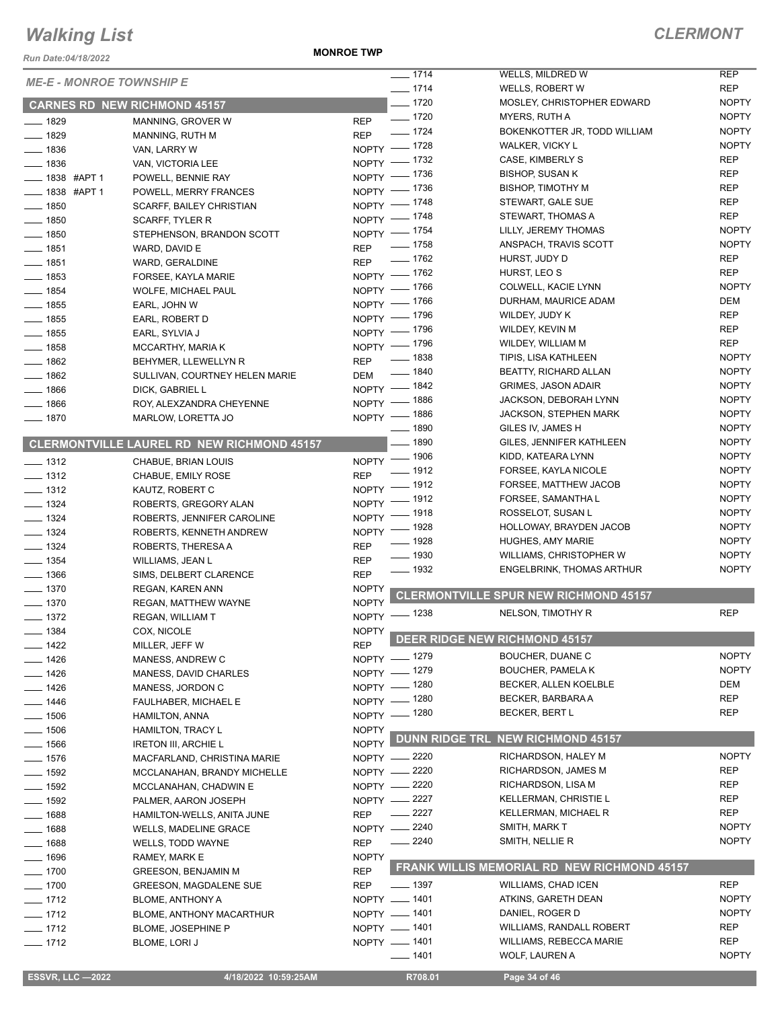*Run Date:04/18/2022*

**MONROE TWP**

| <b>ME-E - MONROE TOWNSHIP E</b><br><b>REP</b><br>$- 1714$<br><b>WELLS, ROBERT W</b><br>$- 1720$<br><b>NOPTY</b><br>MOSLEY, CHRISTOPHER EDWARD<br><b>CARNES RD NEW RICHMOND 45157</b><br>$\frac{1}{2}$ 1720<br><b>NOPTY</b><br>MYERS, RUTH A<br><b>REP</b><br>$- 1829$<br>MANNING, GROVER W<br><b>NOPTY</b><br>$- 1724$<br>BOKENKOTTER JR, TODD WILLIAM<br>$- 1829$<br><b>REP</b><br>MANNING, RUTH M<br><b>NOPTY</b><br>NOPTY - 1728<br>WALKER, VICKY L<br>$- 1836$<br>VAN, LARRY W<br><b>REP</b><br>NOPTY - 1732<br>CASE, KIMBERLY S<br>$- 1836$<br>VAN, VICTORIA LEE<br><b>REP</b><br>NOPTY - 1736<br><b>BISHOP, SUSAN K</b><br>____ 1838 #APT 1<br>POWELL, BENNIE RAY<br><b>REP</b><br>NOPTY - 1736<br><b>BISHOP, TIMOTHY M</b><br>$\frac{1}{2}$ 1838 #APT 1<br>POWELL, MERRY FRANCES<br><b>REP</b><br>NOPTY - 1748<br>STEWART, GALE SUE<br>$\frac{1}{2}$ 1850<br>SCARFF, BAILEY CHRISTIAN<br>NOPTY - 1748<br><b>REP</b><br>STEWART, THOMAS A<br>$- 1850$<br>SCARFF, TYLER R<br><b>NOPTY</b><br>NOPTY - 1754<br>LILLY, JEREMY THOMAS<br>$- 1850$<br>STEPHENSON, BRANDON SCOTT<br><b>NOPTY</b><br>$\frac{1}{2}$ 1758<br>ANSPACH, TRAVIS SCOTT<br><b>REP</b><br>$- 1851$<br>WARD, DAVID E<br><b>REP</b><br>$- 1762$<br>HURST, JUDY D<br><b>REP</b><br>$- 1851$<br>WARD, GERALDINE<br><b>REP</b><br>NOPTY - 1762<br>HURST, LEO S<br>$\frac{1}{2}$ 1853<br>FORSEE, KAYLA MARIE<br><b>NOPTY</b><br>$-1766$<br>COLWELL, KACIE LYNN<br>$NOPTY$ -<br>$- 1854$<br><b>WOLFE, MICHAEL PAUL</b><br><b>DEM</b><br>NOPTY - 1766<br>DURHAM, MAURICE ADAM<br>$- 1855$<br>EARL, JOHN W<br><b>REP</b><br>NOPTY - 1796<br>WILDEY, JUDY K<br>$- 1855$<br>EARL, ROBERT D<br><b>REP</b><br>NOPTY - 1796<br>WILDEY, KEVIN M<br>$- 1855$<br>EARL, SYLVIA J<br><b>REP</b><br>NOPTY - 1796<br>WILDEY, WILLIAM M<br>$\frac{1}{2}$ 1858<br>MCCARTHY, MARIA K<br><b>NOPTY</b><br>$- 1838$<br>TIPIS, LISA KATHLEEN<br>$- 1862$<br><b>REP</b><br>BEHYMER, LLEWELLYN R<br>$\frac{1}{2}$ 1840<br><b>NOPTY</b><br><b>BEATTY, RICHARD ALLAN</b><br>$- 1862$<br>SULLIVAN, COURTNEY HELEN MARIE<br>DEM<br><b>NOPTY</b><br>NOPTY - 1842<br><b>GRIMES, JASON ADAIR</b><br>$- 1866$<br>DICK, GABRIEL L<br><b>NOPTY</b><br>NOPTY - 1886<br>JACKSON, DEBORAH LYNN<br>$- 1866$<br>ROY, ALEXZANDRA CHEYENNE<br><b>NOPTY</b><br>NOPTY - 1886<br><b>JACKSON, STEPHEN MARK</b><br>$- 1870$<br>MARLOW, LORETTA JO<br><b>NOPTY</b><br><u>_</u> __ 1890<br>GILES IV, JAMES H<br>$- 1890$<br><b>NOPTY</b><br>GILES, JENNIFER KATHLEEN<br><b>CLERMONTVILLE LAUREL RD NEW RICHMOND 45157</b><br><b>NOPTY</b><br>NOPTY - 1906<br>KIDD, KATEARA LYNN<br>$\frac{1}{2}$ 1312<br>CHABUE, BRIAN LOUIS<br><b>NOPTY</b><br>$=$ 1912<br>FORSEE, KAYLA NICOLE<br><b>REP</b><br>$\frac{1}{2}$ 1312<br>CHABUE, EMILY ROSE<br><b>NOPTY</b><br>$-1912$<br>FORSEE, MATTHEW JACOB<br>NOPTY -<br>$- 1312$<br>KAUTZ, ROBERT C<br><b>NOPTY</b><br>_ 1912<br>FORSEE, SAMANTHA L<br>$NOPTY$ -<br>$- 1324$<br>ROBERTS, GREGORY ALAN<br><b>NOPTY</b><br>NOPTY - 1918<br>ROSSELOT, SUSAN L<br>$- 1324$<br>ROBERTS, JENNIFER CAROLINE<br><b>NOPTY</b><br>$-1928$<br>HOLLOWAY, BRAYDEN JACOB<br>$N$ OPTY $-$<br>$- 1324$<br>ROBERTS, KENNETH ANDREW<br><b>NOPTY</b><br>_ 1928<br><b>HUGHES, AMY MARIE</b><br><b>REP</b><br>$- 1324$<br>ROBERTS, THERESA A<br>$\frac{1}{2}$ 1930<br><b>NOPTY</b><br>WILLIAMS, CHRISTOPHER W<br><b>REP</b><br>$- 1354$<br>WILLIAMS, JEAN L<br><b>NOPTY</b><br>$\frac{1}{2}$ 1932<br><b>ENGELBRINK, THOMAS ARTHUR</b><br>$\frac{1}{2}$ 1366<br><b>REP</b><br>SIMS, DELBERT CLARENCE<br>$- 1370$<br><b>NOPTY</b><br>REGAN, KAREN ANN<br><b>CLERMONTVILLE SPUR NEW RICHMOND 45157</b><br><b>NOPTY</b><br>$- 1370$<br>REGAN, MATTHEW WAYNE<br><b>REP</b><br>NELSON, TIMOTHY R<br>NOPTY - 1238<br>$- 1372$<br>REGAN, WILLIAM T<br>$- 1384$<br>COX, NICOLE<br><b>NOPTY</b><br><b>DEER RIDGE NEW RICHMOND 45157</b><br><b>REP</b><br>___ 1422<br>MILLER, JEFF W<br><b>NOPTY</b><br>NOPTY - 1279<br>BOUCHER, DUANE C<br>$- 1426$<br>MANESS, ANDREW C<br><b>NOPTY</b><br>NOPTY - 1279<br><b>BOUCHER, PAMELA K</b><br>$- 1426$<br>MANESS, DAVID CHARLES<br>DEM<br>NOPTY - 1280<br>BECKER, ALLEN KOELBLE<br>$- 1426$<br>MANESS, JORDON C<br><b>REP</b><br>NOPTY - 1280<br>BECKER, BARBARA A<br>$- 1446$<br><b>FAULHABER, MICHAEL E</b><br>NOPTY - 1280<br>REP<br>BECKER, BERT L<br>$- 1506$<br><b>HAMILTON, ANNA</b><br><b>NOPTY</b><br>$- 1506$<br><b>HAMILTON, TRACY L</b><br><b>DUNN RIDGE TRL NEW RICHMOND 45157</b><br><b>NOPTY</b><br>$- 1566$<br><b>IRETON III, ARCHIE L</b><br><b>NOPTY</b><br>NOPTY -2220<br>RICHARDSON, HALEY M<br>$- 1576$<br>MACFARLAND, CHRISTINA MARIE<br>RICHARDSON, JAMES M<br>REP<br>_ 2220<br>$N$ OPTY $-$<br>$- 1592$<br>MCCLANAHAN, BRANDY MICHELLE<br><b>REP</b><br>NOPTY -2220<br>RICHARDSON, LISA M<br>$\frac{1}{2}$ 1592<br>MCCLANAHAN, CHADWIN E<br>NOPTY -2227<br>REP<br><b>KELLERMAN, CHRISTIE L</b><br>$-1592$<br>PALMER, AARON JOSEPH<br><b>REP</b><br>2227<br><b>KELLERMAN, MICHAEL R</b><br>$-1688$<br><b>REP</b><br>HAMILTON-WELLS, ANITA JUNE<br><b>NOPTY</b><br>NOPTY -2240<br>SMITH, MARK T<br>$-1688$<br><b>WELLS, MADELINE GRACE</b><br>$- 2240$<br><b>NOPTY</b><br>SMITH, NELLIE R<br>$- 1688$<br><b>REP</b><br>WELLS, TODD WAYNE<br>$- 1696$<br><b>NOPTY</b><br>RAMEY, MARK E<br>FRANK WILLIS MEMORIAL RD NEW RICHMOND 45157<br><b>REP</b><br>$- 1700$<br><b>GREESON, BENJAMIN M</b><br><b>REP</b><br>$\frac{1}{2}$ 1397<br><b>WILLIAMS, CHAD ICEN</b><br>$- 1700$<br><b>REP</b><br>GREESON, MAGDALENE SUE<br><b>NOPTY</b><br>NOPTY - 1401<br>ATKINS, GARETH DEAN<br>$- 1712$<br><b>BLOME, ANTHONY A</b><br>NOPTY - 1401<br><b>NOPTY</b><br>DANIEL, ROGER D<br>$- 1712$<br>BLOME, ANTHONY MACARTHUR<br>NOPTY - 1401<br><b>WILLIAMS, RANDALL ROBERT</b><br>REP<br>$- 1712$<br>BLOME, JOSEPHINE P<br><b>REP</b><br>NOPTY - 1401<br>WILLIAMS, REBECCA MARIE<br>$- 1712$<br><b>BLOME, LORI J</b><br><b>NOPTY</b><br>$- 1401$<br>WOLF, LAUREN A<br><b>ESSVR, LLC -2022</b><br>4/18/2022 10:59:25AM<br>R708.01<br>Page 34 of 46 |  | $\frac{1}{2}$ 1714 | WELLS, MILDRED W | <b>REP</b> |
|------------------------------------------------------------------------------------------------------------------------------------------------------------------------------------------------------------------------------------------------------------------------------------------------------------------------------------------------------------------------------------------------------------------------------------------------------------------------------------------------------------------------------------------------------------------------------------------------------------------------------------------------------------------------------------------------------------------------------------------------------------------------------------------------------------------------------------------------------------------------------------------------------------------------------------------------------------------------------------------------------------------------------------------------------------------------------------------------------------------------------------------------------------------------------------------------------------------------------------------------------------------------------------------------------------------------------------------------------------------------------------------------------------------------------------------------------------------------------------------------------------------------------------------------------------------------------------------------------------------------------------------------------------------------------------------------------------------------------------------------------------------------------------------------------------------------------------------------------------------------------------------------------------------------------------------------------------------------------------------------------------------------------------------------------------------------------------------------------------------------------------------------------------------------------------------------------------------------------------------------------------------------------------------------------------------------------------------------------------------------------------------------------------------------------------------------------------------------------------------------------------------------------------------------------------------------------------------------------------------------------------------------------------------------------------------------------------------------------------------------------------------------------------------------------------------------------------------------------------------------------------------------------------------------------------------------------------------------------------------------------------------------------------------------------------------------------------------------------------------------------------------------------------------------------------------------------------------------------------------------------------------------------------------------------------------------------------------------------------------------------------------------------------------------------------------------------------------------------------------------------------------------------------------------------------------------------------------------------------------------------------------------------------------------------------------------------------------------------------------------------------------------------------------------------------------------------------------------------------------------------------------------------------------------------------------------------------------------------------------------------------------------------------------------------------------------------------------------------------------------------------------------------------------------------------------------------------------------------------------------------------------------------------------------------------------------------------------------------------------------------------------------------------------------------------------------------------------------------------------------------------------------------------------------------------------------------------------------------------------------------------------------------------------------------------------------------------------------------------------------------------------------------------------------------------------------------------------------------------------------------------------------------------------------------------------------------------------------------------------------------------------------------------------------------------------------------------------------------------------------------------------------------------------------------------------------------------------------------------------------------------------------------------------------------------------------------------------------------------------------------------------------------------------------------------------------------------------------------------------------------------------------------------------------------------------------------------------------------------------------------------------------------------------------------------------------------------------------------------------------------------------------------------------------------------------------------------------------------------------------------------------------------------------------------------------------------------------------------------------------------------------------|--|--------------------|------------------|------------|
|                                                                                                                                                                                                                                                                                                                                                                                                                                                                                                                                                                                                                                                                                                                                                                                                                                                                                                                                                                                                                                                                                                                                                                                                                                                                                                                                                                                                                                                                                                                                                                                                                                                                                                                                                                                                                                                                                                                                                                                                                                                                                                                                                                                                                                                                                                                                                                                                                                                                                                                                                                                                                                                                                                                                                                                                                                                                                                                                                                                                                                                                                                                                                                                                                                                                                                                                                                                                                                                                                                                                                                                                                                                                                                                                                                                                                                                                                                                                                                                                                                                                                                                                                                                                                                                                                                                                                                                                                                                                                                                                                                                                                                                                                                                                                                                                                                                                                                                                                                                                                                                                                                                                                                                                                                                                                                                                                                                                                                                                                                                                                                                                                                                                                                                                                                                                                                                                                                                                                                                                                        |  |                    |                  |            |
|                                                                                                                                                                                                                                                                                                                                                                                                                                                                                                                                                                                                                                                                                                                                                                                                                                                                                                                                                                                                                                                                                                                                                                                                                                                                                                                                                                                                                                                                                                                                                                                                                                                                                                                                                                                                                                                                                                                                                                                                                                                                                                                                                                                                                                                                                                                                                                                                                                                                                                                                                                                                                                                                                                                                                                                                                                                                                                                                                                                                                                                                                                                                                                                                                                                                                                                                                                                                                                                                                                                                                                                                                                                                                                                                                                                                                                                                                                                                                                                                                                                                                                                                                                                                                                                                                                                                                                                                                                                                                                                                                                                                                                                                                                                                                                                                                                                                                                                                                                                                                                                                                                                                                                                                                                                                                                                                                                                                                                                                                                                                                                                                                                                                                                                                                                                                                                                                                                                                                                                                                        |  |                    |                  |            |
|                                                                                                                                                                                                                                                                                                                                                                                                                                                                                                                                                                                                                                                                                                                                                                                                                                                                                                                                                                                                                                                                                                                                                                                                                                                                                                                                                                                                                                                                                                                                                                                                                                                                                                                                                                                                                                                                                                                                                                                                                                                                                                                                                                                                                                                                                                                                                                                                                                                                                                                                                                                                                                                                                                                                                                                                                                                                                                                                                                                                                                                                                                                                                                                                                                                                                                                                                                                                                                                                                                                                                                                                                                                                                                                                                                                                                                                                                                                                                                                                                                                                                                                                                                                                                                                                                                                                                                                                                                                                                                                                                                                                                                                                                                                                                                                                                                                                                                                                                                                                                                                                                                                                                                                                                                                                                                                                                                                                                                                                                                                                                                                                                                                                                                                                                                                                                                                                                                                                                                                                                        |  |                    |                  |            |
|                                                                                                                                                                                                                                                                                                                                                                                                                                                                                                                                                                                                                                                                                                                                                                                                                                                                                                                                                                                                                                                                                                                                                                                                                                                                                                                                                                                                                                                                                                                                                                                                                                                                                                                                                                                                                                                                                                                                                                                                                                                                                                                                                                                                                                                                                                                                                                                                                                                                                                                                                                                                                                                                                                                                                                                                                                                                                                                                                                                                                                                                                                                                                                                                                                                                                                                                                                                                                                                                                                                                                                                                                                                                                                                                                                                                                                                                                                                                                                                                                                                                                                                                                                                                                                                                                                                                                                                                                                                                                                                                                                                                                                                                                                                                                                                                                                                                                                                                                                                                                                                                                                                                                                                                                                                                                                                                                                                                                                                                                                                                                                                                                                                                                                                                                                                                                                                                                                                                                                                                                        |  |                    |                  |            |
|                                                                                                                                                                                                                                                                                                                                                                                                                                                                                                                                                                                                                                                                                                                                                                                                                                                                                                                                                                                                                                                                                                                                                                                                                                                                                                                                                                                                                                                                                                                                                                                                                                                                                                                                                                                                                                                                                                                                                                                                                                                                                                                                                                                                                                                                                                                                                                                                                                                                                                                                                                                                                                                                                                                                                                                                                                                                                                                                                                                                                                                                                                                                                                                                                                                                                                                                                                                                                                                                                                                                                                                                                                                                                                                                                                                                                                                                                                                                                                                                                                                                                                                                                                                                                                                                                                                                                                                                                                                                                                                                                                                                                                                                                                                                                                                                                                                                                                                                                                                                                                                                                                                                                                                                                                                                                                                                                                                                                                                                                                                                                                                                                                                                                                                                                                                                                                                                                                                                                                                                                        |  |                    |                  |            |
|                                                                                                                                                                                                                                                                                                                                                                                                                                                                                                                                                                                                                                                                                                                                                                                                                                                                                                                                                                                                                                                                                                                                                                                                                                                                                                                                                                                                                                                                                                                                                                                                                                                                                                                                                                                                                                                                                                                                                                                                                                                                                                                                                                                                                                                                                                                                                                                                                                                                                                                                                                                                                                                                                                                                                                                                                                                                                                                                                                                                                                                                                                                                                                                                                                                                                                                                                                                                                                                                                                                                                                                                                                                                                                                                                                                                                                                                                                                                                                                                                                                                                                                                                                                                                                                                                                                                                                                                                                                                                                                                                                                                                                                                                                                                                                                                                                                                                                                                                                                                                                                                                                                                                                                                                                                                                                                                                                                                                                                                                                                                                                                                                                                                                                                                                                                                                                                                                                                                                                                                                        |  |                    |                  |            |
|                                                                                                                                                                                                                                                                                                                                                                                                                                                                                                                                                                                                                                                                                                                                                                                                                                                                                                                                                                                                                                                                                                                                                                                                                                                                                                                                                                                                                                                                                                                                                                                                                                                                                                                                                                                                                                                                                                                                                                                                                                                                                                                                                                                                                                                                                                                                                                                                                                                                                                                                                                                                                                                                                                                                                                                                                                                                                                                                                                                                                                                                                                                                                                                                                                                                                                                                                                                                                                                                                                                                                                                                                                                                                                                                                                                                                                                                                                                                                                                                                                                                                                                                                                                                                                                                                                                                                                                                                                                                                                                                                                                                                                                                                                                                                                                                                                                                                                                                                                                                                                                                                                                                                                                                                                                                                                                                                                                                                                                                                                                                                                                                                                                                                                                                                                                                                                                                                                                                                                                                                        |  |                    |                  |            |
|                                                                                                                                                                                                                                                                                                                                                                                                                                                                                                                                                                                                                                                                                                                                                                                                                                                                                                                                                                                                                                                                                                                                                                                                                                                                                                                                                                                                                                                                                                                                                                                                                                                                                                                                                                                                                                                                                                                                                                                                                                                                                                                                                                                                                                                                                                                                                                                                                                                                                                                                                                                                                                                                                                                                                                                                                                                                                                                                                                                                                                                                                                                                                                                                                                                                                                                                                                                                                                                                                                                                                                                                                                                                                                                                                                                                                                                                                                                                                                                                                                                                                                                                                                                                                                                                                                                                                                                                                                                                                                                                                                                                                                                                                                                                                                                                                                                                                                                                                                                                                                                                                                                                                                                                                                                                                                                                                                                                                                                                                                                                                                                                                                                                                                                                                                                                                                                                                                                                                                                                                        |  |                    |                  |            |
|                                                                                                                                                                                                                                                                                                                                                                                                                                                                                                                                                                                                                                                                                                                                                                                                                                                                                                                                                                                                                                                                                                                                                                                                                                                                                                                                                                                                                                                                                                                                                                                                                                                                                                                                                                                                                                                                                                                                                                                                                                                                                                                                                                                                                                                                                                                                                                                                                                                                                                                                                                                                                                                                                                                                                                                                                                                                                                                                                                                                                                                                                                                                                                                                                                                                                                                                                                                                                                                                                                                                                                                                                                                                                                                                                                                                                                                                                                                                                                                                                                                                                                                                                                                                                                                                                                                                                                                                                                                                                                                                                                                                                                                                                                                                                                                                                                                                                                                                                                                                                                                                                                                                                                                                                                                                                                                                                                                                                                                                                                                                                                                                                                                                                                                                                                                                                                                                                                                                                                                                                        |  |                    |                  |            |
|                                                                                                                                                                                                                                                                                                                                                                                                                                                                                                                                                                                                                                                                                                                                                                                                                                                                                                                                                                                                                                                                                                                                                                                                                                                                                                                                                                                                                                                                                                                                                                                                                                                                                                                                                                                                                                                                                                                                                                                                                                                                                                                                                                                                                                                                                                                                                                                                                                                                                                                                                                                                                                                                                                                                                                                                                                                                                                                                                                                                                                                                                                                                                                                                                                                                                                                                                                                                                                                                                                                                                                                                                                                                                                                                                                                                                                                                                                                                                                                                                                                                                                                                                                                                                                                                                                                                                                                                                                                                                                                                                                                                                                                                                                                                                                                                                                                                                                                                                                                                                                                                                                                                                                                                                                                                                                                                                                                                                                                                                                                                                                                                                                                                                                                                                                                                                                                                                                                                                                                                                        |  |                    |                  |            |
|                                                                                                                                                                                                                                                                                                                                                                                                                                                                                                                                                                                                                                                                                                                                                                                                                                                                                                                                                                                                                                                                                                                                                                                                                                                                                                                                                                                                                                                                                                                                                                                                                                                                                                                                                                                                                                                                                                                                                                                                                                                                                                                                                                                                                                                                                                                                                                                                                                                                                                                                                                                                                                                                                                                                                                                                                                                                                                                                                                                                                                                                                                                                                                                                                                                                                                                                                                                                                                                                                                                                                                                                                                                                                                                                                                                                                                                                                                                                                                                                                                                                                                                                                                                                                                                                                                                                                                                                                                                                                                                                                                                                                                                                                                                                                                                                                                                                                                                                                                                                                                                                                                                                                                                                                                                                                                                                                                                                                                                                                                                                                                                                                                                                                                                                                                                                                                                                                                                                                                                                                        |  |                    |                  |            |
|                                                                                                                                                                                                                                                                                                                                                                                                                                                                                                                                                                                                                                                                                                                                                                                                                                                                                                                                                                                                                                                                                                                                                                                                                                                                                                                                                                                                                                                                                                                                                                                                                                                                                                                                                                                                                                                                                                                                                                                                                                                                                                                                                                                                                                                                                                                                                                                                                                                                                                                                                                                                                                                                                                                                                                                                                                                                                                                                                                                                                                                                                                                                                                                                                                                                                                                                                                                                                                                                                                                                                                                                                                                                                                                                                                                                                                                                                                                                                                                                                                                                                                                                                                                                                                                                                                                                                                                                                                                                                                                                                                                                                                                                                                                                                                                                                                                                                                                                                                                                                                                                                                                                                                                                                                                                                                                                                                                                                                                                                                                                                                                                                                                                                                                                                                                                                                                                                                                                                                                                                        |  |                    |                  |            |
|                                                                                                                                                                                                                                                                                                                                                                                                                                                                                                                                                                                                                                                                                                                                                                                                                                                                                                                                                                                                                                                                                                                                                                                                                                                                                                                                                                                                                                                                                                                                                                                                                                                                                                                                                                                                                                                                                                                                                                                                                                                                                                                                                                                                                                                                                                                                                                                                                                                                                                                                                                                                                                                                                                                                                                                                                                                                                                                                                                                                                                                                                                                                                                                                                                                                                                                                                                                                                                                                                                                                                                                                                                                                                                                                                                                                                                                                                                                                                                                                                                                                                                                                                                                                                                                                                                                                                                                                                                                                                                                                                                                                                                                                                                                                                                                                                                                                                                                                                                                                                                                                                                                                                                                                                                                                                                                                                                                                                                                                                                                                                                                                                                                                                                                                                                                                                                                                                                                                                                                                                        |  |                    |                  |            |
|                                                                                                                                                                                                                                                                                                                                                                                                                                                                                                                                                                                                                                                                                                                                                                                                                                                                                                                                                                                                                                                                                                                                                                                                                                                                                                                                                                                                                                                                                                                                                                                                                                                                                                                                                                                                                                                                                                                                                                                                                                                                                                                                                                                                                                                                                                                                                                                                                                                                                                                                                                                                                                                                                                                                                                                                                                                                                                                                                                                                                                                                                                                                                                                                                                                                                                                                                                                                                                                                                                                                                                                                                                                                                                                                                                                                                                                                                                                                                                                                                                                                                                                                                                                                                                                                                                                                                                                                                                                                                                                                                                                                                                                                                                                                                                                                                                                                                                                                                                                                                                                                                                                                                                                                                                                                                                                                                                                                                                                                                                                                                                                                                                                                                                                                                                                                                                                                                                                                                                                                                        |  |                    |                  |            |
|                                                                                                                                                                                                                                                                                                                                                                                                                                                                                                                                                                                                                                                                                                                                                                                                                                                                                                                                                                                                                                                                                                                                                                                                                                                                                                                                                                                                                                                                                                                                                                                                                                                                                                                                                                                                                                                                                                                                                                                                                                                                                                                                                                                                                                                                                                                                                                                                                                                                                                                                                                                                                                                                                                                                                                                                                                                                                                                                                                                                                                                                                                                                                                                                                                                                                                                                                                                                                                                                                                                                                                                                                                                                                                                                                                                                                                                                                                                                                                                                                                                                                                                                                                                                                                                                                                                                                                                                                                                                                                                                                                                                                                                                                                                                                                                                                                                                                                                                                                                                                                                                                                                                                                                                                                                                                                                                                                                                                                                                                                                                                                                                                                                                                                                                                                                                                                                                                                                                                                                                                        |  |                    |                  |            |
|                                                                                                                                                                                                                                                                                                                                                                                                                                                                                                                                                                                                                                                                                                                                                                                                                                                                                                                                                                                                                                                                                                                                                                                                                                                                                                                                                                                                                                                                                                                                                                                                                                                                                                                                                                                                                                                                                                                                                                                                                                                                                                                                                                                                                                                                                                                                                                                                                                                                                                                                                                                                                                                                                                                                                                                                                                                                                                                                                                                                                                                                                                                                                                                                                                                                                                                                                                                                                                                                                                                                                                                                                                                                                                                                                                                                                                                                                                                                                                                                                                                                                                                                                                                                                                                                                                                                                                                                                                                                                                                                                                                                                                                                                                                                                                                                                                                                                                                                                                                                                                                                                                                                                                                                                                                                                                                                                                                                                                                                                                                                                                                                                                                                                                                                                                                                                                                                                                                                                                                                                        |  |                    |                  |            |
|                                                                                                                                                                                                                                                                                                                                                                                                                                                                                                                                                                                                                                                                                                                                                                                                                                                                                                                                                                                                                                                                                                                                                                                                                                                                                                                                                                                                                                                                                                                                                                                                                                                                                                                                                                                                                                                                                                                                                                                                                                                                                                                                                                                                                                                                                                                                                                                                                                                                                                                                                                                                                                                                                                                                                                                                                                                                                                                                                                                                                                                                                                                                                                                                                                                                                                                                                                                                                                                                                                                                                                                                                                                                                                                                                                                                                                                                                                                                                                                                                                                                                                                                                                                                                                                                                                                                                                                                                                                                                                                                                                                                                                                                                                                                                                                                                                                                                                                                                                                                                                                                                                                                                                                                                                                                                                                                                                                                                                                                                                                                                                                                                                                                                                                                                                                                                                                                                                                                                                                                                        |  |                    |                  |            |
|                                                                                                                                                                                                                                                                                                                                                                                                                                                                                                                                                                                                                                                                                                                                                                                                                                                                                                                                                                                                                                                                                                                                                                                                                                                                                                                                                                                                                                                                                                                                                                                                                                                                                                                                                                                                                                                                                                                                                                                                                                                                                                                                                                                                                                                                                                                                                                                                                                                                                                                                                                                                                                                                                                                                                                                                                                                                                                                                                                                                                                                                                                                                                                                                                                                                                                                                                                                                                                                                                                                                                                                                                                                                                                                                                                                                                                                                                                                                                                                                                                                                                                                                                                                                                                                                                                                                                                                                                                                                                                                                                                                                                                                                                                                                                                                                                                                                                                                                                                                                                                                                                                                                                                                                                                                                                                                                                                                                                                                                                                                                                                                                                                                                                                                                                                                                                                                                                                                                                                                                                        |  |                    |                  |            |
|                                                                                                                                                                                                                                                                                                                                                                                                                                                                                                                                                                                                                                                                                                                                                                                                                                                                                                                                                                                                                                                                                                                                                                                                                                                                                                                                                                                                                                                                                                                                                                                                                                                                                                                                                                                                                                                                                                                                                                                                                                                                                                                                                                                                                                                                                                                                                                                                                                                                                                                                                                                                                                                                                                                                                                                                                                                                                                                                                                                                                                                                                                                                                                                                                                                                                                                                                                                                                                                                                                                                                                                                                                                                                                                                                                                                                                                                                                                                                                                                                                                                                                                                                                                                                                                                                                                                                                                                                                                                                                                                                                                                                                                                                                                                                                                                                                                                                                                                                                                                                                                                                                                                                                                                                                                                                                                                                                                                                                                                                                                                                                                                                                                                                                                                                                                                                                                                                                                                                                                                                        |  |                    |                  |            |
|                                                                                                                                                                                                                                                                                                                                                                                                                                                                                                                                                                                                                                                                                                                                                                                                                                                                                                                                                                                                                                                                                                                                                                                                                                                                                                                                                                                                                                                                                                                                                                                                                                                                                                                                                                                                                                                                                                                                                                                                                                                                                                                                                                                                                                                                                                                                                                                                                                                                                                                                                                                                                                                                                                                                                                                                                                                                                                                                                                                                                                                                                                                                                                                                                                                                                                                                                                                                                                                                                                                                                                                                                                                                                                                                                                                                                                                                                                                                                                                                                                                                                                                                                                                                                                                                                                                                                                                                                                                                                                                                                                                                                                                                                                                                                                                                                                                                                                                                                                                                                                                                                                                                                                                                                                                                                                                                                                                                                                                                                                                                                                                                                                                                                                                                                                                                                                                                                                                                                                                                                        |  |                    |                  |            |
|                                                                                                                                                                                                                                                                                                                                                                                                                                                                                                                                                                                                                                                                                                                                                                                                                                                                                                                                                                                                                                                                                                                                                                                                                                                                                                                                                                                                                                                                                                                                                                                                                                                                                                                                                                                                                                                                                                                                                                                                                                                                                                                                                                                                                                                                                                                                                                                                                                                                                                                                                                                                                                                                                                                                                                                                                                                                                                                                                                                                                                                                                                                                                                                                                                                                                                                                                                                                                                                                                                                                                                                                                                                                                                                                                                                                                                                                                                                                                                                                                                                                                                                                                                                                                                                                                                                                                                                                                                                                                                                                                                                                                                                                                                                                                                                                                                                                                                                                                                                                                                                                                                                                                                                                                                                                                                                                                                                                                                                                                                                                                                                                                                                                                                                                                                                                                                                                                                                                                                                                                        |  |                    |                  |            |
|                                                                                                                                                                                                                                                                                                                                                                                                                                                                                                                                                                                                                                                                                                                                                                                                                                                                                                                                                                                                                                                                                                                                                                                                                                                                                                                                                                                                                                                                                                                                                                                                                                                                                                                                                                                                                                                                                                                                                                                                                                                                                                                                                                                                                                                                                                                                                                                                                                                                                                                                                                                                                                                                                                                                                                                                                                                                                                                                                                                                                                                                                                                                                                                                                                                                                                                                                                                                                                                                                                                                                                                                                                                                                                                                                                                                                                                                                                                                                                                                                                                                                                                                                                                                                                                                                                                                                                                                                                                                                                                                                                                                                                                                                                                                                                                                                                                                                                                                                                                                                                                                                                                                                                                                                                                                                                                                                                                                                                                                                                                                                                                                                                                                                                                                                                                                                                                                                                                                                                                                                        |  |                    |                  |            |
|                                                                                                                                                                                                                                                                                                                                                                                                                                                                                                                                                                                                                                                                                                                                                                                                                                                                                                                                                                                                                                                                                                                                                                                                                                                                                                                                                                                                                                                                                                                                                                                                                                                                                                                                                                                                                                                                                                                                                                                                                                                                                                                                                                                                                                                                                                                                                                                                                                                                                                                                                                                                                                                                                                                                                                                                                                                                                                                                                                                                                                                                                                                                                                                                                                                                                                                                                                                                                                                                                                                                                                                                                                                                                                                                                                                                                                                                                                                                                                                                                                                                                                                                                                                                                                                                                                                                                                                                                                                                                                                                                                                                                                                                                                                                                                                                                                                                                                                                                                                                                                                                                                                                                                                                                                                                                                                                                                                                                                                                                                                                                                                                                                                                                                                                                                                                                                                                                                                                                                                                                        |  |                    |                  |            |
|                                                                                                                                                                                                                                                                                                                                                                                                                                                                                                                                                                                                                                                                                                                                                                                                                                                                                                                                                                                                                                                                                                                                                                                                                                                                                                                                                                                                                                                                                                                                                                                                                                                                                                                                                                                                                                                                                                                                                                                                                                                                                                                                                                                                                                                                                                                                                                                                                                                                                                                                                                                                                                                                                                                                                                                                                                                                                                                                                                                                                                                                                                                                                                                                                                                                                                                                                                                                                                                                                                                                                                                                                                                                                                                                                                                                                                                                                                                                                                                                                                                                                                                                                                                                                                                                                                                                                                                                                                                                                                                                                                                                                                                                                                                                                                                                                                                                                                                                                                                                                                                                                                                                                                                                                                                                                                                                                                                                                                                                                                                                                                                                                                                                                                                                                                                                                                                                                                                                                                                                                        |  |                    |                  |            |
|                                                                                                                                                                                                                                                                                                                                                                                                                                                                                                                                                                                                                                                                                                                                                                                                                                                                                                                                                                                                                                                                                                                                                                                                                                                                                                                                                                                                                                                                                                                                                                                                                                                                                                                                                                                                                                                                                                                                                                                                                                                                                                                                                                                                                                                                                                                                                                                                                                                                                                                                                                                                                                                                                                                                                                                                                                                                                                                                                                                                                                                                                                                                                                                                                                                                                                                                                                                                                                                                                                                                                                                                                                                                                                                                                                                                                                                                                                                                                                                                                                                                                                                                                                                                                                                                                                                                                                                                                                                                                                                                                                                                                                                                                                                                                                                                                                                                                                                                                                                                                                                                                                                                                                                                                                                                                                                                                                                                                                                                                                                                                                                                                                                                                                                                                                                                                                                                                                                                                                                                                        |  |                    |                  |            |
|                                                                                                                                                                                                                                                                                                                                                                                                                                                                                                                                                                                                                                                                                                                                                                                                                                                                                                                                                                                                                                                                                                                                                                                                                                                                                                                                                                                                                                                                                                                                                                                                                                                                                                                                                                                                                                                                                                                                                                                                                                                                                                                                                                                                                                                                                                                                                                                                                                                                                                                                                                                                                                                                                                                                                                                                                                                                                                                                                                                                                                                                                                                                                                                                                                                                                                                                                                                                                                                                                                                                                                                                                                                                                                                                                                                                                                                                                                                                                                                                                                                                                                                                                                                                                                                                                                                                                                                                                                                                                                                                                                                                                                                                                                                                                                                                                                                                                                                                                                                                                                                                                                                                                                                                                                                                                                                                                                                                                                                                                                                                                                                                                                                                                                                                                                                                                                                                                                                                                                                                                        |  |                    |                  |            |
|                                                                                                                                                                                                                                                                                                                                                                                                                                                                                                                                                                                                                                                                                                                                                                                                                                                                                                                                                                                                                                                                                                                                                                                                                                                                                                                                                                                                                                                                                                                                                                                                                                                                                                                                                                                                                                                                                                                                                                                                                                                                                                                                                                                                                                                                                                                                                                                                                                                                                                                                                                                                                                                                                                                                                                                                                                                                                                                                                                                                                                                                                                                                                                                                                                                                                                                                                                                                                                                                                                                                                                                                                                                                                                                                                                                                                                                                                                                                                                                                                                                                                                                                                                                                                                                                                                                                                                                                                                                                                                                                                                                                                                                                                                                                                                                                                                                                                                                                                                                                                                                                                                                                                                                                                                                                                                                                                                                                                                                                                                                                                                                                                                                                                                                                                                                                                                                                                                                                                                                                                        |  |                    |                  |            |
|                                                                                                                                                                                                                                                                                                                                                                                                                                                                                                                                                                                                                                                                                                                                                                                                                                                                                                                                                                                                                                                                                                                                                                                                                                                                                                                                                                                                                                                                                                                                                                                                                                                                                                                                                                                                                                                                                                                                                                                                                                                                                                                                                                                                                                                                                                                                                                                                                                                                                                                                                                                                                                                                                                                                                                                                                                                                                                                                                                                                                                                                                                                                                                                                                                                                                                                                                                                                                                                                                                                                                                                                                                                                                                                                                                                                                                                                                                                                                                                                                                                                                                                                                                                                                                                                                                                                                                                                                                                                                                                                                                                                                                                                                                                                                                                                                                                                                                                                                                                                                                                                                                                                                                                                                                                                                                                                                                                                                                                                                                                                                                                                                                                                                                                                                                                                                                                                                                                                                                                                                        |  |                    |                  |            |
|                                                                                                                                                                                                                                                                                                                                                                                                                                                                                                                                                                                                                                                                                                                                                                                                                                                                                                                                                                                                                                                                                                                                                                                                                                                                                                                                                                                                                                                                                                                                                                                                                                                                                                                                                                                                                                                                                                                                                                                                                                                                                                                                                                                                                                                                                                                                                                                                                                                                                                                                                                                                                                                                                                                                                                                                                                                                                                                                                                                                                                                                                                                                                                                                                                                                                                                                                                                                                                                                                                                                                                                                                                                                                                                                                                                                                                                                                                                                                                                                                                                                                                                                                                                                                                                                                                                                                                                                                                                                                                                                                                                                                                                                                                                                                                                                                                                                                                                                                                                                                                                                                                                                                                                                                                                                                                                                                                                                                                                                                                                                                                                                                                                                                                                                                                                                                                                                                                                                                                                                                        |  |                    |                  |            |
|                                                                                                                                                                                                                                                                                                                                                                                                                                                                                                                                                                                                                                                                                                                                                                                                                                                                                                                                                                                                                                                                                                                                                                                                                                                                                                                                                                                                                                                                                                                                                                                                                                                                                                                                                                                                                                                                                                                                                                                                                                                                                                                                                                                                                                                                                                                                                                                                                                                                                                                                                                                                                                                                                                                                                                                                                                                                                                                                                                                                                                                                                                                                                                                                                                                                                                                                                                                                                                                                                                                                                                                                                                                                                                                                                                                                                                                                                                                                                                                                                                                                                                                                                                                                                                                                                                                                                                                                                                                                                                                                                                                                                                                                                                                                                                                                                                                                                                                                                                                                                                                                                                                                                                                                                                                                                                                                                                                                                                                                                                                                                                                                                                                                                                                                                                                                                                                                                                                                                                                                                        |  |                    |                  |            |
|                                                                                                                                                                                                                                                                                                                                                                                                                                                                                                                                                                                                                                                                                                                                                                                                                                                                                                                                                                                                                                                                                                                                                                                                                                                                                                                                                                                                                                                                                                                                                                                                                                                                                                                                                                                                                                                                                                                                                                                                                                                                                                                                                                                                                                                                                                                                                                                                                                                                                                                                                                                                                                                                                                                                                                                                                                                                                                                                                                                                                                                                                                                                                                                                                                                                                                                                                                                                                                                                                                                                                                                                                                                                                                                                                                                                                                                                                                                                                                                                                                                                                                                                                                                                                                                                                                                                                                                                                                                                                                                                                                                                                                                                                                                                                                                                                                                                                                                                                                                                                                                                                                                                                                                                                                                                                                                                                                                                                                                                                                                                                                                                                                                                                                                                                                                                                                                                                                                                                                                                                        |  |                    |                  |            |
|                                                                                                                                                                                                                                                                                                                                                                                                                                                                                                                                                                                                                                                                                                                                                                                                                                                                                                                                                                                                                                                                                                                                                                                                                                                                                                                                                                                                                                                                                                                                                                                                                                                                                                                                                                                                                                                                                                                                                                                                                                                                                                                                                                                                                                                                                                                                                                                                                                                                                                                                                                                                                                                                                                                                                                                                                                                                                                                                                                                                                                                                                                                                                                                                                                                                                                                                                                                                                                                                                                                                                                                                                                                                                                                                                                                                                                                                                                                                                                                                                                                                                                                                                                                                                                                                                                                                                                                                                                                                                                                                                                                                                                                                                                                                                                                                                                                                                                                                                                                                                                                                                                                                                                                                                                                                                                                                                                                                                                                                                                                                                                                                                                                                                                                                                                                                                                                                                                                                                                                                                        |  |                    |                  |            |
|                                                                                                                                                                                                                                                                                                                                                                                                                                                                                                                                                                                                                                                                                                                                                                                                                                                                                                                                                                                                                                                                                                                                                                                                                                                                                                                                                                                                                                                                                                                                                                                                                                                                                                                                                                                                                                                                                                                                                                                                                                                                                                                                                                                                                                                                                                                                                                                                                                                                                                                                                                                                                                                                                                                                                                                                                                                                                                                                                                                                                                                                                                                                                                                                                                                                                                                                                                                                                                                                                                                                                                                                                                                                                                                                                                                                                                                                                                                                                                                                                                                                                                                                                                                                                                                                                                                                                                                                                                                                                                                                                                                                                                                                                                                                                                                                                                                                                                                                                                                                                                                                                                                                                                                                                                                                                                                                                                                                                                                                                                                                                                                                                                                                                                                                                                                                                                                                                                                                                                                                                        |  |                    |                  |            |
|                                                                                                                                                                                                                                                                                                                                                                                                                                                                                                                                                                                                                                                                                                                                                                                                                                                                                                                                                                                                                                                                                                                                                                                                                                                                                                                                                                                                                                                                                                                                                                                                                                                                                                                                                                                                                                                                                                                                                                                                                                                                                                                                                                                                                                                                                                                                                                                                                                                                                                                                                                                                                                                                                                                                                                                                                                                                                                                                                                                                                                                                                                                                                                                                                                                                                                                                                                                                                                                                                                                                                                                                                                                                                                                                                                                                                                                                                                                                                                                                                                                                                                                                                                                                                                                                                                                                                                                                                                                                                                                                                                                                                                                                                                                                                                                                                                                                                                                                                                                                                                                                                                                                                                                                                                                                                                                                                                                                                                                                                                                                                                                                                                                                                                                                                                                                                                                                                                                                                                                                                        |  |                    |                  |            |
|                                                                                                                                                                                                                                                                                                                                                                                                                                                                                                                                                                                                                                                                                                                                                                                                                                                                                                                                                                                                                                                                                                                                                                                                                                                                                                                                                                                                                                                                                                                                                                                                                                                                                                                                                                                                                                                                                                                                                                                                                                                                                                                                                                                                                                                                                                                                                                                                                                                                                                                                                                                                                                                                                                                                                                                                                                                                                                                                                                                                                                                                                                                                                                                                                                                                                                                                                                                                                                                                                                                                                                                                                                                                                                                                                                                                                                                                                                                                                                                                                                                                                                                                                                                                                                                                                                                                                                                                                                                                                                                                                                                                                                                                                                                                                                                                                                                                                                                                                                                                                                                                                                                                                                                                                                                                                                                                                                                                                                                                                                                                                                                                                                                                                                                                                                                                                                                                                                                                                                                                                        |  |                    |                  |            |
|                                                                                                                                                                                                                                                                                                                                                                                                                                                                                                                                                                                                                                                                                                                                                                                                                                                                                                                                                                                                                                                                                                                                                                                                                                                                                                                                                                                                                                                                                                                                                                                                                                                                                                                                                                                                                                                                                                                                                                                                                                                                                                                                                                                                                                                                                                                                                                                                                                                                                                                                                                                                                                                                                                                                                                                                                                                                                                                                                                                                                                                                                                                                                                                                                                                                                                                                                                                                                                                                                                                                                                                                                                                                                                                                                                                                                                                                                                                                                                                                                                                                                                                                                                                                                                                                                                                                                                                                                                                                                                                                                                                                                                                                                                                                                                                                                                                                                                                                                                                                                                                                                                                                                                                                                                                                                                                                                                                                                                                                                                                                                                                                                                                                                                                                                                                                                                                                                                                                                                                                                        |  |                    |                  |            |
|                                                                                                                                                                                                                                                                                                                                                                                                                                                                                                                                                                                                                                                                                                                                                                                                                                                                                                                                                                                                                                                                                                                                                                                                                                                                                                                                                                                                                                                                                                                                                                                                                                                                                                                                                                                                                                                                                                                                                                                                                                                                                                                                                                                                                                                                                                                                                                                                                                                                                                                                                                                                                                                                                                                                                                                                                                                                                                                                                                                                                                                                                                                                                                                                                                                                                                                                                                                                                                                                                                                                                                                                                                                                                                                                                                                                                                                                                                                                                                                                                                                                                                                                                                                                                                                                                                                                                                                                                                                                                                                                                                                                                                                                                                                                                                                                                                                                                                                                                                                                                                                                                                                                                                                                                                                                                                                                                                                                                                                                                                                                                                                                                                                                                                                                                                                                                                                                                                                                                                                                                        |  |                    |                  |            |
|                                                                                                                                                                                                                                                                                                                                                                                                                                                                                                                                                                                                                                                                                                                                                                                                                                                                                                                                                                                                                                                                                                                                                                                                                                                                                                                                                                                                                                                                                                                                                                                                                                                                                                                                                                                                                                                                                                                                                                                                                                                                                                                                                                                                                                                                                                                                                                                                                                                                                                                                                                                                                                                                                                                                                                                                                                                                                                                                                                                                                                                                                                                                                                                                                                                                                                                                                                                                                                                                                                                                                                                                                                                                                                                                                                                                                                                                                                                                                                                                                                                                                                                                                                                                                                                                                                                                                                                                                                                                                                                                                                                                                                                                                                                                                                                                                                                                                                                                                                                                                                                                                                                                                                                                                                                                                                                                                                                                                                                                                                                                                                                                                                                                                                                                                                                                                                                                                                                                                                                                                        |  |                    |                  |            |
|                                                                                                                                                                                                                                                                                                                                                                                                                                                                                                                                                                                                                                                                                                                                                                                                                                                                                                                                                                                                                                                                                                                                                                                                                                                                                                                                                                                                                                                                                                                                                                                                                                                                                                                                                                                                                                                                                                                                                                                                                                                                                                                                                                                                                                                                                                                                                                                                                                                                                                                                                                                                                                                                                                                                                                                                                                                                                                                                                                                                                                                                                                                                                                                                                                                                                                                                                                                                                                                                                                                                                                                                                                                                                                                                                                                                                                                                                                                                                                                                                                                                                                                                                                                                                                                                                                                                                                                                                                                                                                                                                                                                                                                                                                                                                                                                                                                                                                                                                                                                                                                                                                                                                                                                                                                                                                                                                                                                                                                                                                                                                                                                                                                                                                                                                                                                                                                                                                                                                                                                                        |  |                    |                  |            |
|                                                                                                                                                                                                                                                                                                                                                                                                                                                                                                                                                                                                                                                                                                                                                                                                                                                                                                                                                                                                                                                                                                                                                                                                                                                                                                                                                                                                                                                                                                                                                                                                                                                                                                                                                                                                                                                                                                                                                                                                                                                                                                                                                                                                                                                                                                                                                                                                                                                                                                                                                                                                                                                                                                                                                                                                                                                                                                                                                                                                                                                                                                                                                                                                                                                                                                                                                                                                                                                                                                                                                                                                                                                                                                                                                                                                                                                                                                                                                                                                                                                                                                                                                                                                                                                                                                                                                                                                                                                                                                                                                                                                                                                                                                                                                                                                                                                                                                                                                                                                                                                                                                                                                                                                                                                                                                                                                                                                                                                                                                                                                                                                                                                                                                                                                                                                                                                                                                                                                                                                                        |  |                    |                  |            |
|                                                                                                                                                                                                                                                                                                                                                                                                                                                                                                                                                                                                                                                                                                                                                                                                                                                                                                                                                                                                                                                                                                                                                                                                                                                                                                                                                                                                                                                                                                                                                                                                                                                                                                                                                                                                                                                                                                                                                                                                                                                                                                                                                                                                                                                                                                                                                                                                                                                                                                                                                                                                                                                                                                                                                                                                                                                                                                                                                                                                                                                                                                                                                                                                                                                                                                                                                                                                                                                                                                                                                                                                                                                                                                                                                                                                                                                                                                                                                                                                                                                                                                                                                                                                                                                                                                                                                                                                                                                                                                                                                                                                                                                                                                                                                                                                                                                                                                                                                                                                                                                                                                                                                                                                                                                                                                                                                                                                                                                                                                                                                                                                                                                                                                                                                                                                                                                                                                                                                                                                                        |  |                    |                  |            |
|                                                                                                                                                                                                                                                                                                                                                                                                                                                                                                                                                                                                                                                                                                                                                                                                                                                                                                                                                                                                                                                                                                                                                                                                                                                                                                                                                                                                                                                                                                                                                                                                                                                                                                                                                                                                                                                                                                                                                                                                                                                                                                                                                                                                                                                                                                                                                                                                                                                                                                                                                                                                                                                                                                                                                                                                                                                                                                                                                                                                                                                                                                                                                                                                                                                                                                                                                                                                                                                                                                                                                                                                                                                                                                                                                                                                                                                                                                                                                                                                                                                                                                                                                                                                                                                                                                                                                                                                                                                                                                                                                                                                                                                                                                                                                                                                                                                                                                                                                                                                                                                                                                                                                                                                                                                                                                                                                                                                                                                                                                                                                                                                                                                                                                                                                                                                                                                                                                                                                                                                                        |  |                    |                  |            |
|                                                                                                                                                                                                                                                                                                                                                                                                                                                                                                                                                                                                                                                                                                                                                                                                                                                                                                                                                                                                                                                                                                                                                                                                                                                                                                                                                                                                                                                                                                                                                                                                                                                                                                                                                                                                                                                                                                                                                                                                                                                                                                                                                                                                                                                                                                                                                                                                                                                                                                                                                                                                                                                                                                                                                                                                                                                                                                                                                                                                                                                                                                                                                                                                                                                                                                                                                                                                                                                                                                                                                                                                                                                                                                                                                                                                                                                                                                                                                                                                                                                                                                                                                                                                                                                                                                                                                                                                                                                                                                                                                                                                                                                                                                                                                                                                                                                                                                                                                                                                                                                                                                                                                                                                                                                                                                                                                                                                                                                                                                                                                                                                                                                                                                                                                                                                                                                                                                                                                                                                                        |  |                    |                  |            |
|                                                                                                                                                                                                                                                                                                                                                                                                                                                                                                                                                                                                                                                                                                                                                                                                                                                                                                                                                                                                                                                                                                                                                                                                                                                                                                                                                                                                                                                                                                                                                                                                                                                                                                                                                                                                                                                                                                                                                                                                                                                                                                                                                                                                                                                                                                                                                                                                                                                                                                                                                                                                                                                                                                                                                                                                                                                                                                                                                                                                                                                                                                                                                                                                                                                                                                                                                                                                                                                                                                                                                                                                                                                                                                                                                                                                                                                                                                                                                                                                                                                                                                                                                                                                                                                                                                                                                                                                                                                                                                                                                                                                                                                                                                                                                                                                                                                                                                                                                                                                                                                                                                                                                                                                                                                                                                                                                                                                                                                                                                                                                                                                                                                                                                                                                                                                                                                                                                                                                                                                                        |  |                    |                  |            |
|                                                                                                                                                                                                                                                                                                                                                                                                                                                                                                                                                                                                                                                                                                                                                                                                                                                                                                                                                                                                                                                                                                                                                                                                                                                                                                                                                                                                                                                                                                                                                                                                                                                                                                                                                                                                                                                                                                                                                                                                                                                                                                                                                                                                                                                                                                                                                                                                                                                                                                                                                                                                                                                                                                                                                                                                                                                                                                                                                                                                                                                                                                                                                                                                                                                                                                                                                                                                                                                                                                                                                                                                                                                                                                                                                                                                                                                                                                                                                                                                                                                                                                                                                                                                                                                                                                                                                                                                                                                                                                                                                                                                                                                                                                                                                                                                                                                                                                                                                                                                                                                                                                                                                                                                                                                                                                                                                                                                                                                                                                                                                                                                                                                                                                                                                                                                                                                                                                                                                                                                                        |  |                    |                  |            |
|                                                                                                                                                                                                                                                                                                                                                                                                                                                                                                                                                                                                                                                                                                                                                                                                                                                                                                                                                                                                                                                                                                                                                                                                                                                                                                                                                                                                                                                                                                                                                                                                                                                                                                                                                                                                                                                                                                                                                                                                                                                                                                                                                                                                                                                                                                                                                                                                                                                                                                                                                                                                                                                                                                                                                                                                                                                                                                                                                                                                                                                                                                                                                                                                                                                                                                                                                                                                                                                                                                                                                                                                                                                                                                                                                                                                                                                                                                                                                                                                                                                                                                                                                                                                                                                                                                                                                                                                                                                                                                                                                                                                                                                                                                                                                                                                                                                                                                                                                                                                                                                                                                                                                                                                                                                                                                                                                                                                                                                                                                                                                                                                                                                                                                                                                                                                                                                                                                                                                                                                                        |  |                    |                  |            |
|                                                                                                                                                                                                                                                                                                                                                                                                                                                                                                                                                                                                                                                                                                                                                                                                                                                                                                                                                                                                                                                                                                                                                                                                                                                                                                                                                                                                                                                                                                                                                                                                                                                                                                                                                                                                                                                                                                                                                                                                                                                                                                                                                                                                                                                                                                                                                                                                                                                                                                                                                                                                                                                                                                                                                                                                                                                                                                                                                                                                                                                                                                                                                                                                                                                                                                                                                                                                                                                                                                                                                                                                                                                                                                                                                                                                                                                                                                                                                                                                                                                                                                                                                                                                                                                                                                                                                                                                                                                                                                                                                                                                                                                                                                                                                                                                                                                                                                                                                                                                                                                                                                                                                                                                                                                                                                                                                                                                                                                                                                                                                                                                                                                                                                                                                                                                                                                                                                                                                                                                                        |  |                    |                  |            |
|                                                                                                                                                                                                                                                                                                                                                                                                                                                                                                                                                                                                                                                                                                                                                                                                                                                                                                                                                                                                                                                                                                                                                                                                                                                                                                                                                                                                                                                                                                                                                                                                                                                                                                                                                                                                                                                                                                                                                                                                                                                                                                                                                                                                                                                                                                                                                                                                                                                                                                                                                                                                                                                                                                                                                                                                                                                                                                                                                                                                                                                                                                                                                                                                                                                                                                                                                                                                                                                                                                                                                                                                                                                                                                                                                                                                                                                                                                                                                                                                                                                                                                                                                                                                                                                                                                                                                                                                                                                                                                                                                                                                                                                                                                                                                                                                                                                                                                                                                                                                                                                                                                                                                                                                                                                                                                                                                                                                                                                                                                                                                                                                                                                                                                                                                                                                                                                                                                                                                                                                                        |  |                    |                  |            |
|                                                                                                                                                                                                                                                                                                                                                                                                                                                                                                                                                                                                                                                                                                                                                                                                                                                                                                                                                                                                                                                                                                                                                                                                                                                                                                                                                                                                                                                                                                                                                                                                                                                                                                                                                                                                                                                                                                                                                                                                                                                                                                                                                                                                                                                                                                                                                                                                                                                                                                                                                                                                                                                                                                                                                                                                                                                                                                                                                                                                                                                                                                                                                                                                                                                                                                                                                                                                                                                                                                                                                                                                                                                                                                                                                                                                                                                                                                                                                                                                                                                                                                                                                                                                                                                                                                                                                                                                                                                                                                                                                                                                                                                                                                                                                                                                                                                                                                                                                                                                                                                                                                                                                                                                                                                                                                                                                                                                                                                                                                                                                                                                                                                                                                                                                                                                                                                                                                                                                                                                                        |  |                    |                  |            |
|                                                                                                                                                                                                                                                                                                                                                                                                                                                                                                                                                                                                                                                                                                                                                                                                                                                                                                                                                                                                                                                                                                                                                                                                                                                                                                                                                                                                                                                                                                                                                                                                                                                                                                                                                                                                                                                                                                                                                                                                                                                                                                                                                                                                                                                                                                                                                                                                                                                                                                                                                                                                                                                                                                                                                                                                                                                                                                                                                                                                                                                                                                                                                                                                                                                                                                                                                                                                                                                                                                                                                                                                                                                                                                                                                                                                                                                                                                                                                                                                                                                                                                                                                                                                                                                                                                                                                                                                                                                                                                                                                                                                                                                                                                                                                                                                                                                                                                                                                                                                                                                                                                                                                                                                                                                                                                                                                                                                                                                                                                                                                                                                                                                                                                                                                                                                                                                                                                                                                                                                                        |  |                    |                  |            |
|                                                                                                                                                                                                                                                                                                                                                                                                                                                                                                                                                                                                                                                                                                                                                                                                                                                                                                                                                                                                                                                                                                                                                                                                                                                                                                                                                                                                                                                                                                                                                                                                                                                                                                                                                                                                                                                                                                                                                                                                                                                                                                                                                                                                                                                                                                                                                                                                                                                                                                                                                                                                                                                                                                                                                                                                                                                                                                                                                                                                                                                                                                                                                                                                                                                                                                                                                                                                                                                                                                                                                                                                                                                                                                                                                                                                                                                                                                                                                                                                                                                                                                                                                                                                                                                                                                                                                                                                                                                                                                                                                                                                                                                                                                                                                                                                                                                                                                                                                                                                                                                                                                                                                                                                                                                                                                                                                                                                                                                                                                                                                                                                                                                                                                                                                                                                                                                                                                                                                                                                                        |  |                    |                  |            |
|                                                                                                                                                                                                                                                                                                                                                                                                                                                                                                                                                                                                                                                                                                                                                                                                                                                                                                                                                                                                                                                                                                                                                                                                                                                                                                                                                                                                                                                                                                                                                                                                                                                                                                                                                                                                                                                                                                                                                                                                                                                                                                                                                                                                                                                                                                                                                                                                                                                                                                                                                                                                                                                                                                                                                                                                                                                                                                                                                                                                                                                                                                                                                                                                                                                                                                                                                                                                                                                                                                                                                                                                                                                                                                                                                                                                                                                                                                                                                                                                                                                                                                                                                                                                                                                                                                                                                                                                                                                                                                                                                                                                                                                                                                                                                                                                                                                                                                                                                                                                                                                                                                                                                                                                                                                                                                                                                                                                                                                                                                                                                                                                                                                                                                                                                                                                                                                                                                                                                                                                                        |  |                    |                  |            |
|                                                                                                                                                                                                                                                                                                                                                                                                                                                                                                                                                                                                                                                                                                                                                                                                                                                                                                                                                                                                                                                                                                                                                                                                                                                                                                                                                                                                                                                                                                                                                                                                                                                                                                                                                                                                                                                                                                                                                                                                                                                                                                                                                                                                                                                                                                                                                                                                                                                                                                                                                                                                                                                                                                                                                                                                                                                                                                                                                                                                                                                                                                                                                                                                                                                                                                                                                                                                                                                                                                                                                                                                                                                                                                                                                                                                                                                                                                                                                                                                                                                                                                                                                                                                                                                                                                                                                                                                                                                                                                                                                                                                                                                                                                                                                                                                                                                                                                                                                                                                                                                                                                                                                                                                                                                                                                                                                                                                                                                                                                                                                                                                                                                                                                                                                                                                                                                                                                                                                                                                                        |  |                    |                  |            |
|                                                                                                                                                                                                                                                                                                                                                                                                                                                                                                                                                                                                                                                                                                                                                                                                                                                                                                                                                                                                                                                                                                                                                                                                                                                                                                                                                                                                                                                                                                                                                                                                                                                                                                                                                                                                                                                                                                                                                                                                                                                                                                                                                                                                                                                                                                                                                                                                                                                                                                                                                                                                                                                                                                                                                                                                                                                                                                                                                                                                                                                                                                                                                                                                                                                                                                                                                                                                                                                                                                                                                                                                                                                                                                                                                                                                                                                                                                                                                                                                                                                                                                                                                                                                                                                                                                                                                                                                                                                                                                                                                                                                                                                                                                                                                                                                                                                                                                                                                                                                                                                                                                                                                                                                                                                                                                                                                                                                                                                                                                                                                                                                                                                                                                                                                                                                                                                                                                                                                                                                                        |  |                    |                  |            |
|                                                                                                                                                                                                                                                                                                                                                                                                                                                                                                                                                                                                                                                                                                                                                                                                                                                                                                                                                                                                                                                                                                                                                                                                                                                                                                                                                                                                                                                                                                                                                                                                                                                                                                                                                                                                                                                                                                                                                                                                                                                                                                                                                                                                                                                                                                                                                                                                                                                                                                                                                                                                                                                                                                                                                                                                                                                                                                                                                                                                                                                                                                                                                                                                                                                                                                                                                                                                                                                                                                                                                                                                                                                                                                                                                                                                                                                                                                                                                                                                                                                                                                                                                                                                                                                                                                                                                                                                                                                                                                                                                                                                                                                                                                                                                                                                                                                                                                                                                                                                                                                                                                                                                                                                                                                                                                                                                                                                                                                                                                                                                                                                                                                                                                                                                                                                                                                                                                                                                                                                                        |  |                    |                  |            |
|                                                                                                                                                                                                                                                                                                                                                                                                                                                                                                                                                                                                                                                                                                                                                                                                                                                                                                                                                                                                                                                                                                                                                                                                                                                                                                                                                                                                                                                                                                                                                                                                                                                                                                                                                                                                                                                                                                                                                                                                                                                                                                                                                                                                                                                                                                                                                                                                                                                                                                                                                                                                                                                                                                                                                                                                                                                                                                                                                                                                                                                                                                                                                                                                                                                                                                                                                                                                                                                                                                                                                                                                                                                                                                                                                                                                                                                                                                                                                                                                                                                                                                                                                                                                                                                                                                                                                                                                                                                                                                                                                                                                                                                                                                                                                                                                                                                                                                                                                                                                                                                                                                                                                                                                                                                                                                                                                                                                                                                                                                                                                                                                                                                                                                                                                                                                                                                                                                                                                                                                                        |  |                    |                  |            |
|                                                                                                                                                                                                                                                                                                                                                                                                                                                                                                                                                                                                                                                                                                                                                                                                                                                                                                                                                                                                                                                                                                                                                                                                                                                                                                                                                                                                                                                                                                                                                                                                                                                                                                                                                                                                                                                                                                                                                                                                                                                                                                                                                                                                                                                                                                                                                                                                                                                                                                                                                                                                                                                                                                                                                                                                                                                                                                                                                                                                                                                                                                                                                                                                                                                                                                                                                                                                                                                                                                                                                                                                                                                                                                                                                                                                                                                                                                                                                                                                                                                                                                                                                                                                                                                                                                                                                                                                                                                                                                                                                                                                                                                                                                                                                                                                                                                                                                                                                                                                                                                                                                                                                                                                                                                                                                                                                                                                                                                                                                                                                                                                                                                                                                                                                                                                                                                                                                                                                                                                                        |  |                    |                  |            |
|                                                                                                                                                                                                                                                                                                                                                                                                                                                                                                                                                                                                                                                                                                                                                                                                                                                                                                                                                                                                                                                                                                                                                                                                                                                                                                                                                                                                                                                                                                                                                                                                                                                                                                                                                                                                                                                                                                                                                                                                                                                                                                                                                                                                                                                                                                                                                                                                                                                                                                                                                                                                                                                                                                                                                                                                                                                                                                                                                                                                                                                                                                                                                                                                                                                                                                                                                                                                                                                                                                                                                                                                                                                                                                                                                                                                                                                                                                                                                                                                                                                                                                                                                                                                                                                                                                                                                                                                                                                                                                                                                                                                                                                                                                                                                                                                                                                                                                                                                                                                                                                                                                                                                                                                                                                                                                                                                                                                                                                                                                                                                                                                                                                                                                                                                                                                                                                                                                                                                                                                                        |  |                    |                  |            |
|                                                                                                                                                                                                                                                                                                                                                                                                                                                                                                                                                                                                                                                                                                                                                                                                                                                                                                                                                                                                                                                                                                                                                                                                                                                                                                                                                                                                                                                                                                                                                                                                                                                                                                                                                                                                                                                                                                                                                                                                                                                                                                                                                                                                                                                                                                                                                                                                                                                                                                                                                                                                                                                                                                                                                                                                                                                                                                                                                                                                                                                                                                                                                                                                                                                                                                                                                                                                                                                                                                                                                                                                                                                                                                                                                                                                                                                                                                                                                                                                                                                                                                                                                                                                                                                                                                                                                                                                                                                                                                                                                                                                                                                                                                                                                                                                                                                                                                                                                                                                                                                                                                                                                                                                                                                                                                                                                                                                                                                                                                                                                                                                                                                                                                                                                                                                                                                                                                                                                                                                                        |  |                    |                  |            |
|                                                                                                                                                                                                                                                                                                                                                                                                                                                                                                                                                                                                                                                                                                                                                                                                                                                                                                                                                                                                                                                                                                                                                                                                                                                                                                                                                                                                                                                                                                                                                                                                                                                                                                                                                                                                                                                                                                                                                                                                                                                                                                                                                                                                                                                                                                                                                                                                                                                                                                                                                                                                                                                                                                                                                                                                                                                                                                                                                                                                                                                                                                                                                                                                                                                                                                                                                                                                                                                                                                                                                                                                                                                                                                                                                                                                                                                                                                                                                                                                                                                                                                                                                                                                                                                                                                                                                                                                                                                                                                                                                                                                                                                                                                                                                                                                                                                                                                                                                                                                                                                                                                                                                                                                                                                                                                                                                                                                                                                                                                                                                                                                                                                                                                                                                                                                                                                                                                                                                                                                                        |  |                    |                  |            |
|                                                                                                                                                                                                                                                                                                                                                                                                                                                                                                                                                                                                                                                                                                                                                                                                                                                                                                                                                                                                                                                                                                                                                                                                                                                                                                                                                                                                                                                                                                                                                                                                                                                                                                                                                                                                                                                                                                                                                                                                                                                                                                                                                                                                                                                                                                                                                                                                                                                                                                                                                                                                                                                                                                                                                                                                                                                                                                                                                                                                                                                                                                                                                                                                                                                                                                                                                                                                                                                                                                                                                                                                                                                                                                                                                                                                                                                                                                                                                                                                                                                                                                                                                                                                                                                                                                                                                                                                                                                                                                                                                                                                                                                                                                                                                                                                                                                                                                                                                                                                                                                                                                                                                                                                                                                                                                                                                                                                                                                                                                                                                                                                                                                                                                                                                                                                                                                                                                                                                                                                                        |  |                    |                  |            |
|                                                                                                                                                                                                                                                                                                                                                                                                                                                                                                                                                                                                                                                                                                                                                                                                                                                                                                                                                                                                                                                                                                                                                                                                                                                                                                                                                                                                                                                                                                                                                                                                                                                                                                                                                                                                                                                                                                                                                                                                                                                                                                                                                                                                                                                                                                                                                                                                                                                                                                                                                                                                                                                                                                                                                                                                                                                                                                                                                                                                                                                                                                                                                                                                                                                                                                                                                                                                                                                                                                                                                                                                                                                                                                                                                                                                                                                                                                                                                                                                                                                                                                                                                                                                                                                                                                                                                                                                                                                                                                                                                                                                                                                                                                                                                                                                                                                                                                                                                                                                                                                                                                                                                                                                                                                                                                                                                                                                                                                                                                                                                                                                                                                                                                                                                                                                                                                                                                                                                                                                                        |  |                    |                  |            |
|                                                                                                                                                                                                                                                                                                                                                                                                                                                                                                                                                                                                                                                                                                                                                                                                                                                                                                                                                                                                                                                                                                                                                                                                                                                                                                                                                                                                                                                                                                                                                                                                                                                                                                                                                                                                                                                                                                                                                                                                                                                                                                                                                                                                                                                                                                                                                                                                                                                                                                                                                                                                                                                                                                                                                                                                                                                                                                                                                                                                                                                                                                                                                                                                                                                                                                                                                                                                                                                                                                                                                                                                                                                                                                                                                                                                                                                                                                                                                                                                                                                                                                                                                                                                                                                                                                                                                                                                                                                                                                                                                                                                                                                                                                                                                                                                                                                                                                                                                                                                                                                                                                                                                                                                                                                                                                                                                                                                                                                                                                                                                                                                                                                                                                                                                                                                                                                                                                                                                                                                                        |  |                    |                  |            |
|                                                                                                                                                                                                                                                                                                                                                                                                                                                                                                                                                                                                                                                                                                                                                                                                                                                                                                                                                                                                                                                                                                                                                                                                                                                                                                                                                                                                                                                                                                                                                                                                                                                                                                                                                                                                                                                                                                                                                                                                                                                                                                                                                                                                                                                                                                                                                                                                                                                                                                                                                                                                                                                                                                                                                                                                                                                                                                                                                                                                                                                                                                                                                                                                                                                                                                                                                                                                                                                                                                                                                                                                                                                                                                                                                                                                                                                                                                                                                                                                                                                                                                                                                                                                                                                                                                                                                                                                                                                                                                                                                                                                                                                                                                                                                                                                                                                                                                                                                                                                                                                                                                                                                                                                                                                                                                                                                                                                                                                                                                                                                                                                                                                                                                                                                                                                                                                                                                                                                                                                                        |  |                    |                  |            |
|                                                                                                                                                                                                                                                                                                                                                                                                                                                                                                                                                                                                                                                                                                                                                                                                                                                                                                                                                                                                                                                                                                                                                                                                                                                                                                                                                                                                                                                                                                                                                                                                                                                                                                                                                                                                                                                                                                                                                                                                                                                                                                                                                                                                                                                                                                                                                                                                                                                                                                                                                                                                                                                                                                                                                                                                                                                                                                                                                                                                                                                                                                                                                                                                                                                                                                                                                                                                                                                                                                                                                                                                                                                                                                                                                                                                                                                                                                                                                                                                                                                                                                                                                                                                                                                                                                                                                                                                                                                                                                                                                                                                                                                                                                                                                                                                                                                                                                                                                                                                                                                                                                                                                                                                                                                                                                                                                                                                                                                                                                                                                                                                                                                                                                                                                                                                                                                                                                                                                                                                                        |  |                    |                  |            |
|                                                                                                                                                                                                                                                                                                                                                                                                                                                                                                                                                                                                                                                                                                                                                                                                                                                                                                                                                                                                                                                                                                                                                                                                                                                                                                                                                                                                                                                                                                                                                                                                                                                                                                                                                                                                                                                                                                                                                                                                                                                                                                                                                                                                                                                                                                                                                                                                                                                                                                                                                                                                                                                                                                                                                                                                                                                                                                                                                                                                                                                                                                                                                                                                                                                                                                                                                                                                                                                                                                                                                                                                                                                                                                                                                                                                                                                                                                                                                                                                                                                                                                                                                                                                                                                                                                                                                                                                                                                                                                                                                                                                                                                                                                                                                                                                                                                                                                                                                                                                                                                                                                                                                                                                                                                                                                                                                                                                                                                                                                                                                                                                                                                                                                                                                                                                                                                                                                                                                                                                                        |  |                    |                  |            |
|                                                                                                                                                                                                                                                                                                                                                                                                                                                                                                                                                                                                                                                                                                                                                                                                                                                                                                                                                                                                                                                                                                                                                                                                                                                                                                                                                                                                                                                                                                                                                                                                                                                                                                                                                                                                                                                                                                                                                                                                                                                                                                                                                                                                                                                                                                                                                                                                                                                                                                                                                                                                                                                                                                                                                                                                                                                                                                                                                                                                                                                                                                                                                                                                                                                                                                                                                                                                                                                                                                                                                                                                                                                                                                                                                                                                                                                                                                                                                                                                                                                                                                                                                                                                                                                                                                                                                                                                                                                                                                                                                                                                                                                                                                                                                                                                                                                                                                                                                                                                                                                                                                                                                                                                                                                                                                                                                                                                                                                                                                                                                                                                                                                                                                                                                                                                                                                                                                                                                                                                                        |  |                    |                  |            |
|                                                                                                                                                                                                                                                                                                                                                                                                                                                                                                                                                                                                                                                                                                                                                                                                                                                                                                                                                                                                                                                                                                                                                                                                                                                                                                                                                                                                                                                                                                                                                                                                                                                                                                                                                                                                                                                                                                                                                                                                                                                                                                                                                                                                                                                                                                                                                                                                                                                                                                                                                                                                                                                                                                                                                                                                                                                                                                                                                                                                                                                                                                                                                                                                                                                                                                                                                                                                                                                                                                                                                                                                                                                                                                                                                                                                                                                                                                                                                                                                                                                                                                                                                                                                                                                                                                                                                                                                                                                                                                                                                                                                                                                                                                                                                                                                                                                                                                                                                                                                                                                                                                                                                                                                                                                                                                                                                                                                                                                                                                                                                                                                                                                                                                                                                                                                                                                                                                                                                                                                                        |  |                    |                  |            |
|                                                                                                                                                                                                                                                                                                                                                                                                                                                                                                                                                                                                                                                                                                                                                                                                                                                                                                                                                                                                                                                                                                                                                                                                                                                                                                                                                                                                                                                                                                                                                                                                                                                                                                                                                                                                                                                                                                                                                                                                                                                                                                                                                                                                                                                                                                                                                                                                                                                                                                                                                                                                                                                                                                                                                                                                                                                                                                                                                                                                                                                                                                                                                                                                                                                                                                                                                                                                                                                                                                                                                                                                                                                                                                                                                                                                                                                                                                                                                                                                                                                                                                                                                                                                                                                                                                                                                                                                                                                                                                                                                                                                                                                                                                                                                                                                                                                                                                                                                                                                                                                                                                                                                                                                                                                                                                                                                                                                                                                                                                                                                                                                                                                                                                                                                                                                                                                                                                                                                                                                                        |  |                    |                  |            |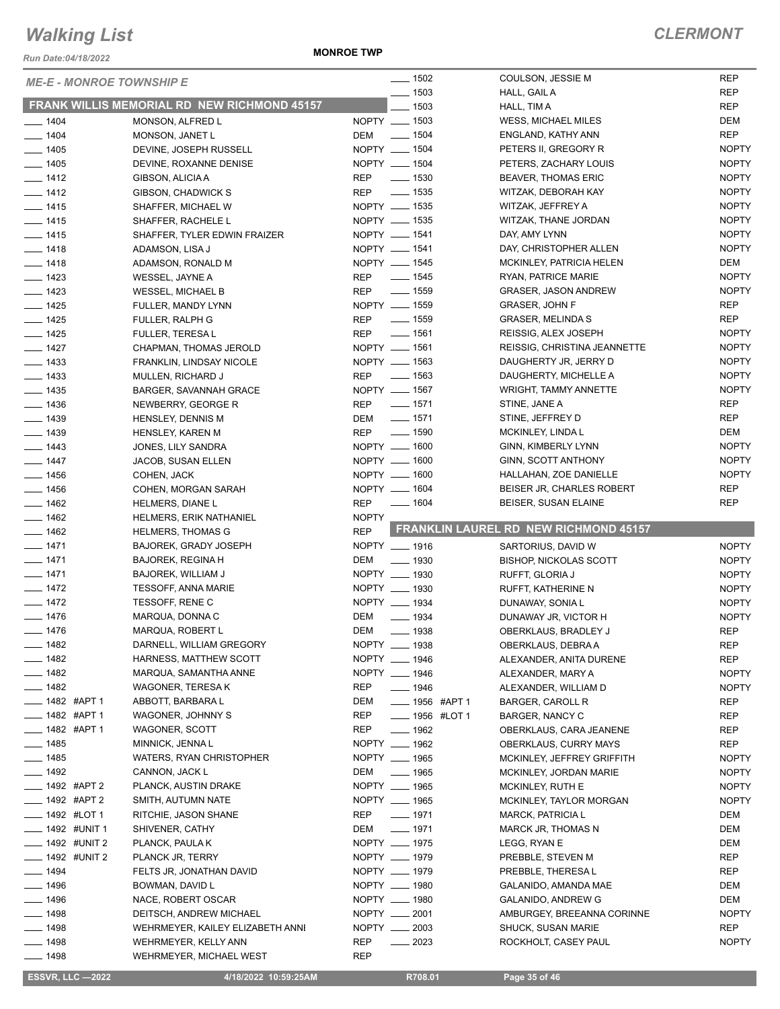*Run Date:04/18/2022*

**MONROE TWP**

| <b>ME-E - MONROE TOWNSHIP E</b> |                                                    | $\frac{1}{2}$ 1502               | COULSON, JESSIE M                            | <b>REP</b>   |
|---------------------------------|----------------------------------------------------|----------------------------------|----------------------------------------------|--------------|
|                                 | <b>FRANK WILLIS MEMORIAL RD NEW RICHMOND 45157</b> | $- 1503$                         | HALL, GAIL A                                 | <b>REP</b>   |
|                                 |                                                    | $-1503$                          | HALL, TIM A                                  | <b>REP</b>   |
| $- 1404$                        | MONSON, ALFRED L                                   | NOPTY __ 1503                    | WESS, MICHAEL MILES                          | <b>DEM</b>   |
| $- 1404$                        | MONSON, JANET L                                    | _____ 1504<br>DEM                | ENGLAND, KATHY ANN                           | <b>REP</b>   |
| $- 1405$                        | DEVINE, JOSEPH RUSSELL                             | NOPTY __ 1504                    | PETERS II, GREGORY R                         | <b>NOPTY</b> |
| $- 1405$                        | DEVINE, ROXANNE DENISE                             | NOPTY __ 1504                    | PETERS, ZACHARY LOUIS                        | <b>NOPTY</b> |
| $- 1412$                        | GIBSON, ALICIA A                                   | $\frac{1}{2}$ 1530<br><b>REP</b> | <b>BEAVER, THOMAS ERIC</b>                   | <b>NOPTY</b> |
| $- 1412$                        | GIBSON, CHADWICK S                                 | _____ 1535<br>REP                | WITZAK, DEBORAH KAY                          | <b>NOPTY</b> |
| $- 1415$                        | SHAFFER, MICHAEL W                                 | NOPTY __ 1535                    | WITZAK, JEFFREY A                            | <b>NOPTY</b> |
| $- 1415$                        | SHAFFER, RACHELE L                                 | NOPTY __ 1535                    | WITZAK, THANE JORDAN                         | <b>NOPTY</b> |
| $- 1415$                        | SHAFFER, TYLER EDWIN FRAIZER                       | NOPTY __ 1541                    | DAY, AMY LYNN                                | <b>NOPTY</b> |
| $- 1418$                        | ADAMSON, LISA J                                    | NOPTY __ 1541                    | DAY, CHRISTOPHER ALLEN                       | <b>NOPTY</b> |
| $- 1418$                        | ADAMSON, RONALD M                                  | NOPTY __ 1545                    | MCKINLEY, PATRICIA HELEN                     | DEM          |
| $- 1423$                        | WESSEL, JAYNE A                                    | ______ 1545<br>REP               | RYAN, PATRICE MARIE                          | <b>NOPTY</b> |
| $- 1423$                        | WESSEL, MICHAEL B                                  | $\frac{1}{2}$ 1559<br>REP        | <b>GRASER, JASON ANDREW</b>                  | <b>NOPTY</b> |
| $- 1425$                        | FULLER, MANDY LYNN                                 | NOPTY __ 1559                    | <b>GRASER, JOHN F</b>                        | <b>REP</b>   |
| $- 1425$                        | FULLER, RALPH G                                    | $\frac{1}{2}$ 1559<br><b>REP</b> | <b>GRASER, MELINDA S</b>                     | <b>REP</b>   |
| $- 1425$                        | <b>FULLER, TERESA L</b>                            | $- 1561$<br>REP                  | REISSIG, ALEX JOSEPH                         | <b>NOPTY</b> |
| $- 1427$                        | CHAPMAN, THOMAS JEROLD                             | NOPTY __ 1561                    | REISSIG, CHRISTINA JEANNETTE                 | <b>NOPTY</b> |
| $- 1433$                        | FRANKLIN, LINDSAY NICOLE                           | NOPTY __ 1563                    | DAUGHERTY JR, JERRY D                        | <b>NOPTY</b> |
| $- 1433$                        | MULLEN, RICHARD J                                  | $\frac{1}{2}$ 1563<br><b>REP</b> | DAUGHERTY, MICHELLE A                        | <b>NOPTY</b> |
| $\frac{1}{2}$ 1435              | BARGER, SAVANNAH GRACE                             | NOPTY __ 1567                    | <b>WRIGHT, TAMMY ANNETTE</b>                 | <b>NOPTY</b> |
| $- 1436$                        | NEWBERRY, GEORGE R                                 | $\frac{1}{2}$ 1571<br><b>REP</b> | STINE, JANE A                                | <b>REP</b>   |
| $- 1439$                        | <b>HENSLEY, DENNIS M</b>                           | _____ 1571<br>DEM                | STINE, JEFFREY D                             | <b>REP</b>   |
| $- 1439$                        | HENSLEY, KAREN M                                   | $\frac{1}{2}$ 1590<br>REP        | MCKINLEY, LINDA L                            | DEM          |
| $- 1443$                        | JONES, LILY SANDRA                                 | NOPTY __ 1600                    | GINN, KIMBERLY LYNN                          | <b>NOPTY</b> |
| $- 1447$                        | JACOB, SUSAN ELLEN                                 | NOPTY __ 1600                    | GINN, SCOTT ANTHONY                          | <b>NOPTY</b> |
| $\frac{1}{2}$ 1456              | COHEN, JACK                                        | NOPTY __ 1600                    | HALLAHAN, ZOE DANIELLE                       | <b>NOPTY</b> |
| $- 1456$                        | COHEN, MORGAN SARAH                                | NOPTY __ 1604                    | BEISER JR, CHARLES ROBERT                    | <b>REP</b>   |
| $- 1462$                        | <b>HELMERS, DIANE L</b>                            | <b>REP</b><br>$\frac{1}{1604}$   | BEISER, SUSAN ELAINE                         | <b>REP</b>   |
|                                 |                                                    |                                  |                                              |              |
| $- 1462$                        | <b>HELMERS, ERIK NATHANIEL</b>                     | <b>NOPTY</b>                     |                                              |              |
| $- 1462$                        | <b>HELMERS, THOMAS G</b>                           | <b>REP</b>                       | <b>FRANKLIN LAUREL RD NEW RICHMOND 45157</b> |              |
| $- 1471$                        | <b>BAJOREK, GRADY JOSEPH</b>                       | NOPTY __ 1916                    | SARTORIUS, DAVID W                           | <b>NOPTY</b> |
| $- 1471$                        | BAJOREK, REGINA H                                  | DEM<br>$\frac{1}{2}$ 1930        | <b>BISHOP, NICKOLAS SCOTT</b>                | <b>NOPTY</b> |
| $- 1471$                        | <b>BAJOREK, WILLIAM J</b>                          | NOPTY __ 1930                    | RUFFT, GLORIA J                              | <b>NOPTY</b> |
| $- 1472$                        | <b>TESSOFF, ANNA MARIE</b>                         | NOPTY __ 1930                    | RUFFT, KATHERINE N                           | <b>NOPTY</b> |
| $- 1472$                        | TESSOFF, RENE C                                    | NOPTY __ 1934                    | DUNAWAY, SONIA L                             | <b>NOPTY</b> |
| $- 1476$                        | MARQUA, DONNA C                                    | DEM<br>$- 1934$                  | DUNAWAY JR, VICTOR H                         | <b>NOPTY</b> |
| $- 1476$                        | MARQUA, ROBERT L                                   | DEM<br>$- 1938$                  | OBERKLAUS, BRADLEY J                         | <b>REP</b>   |
| <u>_</u> ___ 1482               | DARNELL, WILLIAM GREGORY                           | NOPTY __ 1938                    | OBERKLAUS, DEBRA A                           | <b>REP</b>   |
| $- 1482$                        | HARNESS, MATTHEW SCOTT                             | NOPTY __ 1946                    | ALEXANDER, ANITA DURENE                      | REP          |
| $- 1482$                        | MARQUA, SAMANTHA ANNE                              | NOPTY __ 1946                    | ALEXANDER, MARY A                            | <b>NOPTY</b> |
| $\frac{1}{2}$ 1482              | WAGONER, TERESA K                                  | REP<br>$- 1946$                  | ALEXANDER, WILLIAM D                         | <b>NOPTY</b> |
| $-$ 1482 #APT 1                 | ABBOTT, BARBARA L                                  | DEM<br>____ 1956 #APT 1          | BARGER, CAROLL R                             | REP          |
| ____ 1482 #APT 1                | WAGONER, JOHNNY S                                  | REP<br><b>IMPLE 1956 #LOT 1</b>  | <b>BARGER, NANCY C</b>                       | REP          |
| ____ 1482 #APT 1                | WAGONER, SCOTT                                     | REP<br>$- 1962$                  | OBERKLAUS, CARA JEANENE                      | REP          |
| $- 1485$                        | MINNICK, JENNA L                                   | NOPTY __ 1962                    | <b>OBERKLAUS, CURRY MAYS</b>                 | REP          |
| $- 1485$                        | WATERS, RYAN CHRISTOPHER                           | NOPTY __ 1965                    | MCKINLEY, JEFFREY GRIFFITH                   | <b>NOPTY</b> |
| $- 1492$                        | CANNON, JACK L                                     | DEM<br>$\frac{1}{2}$ 1965        | MCKINLEY, JORDAN MARIE                       | <b>NOPTY</b> |
| ____ 1492 #APT 2                | PLANCK, AUSTIN DRAKE                               | NOPTY __ 1965                    | MCKINLEY, RUTH E                             | <b>NOPTY</b> |
| _ 1492 #APT 2                   | SMITH, AUTUMN NATE                                 | NOPTY __ 1965                    | MCKINLEY, TAYLOR MORGAN                      | <b>NOPTY</b> |
| ____ 1492 #LOT 1                | RITCHIE, JASON SHANE                               | $- 1971$<br>REP                  | <b>MARCK, PATRICIA L</b>                     | DEM          |
| __ 1492 #UNIT 1                 | SHIVENER, CATHY                                    | $- 1971$<br>DEM                  | MARCK JR, THOMAS N                           | DEM          |
| $\frac{1}{2}$ 1492 #UNIT 2      | PLANCK, PAULA K                                    | NOPTY __ 1975                    | LEGG, RYAN E                                 | DEM          |
| <b>______ 1492 #UNIT 2</b>      | PLANCK JR, TERRY                                   | NOPTY __ 1979                    | PREBBLE, STEVEN M                            | REP          |
| $\frac{1}{2}$ 1494              | FELTS JR, JONATHAN DAVID                           | NOPTY __ 1979                    | PREBBLE, THERESA L                           | REP          |
| $- 1496$                        | BOWMAN, DAVID L                                    | NOPTY __ 1980                    | GALANIDO, AMANDA MAE                         | DEM          |
| $- 1496$                        | NACE, ROBERT OSCAR                                 | NOPTY __ 1980                    | GALANIDO, ANDREW G                           | DEM          |
| $- 1498$                        | DEITSCH, ANDREW MICHAEL                            | NOPTY __ 2001                    | AMBURGEY, BREEANNA CORINNE                   | <b>NOPTY</b> |
| $- 1498$                        | WEHRMEYER, KAILEY ELIZABETH ANNI                   | NOPTY __ 2003                    | <b>SHUCK, SUSAN MARIE</b>                    | REP          |
| $- 1498$                        | WEHRMEYER, KELLY ANN                               | REP<br>$\frac{2023}{20}$         | ROCKHOLT, CASEY PAUL                         | <b>NOPTY</b> |

 **ESSVR, LLC —2022 4/18/2022 10:59:25AM R708.01 Page 35 of 46**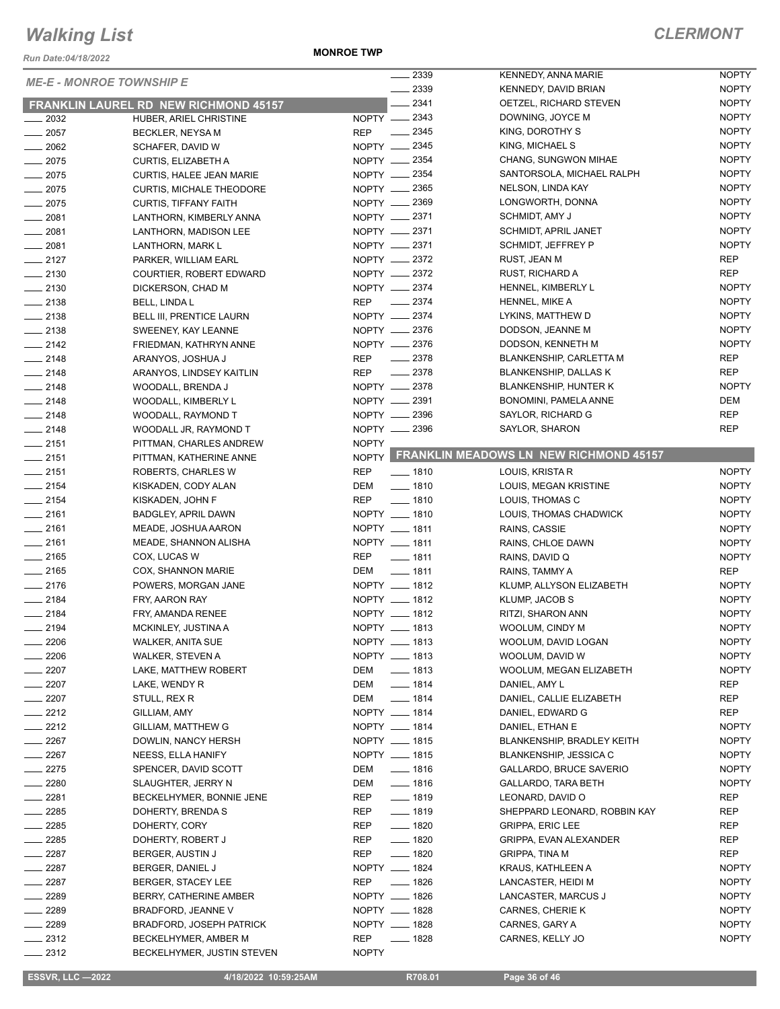*Run Date:04/18/2022*

**MONROE TWP**

|                                 |                                              | 2339                             | KENNEDY, ANNA MARIE                          | <b>NOPTY</b> |
|---------------------------------|----------------------------------------------|----------------------------------|----------------------------------------------|--------------|
| <b>ME-E - MONROE TOWNSHIP E</b> |                                              | 2339                             | KENNEDY, DAVID BRIAN                         | <b>NOPTY</b> |
|                                 | <b>FRANKLIN LAUREL RD NEW RICHMOND 45157</b> | 2341                             | OETZEL, RICHARD STEVEN                       | <b>NOPTY</b> |
| $\frac{1}{2032}$                | HUBER, ARIEL CHRISTINE                       | NOPTY __ 2343                    | DOWNING, JOYCE M                             | <b>NOPTY</b> |
| $\frac{1}{2057}$                | BECKLER, NEYSA M                             | REP __ 2345                      | KING, DOROTHY S                              | <b>NOPTY</b> |
| $\frac{1}{2062}$                | SCHAFER, DAVID W                             | NOPTY __ 2345                    | KING, MICHAEL S                              | <b>NOPTY</b> |
| $-2075$                         | CURTIS, ELIZABETH A                          | NOPTY __ 2354                    | CHANG, SUNGWON MIHAE                         | <b>NOPTY</b> |
| $-2075$                         | CURTIS, HALEE JEAN MARIE                     | NOPTY __ 2354                    | SANTORSOLA, MICHAEL RALPH                    | <b>NOPTY</b> |
| $-2075$                         | <b>CURTIS, MICHALE THEODORE</b>              | NOPTY __ 2365                    | NELSON, LINDA KAY                            | <b>NOPTY</b> |
| $-2075$                         | <b>CURTIS, TIFFANY FAITH</b>                 | NOPTY - 2369                     | LONGWORTH, DONNA                             | <b>NOPTY</b> |
| $-2081$                         | LANTHORN, KIMBERLY ANNA                      | NOPTY __ 2371                    | SCHMIDT, AMY J                               | <b>NOPTY</b> |
| $-2081$                         | LANTHORN, MADISON LEE                        | NOPTY -2371                      | SCHMIDT, APRIL JANET                         | <b>NOPTY</b> |
| $-2081$                         | LANTHORN, MARK L                             | NOPTY __ 2371                    | SCHMIDT, JEFFREY P                           | <b>NOPTY</b> |
| $-2127$                         |                                              | NOPTY __ 2372                    | RUST, JEAN M                                 | <b>REP</b>   |
|                                 | PARKER, WILLIAM EARL                         | NOPTY -2372                      | RUST, RICHARD A                              | <b>REP</b>   |
| $-2130$                         | COURTIER, ROBERT EDWARD                      | NOPTY __ 2374                    | HENNEL, KIMBERLY L                           | <b>NOPTY</b> |
| $-2130$                         | DICKERSON, CHAD M                            | REP __ 2374                      |                                              | <b>NOPTY</b> |
| $\frac{1}{2138}$                | BELL, LINDA L                                |                                  | HENNEL, MIKE A                               |              |
| $-2138$                         | <b>BELL III, PRENTICE LAURN</b>              | NOPTY __ 2374                    | LYKINS, MATTHEW D                            | <b>NOPTY</b> |
| $-2138$                         | SWEENEY, KAY LEANNE                          | NOPTY __ 2376                    | DODSON, JEANNE M                             | <b>NOPTY</b> |
| $-2142$                         | FRIEDMAN, KATHRYN ANNE                       | NOPTY __ 2376                    | DODSON, KENNETH M                            | <b>NOPTY</b> |
| $-2148$                         | ARANYOS, JOSHUA J                            | $\frac{1}{2}$ 2378<br><b>REP</b> | BLANKENSHIP, CARLETTA M                      | <b>REP</b>   |
| $-2148$                         | ARANYOS, LINDSEY KAITLIN                     | $\frac{2378}{2}$<br><b>REP</b>   | <b>BLANKENSHIP, DALLAS K</b>                 | <b>REP</b>   |
| $-2148$                         | WOODALL, BRENDA J                            | NOPTY __ 2378                    | <b>BLANKENSHIP, HUNTER K</b>                 | <b>NOPTY</b> |
| $-2148$                         | WOODALL, KIMBERLY L                          | NOPTY __ 2391                    | BONOMINI, PAMELA ANNE                        | <b>DEM</b>   |
| $-2148$                         | WOODALL, RAYMOND T                           | NOPTY 2396                       | SAYLOR, RICHARD G                            | <b>REP</b>   |
| $-2148$                         | WOODALL JR, RAYMOND T                        | NOPTY __ 2396                    | SAYLOR, SHARON                               | <b>REP</b>   |
| $-2151$                         | PITTMAN, CHARLES ANDREW                      | <b>NOPTY</b>                     |                                              |              |
| $-2151$                         | PITTMAN, KATHERINE ANNE                      |                                  | NOPTY FRANKLIN MEADOWS LN NEW RICHMOND 45157 |              |
| $-2151$                         | ROBERTS, CHARLES W                           | <b>REP</b><br>$- 1810$           | LOUIS, KRISTA R                              | <b>NOPTY</b> |
| $-2154$                         | KISKADEN, CODY ALAN                          | DEM<br>$- 1810$                  | LOUIS, MEGAN KRISTINE                        | <b>NOPTY</b> |
| $-2154$                         | KISKADEN, JOHN F                             | REP<br>$- 1810$                  | LOUIS, THOMAS C                              | <b>NOPTY</b> |
| $-2161$                         | BADGLEY, APRIL DAWN                          | NOPTY __ 1810                    | LOUIS, THOMAS CHADWICK                       | <b>NOPTY</b> |
| $-2161$                         | MEADE, JOSHUA AARON                          | NOPTY __ 1811                    | RAINS, CASSIE                                | <b>NOPTY</b> |
| $-2161$                         | MEADE, SHANNON ALISHA                        | NOPTY __ 1811                    | RAINS, CHLOE DAWN                            | <b>NOPTY</b> |
| $-2165$                         | COX, LUCAS W                                 | <b>REP</b><br>$- 1811$           | RAINS, DAVID Q                               | <b>NOPTY</b> |
| $-2165$                         | COX, SHANNON MARIE                           | DEM<br>$- 1811$                  | RAINS, TAMMY A                               | REP          |
| $-2176$                         | POWERS, MORGAN JANE                          | NOPTY __ 1812                    | KLUMP, ALLYSON ELIZABETH                     | <b>NOPTY</b> |
| $\frac{1}{2184}$                | FRY, AARON RAY                               | NOPTY __ 1812                    | KLUMP, JACOB S                               | <b>NOPTY</b> |
| $-2184$                         | FRY, AMANDA RENEE                            | NOPTY __ 1812                    | RITZI, SHARON ANN                            | <b>NOPTY</b> |
| $-2194$                         | MCKINLEY, JUSTINA A                          | NOPTY __ 1813                    | WOOLUM, CINDY M                              | <b>NOPTY</b> |
| 2206                            | WALKER, ANITA SUE                            | NOPTY __ 1813                    | WOOLUM, DAVID LOGAN                          | <b>NOPTY</b> |
| 2206                            | WALKER, STEVEN A                             | NOPTY __ 1813                    | WOOLUM, DAVID W                              | <b>NOPTY</b> |
| $-2207$                         | LAKE, MATTHEW ROBERT                         | DEM<br>$- 1813$                  | WOOLUM, MEGAN ELIZABETH                      | <b>NOPTY</b> |
| $-2207$                         | LAKE, WENDY R                                | DEM<br>$- 1814$                  | DANIEL, AMY L                                | REP          |
| $=$ 2207                        | STULL, REX R                                 | $- 1814$<br>DEM                  | DANIEL, CALLIE ELIZABETH                     | REP          |
| $-2212$                         | GILLIAM, AMY                                 | NOPTY __ 1814                    | DANIEL, EDWARD G                             | <b>REP</b>   |
| $-2212$                         | GILLIAM, MATTHEW G                           | NOPTY __ 1814                    | DANIEL, ETHAN E                              | <b>NOPTY</b> |
| $-2267$                         | DOWLIN, NANCY HERSH                          | NOPTY __ 1815                    | <b>BLANKENSHIP, BRADLEY KEITH</b>            | <b>NOPTY</b> |
| $\sim$ 2267                     | NEESS, ELLA HANIFY                           | NOPTY __ 1815                    | <b>BLANKENSHIP, JESSICA C</b>                | <b>NOPTY</b> |
| $-2275$                         | SPENCER, DAVID SCOTT                         | $- 1816$<br>DEM                  | GALLARDO, BRUCE SAVERIO                      | <b>NOPTY</b> |
| 2280                            | SLAUGHTER, JERRY N                           | $- 1816$<br>DEM                  | <b>GALLARDO, TARA BETH</b>                   | <b>NOPTY</b> |
| 2281                            | BECKELHYMER, BONNIE JENE                     | $- 1819$<br>REP                  | LEONARD, DAVID O                             | <b>REP</b>   |
| 2285                            | DOHERTY, BRENDA S                            | $- 1819$<br>REP                  | SHEPPARD LEONARD, ROBBIN KAY                 | REP          |
| 2285                            | DOHERTY, CORY                                | $- 1820$<br>REP                  | <b>GRIPPA, ERIC LEE</b>                      | REP          |
| __ 2285                         | DOHERTY, ROBERT J                            | REP<br>$- 1820$                  | GRIPPA, EVAN ALEXANDER                       | REP          |
| $\frac{2287}{5}$                | BERGER, AUSTIN J                             | <b>REP</b><br>$- 1820$           | GRIPPA, TINA M                               | REP          |
| $-2287$                         | BERGER, DANIEL J                             | NOPTY __ 1824                    | KRAUS, KATHLEEN A                            | <b>NOPTY</b> |
| $-2287$                         | BERGER, STACEY LEE                           | $\frac{1}{2}$ 1826<br>REP        | LANCASTER, HEIDI M                           | <b>NOPTY</b> |
| $-2289$                         | BERRY, CATHERINE AMBER                       | NOPTY __ 1826                    | LANCASTER, MARCUS J                          | <b>NOPTY</b> |
| $-2289$                         | <b>BRADFORD, JEANNE V</b>                    | NOPTY __ 1828                    | CARNES, CHERIE K                             | <b>NOPTY</b> |
| $-2289$                         | <b>BRADFORD, JOSEPH PATRICK</b>              | NOPTY __ 1828                    |                                              | <b>NOPTY</b> |
| $-2312$                         |                                              |                                  | CARNES, GARY A                               | <b>NOPTY</b> |
|                                 | BECKELHYMER, AMBER M                         | REP<br>$- 1828$                  | CARNES, KELLY JO                             |              |
| 2312                            | BECKELHYMER, JUSTIN STEVEN                   | <b>NOPTY</b>                     |                                              |              |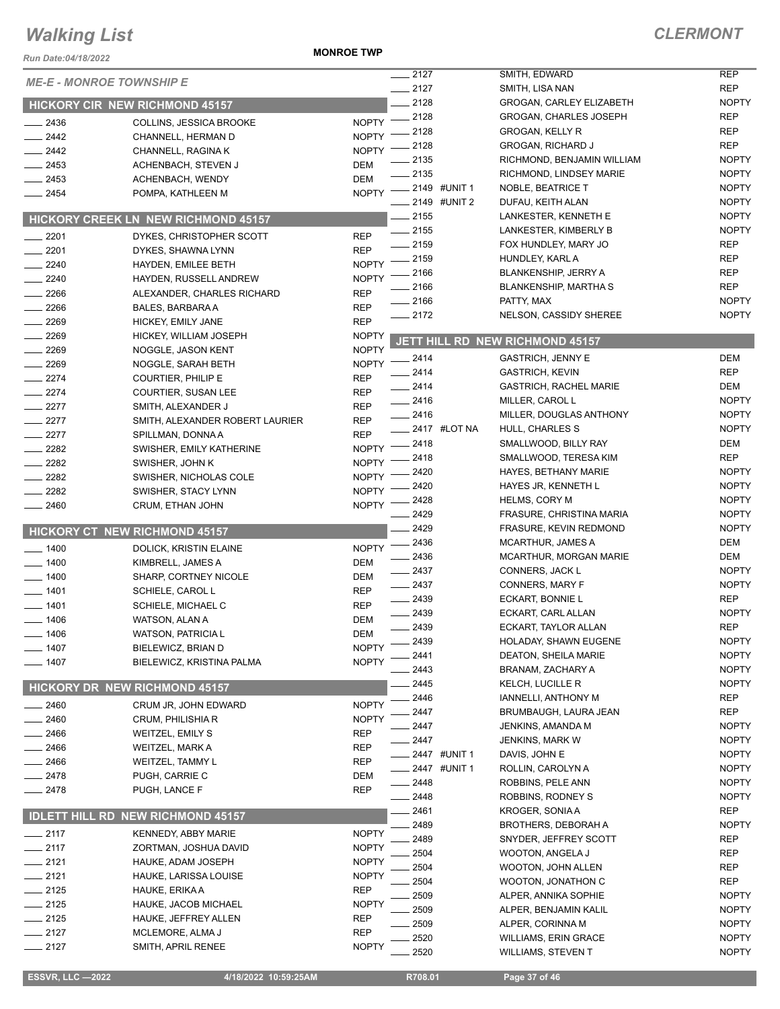#### *Run Date:04/18/2022*

**MONROE TWP**

| Run Date:04/18/2022              |                                                |                              | $\frac{1}{2127}$                | SMITH, EDWARD                                  | <b>REP</b>                   |
|----------------------------------|------------------------------------------------|------------------------------|---------------------------------|------------------------------------------------|------------------------------|
| <b>ME-E - MONROE TOWNSHIP E</b>  |                                                | $-2127$                      | SMITH, LISA NAN                 | <b>REP</b>                                     |                              |
|                                  | HICKORY CIR NEW RICHMOND 45157                 |                              | 2128                            | GROGAN, CARLEY ELIZABETH                       | <b>NOPTY</b>                 |
| $-2436$                          | COLLINS, JESSICA BROOKE                        | <b>NOPTY</b>                 | _ 2128                          | <b>GROGAN, CHARLES JOSEPH</b>                  | <b>REP</b>                   |
| 2442                             | CHANNELL, HERMAN D                             | <b>NOPTY</b>                 | 2128                            | <b>GROGAN, KELLY R</b>                         | <b>REP</b>                   |
| $-2442$                          | CHANNELL, RAGINA K                             | <b>NOPTY</b>                 | 2128                            | <b>GROGAN, RICHARD J</b>                       | <b>REP</b>                   |
| $-2453$                          | ACHENBACH, STEVEN J                            | DEM                          | 2135                            | RICHMOND, BENJAMIN WILLIAM                     | <b>NOPTY</b>                 |
| $= 2453$                         | ACHENBACH, WENDY                               | <b>DEM</b>                   | 2135                            | RICHMOND, LINDSEY MARIE                        | <b>NOPTY</b>                 |
| $-2454$                          | POMPA, KATHLEEN M                              | <b>NOPTY</b>                 | $-2149$ #UNIT 1<br>2149 #UNIT 2 | NOBLE, BEATRICE T                              | <b>NOPTY</b><br><b>NOPTY</b> |
|                                  |                                                |                              | $-2155$                         | DUFAU, KEITH ALAN<br>LANKESTER, KENNETH E      | <b>NOPTY</b>                 |
|                                  | <b>HICKORY CREEK LN NEW RICHMOND 45157</b>     |                              | $-2155$                         | LANKESTER, KIMBERLY B                          | <b>NOPTY</b>                 |
| 2201<br>$\overline{\phantom{a}}$ | DYKES, CHRISTOPHER SCOTT                       | <b>REP</b>                   | 2159                            | FOX HUNDLEY, MARY JO                           | <b>REP</b>                   |
| 2201                             | DYKES, SHAWNA LYNN                             | <b>REP</b>                   | 2159                            | HUNDLEY, KARL A                                | <b>REP</b>                   |
| 2240                             | HAYDEN, EMILEE BETH                            | <b>NOPTY</b>                 | 2166                            | <b>BLANKENSHIP, JERRY A</b>                    | <b>REP</b>                   |
| $-2240$<br>$\frac{1}{2266}$      | HAYDEN, RUSSELL ANDREW                         | <b>NOPTY</b><br><b>REP</b>   | 2166                            | <b>BLANKENSHIP, MARTHA S</b>                   | <b>REP</b>                   |
| 2266                             | ALEXANDER, CHARLES RICHARD<br>BALES, BARBARA A | <b>REP</b>                   | 2166                            | PATTY, MAX                                     | <b>NOPTY</b>                 |
| $-2269$                          | HICKEY, EMILY JANE                             | <b>REP</b>                   | 2172                            | NELSON, CASSIDY SHEREE                         | <b>NOPTY</b>                 |
| 2269                             | HICKEY, WILLIAM JOSEPH                         | <b>NOPTY</b>                 |                                 |                                                |                              |
| 2269                             | NOGGLE, JASON KENT                             | <b>NOPTY</b>                 |                                 | JETT HILL RD NEW RICHMOND 45157                |                              |
| $-2269$                          | NOGGLE, SARAH BETH                             | <b>NOPTY</b>                 | $-2414$                         | <b>GASTRICH, JENNY E</b>                       | DEM                          |
| $-2274$                          | <b>COURTIER, PHILIP E</b>                      | <b>REP</b>                   | 2414                            | <b>GASTRICH, KEVIN</b>                         | <b>REP</b>                   |
| $-2274$                          | <b>COURTIER, SUSAN LEE</b>                     | <b>REP</b>                   | $-2414$                         | <b>GASTRICH, RACHEL MARIE</b>                  | <b>DEM</b>                   |
| $-2277$                          | SMITH, ALEXANDER J                             | <b>REP</b>                   | $-2416$                         | MILLER, CAROL L                                | <b>NOPTY</b>                 |
| $-2277$                          | SMITH, ALEXANDER ROBERT LAURIER                | <b>REP</b>                   | $-2416$                         | MILLER, DOUGLAS ANTHONY                        | <b>NOPTY</b>                 |
| $-2277$                          | SPILLMAN, DONNA A                              | <b>REP</b>                   | $\frac{1}{2417}$ #LOT NA        | HULL, CHARLES S                                | <b>NOPTY</b>                 |
| 2282                             | SWISHER, EMILY KATHERINE                       | <b>NOPTY</b>                 | $= 2418$<br>2418                | SMALLWOOD, BILLY RAY<br>SMALLWOOD, TERESA KIM  | DEM<br><b>REP</b>            |
| $-2282$                          | SWISHER, JOHN K                                | <b>NOPTY</b>                 | 2420                            | HAYES, BETHANY MARIE                           | <b>NOPTY</b>                 |
| 2282                             | SWISHER, NICHOLAS COLE                         | <b>NOPTY</b>                 | 2420                            | HAYES JR, KENNETH L                            | <b>NOPTY</b>                 |
| 2282                             | SWISHER, STACY LYNN                            | <b>NOPTY</b>                 | 2428                            | <b>HELMS, CORY M</b>                           | <b>NOPTY</b>                 |
| $-2460$                          | CRUM, ETHAN JOHN                               | <b>NOPTY</b>                 | 2429                            | FRASURE, CHRISTINA MARIA                       | <b>NOPTY</b>                 |
|                                  | <b>HICKORY CT NEW RICHMOND 45157</b>           |                              | $-2429$                         | FRASURE, KEVIN REDMOND                         | <b>NOPTY</b>                 |
| $- 1400$                         | DOLICK, KRISTIN ELAINE                         | <b>NOPTY</b>                 | 2436                            | <b>MCARTHUR, JAMES A</b>                       | DEM                          |
| $-1400$                          | KIMBRELL, JAMES A                              | DEM                          | 2436                            | <b>MCARTHUR, MORGAN MARIE</b>                  | DEM                          |
| $-1400$                          | SHARP, CORTNEY NICOLE                          | DEM                          | $-2437$                         | CONNERS, JACK L                                | <b>NOPTY</b>                 |
| $-1401$                          | SCHIELE, CAROL L                               | <b>REP</b>                   | $-2437$                         | CONNERS, MARY F                                | <b>NOPTY</b>                 |
| $-1401$                          | SCHIELE, MICHAEL C                             | <b>REP</b>                   | $-2439$                         | ECKART, BONNIE L                               | <b>REP</b>                   |
| $- 1406$                         | WATSON, ALAN A                                 | DEM                          | 2439                            | ECKART, CARL ALLAN                             | <b>NOPTY</b>                 |
| 1406                             | WATSON, PATRICIA L                             | DEM                          | 2439                            | ECKART. TAYLOR ALLAN                           | <b>REP</b>                   |
| 1407                             | BIELEWICZ, BRIAN D                             | <b>NOPTY</b>                 | 2439                            | HOLADAY, SHAWN EUGENE                          | <b>NOPTY</b>                 |
| 1407                             | BIELEWICZ, KRISTINA PALMA                      | <b>NOPTY</b>                 | 2441                            | <b>DEATON, SHEILA MARIE</b>                    | <b>NOPTY</b>                 |
|                                  |                                                |                              | 2443<br>2445                    | BRANAM, ZACHARY A                              | <b>NOPTY</b><br><b>NOPTY</b> |
|                                  | <b>HICKORY DR NEW RICHMOND 45157</b>           |                              | 2446                            | KELCH, LUCILLE R<br><b>IANNELLI, ANTHONY M</b> | <b>REP</b>                   |
| _ 2460                           | CRUM JR, JOHN EDWARD                           | <b>NOPTY</b>                 | 2447                            | BRUMBAUGH, LAURA JEAN                          | REP                          |
| $-2460$                          | CRUM, PHILISHIA R                              | <b>NOPTY</b>                 | 2447                            | JENKINS, AMANDA M                              | <b>NOPTY</b>                 |
| _ 2466                           | WEITZEL, EMILY S                               | REP                          | 2447                            | JENKINS, MARK W                                | <b>NOPTY</b>                 |
| 2466                             | WEITZEL, MARK A                                | REP                          | 2447 #UNIT 1                    | DAVIS, JOHN E                                  | <b>NOPTY</b>                 |
| 2466                             | WEITZEL, TAMMY L                               | <b>REP</b>                   | 2447 #UNIT 1                    | ROLLIN, CAROLYN A                              | <b>NOPTY</b>                 |
| 2478                             | PUGH, CARRIE C                                 | DEM                          | 2448                            | ROBBINS, PELE ANN                              | <b>NOPTY</b>                 |
| 2478                             | PUGH, LANCE F                                  | <b>REP</b>                   | 2448                            | ROBBINS, RODNEY S                              | <b>NOPTY</b>                 |
|                                  | <b>IDLETT HILL RD NEW RICHMOND 45157</b>       |                              | 2461                            | KROGER, SONIA A                                | <b>REP</b>                   |
|                                  |                                                |                              | 2489                            | <b>BROTHERS, DEBORAH A</b>                     | <b>NOPTY</b>                 |
| $-2117$<br>$-2117$               | <b>KENNEDY, ABBY MARIE</b>                     | <b>NOPTY</b><br><b>NOPTY</b> | 2489                            | SNYDER, JEFFREY SCOTT                          | <b>REP</b>                   |
| $-2121$                          | ZORTMAN, JOSHUA DAVID<br>HAUKE, ADAM JOSEPH    | <b>NOPTY</b>                 | 2504                            | WOOTON, ANGELA J                               | REP                          |
| $-2121$                          | HAUKE, LARISSA LOUISE                          | <b>NOPTY</b>                 | 2504                            | <b>WOOTON, JOHN ALLEN</b>                      | REP                          |
| $-2125$                          | HAUKE, ERIKA A                                 | REP                          | 2504                            | WOOTON, JONATHON C                             | REP                          |
| __ 2125                          | HAUKE, JACOB MICHAEL                           | <b>NOPTY</b>                 | 2509                            | ALPER, ANNIKA SOPHIE                           | <b>NOPTY</b>                 |
| _ 2125                           | HAUKE, JEFFREY ALLEN                           | <b>REP</b>                   | 2509                            | ALPER, BENJAMIN KALIL                          | <b>NOPTY</b>                 |
| $-2127$                          | MCLEMORE, ALMA J                               | <b>REP</b>                   | 2509                            | ALPER, CORINNA M                               | <b>NOPTY</b>                 |
| $-2127$                          | SMITH, APRIL RENEE                             | <b>NOPTY</b>                 | 2520                            | <b>WILLIAMS, ERIN GRACE</b>                    | <b>NOPTY</b>                 |
|                                  |                                                |                              | 2520                            | <b>WILLIAMS, STEVEN T</b>                      | <b>NOPTY</b>                 |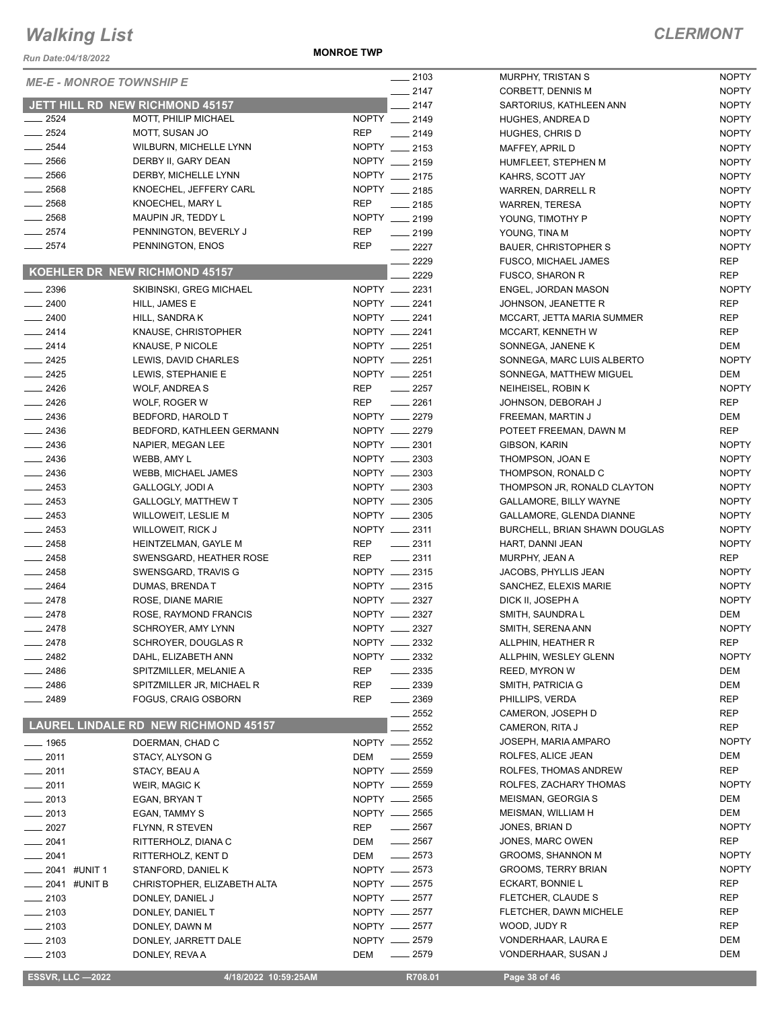*Run Date:04/18/2022*

**MONROE TWP**

NOPTY

| <b>ME-E - MONROE TOWNSHIP E</b> |                                             | $-2103$                          | MURPHY, TRISTAN S             | <b>NOPTY</b> |
|---------------------------------|---------------------------------------------|----------------------------------|-------------------------------|--------------|
|                                 |                                             | $-2147$                          | CORBETT, DENNIS M             | <b>NOPTY</b> |
|                                 | JETT HILL RD NEW RICHMOND 45157             | 2147                             | SARTORIUS, KATHLEEN ANN       | <b>NOPTY</b> |
| 2524                            | MOTT, PHILIP MICHAEL                        | NOPTY __ 2149                    | HUGHES, ANDREA D              | <b>NOPTY</b> |
| $-2524$                         | MOTT, SUSAN JO                              | <b>REP</b><br>$-2149$            | HUGHES, CHRIS D               | <b>NOPTY</b> |
| $-2544$                         | WILBURN, MICHELLE LYNN                      | NOPTY __ 2153                    | MAFFEY, APRIL D               | <b>NOPTY</b> |
| $-2566$                         | DERBY II, GARY DEAN                         | NOPTY __ 2159                    | HUMFLEET, STEPHEN M           | <b>NOPTY</b> |
| $-2566$                         | DERBY, MICHELLE LYNN                        | NOPTY __ 2175                    | KAHRS, SCOTT JAY              | <b>NOPTY</b> |
| $\frac{1}{2568}$                | KNOECHEL, JEFFERY CARL                      | NOPTY __ 2185                    | WARREN, DARRELL R             | <b>NOPTY</b> |
| $-2568$                         | KNOECHEL, MARY L                            | <b>REP</b><br>$-2185$            | <b>WARREN, TERESA</b>         | <b>NOPTY</b> |
| $-2568$                         | MAUPIN JR, TEDDY L                          | NOPTY __ 2199                    | YOUNG, TIMOTHY P              | <b>NOPTY</b> |
| $-2574$                         | PENNINGTON, BEVERLY J                       | <b>REP</b><br>$\frac{1}{2199}$   | YOUNG, TINA M                 | <b>NOPTY</b> |
| $\frac{1}{2574}$                | PENNINGTON, ENOS                            | <b>REP</b><br>$-2227$            | <b>BAUER, CHRISTOPHER S</b>   | <b>NOPTY</b> |
|                                 |                                             | $-2229$                          | FUSCO, MICHAEL JAMES          | <b>REP</b>   |
|                                 | KOEHLER DR NEW RICHMOND 45157               | 2229                             | <b>FUSCO, SHARON R</b>        | <b>REP</b>   |
| $-2396$                         | SKIBINSKI, GREG MICHAEL                     | NOPTY __ 2231                    | ENGEL, JORDAN MASON           | <b>NOPTY</b> |
| $-2400$                         | HILL, JAMES E                               | NOPTY __ 2241                    | JOHNSON, JEANETTE R           | <b>REP</b>   |
| $-2400$                         | HILL, SANDRA K                              | NOPTY __ 2241                    | MCCART, JETTA MARIA SUMMER    | <b>REP</b>   |
| $-2414$                         | KNAUSE, CHRISTOPHER                         | NOPTY __ 2241                    | MCCART, KENNETH W             | <b>REP</b>   |
| $-2414$                         | KNAUSE, P NICOLE                            | NOPTY __ 2251                    | SONNEGA, JANENE K             | DEM          |
| $-2425$                         | LEWIS, DAVID CHARLES                        | NOPTY __ 2251                    | SONNEGA, MARC LUIS ALBERTO    | <b>NOPTY</b> |
| $\frac{2425}{5}$                | LEWIS, STEPHANIE E                          | NOPTY __ 2251                    | SONNEGA, MATTHEW MIGUEL       | DEM          |
| $-2426$                         | <b>WOLF, ANDREAS</b>                        | <b>REP</b><br>$\frac{1}{2257}$   | NEIHEISEL, ROBIN K            | <b>NOPTY</b> |
| $\frac{1}{2426}$                | WOLF, ROGER W                               | <b>REP</b><br>$-2261$            | JOHNSON, DEBORAH J            | <b>REP</b>   |
| $-2436$                         | BEDFORD, HAROLD T                           | NOPTY __ 2279                    | FREEMAN, MARTIN J             | DEM          |
| $\frac{1}{2436}$                | BEDFORD, KATHLEEN GERMANN                   | NOPTY __ 2279                    | POTEET FREEMAN, DAWN M        | <b>REP</b>   |
| $\frac{1}{2436}$                | NAPIER, MEGAN LEE                           | NOPTY __ 2301                    | GIBSON, KARIN                 | <b>NOPTY</b> |
| $-2436$                         | WEBB, AMY L                                 | NOPTY __ 2303                    | THOMPSON, JOAN E              | <b>NOPTY</b> |
| $\sim$ 2436                     | WEBB, MICHAEL JAMES                         | NOPTY __ 2303                    | THOMPSON, RONALD C            | <b>NOPTY</b> |
| $-2453$                         | GALLOGLY, JODI A                            | NOPTY __ 2303                    | THOMPSON JR, RONALD CLAYTON   | <b>NOPTY</b> |
| $\frac{2453}{2}$                | <b>GALLOGLY, MATTHEW T</b>                  | NOPTY __ 2305                    | GALLAMORE, BILLY WAYNE        | <b>NOPTY</b> |
| $\frac{1}{2453}$                | WILLOWEIT, LESLIE M                         | NOPTY __ 2305                    | GALLAMORE, GLENDA DIANNE      | <b>NOPTY</b> |
| $-2453$                         | WILLOWEIT, RICK J                           | NOPTY __ 2311                    | BURCHELL, BRIAN SHAWN DOUGLAS | <b>NOPTY</b> |
| $-2458$                         | HEINTZELMAN, GAYLE M                        | REP<br>$-2311$                   | HART, DANNI JEAN              | <b>NOPTY</b> |
| $-2458$                         | SWENSGARD, HEATHER ROSE                     | <b>REP</b><br>$\frac{1}{2}$ 2311 | MURPHY, JEAN A                | <b>REP</b>   |
| $\sim$ 2458                     | SWENSGARD, TRAVIS G                         | NOPTY __ 2315                    | JACOBS, PHYLLIS JEAN          | <b>NOPTY</b> |
| $\frac{1}{2464}$                | DUMAS, BRENDAT                              | NOPTY __ 2315                    | SANCHEZ, ELEXIS MARIE         | <b>NOPTY</b> |
| $-2478$                         | ROSE, DIANE MARIE                           | NOPTY __ 2327                    | DICK II, JOSEPH A             | <b>NOPTY</b> |
| $-2478$                         | ROSE, RAYMOND FRANCIS                       | NOPTY __ 2327                    | SMITH, SAUNDRA L              | DEM          |
| $-2478$                         | SCHROYER, AMY LYNN                          | NOPTY __ 2327                    | SMITH, SERENA ANN             | <b>NOPTY</b> |
| __ 2478                         | SCHROYER, DOUGLAS R                         | NOPTY __ 2332                    | ALLPHIN, HEATHER R            | <b>REP</b>   |
| _ 2482                          | DAHL, ELIZABETH ANN                         | NOPTY __ 2332                    | ALLPHIN, WESLEY GLENN         | <b>NOPTY</b> |
| $-2486$                         | SPITZMILLER, MELANIE A                      | <b>REP</b><br>$\frac{1}{2}$ 2335 | <b>REED, MYRON W</b>          | DEM          |
| $- 2486$                        | SPITZMILLER JR, MICHAEL R                   | REP<br>$-2339$                   | SMITH, PATRICIA G             | DEM          |
| ____ 2489                       | <b>FOGUS, CRAIG OSBORN</b>                  | REP<br>$-2369$                   | PHILLIPS, VERDA               | <b>REP</b>   |
|                                 |                                             | 2552                             | CAMERON, JOSEPH D             | REP          |
|                                 | <b>LAUREL LINDALE RD NEW RICHMOND 45157</b> | 2552                             | CAMERON, RITA J               | <b>REP</b>   |
| ___ 1965                        | DOERMAN, CHAD C                             | NOPTY __ 2552                    | JOSEPH, MARIA AMPARO          | <b>NOPTY</b> |
| $-2011$                         | STACY, ALYSON G                             | $\frac{1}{2559}$<br>DEM          | ROLFES, ALICE JEAN            | DEM          |
| 2011                            | STACY, BEAU A                               | NOPTY __ 2559                    | ROLFES, THOMAS ANDREW         | <b>REP</b>   |
| $-2011$                         | WEIR, MAGIC K                               | NOPTY - 2559                     | ROLFES, ZACHARY THOMAS        | <b>NOPTY</b> |
| 2013                            | EGAN, BRYAN T                               | NOPTY __ 2565                    | MEISMAN, GEORGIA S            | DEM          |
| $-2013$                         | EGAN, TAMMY S                               | NOPTY __ 2565                    | MEISMAN, WILLIAM H            | DEM          |
| 2027                            | FLYNN, R STEVEN                             | $\frac{1}{2567}$<br>REP          | JONES, BRIAN D                | <b>NOPTY</b> |
| ___ 2041                        | RITTERHOLZ, DIANA C                         | $\frac{1}{2567}$<br>DEM          | JONES, MARC OWEN              | REP          |
| 2041                            | RITTERHOLZ, KENT D                          | $-2573$<br>DEM                   | <b>GROOMS, SHANNON M</b>      | <b>NOPTY</b> |
| 2041 #UNIT 1                    | STANFORD, DANIEL K                          | NOPTY __ 2573                    | <b>GROOMS, TERRY BRIAN</b>    | <b>NOPTY</b> |
| ____ 2041 #UNIT B               | CHRISTOPHER, ELIZABETH ALTA                 | NOPTY __ 2575                    | ECKART, BONNIE L              | <b>REP</b>   |
| $-2103$                         | DONLEY, DANIEL J                            | NOPTY -2577                      | FLETCHER, CLAUDE S            | <b>REP</b>   |
| $\frac{1}{2103}$                | DONLEY, DANIEL T                            | NOPTY __ 2577                    | FLETCHER, DAWN MICHELE        | REP          |
| $- 2103$                        | DONLEY, DAWN M                              | NOPTY -2577                      | WOOD, JUDY R                  | REP          |
| $-2103$                         | DONLEY, JARRETT DALE                        | NOPTY __ 2579                    | VONDERHAAR, LAURA E           | DEM          |
| $-2103$                         | DONLEY, REVA A                              | $-2579$<br>DEM                   | VONDERHAAR, SUSAN J           | DEM          |
|                                 |                                             |                                  |                               |              |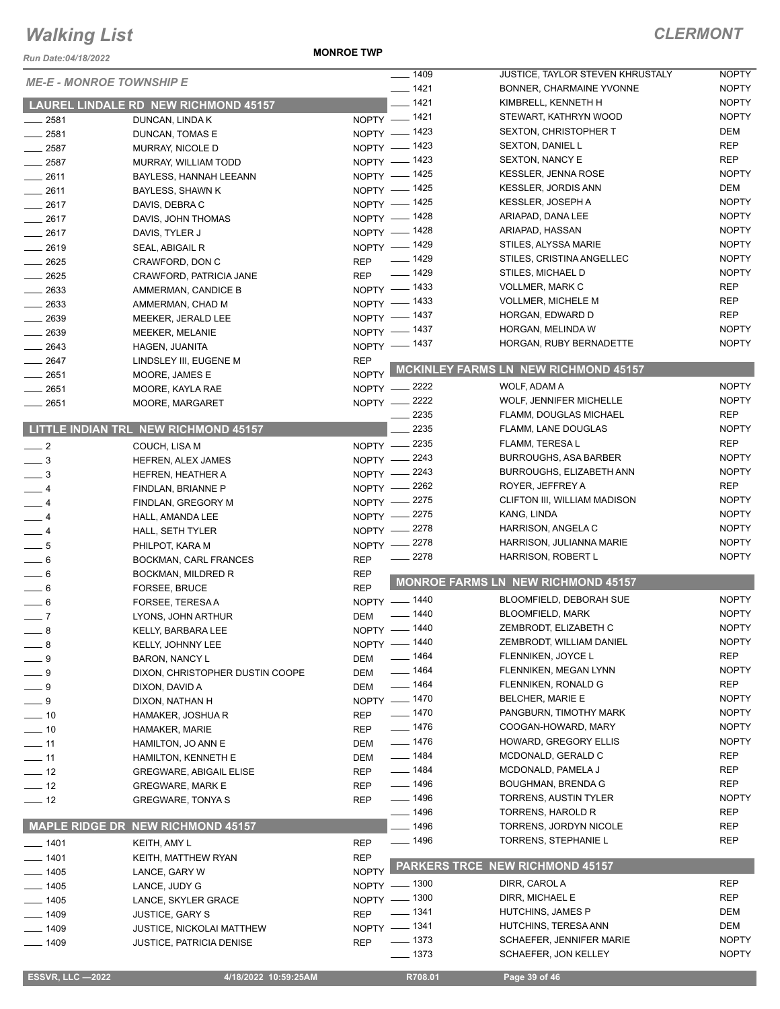*Run Date:04/18/2022*

**MONROE TWP**

| <b>ME-E - MONROE TOWNSHIP E</b> |                                             |              | $\frac{1}{2}$ 1409 | JUSTICE, TAYLOR STEVEN KHRUSTALY            | <b>NOPTY</b> |
|---------------------------------|---------------------------------------------|--------------|--------------------|---------------------------------------------|--------------|
|                                 |                                             |              | $- 1421$           | BONNER, CHARMAINE YVONNE                    | <b>NOPTY</b> |
|                                 | <b>LAUREL LINDALE RD NEW RICHMOND 45157</b> |              | $- 1421$           | KIMBRELL, KENNETH H                         | <b>NOPTY</b> |
| $-2581$                         | DUNCAN, LINDA K                             |              | NOPTY -1421        | STEWART, KATHRYN WOOD                       | <b>NOPTY</b> |
| $-2581$                         | DUNCAN, TOMAS E                             |              | NOPTY - 1423       | SEXTON, CHRISTOPHER T                       | <b>DEM</b>   |
| $-2587$                         | MURRAY, NICOLE D                            |              | NOPTY - 1423       | SEXTON, DANIEL L                            | <b>REP</b>   |
| $-2587$                         | MURRAY, WILLIAM TODD                        |              | NOPTY - 1423       | <b>SEXTON, NANCY E</b>                      | <b>REP</b>   |
| $-2611$                         | BAYLESS, HANNAH LEEANN                      |              | NOPTY - 1425       | KESSLER, JENNA ROSE                         | <b>NOPTY</b> |
| $-2611$                         | BAYLESS, SHAWN K                            |              | NOPTY - 1425       | <b>KESSLER, JORDIS ANN</b>                  | DEM          |
| $-2617$                         | DAVIS, DEBRA C                              |              | NOPTY - 1425       | <b>KESSLER, JOSEPH A</b>                    | <b>NOPTY</b> |
| $-2617$                         | DAVIS, JOHN THOMAS                          |              | NOPTY - 1428       | ARIAPAD, DANA LEE                           | <b>NOPTY</b> |
| $-2617$                         | DAVIS, TYLER J                              |              | NOPTY - 1428       | ARIAPAD, HASSAN                             | <b>NOPTY</b> |
| $-2619$                         | SEAL, ABIGAIL R                             |              | NOPTY - 1429       | STILES, ALYSSA MARIE                        | <b>NOPTY</b> |
| $-2625$                         | CRAWFORD, DON C                             | <b>REP</b>   | $- 1429$           | STILES, CRISTINA ANGELLEC                   | <b>NOPTY</b> |
| $-2625$                         | CRAWFORD, PATRICIA JANE                     | <b>REP</b>   | $\frac{1}{2}$ 1429 | STILES, MICHAEL D                           | <b>NOPTY</b> |
| $\frac{1}{2633}$                | AMMERMAN, CANDICE B                         |              | NOPTY - 1433       | VOLLMER, MARK C                             | <b>REP</b>   |
|                                 |                                             |              | NOPTY - 1433       | <b>VOLLMER, MICHELE M</b>                   | <b>REP</b>   |
| $-2633$                         | AMMERMAN, CHAD M                            |              | NOPTY - 1437       | HORGAN, EDWARD D                            | <b>REP</b>   |
| $\frac{1}{2639}$                | MEEKER, JERALD LEE                          |              | NOPTY - 1437       | HORGAN, MELINDA W                           | <b>NOPTY</b> |
| $-2639$                         | MEEKER, MELANIE                             |              | NOPTY - 1437       | HORGAN, RUBY BERNADETTE                     | <b>NOPTY</b> |
| $-2643$                         | HAGEN, JUANITA                              |              |                    |                                             |              |
| $-2647$                         | LINDSLEY III, EUGENE M                      | <b>REP</b>   |                    | <b>MCKINLEY FARMS LN NEW RICHMOND 45157</b> |              |
| $\frac{1}{2651}$                | MOORE, JAMES E                              | <b>NOPTY</b> |                    |                                             |              |
| $\frac{1}{2651}$                | MOORE, KAYLA RAE                            |              | NOPTY -2222        | WOLF, ADAM A                                | <b>NOPTY</b> |
| $-2651$                         | MOORE, MARGARET                             |              | NOPTY -2222        | WOLF, JENNIFER MICHELLE                     | <b>NOPTY</b> |
|                                 |                                             |              | 2235               | FLAMM, DOUGLAS MICHAEL                      | <b>REP</b>   |
|                                 | <b>LITTLE INDIAN TRL NEW RICHMOND 45157</b> |              | 2235               | FLAMM, LANE DOUGLAS                         | <b>NOPTY</b> |
| $\frac{1}{2}$                   | COUCH, LISA M                               |              | NOPTY -2235        | FLAMM, TERESA L                             | <b>REP</b>   |
| $\frac{1}{2}$                   | HEFREN, ALEX JAMES                          |              | NOPTY -2243        | <b>BURROUGHS, ASA BARBER</b>                | <b>NOPTY</b> |
| $\frac{1}{2}$                   | HEFREN, HEATHER A                           |              | NOPTY -2243        | <b>BURROUGHS, ELIZABETH ANN</b>             | <b>NOPTY</b> |
| $-4$                            | FINDLAN, BRIANNE P                          | $NOPTY$ -    | 2262               | ROYER, JEFFREY A                            | <b>REP</b>   |
| $-4$                            | FINDLAN, GREGORY M                          |              | NOPTY -2275        | CLIFTON III, WILLIAM MADISON                | <b>NOPTY</b> |
| $-4$                            | HALL, AMANDA LEE                            |              | NOPTY -2275        | KANG, LINDA                                 | <b>NOPTY</b> |
| $-4$                            | HALL, SETH TYLER                            |              | NOPTY -2278        | HARRISON, ANGELA C                          | <b>NOPTY</b> |
| $\frac{1}{2}$ 5                 | PHILPOT, KARA M                             |              | NOPTY -2278        | HARRISON, JULIANNA MARIE                    | <b>NOPTY</b> |
| $-6$                            | <b>BOCKMAN, CARL FRANCES</b>                | <b>REP</b>   | 2278               | HARRISON, ROBERT L                          | <b>NOPTY</b> |
| $\overline{\phantom{0}}$ 6      | BOCKMAN, MILDRED R                          | <b>REP</b>   |                    |                                             |              |
| $= 6$                           | <b>FORSEE, BRUCE</b>                        | <b>REP</b>   |                    | MONROE FARMS LN NEW RICHMOND 45157          |              |
| $-6$                            | FORSEE, TERESA A                            |              | NOPTY - 1440       | BLOOMFIELD, DEBORAH SUE                     | <b>NOPTY</b> |
| $-7$                            | LYONS, JOHN ARTHUR                          | DEM          | $- 1440$           | BLOOMFIELD, MARK                            | <b>NOPTY</b> |
| $-8$                            | KELLY, BARBARA LEE                          |              | NOPTY - 1440       | ZEMBRODT, ELIZABETH C                       | <b>NOPTY</b> |
| $-8$                            | KELLY, JOHNNY LEE                           |              | NOPTY - 1440       | ZEMBRODT, WILLIAM DANIEL                    | <b>NOPTY</b> |
| $-9$                            | <b>BARON, NANCY L</b>                       | DEM          | ___ 1464           | FLENNIKEN, JOYCE L                          | <b>REP</b>   |
| $-9$                            |                                             | DEM          | $- 1464$           | FLENNIKEN, MEGAN LYNN                       | <b>NOPTY</b> |
|                                 | DIXON, CHRISTOPHER DUSTIN COOPE             |              | <u>_</u> ___ 1464  | FLENNIKEN, RONALD G                         | REP          |
| $-9$                            | DIXON, DAVID A                              | DEM          | NOPTY - 1470       | <b>BELCHER, MARIE E</b>                     | <b>NOPTY</b> |
| $-9$                            | DIXON, NATHAN H                             |              | $- 1470$           | PANGBURN, TIMOTHY MARK                      | <b>NOPTY</b> |
| $\frac{1}{2}$ 10                | HAMAKER, JOSHUA R                           | <b>REP</b>   | $- 1476$           | COOGAN-HOWARD, MARY                         | <b>NOPTY</b> |
| $\frac{1}{2}$ 10                | <b>HAMAKER, MARIE</b>                       | <b>REP</b>   |                    |                                             |              |
| $\frac{1}{2}$ 11                | HAMILTON, JO ANN E                          | DEM          | $- 1476$           | HOWARD, GREGORY ELLIS                       | <b>NOPTY</b> |
| $\frac{1}{2}$ 11                | HAMILTON, KENNETH E                         | DEM          | <u>_</u> ___ 1484  | MCDONALD, GERALD C                          | REP          |
| $\frac{1}{2}$ 12                | <b>GREGWARE, ABIGAIL ELISE</b>              | <b>REP</b>   | —— 1484            | MCDONALD, PAMELA J                          | <b>REP</b>   |
| $\frac{1}{2}$ 12                | <b>GREGWARE, MARK E</b>                     | <b>REP</b>   | ___ 1496           | <b>BOUGHMAN, BRENDA G</b>                   | <b>REP</b>   |
| $\frac{1}{2}$                   | <b>GREGWARE, TONYA S</b>                    | <b>REP</b>   | $- 1496$           | <b>TORRENS, AUSTIN TYLER</b>                | <b>NOPTY</b> |
|                                 |                                             |              | $- 1496$           | TORRENS, HAROLD R                           | <b>REP</b>   |
|                                 | <b>MAPLE RIDGE DR NEW RICHMOND 45157</b>    |              | __ 1496            | TORRENS, JORDYN NICOLE                      | <b>REP</b>   |
| $- 1401$                        | KEITH, AMY L                                | <b>REP</b>   | —— 1496            | TORRENS, STEPHANIE L                        | <b>REP</b>   |
| $- 1401$                        | KEITH, MATTHEW RYAN                         | <b>REP</b>   |                    |                                             |              |
| $- 1405$                        | LANCE, GARY W                               | <b>NOPTY</b> |                    | PARKERS TRCE NEW RICHMOND 45157             |              |
| $\frac{1}{2}$ 1405              | LANCE, JUDY G                               |              | NOPTY - 1300       | DIRR, CAROL A                               | <b>REP</b>   |
| $- 1405$                        | LANCE, SKYLER GRACE                         |              | NOPTY - 1300       | DIRR, MICHAEL E                             | <b>REP</b>   |
| $- 1409$                        | <b>JUSTICE, GARY S</b>                      | <b>REP</b>   | $- 1341$           | <b>HUTCHINS, JAMES P</b>                    | DEM          |
| $- 1409$                        |                                             |              | NOPTY - 1341       | HUTCHINS, TERESA ANN                        | DEM          |
|                                 | <b>JUSTICE, NICKOLAI MATTHEW</b>            |              |                    |                                             |              |
| $- 1409$                        | <b>JUSTICE, PATRICIA DENISE</b>             | <b>REP</b>   | $- 1373$           | SCHAEFER, JENNIFER MARIE                    | <b>NOPTY</b> |
|                                 |                                             |              | $- 1373$           | SCHAEFER, JON KELLEY                        | <b>NOPTY</b> |
| <b>ESSVR, LLC -2022</b>         | 4/18/2022 10:59:25AM                        |              | R708.01            | Page 39 of 46                               |              |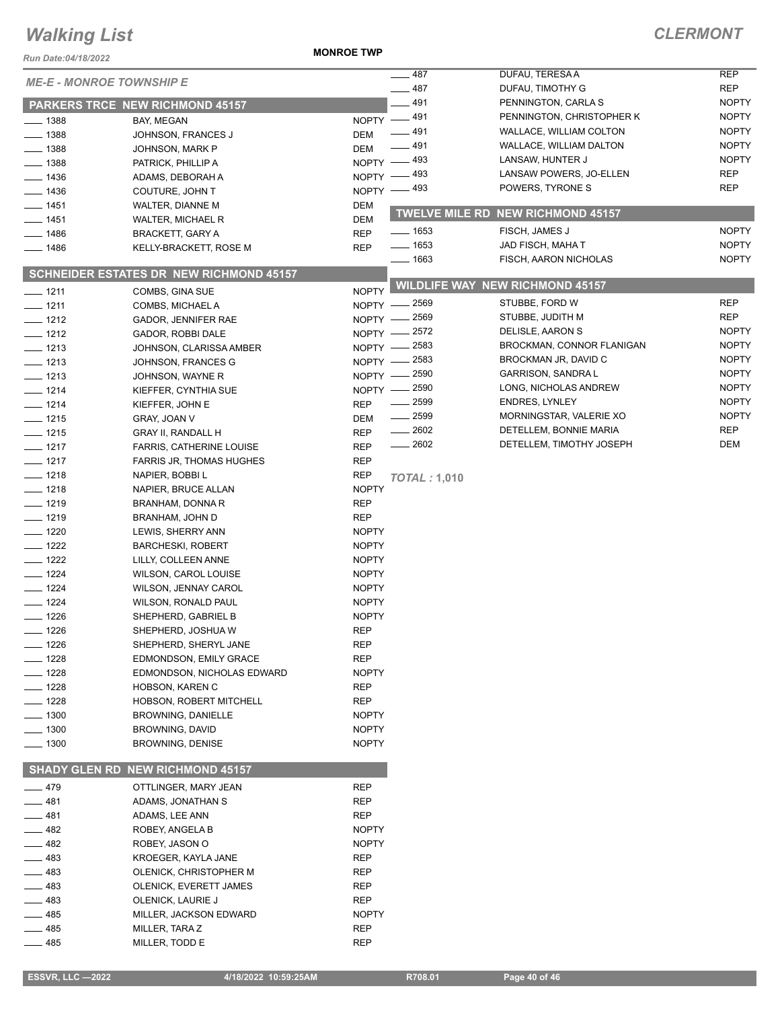#### **MONROE TWP**

| Run Date:04/18/2022                      |                                                |                            |                     |                                                      |                              |
|------------------------------------------|------------------------------------------------|----------------------------|---------------------|------------------------------------------------------|------------------------------|
| <b>ME-E - MONROE TOWNSHIP E</b>          |                                                |                            | 487                 | DUFAU, TERESA A                                      | <b>REP</b>                   |
|                                          |                                                |                            | $-487$              | DUFAU, TIMOTHY G                                     | <b>REP</b>                   |
|                                          | PARKERS TRCE NEW RICHMOND 45157                |                            | $-491$              | PENNINGTON, CARLA S                                  | <b>NOPTY</b>                 |
| $-1388$                                  | BAY, MEGAN                                     |                            | NOPTY -491<br>_ 491 | PENNINGTON, CHRISTOPHER K<br>WALLACE, WILLIAM COLTON | <b>NOPTY</b><br><b>NOPTY</b> |
| $-1388$                                  | JOHNSON, FRANCES J                             | <b>DEM</b>                 | $-491$              | WALLACE, WILLIAM DALTON                              | <b>NOPTY</b>                 |
| $-1388$                                  | JOHNSON, MARK P                                | <b>DEM</b>                 | NOPTY -493          | LANSAW, HUNTER J                                     | <b>NOPTY</b>                 |
| $-1388$                                  | PATRICK, PHILLIP A                             |                            | _ 493               | LANSAW POWERS, JO-ELLEN                              | <b>REP</b>                   |
| $-1436$                                  | ADAMS, DEBORAH A                               | $N$ OPTY $-$               | NOPTY - 493         | POWERS, TYRONE S                                     | <b>REP</b>                   |
| $-1436$                                  | COUTURE, JOHN T                                |                            |                     |                                                      |                              |
| $- 1451$                                 | WALTER, DIANNE M                               | <b>DEM</b>                 |                     | TWELVE MILE RD NEW RICHMOND 45157                    |                              |
| $\frac{1}{2}$ 1451<br>$\frac{1}{2}$ 1486 | WALTER, MICHAEL R<br><b>BRACKETT, GARY A</b>   | <b>DEM</b><br><b>REP</b>   | $\frac{1}{1653}$    | FISCH, JAMES J                                       | <b>NOPTY</b>                 |
| $- 1486$                                 | KELLY-BRACKETT, ROSE M                         | <b>REP</b>                 | $- 1653$            | JAD FISCH, MAHA T                                    | <b>NOPTY</b>                 |
|                                          |                                                |                            | $- 1663$            | FISCH, AARON NICHOLAS                                | <b>NOPTY</b>                 |
|                                          | <b>SCHNEIDER ESTATES DR NEW RICHMOND 45157</b> |                            |                     |                                                      |                              |
| $- 1211$                                 | COMBS, GINA SUE                                | <b>NOPTY</b>               |                     | <b>WILDLIFE WAY NEW RICHMOND 45157</b>               |                              |
| $- 1211$                                 | COMBS, MICHAEL A                               |                            | NOPTY - 2569        | STUBBE, FORD W                                       | <b>REP</b>                   |
| $- 1212$                                 | GADOR, JENNIFER RAE                            |                            | NOPTY - 2569        | STUBBE, JUDITH M                                     | <b>REP</b>                   |
| $- 1212$                                 | GADOR, ROBBI DALE                              | $N$ OPTY $-$               | _ 2572              | DELISLE, AARON S                                     | <b>NOPTY</b>                 |
| $- 1213$                                 | JOHNSON, CLARISSA AMBER                        | NOPTY -                    | $=2583$             | BROCKMAN, CONNOR FLANIGAN                            | <b>NOPTY</b>                 |
| $- 1213$                                 | JOHNSON, FRANCES G                             |                            | NOPTY - 2583        | BROCKMAN JR, DAVID C                                 | <b>NOPTY</b>                 |
| $- 1213$                                 | JOHNSON, WAYNE R                               | $N$ OPTY $-$               | . 2590              | <b>GARRISON, SANDRA L</b>                            | <b>NOPTY</b>                 |
| $- 1214$                                 | KIEFFER, CYNTHIA SUE                           |                            | NOPTY - 2590        | LONG, NICHOLAS ANDREW                                | <b>NOPTY</b>                 |
| $- 1214$                                 | KIEFFER, JOHN E                                | <b>REP</b>                 | $\frac{1}{2599}$    | <b>ENDRES, LYNLEY</b>                                | <b>NOPTY</b>                 |
| $- 1215$                                 | GRAY, JOAN V                                   | <b>DEM</b>                 | $\frac{1}{2599}$    | MORNINGSTAR, VALERIE XO                              | <b>NOPTY</b>                 |
| $- 1215$                                 | <b>GRAY II, RANDALL H</b>                      | <b>REP</b>                 | $-2602$             | DETELLEM, BONNIE MARIA                               | <b>REP</b>                   |
| $- 1217$                                 | <b>FARRIS, CATHERINE LOUISE</b>                | <b>REP</b>                 | $-2602$             | DETELLEM, TIMOTHY JOSEPH                             | <b>DEM</b>                   |
| $- 1217$                                 | <b>FARRIS JR, THOMAS HUGHES</b>                | <b>REP</b>                 |                     |                                                      |                              |
| $-1218$                                  | NAPIER, BOBBI L                                | <b>REP</b>                 | <b>TOTAL: 1,010</b> |                                                      |                              |
| $-1218$                                  | NAPIER, BRUCE ALLAN                            | <b>NOPTY</b>               |                     |                                                      |                              |
| $-1219$                                  | BRANHAM, DONNA R                               | <b>REP</b>                 |                     |                                                      |                              |
| $- 1219$<br>$- 1220$                     | BRANHAM, JOHN D                                | <b>REP</b><br><b>NOPTY</b> |                     |                                                      |                              |
| $- 1222$                                 | LEWIS, SHERRY ANN<br><b>BARCHESKI, ROBERT</b>  | <b>NOPTY</b>               |                     |                                                      |                              |
| $\frac{1}{2}$ 1222                       | LILLY, COLLEEN ANNE                            | <b>NOPTY</b>               |                     |                                                      |                              |
| $- 1224$                                 | <b>WILSON, CAROL LOUISE</b>                    | <b>NOPTY</b>               |                     |                                                      |                              |
| $- 1224$                                 | <b>WILSON, JENNAY CAROL</b>                    | <b>NOPTY</b>               |                     |                                                      |                              |
| $- 1224$                                 | WILSON, RONALD PAUL                            | <b>NOPTY</b>               |                     |                                                      |                              |
| $- 1226$                                 | SHEPHERD, GABRIEL B                            | <b>NOPTY</b>               |                     |                                                      |                              |
| $- 1226$                                 | SHEPHERD, JOSHUA W                             | REP                        |                     |                                                      |                              |
| __ 1226                                  | SHEPHERD, SHERYL JANE                          | REP                        |                     |                                                      |                              |
| _ 1228                                   | <b>EDMONDSON, EMILY GRACE</b>                  | REP                        |                     |                                                      |                              |
| $- 1228$                                 | EDMONDSON, NICHOLAS EDWARD                     | <b>NOPTY</b>               |                     |                                                      |                              |
| __ 1228                                  | HOBSON, KAREN C                                | REP                        |                     |                                                      |                              |
| $- 1228$                                 | HOBSON, ROBERT MITCHELL                        | REP                        |                     |                                                      |                              |
| $- 1300$                                 | BROWNING, DANIELLE                             | <b>NOPTY</b>               |                     |                                                      |                              |
| $- 1300$                                 | <b>BROWNING, DAVID</b>                         | <b>NOPTY</b>               |                     |                                                      |                              |
| — 1300                                   | <b>BROWNING, DENISE</b>                        | <b>NOPTY</b>               |                     |                                                      |                              |
|                                          | <b>SHADY GLEN RD NEW RICHMOND 45157</b>        |                            |                     |                                                      |                              |
| $-479$                                   | OTTLINGER, MARY JEAN                           | <b>REP</b>                 |                     |                                                      |                              |
| 481                                      | ADAMS, JONATHAN S                              | REP                        |                     |                                                      |                              |
| 481                                      | ADAMS, LEE ANN                                 | REP                        |                     |                                                      |                              |
| 482                                      | ROBEY, ANGELA B                                | <b>NOPTY</b>               |                     |                                                      |                              |
| 482                                      | ROBEY, JASON O                                 | NOPTY                      |                     |                                                      |                              |
| 483                                      | KROEGER, KAYLA JANE                            | REP                        |                     |                                                      |                              |
| 483                                      | OLENICK, CHRISTOPHER M                         | REP                        |                     |                                                      |                              |
| 483                                      | OLENICK, EVERETT JAMES                         | REP                        |                     |                                                      |                              |
| 483                                      | OLENICK, LAURIE J                              | <b>REP</b>                 |                     |                                                      |                              |
| 485                                      | MILLER, JACKSON EDWARD                         | <b>NOPTY</b>               |                     |                                                      |                              |
| 485                                      | MILLER, TARA Z                                 | REP                        |                     |                                                      |                              |
| 485                                      | MILLER, TODD E                                 | REP                        |                     |                                                      |                              |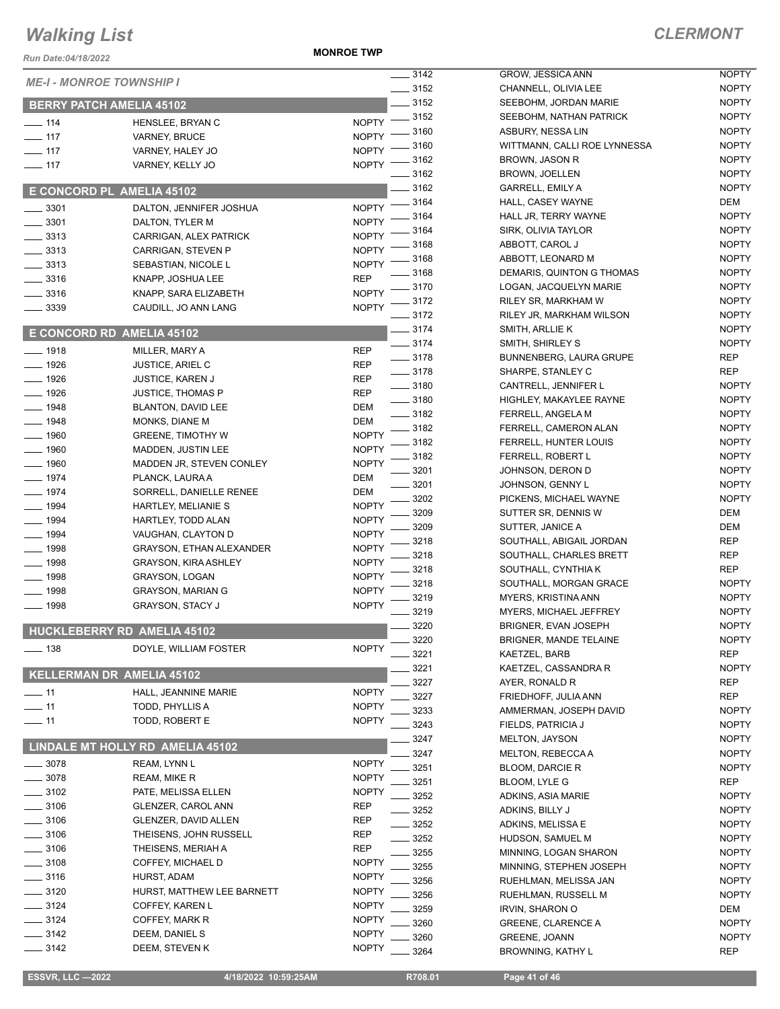**MONROE TWP**

| Run Date:04/18/2022             |                                               | <b>IVIUINNUE I VYF</b>       |                 |
|---------------------------------|-----------------------------------------------|------------------------------|-----------------|
| <b>ME-I - MONROE TOWNSHIP I</b> |                                               |                              | ___ 3142        |
|                                 |                                               |                              | $-3152$         |
|                                 | <b>BERRY PATCH AMELIA 45102</b>               |                              | $-3152$<br>3152 |
| $- 114$                         | HENSLEE, BRYAN C                              | <b>NOPTY</b>                 | 3160            |
| $-117$                          | <b>VARNEY, BRUCE</b>                          | <b>NOPTY</b>                 | 3160            |
| $-117$                          | VARNEY, HALEY JO                              | <b>NOPTY</b>                 | 3162            |
| $-117$                          | VARNEY, KELLY JO                              | <b>NOPTY</b>                 | 3162            |
|                                 | E CONCORD PL AMELIA 45102                     |                              | $=$ 3162        |
|                                 |                                               |                              | 3164            |
| ___ 3301                        | DALTON, JENNIFER JOSHUA                       | <b>NOPTY</b>                 | 3164            |
| $- 3301$                        | DALTON, TYLER M                               | <b>NOPTY</b>                 | 3164            |
| $-3313$<br>____ 3313            | CARRIGAN, ALEX PATRICK<br>CARRIGAN, STEVEN P  | <b>NOPTY</b><br><b>NOPTY</b> | 3168            |
| $-3313$                         | SEBASTIAN, NICOLE L                           | <b>NOPTY</b>                 | - 3168          |
| $-3316$                         | KNAPP, JOSHUA LEE                             | REP                          | 3168            |
| $-3316$                         | KNAPP, SARA ELIZABETH                         | <b>NOPTY</b>                 | . 3170          |
| _ 3339                          | CAUDILL, JO ANN LANG                          | <b>NOPTY</b>                 | 3172            |
|                                 |                                               |                              | 3172            |
|                                 | E CONCORD RD AMELIA 45102                     |                              | $=$ 3174        |
| $-1918$                         | MILLER, MARY A                                | <b>REP</b>                   | _ 3174          |
| __ 1926                         | <b>JUSTICE, ARIEL C</b>                       | REP                          | $=3178$         |
| $- 1926$                        | <b>JUSTICE, KAREN J</b>                       | REP                          | - 3178          |
| __ 1926                         | <b>JUSTICE, THOMAS P</b>                      | <b>REP</b>                   | $-3180$         |
| $- 1948$                        | BLANTON, DAVID LEE                            | DEM                          | $=$ 3180        |
| $- 1948$                        | MONKS, DIANE M                                | DEM                          | _ 3182<br>3182  |
| __ 1960                         | <b>GREENE, TIMOTHY W</b>                      | <b>NOPTY</b>                 | 3182            |
| $-1960$                         | <b>MADDEN, JUSTIN LEE</b>                     | <b>NOPTY</b>                 | 3182            |
| $- 1960$                        | MADDEN JR, STEVEN CONLEY                      | <b>NOPTY</b>                 | 3201            |
| $-1974$                         | PLANCK, LAURA A                               | DEM                          | 3201            |
| $- 1974$                        | SORRELL, DANIELLE RENEE                       | DEM                          | 3202            |
| __ 1994                         | HARTLEY, MELIANIE S                           | <b>NOPTY</b>                 | 3209            |
| $-1994$                         | HARTLEY, TODD ALAN                            | <b>NOPTY</b>                 | 3209            |
| $-1994$                         | VAUGHAN, CLAYTON D                            | <b>NOPTY</b>                 | 3218            |
| $-1998$                         | <b>GRAYSON, ETHAN ALEXANDER</b>               | <b>NOPTY</b>                 | 3218            |
| — 1998                          | <b>GRAYSON, KIRA ASHLEY</b>                   | <b>NOPTY</b>                 | 3218            |
| $-1998$                         | GRAYSON, LOGAN                                | <b>NOPTY</b>                 | 3218            |
| $-1998$                         | <b>GRAYSON, MARIAN G</b>                      | <b>NOPTY</b>                 | 3219            |
| __ 1998                         | <b>GRAYSON, STACY J</b>                       | <b>NOPTY</b>                 | 3219            |
|                                 | HUCKLEBERRY RD AMELIA 45102                   |                              | 3220            |
| $-138$                          | DOYLE, WILLIAM FOSTER                         | <b>NOPTY</b>                 | 3220            |
|                                 |                                               |                              | 3221<br>3221    |
|                                 | <b>KELLERMAN DR AMELIA 45102</b>              |                              | 3227            |
| $-11$                           | HALL, JEANNINE MARIE                          | <b>NOPTY</b>                 | 3227            |
| $-11$                           | TODD, PHYLLIS A                               | <b>NOPTY</b>                 | 3233            |
| $-11$                           | TODD, ROBERT E                                | <b>NOPTY</b>                 | 3243            |
|                                 |                                               |                              | 3247            |
|                                 | LINDALE MT HOLLY RD AMELIA 45102              |                              | 3247            |
| $-3078$                         | REAM, LYNN L                                  | <b>NOPTY</b>                 | 3251            |
| $-3078$                         | REAM, MIKE R                                  | <b>NOPTY</b>                 | 3251            |
| $-3102$                         | PATE, MELISSA ELLEN                           | <b>NOPTY</b>                 | 3252            |
| $-3106$                         | GLENZER, CAROL ANN                            | REP                          | 3252            |
| $-3106$                         | GLENZER, DAVID ALLEN                          | REP                          | 3252            |
| $-3106$                         | THEISENS, JOHN RUSSELL                        | REP                          | 3252            |
| $-3106$                         | THEISENS, MERIAH A                            | REP                          | 3255            |
| $-3108$<br>$-3116$              | COFFEY, MICHAEL D                             | <b>NOPTY</b><br><b>NOPTY</b> | 3255            |
| $-3120$                         | HURST, ADAM                                   | <b>NOPTY</b>                 | 3256            |
| $-3124$                         | HURST, MATTHEW LEE BARNETT<br>COFFEY, KAREN L | <b>NOPTY</b>                 | 3256            |
| $-3124$                         | COFFEY, MARK R                                | <b>NOPTY</b>                 | 3259            |
| $-3142$                         | DEEM, DANIEL S                                | <b>NOPTY</b>                 | 3260            |
| - 3142                          | DEEM, STEVEN K                                | <b>NOPTY</b>                 | 3260            |
|                                 |                                               |                              | 3264            |

| 3142 | GROW, JESSICA ANN                              | <b>NOPTY</b> |
|------|------------------------------------------------|--------------|
| 3152 | CHANNELL, OLIVIA LEE                           | <b>NOPTY</b> |
| 3152 | SEEBOHM, JORDAN MARIE                          | <b>NOPTY</b> |
| 3152 | SEEBOHM, NATHAN PATRICK                        | <b>NOPTY</b> |
| 3160 | ASBURY, NESSA LIN                              | <b>NOPTY</b> |
| 3160 | WITTMANN, CALLI ROE LYNNESSA                   | <b>NOPTY</b> |
| 3162 | <b>BROWN, JASON R</b>                          | <b>NOPTY</b> |
| 3162 | BROWN, JOELLEN                                 | <b>NOPTY</b> |
| 3162 | <b>GARRELL, EMILY A</b>                        | <b>NOPTY</b> |
| 3164 | HALL, CASEY WAYNE                              | DEM          |
| 3164 | HALL JR, TERRY WAYNE                           | <b>NOPTY</b> |
| 3164 | SIRK, OLIVIA TAYLOR                            | <b>NOPTY</b> |
| 3168 | ABBOTT, CAROL J                                | <b>NOPTY</b> |
| 3168 | ABBOTT, LEONARD M                              | <b>NOPTY</b> |
| 3168 | DEMARIS, QUINTON G THOMAS                      | <b>NOPTY</b> |
| 3170 | LOGAN, JACQUELYN MARIE                         | <b>NOPTY</b> |
| 3172 | RILEY SR, MARKHAM W                            | <b>NOPTY</b> |
| 3172 | RILEY JR, MARKHAM WILSON                       | <b>NOPTY</b> |
| 3174 | SMITH, ARLLIE K                                | <b>NOPTY</b> |
| 3174 | SMITH, SHIRLEY S                               | <b>NOPTY</b> |
| 3178 | <b>BUNNENBERG, LAURA GRUPE</b>                 | REP          |
| 3178 | SHARPE, STANLEY C                              | REP          |
| 3180 | CANTRELL, JENNIFER L                           | <b>NOPTY</b> |
| 3180 | HIGHLEY, MAKAYLEE RAYNE                        | <b>NOPTY</b> |
| 3182 | <b>FERRELL, ANGELA M</b>                       | <b>NOPTY</b> |
| 3182 | FERRELL, CAMERON ALAN                          | <b>NOPTY</b> |
| 3182 | FERRELL, HUNTER LOUIS                          | <b>NOPTY</b> |
| 3182 | FERRELL, ROBERT L                              | <b>NOPTY</b> |
| 3201 | JOHNSON, DERON D                               | <b>NOPTY</b> |
| 3201 | JOHNSON, GENNY L                               | <b>NOPTY</b> |
| 3202 | PICKENS, MICHAEL WAYNE                         | <b>NOPTY</b> |
| 3209 | SUTTER SR, DENNIS W                            | DEM          |
| 3209 | SUTTER, JANICE A                               | DEM          |
| 3218 | SOUTHALL, ABIGAIL JORDAN                       | REP          |
| 3218 | SOUTHALL, CHARLES BRETT                        | <b>REP</b>   |
| 3218 | SOUTHALL, CYNTHIA K                            | <b>REP</b>   |
| 3218 | SOUTHALL, MORGAN GRACE                         | <b>NOPTY</b> |
| 3219 | <b>MYERS, KRISTINA ANN</b>                     | <b>NOPTY</b> |
| 3219 | MYERS, MICHAEL JEFFREY                         | <b>NOPTY</b> |
| 3220 | BRIGNER, EVAN JOSEPH                           | <b>NOPTY</b> |
| 3220 | <b>BRIGNER, MANDE TELAINE</b>                  | <b>NOPTY</b> |
| 3221 | KAETZEL, BARB                                  | REP          |
| 3221 | KAETZEL, CASSANDRA R                           | <b>NOPTY</b> |
| 3227 | AYER, RONALD R                                 | REP          |
| 3227 |                                                | <b>REP</b>   |
|      | FRIEDHOFF, JULIA ANN<br>AMMERMAN, JOSEPH DAVID |              |
| 3233 | FIELDS, PATRICIA J                             | <b>NOPTY</b> |
| 3243 | <b>MELTON, JAYSON</b>                          | <b>NOPTY</b> |
| 3247 |                                                | <b>NOPTY</b> |
| 3247 | MELTON, REBECCA A                              | <b>NOPTY</b> |
| 3251 | <b>BLOOM, DARCIE R</b>                         | <b>NOPTY</b> |
| 3251 | BLOOM, LYLE G                                  | REP          |
| 3252 | ADKINS, ASIA MARIE                             | <b>NOPTY</b> |
| 3252 | ADKINS, BILLY J                                | <b>NOPTY</b> |
| 3252 | ADKINS, MELISSA E                              | <b>NOPTY</b> |
| 3252 | HUDSON, SAMUEL M                               | <b>NOPTY</b> |
| 3255 | MINNING, LOGAN SHARON                          | <b>NOPTY</b> |
| 3255 | MINNING, STEPHEN JOSEPH                        | <b>NOPTY</b> |
| 3256 | RUEHLMAN, MELISSA JAN                          | <b>NOPTY</b> |
| 3256 | RUEHLMAN, RUSSELL M                            | <b>NOPTY</b> |
| 3259 | <b>IRVIN, SHARON O</b>                         | DEM          |
| 3260 | <b>GREENE, CLARENCE A</b>                      | <b>NOPTY</b> |
| 3260 | <b>GREENE, JOANN</b>                           | <b>NOPTY</b> |
| 3264 | <b>BROWNING, KATHY L</b>                       | REP          |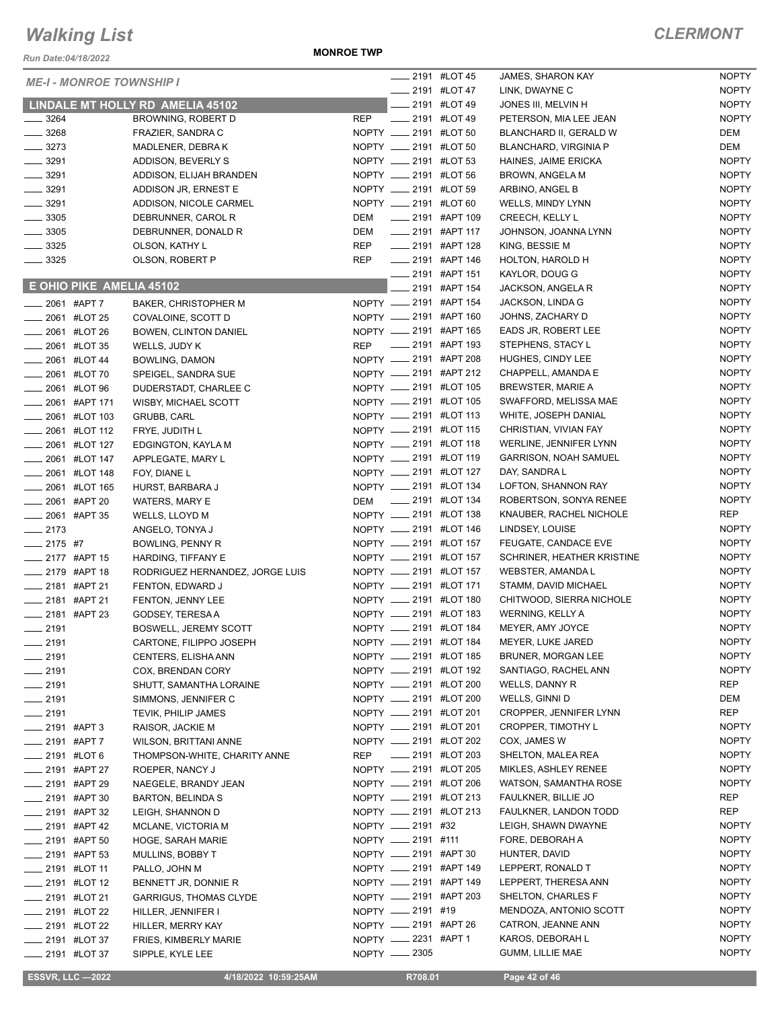*Run Date:04/18/2022*

**MONROE TWP**

| <b>ME-I - MONROE TOWNSHIP I</b>                         |                                                         |            | ____ 2191 #LOT 45                                      |               | <b>JAMES, SHARON KAY</b>                  | <b>NOPTY</b>                 |
|---------------------------------------------------------|---------------------------------------------------------|------------|--------------------------------------------------------|---------------|-------------------------------------------|------------------------------|
|                                                         |                                                         |            |                                                        | 2191 #LOT 47  | LINK, DWAYNE C                            | <b>NOPTY</b>                 |
|                                                         | LINDALE MT HOLLY RD AMELIA 45102                        |            |                                                        | 2191 #LOT 49  | JONES III, MELVIN H                       | <b>NOPTY</b>                 |
| $- 3264$                                                | BROWNING, ROBERT D                                      | <b>REP</b> | <b>LEGGE 2191 #LOT 49</b>                              |               | PETERSON, MIA LEE JEAN                    | <b>NOPTY</b>                 |
| $\frac{1}{2}$ 3268<br>$- 3273$                          | FRAZIER, SANDRA C                                       |            | NOPTY __ 2191 #LOT 50                                  |               | BLANCHARD II, GERALD W                    | <b>DEM</b>                   |
|                                                         | MADLENER, DEBRAK                                        |            | NOPTY __ 2191 #LOT 50                                  |               | <b>BLANCHARD, VIRGINIA P</b>              | <b>DEM</b>                   |
| $\frac{1}{2}$ 3291                                      | ADDISON, BEVERLY S                                      |            | NOPTY __ 2191 #LOT 53                                  |               | HAINES, JAIME ERICKA                      | <b>NOPTY</b>                 |
| $\frac{1}{2}$ 3291                                      | ADDISON, ELIJAH BRANDEN                                 |            | NOPTY _____ 2191 #LOT 56                               |               | <b>BROWN, ANGELA M</b>                    | <b>NOPTY</b>                 |
| $\frac{1}{2}$ 3291                                      | ADDISON JR, ERNEST E<br>ADDISON, NICOLE CARMEL          |            | NOPTY __ 2191 #LOT 59<br>NOPTY __ 2191 #LOT 60         |               | ARBINO, ANGEL B                           | <b>NOPTY</b><br><b>NOPTY</b> |
| $\frac{1}{2}$ 3291<br>$\frac{1}{2}$ 3305                |                                                         | DEM        | -2191 #APT 109                                         |               | WELLS, MINDY LYNN                         |                              |
| $\frac{1}{2}$ 3305                                      | DEBRUNNER, CAROL R<br>DEBRUNNER, DONALD R               | DEM        | _____ 2191 #APT 117                                    |               | CREECH, KELLY L<br>JOHNSON, JOANNA LYNN   | <b>NOPTY</b><br><b>NOPTY</b> |
| $\frac{1}{2}$ 3325                                      | OLSON, KATHY L                                          | <b>REP</b> | ___ 2191 #APT 128                                      |               | KING, BESSIE M                            | <b>NOPTY</b>                 |
| $\frac{1}{2}$ 3325                                      | OLSON, ROBERT P                                         | <b>REP</b> | <b>LEGGE 146</b> 2191 #APT 146                         |               | HOLTON, HAROLD H                          | <b>NOPTY</b>                 |
|                                                         |                                                         |            | ____ 2191 #APT 151                                     |               | KAYLOR, DOUG G                            | <b>NOPTY</b>                 |
| E OHIO PIKE AMELIA 45102                                |                                                         |            |                                                        | 2191 #APT 154 | JACKSON, ANGELA R                         | <b>NOPTY</b>                 |
| 2061 #APT 7                                             |                                                         |            | NOPTY __ 2191 #APT 154                                 |               | JACKSON, LINDA G                          | <b>NOPTY</b>                 |
| <b>_____ 2061 #LOT 25</b>                               | <b>BAKER, CHRISTOPHER M</b>                             |            | NOPTY __ 2191 #APT 160                                 |               | JOHNS, ZACHARY D                          | <b>NOPTY</b>                 |
|                                                         | COVALOINE, SCOTT D                                      |            | NOPTY __ 2191 #APT 165                                 |               | EADS JR, ROBERT LEE                       | <b>NOPTY</b>                 |
| ____ 2061 #LOT 26                                       | BOWEN, CLINTON DANIEL                                   |            | ____ 2191 #APT 193                                     |               | STEPHENS, STACY L                         | <b>NOPTY</b>                 |
| 2061 #LOT 35                                            | WELLS, JUDY K                                           | REP        |                                                        |               |                                           | <b>NOPTY</b>                 |
| $\frac{1}{2061}$ #LOT 44                                | BOWLING, DAMON                                          |            | NOPTY __ 2191 #APT 208<br>NOPTY __ 2191 #APT 212       |               | HUGHES, CINDY LEE<br>CHAPPELL, AMANDA E   | <b>NOPTY</b>                 |
| 2061 #LOT 70                                            | SPEIGEL, SANDRA SUE                                     |            | NOPTY __ 2191 #LOT 105                                 |               |                                           | <b>NOPTY</b>                 |
| <b>_____ 2061 #LOT 96</b>                               | DUDERSTADT, CHARLEE C                                   |            | NOPTY __ 2191 #LOT 105                                 |               | <b>BREWSTER, MARIE A</b>                  | <b>NOPTY</b>                 |
| 2061 #APT 171                                           | WISBY, MICHAEL SCOTT                                    |            | NOPTY __ 2191 #LOT 113                                 |               | SWAFFORD, MELISSA MAE                     |                              |
| <b>2061 #LOT 103</b>                                    | GRUBB, CARL                                             |            | NOPTY __ 2191 #LOT 115                                 |               | WHITE, JOSEPH DANIAL                      | <b>NOPTY</b>                 |
| $\frac{1}{2061}$ #LOT 112                               | FRYE, JUDITH L                                          |            |                                                        |               | CHRISTIAN, VIVIAN FAY                     | <b>NOPTY</b>                 |
| 2061 #LOT 127                                           | EDGINGTON, KAYLA M                                      |            | NOPTY __ 2191 #LOT 118                                 |               | WERLINE, JENNIFER LYNN                    | <b>NOPTY</b>                 |
| <b>_____ 2061 #LOT 147</b>                              | APPLEGATE, MARY L                                       |            | NOPTY __ 2191 #LOT 119                                 |               | <b>GARRISON, NOAH SAMUEL</b>              | <b>NOPTY</b><br><b>NOPTY</b> |
| 2061 #LOT 148                                           | FOY, DIANE L                                            |            | NOPTY __ 2191 #LOT 127<br>NOPTY __ 2191 #LOT 134       |               | DAY, SANDRA L                             | <b>NOPTY</b>                 |
| 2061 #LOT 165                                           | HURST, BARBARA J                                        |            | DEM __ 2191 #LOT 134                                   |               | LOFTON, SHANNON RAY                       |                              |
| ___ 2061 #APT 20                                        | WATERS, MARY E                                          |            |                                                        |               | ROBERTSON, SONYA RENEE                    | <b>NOPTY</b><br><b>REP</b>   |
| 2061 #APT 35                                            | WELLS, LLOYD M                                          |            | NOPTY __ 2191 #LOT 138                                 |               | KNAUBER, RACHEL NICHOLE                   |                              |
| $-2173$                                                 | ANGELO, TONYA J                                         |            | NOPTY __ 2191 #LOT 146                                 |               | LINDSEY, LOUISE                           | <b>NOPTY</b><br><b>NOPTY</b> |
| $-2175$ #7                                              | BOWLING, PENNY R                                        |            | NOPTY __ 2191 #LOT 157<br>NOPTY __ 2191 #LOT 157       |               | FEUGATE, CANDACE EVE                      | <b>NOPTY</b>                 |
| $\frac{1}{2177}$ #APT 15                                | HARDING, TIFFANY E                                      |            | NOPTY __ 2191 #LOT 157                                 |               | SCHRINER, HEATHER KRISTINE                | <b>NOPTY</b>                 |
| ____ 2179 #APT 18<br>$\frac{1}{2181}$ #APT 21           | RODRIGUEZ HERNANDEZ, JORGE LUIS                         |            | NOPTY __ 2191 #LOT 171                                 |               | WEBSTER, AMANDA L<br>STAMM, DAVID MICHAEL | <b>NOPTY</b>                 |
|                                                         | FENTON, EDWARD J                                        |            | NOPTY __ 2191 #LOT 180                                 |               | CHITWOOD, SIERRA NICHOLE                  | <b>NOPTY</b>                 |
| ____ 2181 #APT 21<br>___ 2181 #APT 23                   | FENTON, JENNY LEE                                       |            | NOPTY __ 2191 #LOT 183                                 |               | WERNING, KELLY A                          | <b>NOPTY</b>                 |
|                                                         | GODSEY, TERESA A                                        |            | NOPTY __ 2191 #LOT 184                                 |               | MEYER, AMY JOYCE                          | <b>NOPTY</b>                 |
| $-2191$                                                 | <b>BOSWELL, JEREMY SCOTT</b><br>CARTONE, FILIPPO JOSEPH |            |                                                        |               | MEYER, LUKE JARED                         | <b>NOPTY</b>                 |
| $-2191$                                                 |                                                         |            | NOPTY <u>_</u> 2191 #LOT 184<br>NOPTY __ 2191 #LOT 185 |               | <b>BRUNER, MORGAN LEE</b>                 | <b>NOPTY</b>                 |
| $-2191$                                                 | CENTERS, ELISHA ANN                                     |            | NOPTY __ 2191 #LOT 192                                 |               | SANTIAGO, RACHEL ANN                      | <b>NOPTY</b>                 |
| ____ 2191                                               | COX, BRENDAN CORY                                       |            | NOPTY __ 2191 #LOT 200                                 |               | WELLS, DANNY R                            | REP                          |
| $-2191$                                                 | SHUTT, SAMANTHA LORAINE                                 |            | NOPTY __ 2191 #LOT 200                                 |               | WELLS, GINNI D                            | DEM                          |
| $-2191$                                                 | SIMMONS, JENNIFER C                                     |            | NOPTY __ 2191 #LOT 201                                 |               | CROPPER, JENNIFER LYNN                    | <b>REP</b>                   |
| $-2191$<br>___ 2191 #APT 3                              | TEVIK, PHILIP JAMES<br>RAISOR, JACKIE M                 |            | NOPTY __ 2191 #LOT 201                                 |               | CROPPER, TIMOTHY L                        | <b>NOPTY</b>                 |
|                                                         | <b>WILSON, BRITTANI ANNE</b>                            |            | NOPTY __ 2191 #LOT 202                                 |               | COX, JAMES W                              | <b>NOPTY</b>                 |
| _____ 2191 #APT 7<br>____ 2191 #LOT 6                   | THOMPSON-WHITE, CHARITY ANNE                            |            | REP __ 2191 #LOT 203                                   |               | SHELTON, MALEA REA                        | <b>NOPTY</b>                 |
|                                                         |                                                         |            | NOPTY __ 2191 #LOT 205                                 |               | MIKLES, ASHLEY RENEE                      | <b>NOPTY</b>                 |
| __ 2191   #APT 27                                       | ROEPER, NANCY J                                         |            | NOPTY __ 2191 #LOT 206                                 |               | WATSON, SAMANTHA ROSE                     | <b>NOPTY</b>                 |
| <sub>_</sub> __ 2191 #APT 29                            | NAEGELE, BRANDY JEAN                                    |            | NOPTY __ 2191 #LOT 213                                 |               | FAULKNER, BILLIE JO                       | <b>REP</b>                   |
| <sub>—</sub> 2191  #APT 30<br><b>2191 #APT 32</b>       | BARTON, BELINDA S                                       |            | NOPTY __ 2191 #LOT 213                                 |               | FAULKNER, LANDON TODD                     | <b>REP</b>                   |
| $\frac{1}{2191}$ #APT 42                                | LEIGH, SHANNON D<br>MCLANE, VICTORIA M                  |            | NOPTY __ 2191 #32                                      |               | LEIGH, SHAWN DWAYNE                       | <b>NOPTY</b>                 |
|                                                         |                                                         |            | NOPTY __ 2191 #111                                     |               | FORE, DEBORAH A                           | <b>NOPTY</b>                 |
| $\frac{1}{2191}$ #APT 50<br><b>_____ 2191 #APT 53</b>   | HOGE, SARAH MARIE                                       |            | NOPTY __ 2191 #APT 30                                  |               | HUNTER, DAVID                             | <b>NOPTY</b>                 |
| ____ 2191 #LOT 11                                       | MULLINS, BOBBY T<br>PALLO, JOHN M                       |            | NOPTY __ 2191 #APT 149                                 |               | LEPPERT, RONALD T                         | <b>NOPTY</b>                 |
|                                                         |                                                         |            | NOPTY __ 2191 #APT 149                                 |               | LEPPERT, THERESA ANN                      | <b>NOPTY</b>                 |
| $\frac{1}{2}$ 2191 #LOT 12<br><b>LEGGE 2191 #LOT 21</b> | BENNETT JR, DONNIE R                                    |            | NOPTY __ 2191 #APT 203                                 |               | SHELTON, CHARLES F                        | <b>NOPTY</b>                 |
| <b>______ 2191 #LOT 22</b>                              | <b>GARRIGUS, THOMAS CLYDE</b><br>HILLER, JENNIFER I     |            | NOPTY __ 2191 #19                                      |               | MENDOZA, ANTONIO SCOTT                    | <b>NOPTY</b>                 |
| ____ 2191 #LOT 22                                       |                                                         |            | NOPTY __ 2191 #APT 26                                  |               | CATRON, JEANNE ANN                        | <b>NOPTY</b>                 |
| ____ 2191 #LOT 37                                       | HILLER, MERRY KAY<br>FRIES, KIMBERLY MARIE              |            | NOPTY __ 2231 #APT 1                                   |               | KAROS, DEBORAH L                          | <b>NOPTY</b>                 |
| <b>_____ 2191 #LOT 37</b>                               | SIPPLE, KYLE LEE                                        |            | NOPTY -2305                                            |               | GUMM, LILLIE MAE                          | <b>NOPTY</b>                 |
|                                                         |                                                         |            |                                                        |               |                                           |                              |
| <b>ESSVR, LLC -2022</b>                                 | 4/18/2022 10:59:25AM                                    |            | R708.01                                                |               | Page 42 of 46                             |                              |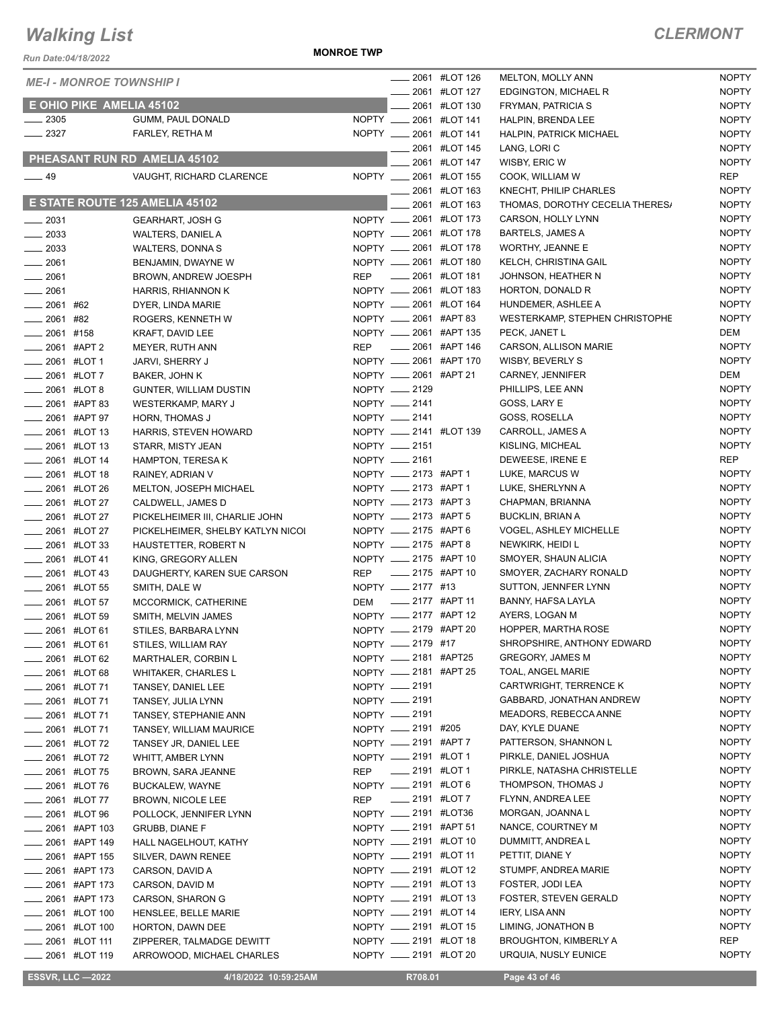*Run Date:04/18/2022*

**MONROE TWP**

|                          | <b>ME-I - MONROE TOWNSHIP I</b> |                                            |                              |                          | _ 2061 #LOT 126                               | <b>MELTON, MOLLY ANN</b>             | <b>NOPTY</b>        |
|--------------------------|---------------------------------|--------------------------------------------|------------------------------|--------------------------|-----------------------------------------------|--------------------------------------|---------------------|
|                          |                                 |                                            |                              |                          | 2061 #LOT 127                                 | EDGINGTON, MICHAEL R                 | <b>NOPTY</b>        |
|                          | E OHIO PIKE AMELIA 45102        |                                            |                              |                          | 2061 #LOT 130                                 | FRYMAN, PATRICIA S                   | <b>NOPTY</b>        |
| $\frac{1}{2}$ 2305       |                                 | GUMM, PAUL DONALD                          |                              |                          | NOPTY _____ 2061 #LOT 141                     | HALPIN, BRENDA LEE                   | <b>NOPTY</b>        |
| 2327                     |                                 | FARLEY, RETHA M                            |                              |                          | NOPTY __ 2061 #LOT 141                        | <b>HALPIN, PATRICK MICHAEL</b>       | <b>NOPTY</b>        |
|                          |                                 | PHEASANT RUN RD AMELIA 45102               |                              |                          | 2061 #LOT 145                                 | LANG, LORI C                         | <b>NOPTY</b>        |
|                          |                                 |                                            |                              |                          | 2061 #LOT 147                                 | WISBY, ERIC W                        | <b>NOPTY</b>        |
| $\frac{1}{2}$ 49         |                                 | VAUGHT, RICHARD CLARENCE                   |                              |                          | NOPTY __ 2061 #LOT 155                        | COOK, WILLIAM W                      | <b>REP</b>          |
|                          |                                 |                                            |                              |                          | _ 2061 #LOT 163                               | KNECHT, PHILIP CHARLES               | <b>NOPTY</b>        |
|                          |                                 | E STATE ROUTE 125 AMELIA 45102             |                              |                          | 2061 #LOT 163                                 | THOMAS, DOROTHY CECELIA THERES/      | <b>NOPTY</b>        |
| $-2031$                  |                                 | <b>GEARHART, JOSH G</b>                    |                              |                          | NOPTY __ 2061 #LOT 173                        | CARSON, HOLLY LYNN                   | <b>NOPTY</b>        |
| 2033                     |                                 | <b>WALTERS, DANIEL A</b>                   |                              |                          | NOPTY __ 2061 #LOT 178                        | <b>BARTELS, JAMES A</b>              | <b>NOPTY</b>        |
| $\frac{2033}{200}$       |                                 | WALTERS, DONNA S                           |                              |                          | NOPTY __ 2061 #LOT 178                        | WORTHY, JEANNE E                     | <b>NOPTY</b>        |
| $-2061$                  |                                 | BENJAMIN, DWAYNE W                         |                              |                          | NOPTY __ 2061 #LOT 180                        | <b>KELCH, CHRISTINA GAIL</b>         | <b>NOPTY</b>        |
| 2061                     |                                 | BROWN, ANDREW JOESPH                       | <b>REP</b>                   |                          | <b>LEGGI #LOT 181</b>                         | JOHNSON, HEATHER N                   | <b>NOPTY</b>        |
| $-2061$                  |                                 | HARRIS, RHIANNON K                         |                              |                          | NOPTY __ 2061 #LOT 183                        | HORTON, DONALD R                     | <b>NOPTY</b>        |
| 2061 #62                 |                                 | DYER, LINDA MARIE                          |                              |                          | NOPTY __ 2061 #LOT 164                        | HUNDEMER, ASHLEE A                   | <b>NOPTY</b>        |
| $-2061$ #82              |                                 | ROGERS, KENNETH W                          | NOPTY __ 2061 #APT 83        |                          |                                               | WESTERKAMP, STEPHEN CHRISTOPHE       | <b>NOPTY</b>        |
| $-2061$ #158             |                                 | KRAFT, DAVID LEE                           |                              |                          | NOPTY __ 2061 #APT 135<br>_____ 2061 #APT 146 | PECK, JANET L                        | DEM<br><b>NOPTY</b> |
|                          | 2061 #APT 2                     | MEYER, RUTH ANN                            | <b>REP</b>                   |                          | NOPTY __ 2061 #APT 170                        | CARSON, ALLISON MARIE                | <b>NOPTY</b>        |
| $\frac{1}{2061}$ #LOT 1  |                                 | <b>JARVI, SHERRY J</b>                     | NOPTY __ 2061 #APT 21        |                          |                                               | WISBY, BEVERLY S<br>CARNEY, JENNIFER | DEM                 |
| <b>2061 #LOT 7</b>       |                                 | BAKER, JOHN K                              |                              |                          |                                               |                                      | <b>NOPTY</b>        |
| $\frac{1}{2061}$ #LOT 8  | 2061 #APT 83                    | <b>GUNTER, WILLIAM DUSTIN</b>              | NOPTY __ 2129                |                          |                                               | PHILLIPS, LEE ANN<br>GOSS, LARY E    | <b>NOPTY</b>        |
|                          |                                 | WESTERKAMP, MARY J                         | NOPTY -2141<br>NOPTY __ 2141 |                          |                                               | GOSS, ROSELLA                        | <b>NOPTY</b>        |
|                          | 2061 #APT 97                    | HORN, THOMAS J                             |                              |                          | NOPTY __ 2141 #LOT 139                        | CARROLL, JAMES A                     | <b>NOPTY</b>        |
|                          | _ 2061 #LOT 13                  | HARRIS, STEVEN HOWARD                      | NOPTY __ 2151                |                          |                                               | KISLING, MICHEAL                     | <b>NOPTY</b>        |
| ____ 2061 #LOT 14        | 2061 #LOT 13                    | STARR, MISTY JEAN                          | NOPTY __ 2161                |                          |                                               | DEWEESE, IRENE E                     | <b>REP</b>          |
| <b>2061 #LOT 18</b>      |                                 | <b>HAMPTON, TERESA K</b>                   | NOPTY __ 2173 #APT 1         |                          |                                               | LUKE, MARCUS W                       | <b>NOPTY</b>        |
|                          | 2061 #LOT 26                    | RAINEY, ADRIAN V<br>MELTON, JOSEPH MICHAEL | NOPTY __ 2173 #APT 1         |                          |                                               | LUKE, SHERLYNN A                     | <b>NOPTY</b>        |
|                          | 2061 #LOT 27                    | CALDWELL, JAMES D                          | NOPTY __ 2173 #APT 3         |                          |                                               | CHAPMAN, BRIANNA                     | <b>NOPTY</b>        |
| <b>2061 #LOT 27</b>      |                                 | PICKELHEIMER III, CHARLIE JOHN             | NOPTY __ 2173 #APT 5         |                          |                                               | <b>BUCKLIN, BRIAN A</b>              | <b>NOPTY</b>        |
| <b>LEGGI #LOT 27</b>     |                                 | PICKELHEIMER, SHELBY KATLYN NICOI          | NOPTY __ 2175 #APT 6         |                          |                                               | VOGEL, ASHLEY MICHELLE               | <b>NOPTY</b>        |
| $\frac{1}{2061}$ #LOT 33 |                                 | HAUSTETTER, ROBERT N                       | NOPTY __ 2175 #APT 8         |                          |                                               | NEWKIRK, HEIDI L                     | <b>NOPTY</b>        |
|                          | 2061 #LOT 41                    | KING, GREGORY ALLEN                        | NOPTY __ 2175 #APT 10        |                          |                                               | SMOYER, SHAUN ALICIA                 | <b>NOPTY</b>        |
| $\frac{1}{2061}$ #LOT 43 |                                 | DAUGHERTY, KAREN SUE CARSON                | REP __ 2175 #APT 10          |                          |                                               | SMOYER, ZACHARY RONALD               | <b>NOPTY</b>        |
|                          | 2061 #LOT 55                    | SMITH, DALE W                              | NOPTY __ 2177 #13            |                          |                                               | SUTTON, JENNFER LYNN                 | <b>NOPTY</b>        |
|                          | 2061 #LOT 57                    | MCCORMICK, CATHERINE                       | DEM                          | _____ 2177 #APT 11       |                                               | BANNY, HAFSA LAYLA                   | <b>NOPTY</b>        |
|                          | 2061 #LOT 59                    | SMITH, MELVIN JAMES                        | NOPTY __ 2177 #APT 12        |                          |                                               | AYERS, LOGAN M                       | <b>NOPTY</b>        |
|                          | 2061 #LOT 61                    | STILES, BARBARA LYNN                       | NOPTY __ 2179 #APT 20        |                          |                                               | HOPPER, MARTHA ROSE                  | <b>NOPTY</b>        |
|                          | _2061 #LOT 61                   | STILES, WILLIAM RAY                        | NOPTY __ 2179 #17            |                          |                                               | SHROPSHIRE, ANTHONY EDWARD           | <b>NOPTY</b>        |
|                          | _ 2061 #LOT 62                  | MARTHALER, CORBIN L                        | NOPTY __ 2181 #APT25         |                          |                                               | <b>GREGORY, JAMES M</b>              | <b>NOPTY</b>        |
| $\frac{1}{2061}$ #LOT 68 |                                 | <b>WHITAKER, CHARLES L</b>                 | NOPTY __ 2181 #APT 25        |                          |                                               | <b>TOAL, ANGEL MARIE</b>             | <b>NOPTY</b>        |
|                          | 2061 #LOT 71                    | TANSEY, DANIEL LEE                         | NOPTY - 2191                 |                          |                                               | CARTWRIGHT, TERRENCE K               | <b>NOPTY</b>        |
|                          | 2061 #LOT 71                    | TANSEY, JULIA LYNN                         | NOPTY __ 2191                |                          |                                               | GABBARD, JONATHAN ANDREW             | <b>NOPTY</b>        |
|                          | __ 2061 #LOT 71                 | TANSEY, STEPHANIE ANN                      | NOPTY -2191                  |                          |                                               | MEADORS, REBECCA ANNE                | <b>NOPTY</b>        |
|                          | _ 2061 #LOT 71                  | TANSEY, WILLIAM MAURICE                    | NOPTY __ 2191 #205           |                          |                                               | DAY, KYLE DUANE                      | <b>NOPTY</b>        |
|                          | _ 2061 #LOT 72                  | TANSEY JR, DANIEL LEE                      | NOPTY __ 2191 #APT 7         |                          |                                               | PATTERSON, SHANNON L                 | <b>NOPTY</b>        |
|                          | 2061 #LOT 72                    | WHITT, AMBER LYNN                          | NOPTY __ 2191 #LOT 1         |                          |                                               | PIRKLE, DANIEL JOSHUA                | <b>NOPTY</b>        |
|                          | 2061 #LOT 75                    | BROWN, SARA JEANNE                         | REP                          | _____ 2191   #LOT 1      |                                               | PIRKLE, NATASHA CHRISTELLE           | <b>NOPTY</b>        |
|                          | 2061 #LOT 76                    | BUCKALEW, WAYNE                            | NOPTY __ 2191 #LOT 6         |                          |                                               | THOMPSON, THOMAS J                   | <b>NOPTY</b>        |
|                          | 2061 #LOT 77                    | BROWN, NICOLE LEE                          | <b>REP</b>                   | <b>_____ 2191 #LOT 7</b> |                                               | FLYNN, ANDREA LEE                    | <b>NOPTY</b>        |
|                          | — 2061 #LOT 96                  | POLLOCK, JENNIFER LYNN                     | NOPTY __ 2191 #LOT36         |                          |                                               | MORGAN, JOANNA L                     | <b>NOPTY</b>        |
|                          | ____ 2061 #APT 103              | <b>GRUBB, DIANE F</b>                      | NOPTY __ 2191 #APT 51        |                          |                                               | NANCE, COURTNEY M                    | <b>NOPTY</b>        |
|                          | _ 2061   #APT 149               | HALL NAGELHOUT, KATHY                      | NOPTY __ 2191 #LOT 10        |                          |                                               | DUMMITT, ANDREA L                    | <b>NOPTY</b>        |
|                          | _____ 2061 #APT 155             | SILVER, DAWN RENEE                         | NOPTY __ 2191 #LOT 11        |                          |                                               | PETTIT, DIANE Y                      | <b>NOPTY</b>        |
|                          | 2061 #APT 173                   | CARSON, DAVID A                            | NOPTY __ 2191 #LOT 12        |                          |                                               | STUMPF, ANDREA MARIE                 | <b>NOPTY</b>        |
|                          | $\frac{1}{2061}$ #APT 173       | CARSON, DAVID M                            | NOPTY __ 2191 #LOT 13        |                          |                                               | FOSTER, JODI LEA                     | <b>NOPTY</b>        |
|                          | _ 2061 #APT 173                 | CARSON, SHARON G                           | NOPTY __ 2191 #LOT 13        |                          |                                               | <b>FOSTER, STEVEN GERALD</b>         | <b>NOPTY</b>        |
|                          | 2061 #LOT 100                   | HENSLEE, BELLE MARIE                       | NOPTY __ 2191 #LOT 14        |                          |                                               | <b>IERY, LISA ANN</b>                | <b>NOPTY</b>        |
|                          | __ 2061 #LOT 100                | HORTON, DAWN DEE                           | NOPTY __ 2191 #LOT 15        |                          |                                               | LIMING, JONATHON B                   | <b>NOPTY</b>        |
|                          | _ 2061 #LOT 111                 | ZIPPERER, TALMADGE DEWITT                  | NOPTY __ 2191 #LOT 18        |                          |                                               | <b>BROUGHTON, KIMBERLY A</b>         | REP                 |
|                          | ____ 2061 #LOT 119              | ARROWOOD, MICHAEL CHARLES                  | NOPTY __ 2191 #LOT 20        |                          |                                               | URQUIA, NUSLY EUNICE                 | <b>NOPTY</b>        |
|                          |                                 |                                            |                              |                          |                                               |                                      |                     |

 **ESSVR, LLC —2022 4/18/2022 10:59:25AM R708.01 Page 43 of 46**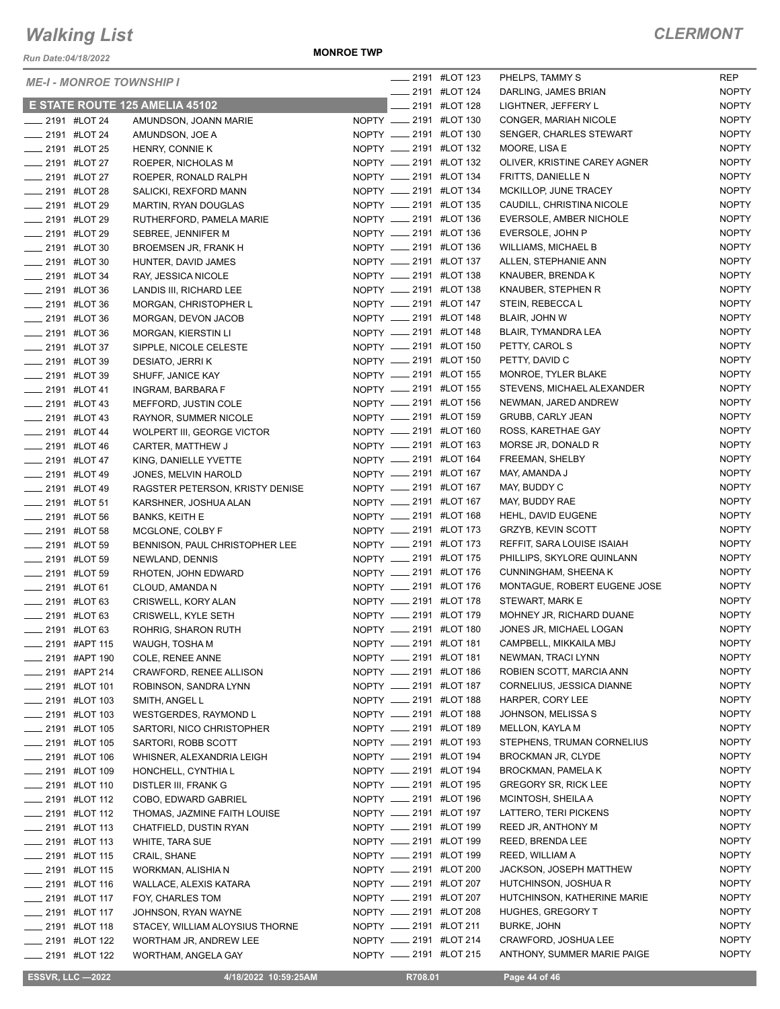*Run Date:04/18/2022*

**MONROE TWP**

#### *CLERMONT*

| <b>ME-I - MONROE TOWNSHIP I</b>                        |  |                                                |                                                  | <b>______ 2191 #LOT 123</b> | PHELPS, TAMMY S                             | <b>REP</b>                   |
|--------------------------------------------------------|--|------------------------------------------------|--------------------------------------------------|-----------------------------|---------------------------------------------|------------------------------|
|                                                        |  |                                                | <b>______ 2191 #LOT 124</b>                      |                             | DARLING, JAMES BRIAN                        | <b>NOPTY</b>                 |
|                                                        |  | E STATE ROUTE 125 AMELIA 45102                 |                                                  | 2191 #LOT 128               | LIGHTNER, JEFFERY L                         | <b>NOPTY</b>                 |
| <b>LEGGE 2191 #LOT 24</b>                              |  | AMUNDSON, JOANN MARIE                          | NOPTY __ 2191 #LOT 130                           |                             | CONGER, MARIAH NICOLE                       | <b>NOPTY</b>                 |
| <b>______ 2191 #LOT 24</b>                             |  | AMUNDSON, JOE A                                | NOPTY __ 2191 #LOT 130                           |                             | SENGER, CHARLES STEWART                     | <b>NOPTY</b>                 |
| <b>LEGGE 2191 #LOT 25</b>                              |  | HENRY, CONNIE K                                | NOPTY __ 2191 #LOT 132                           |                             | MOORE, LISA E                               | <b>NOPTY</b>                 |
| ____ 2191 #LOT 27                                      |  | ROEPER, NICHOLAS M                             | NOPTY __ 2191 #LOT 132                           |                             | OLIVER, KRISTINE CAREY AGNER                | <b>NOPTY</b>                 |
| ___ 2191 #LOT 27                                       |  | ROEPER, RONALD RALPH                           | NOPTY __ 2191 #LOT 134                           |                             | FRITTS, DANIELLE N                          | <b>NOPTY</b>                 |
| <b>LEGGE 2191 #LOT 28</b>                              |  | SALICKI, REXFORD MANN                          | NOPTY __ 2191 #LOT 134                           |                             | MCKILLOP, JUNE TRACEY                       | <b>NOPTY</b>                 |
| <b>LEGGE 2191 #LOT 29</b>                              |  | MARTIN, RYAN DOUGLAS                           | NOPTY __ 2191 #LOT 135                           |                             | CAUDILL, CHRISTINA NICOLE                   | <b>NOPTY</b>                 |
| -2191 #LOT 29                                          |  | RUTHERFORD, PAMELA MARIE                       | NOPTY __ 2191 #LOT 136<br>NOPTY __ 2191 #LOT 136 |                             | EVERSOLE, AMBER NICHOLE                     | <b>NOPTY</b><br><b>NOPTY</b> |
| <b>____ 2191 #LOT 29</b>                               |  | SEBREE, JENNIFER M                             |                                                  |                             | EVERSOLE, JOHN P                            | <b>NOPTY</b>                 |
| <b>LEGGE 191 #LOT 30</b>                               |  | BROEMSEN JR, FRANK H                           | NOPTY __ 2191 #LOT 136<br>NOPTY __ 2191 #LOT 137 |                             | WILLIAMS, MICHAEL B<br>ALLEN, STEPHANIE ANN | <b>NOPTY</b>                 |
| <b>_____ 2191 #LOT 30</b>                              |  | HUNTER, DAVID JAMES                            | NOPTY __ 2191 #LOT 138                           |                             | KNAUBER, BRENDA K                           | <b>NOPTY</b>                 |
| <b>_____ 2191 #LOT 34</b><br><b>LEGGE 2191 #LOT 36</b> |  | RAY, JESSICA NICOLE<br>LANDIS III, RICHARD LEE | NOPTY __ 2191 #LOT 138                           |                             | KNAUBER, STEPHEN R                          | <b>NOPTY</b>                 |
| <b>LEGGE 2191 #LOT 36</b>                              |  | MORGAN, CHRISTOPHER L                          | NOPTY __ 2191 #LOT 147                           |                             | STEIN, REBECCA L                            | <b>NOPTY</b>                 |
| LOT 36                                                 |  | MORGAN, DEVON JACOB                            | NOPTY __ 2191 #LOT 148                           |                             | BLAIR, JOHN W                               | <b>NOPTY</b>                 |
| <b>LEGGE 2191 #LOT 36</b>                              |  | MORGAN, KIERSTIN LI                            | NOPTY __ 2191 #LOT 148                           |                             | BLAIR, TYMANDRA LEA                         | <b>NOPTY</b>                 |
| -2191 #LOT 37                                          |  | SIPPLE, NICOLE CELESTE                         | NOPTY __ 2191 #LOT 150                           |                             | PETTY, CAROL S                              | <b>NOPTY</b>                 |
| <b>LEGGE 2191 #LOT 39</b>                              |  | DESIATO, JERRI K                               | NOPTY __ 2191 #LOT 150                           |                             | PETTY, DAVID C                              | <b>NOPTY</b>                 |
| <b>______ 2191 #LOT 39</b>                             |  | SHUFF, JANICE KAY                              | NOPTY __ 2191 #LOT 155                           |                             | MONROE, TYLER BLAKE                         | <b>NOPTY</b>                 |
| ___ 2191 #LOT 41                                       |  | INGRAM, BARBARA F                              | NOPTY __ 2191 #LOT 155                           |                             | STEVENS, MICHAEL ALEXANDER                  | <b>NOPTY</b>                 |
| <b>LEGGIO 2191 #LOT 43</b>                             |  | MEFFORD, JUSTIN COLE                           | NOPTY __ 2191 #LOT 156                           |                             | NEWMAN, JARED ANDREW                        | <b>NOPTY</b>                 |
| $\frac{1}{2191}$ #LOT 43                               |  | RAYNOR, SUMMER NICOLE                          | NOPTY __ 2191 #LOT 159                           |                             | <b>GRUBB, CARLY JEAN</b>                    | <b>NOPTY</b>                 |
| <b>LEGGE 191 #LOT 44</b>                               |  | WOLPERT III, GEORGE VICTOR                     | NOPTY __ 2191 #LOT 160                           |                             | ROSS, KARETHAE GAY                          | <b>NOPTY</b>                 |
| __ 2191 #LOT 46                                        |  | CARTER, MATTHEW J                              | NOPTY __ 2191 #LOT 163                           |                             | MORSE JR, DONALD R                          | <b>NOPTY</b>                 |
| $\frac{1}{2191}$ #LOT 47                               |  | KING, DANIELLE YVETTE                          | NOPTY __ 2191 #LOT 164                           |                             | FREEMAN, SHELBY                             | <b>NOPTY</b>                 |
| <b>LEGGE 2191 #LOT 49</b>                              |  | JONES, MELVIN HAROLD                           | NOPTY __ 2191 #LOT 167                           |                             | MAY, AMANDA J                               | <b>NOPTY</b>                 |
| <b>_____ 2191 #LOT 49</b>                              |  | RAGSTER PETERSON, KRISTY DENISE                | NOPTY __ 2191 #LOT 167                           |                             | MAY, BUDDY C                                | <b>NOPTY</b>                 |
| <b>LEGGE 2191 #LOT 51</b>                              |  | KARSHNER, JOSHUA ALAN                          | NOPTY __ 2191 #LOT 167                           |                             | MAY, BUDDY RAE                              | <b>NOPTY</b>                 |
| <b>_____ 2191 #LOT 56</b>                              |  | <b>BANKS, KEITH E</b>                          | NOPTY __ 2191 #LOT 168                           |                             | HEHL, DAVID EUGENE                          | <b>NOPTY</b>                 |
| <b>LEGGE 2191 #LOT 58</b>                              |  | MCGLONE, COLBY F                               | NOPTY __ 2191 #LOT 173                           |                             | GRZYB, KEVIN SCOTT                          | <b>NOPTY</b>                 |
| <b>LEGGE 2191 #LOT 59</b>                              |  | BENNISON, PAUL CHRISTOPHER LEE                 | NOPTY __ 2191 #LOT 173                           |                             | REFFIT, SARA LOUISE ISAIAH                  | <b>NOPTY</b>                 |
| <b>LEGGE 2191 #LOT 59</b>                              |  | NEWLAND, DENNIS                                | NOPTY __ 2191 #LOT 175                           |                             | PHILLIPS, SKYLORE QUINLANN                  | <b>NOPTY</b>                 |
| <b>LEGGE 2191 #LOT 59</b>                              |  | RHOTEN, JOHN EDWARD                            | NOPTY __ 2191 #LOT 176                           |                             | <b>CUNNINGHAM, SHEENA K</b>                 | <b>NOPTY</b>                 |
| <b>LEGGE 2191 #LOT 61</b>                              |  | CLOUD, AMANDA N                                | NOPTY __ 2191 #LOT 176                           |                             | MONTAGUE, ROBERT EUGENE JOSE                | <b>NOPTY</b>                 |
| <b>LEGGE 2191 #LOT 63</b>                              |  | CRISWELL, KORY ALAN                            | NOPTY __ 2191 #LOT 178                           |                             | STEWART, MARK E                             | <b>NOPTY</b>                 |
| <b>LEGGE 2191 #LOT 63</b>                              |  | CRISWELL, KYLE SETH                            | NOPTY __ 2191 #LOT 179                           |                             | MOHNEY JR, RICHARD DUANE                    | <b>NOPTY</b>                 |
| _ 2191 #LOT 63                                         |  | ROHRIG, SHARON RUTH                            | NOPTY __ 2191 #LOT 180                           |                             | JONES JR, MICHAEL LOGAN                     | <b>NOPTY</b>                 |
| ___ 2191 #APT 115                                      |  | WAUGH, TOSHA M                                 | NOPTY __ 2191 #LOT 181                           |                             | CAMPBELL, MIKKAILA MBJ                      | <b>NOPTY</b>                 |
| ____ 2191 #APT 190                                     |  | COLE, RENEE ANNE                               | NOPTY __ 2191 #LOT 181                           |                             | NEWMAN, TRACI LYNN                          | <b>NOPTY</b>                 |
| $\frac{1}{2191}$ #APT 214                              |  | CRAWFORD, RENEE ALLISON                        | NOPTY __ 2191 #LOT 186                           |                             | ROBIEN SCOTT, MARCIA ANN                    | <b>NOPTY</b>                 |
| $\frac{1}{2191}$ #LOT 101                              |  | ROBINSON, SANDRA LYNN                          | NOPTY __ 2191 #LOT 187                           |                             | CORNELIUS, JESSICA DIANNE                   | <b>NOPTY</b>                 |
| <b>_____ 2191 #LOT 103</b>                             |  | SMITH, ANGEL L                                 | NOPTY __ 2191 #LOT 188                           |                             | HARPER, CORY LEE                            | <b>NOPTY</b>                 |
| ____ 2191 #LOT 103                                     |  | WESTGERDES, RAYMOND L                          | NOPTY __ 2191 #LOT 188                           |                             | JOHNSON, MELISSA S                          | <b>NOPTY</b>                 |
| __ 2191 #LOT 105                                       |  | SARTORI, NICO CHRISTOPHER                      | NOPTY __ 2191 #LOT 189                           |                             | <b>MELLON, KAYLA M</b>                      | <b>NOPTY</b>                 |
| <b>_____ 2191 #LOT 105</b>                             |  | SARTORI, ROBB SCOTT                            | NOPTY __ 2191 #LOT 193                           |                             | STEPHENS, TRUMAN CORNELIUS                  | <b>NOPTY</b>                 |
| ____ 2191 #LOT 106                                     |  | WHISNER, ALEXANDRIA LEIGH                      | NOPTY __ 2191 #LOT 194                           |                             | <b>BROCKMAN JR, CLYDE</b>                   | <b>NOPTY</b>                 |
| <b>_____ 2191 #LOT 109</b>                             |  | HONCHELL, CYNTHIA L                            | NOPTY __ 2191 #LOT 194                           |                             | BROCKMAN, PAMELA K                          | <b>NOPTY</b>                 |
| <b>LEGGE 110</b> 2191 #LOT 110                         |  | DISTLER III, FRANK G                           | NOPTY __ 2191 #LOT 195                           |                             | <b>GREGORY SR, RICK LEE</b>                 | <b>NOPTY</b>                 |
| <b>_____ 2191 #LOT 112</b>                             |  | COBO, EDWARD GABRIEL                           | NOPTY __ 2191 #LOT 196                           |                             | MCINTOSH, SHEILA A                          | <b>NOPTY</b>                 |
| $\frac{1}{2}$ 2191 #LOT 112                            |  | THOMAS, JAZMINE FAITH LOUISE                   | NOPTY __ 2191 #LOT 197                           |                             | LATTERO, TERI PICKENS                       | <b>NOPTY</b>                 |
| ____ 2191 #LOT 113                                     |  | CHATFIELD, DUSTIN RYAN                         | NOPTY __ 2191 #LOT 199                           |                             | REED JR, ANTHONY M                          | <b>NOPTY</b>                 |
| <b>_____ 2191 #LOT 113</b>                             |  | WHITE, TARA SUE                                | NOPTY __ 2191 #LOT 199                           |                             | REED, BRENDA LEE                            | <b>NOPTY</b>                 |
| <b>LETTEL 2191 #LOT 115</b>                            |  | CRAIL, SHANE                                   | NOPTY __ 2191 #LOT 199                           |                             | REED, WILLIAM A                             | <b>NOPTY</b>                 |
| <b>_____ 2191 #LOT 115</b>                             |  | WORKMAN, ALISHIA N                             | NOPTY __ 2191 #LOT 200                           |                             | JACKSON, JOSEPH MATTHEW                     | <b>NOPTY</b>                 |
| <b>_____ 2191 #LOT 116</b>                             |  | WALLACE, ALEXIS KATARA                         | NOPTY __ 2191 #LOT 207                           |                             | HUTCHINSON, JOSHUA R                        | <b>NOPTY</b>                 |
| $\frac{1}{2191}$ #LOT 117                              |  | FOY, CHARLES TOM                               | NOPTY __ 2191 #LOT 207                           |                             | HUTCHINSON, KATHERINE MARIE                 | <b>NOPTY</b>                 |
| <b>_____ 2191 #LOT 117</b>                             |  | JOHNSON, RYAN WAYNE                            | NOPTY __ 2191 #LOT 208                           |                             | HUGHES, GREGORY T                           | <b>NOPTY</b>                 |
| <b>LETTE 2191 #LOT 118</b>                             |  | STACEY, WILLIAM ALOYSIUS THORNE                | NOPTY __ 2191 #LOT 211                           |                             | <b>BURKE, JOHN</b>                          | <b>NOPTY</b>                 |
| ____ 2191 #LOT 122                                     |  | WORTHAM JR, ANDREW LEE                         | NOPTY __ 2191 #LOT 214                           |                             | CRAWFORD, JOSHUA LEE                        | <b>NOPTY</b>                 |
| <b>LEGGE 122</b> 2191 #LOT 122                         |  | WORTHAM, ANGELA GAY                            | NOPTY __ 2191 #LOT 215                           |                             | ANTHONY, SUMMER MARIE PAIGE                 | <b>NOPTY</b>                 |

 **ESSVR, LLC —2022 4/18/2022 10:59:25AM R708.01 Page 44 of 46**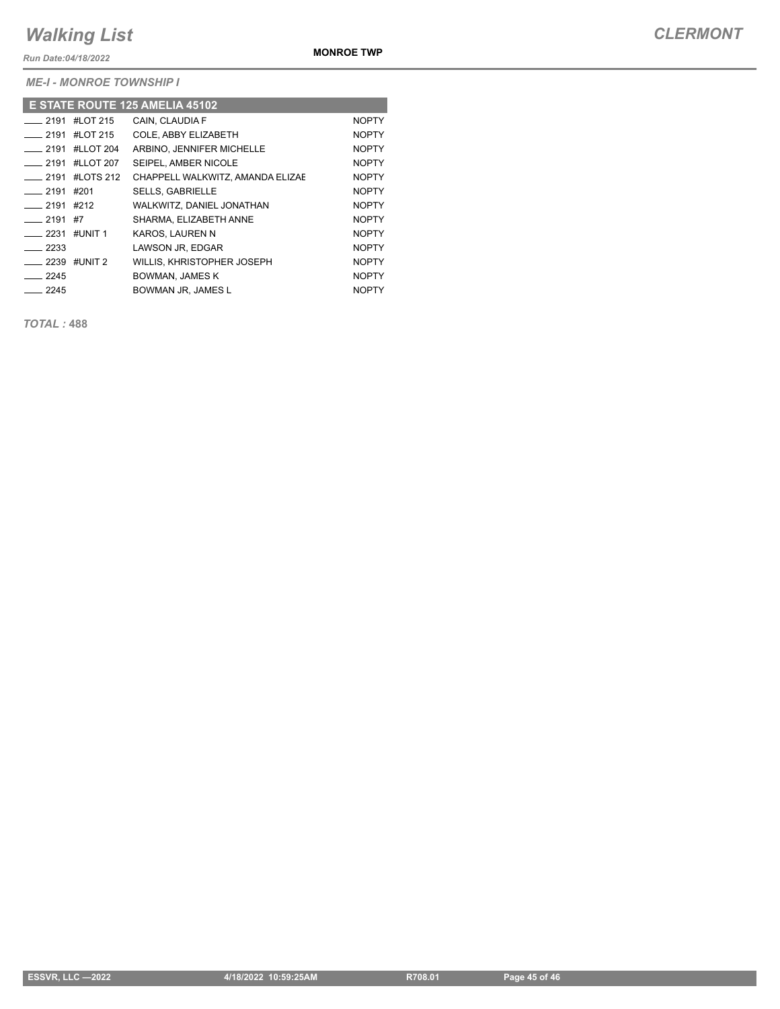*Run Date:04/18/2022*

*ME-I - MONROE TOWNSHIP I*

| E STATE ROUTE 125 AMELIA 45102 |                            |                                  |              |  |  |  |  |  |
|--------------------------------|----------------------------|----------------------------------|--------------|--|--|--|--|--|
| $-2191$                        | #LOT 215                   | CAIN. CLAUDIA F                  | <b>NOPTY</b> |  |  |  |  |  |
|                                | $\frac{1}{2191}$ #LOT 215  | COLE. ABBY ELIZABETH             | <b>NOPTY</b> |  |  |  |  |  |
|                                | $\frac{1}{2191}$ #LLOT 204 | ARBINO. JENNIFER MICHELLE        | <b>NOPTY</b> |  |  |  |  |  |
|                                | $\frac{1}{2191}$ #LLOT 207 | SEIPEL, AMBER NICOLE             | <b>NOPTY</b> |  |  |  |  |  |
| $-2191$                        | #LOTS 212                  | CHAPPELL WALKWITZ, AMANDA ELIZAE | <b>NOPTY</b> |  |  |  |  |  |
| ____ 2191 #201                 |                            | <b>SELLS, GABRIELLE</b>          | <b>NOPTY</b> |  |  |  |  |  |
| $-2191$ #212                   |                            | WALKWITZ, DANIEL JONATHAN        | <b>NOPTY</b> |  |  |  |  |  |
| $-2191$                        | #7                         | SHARMA, ELIZABETH ANNE           | <b>NOPTY</b> |  |  |  |  |  |
| $-2231$                        | #UNIT 1                    | KAROS, LAUREN N                  | <b>NOPTY</b> |  |  |  |  |  |
| $\frac{1}{2233}$               |                            | LAWSON JR. EDGAR                 | <b>NOPTY</b> |  |  |  |  |  |
| $\frac{1}{2239}$ #UNIT 2       |                            | WILLIS, KHRISTOPHER JOSEPH       | <b>NOPTY</b> |  |  |  |  |  |
| $-2245$                        |                            | <b>BOWMAN, JAMES K</b>           | <b>NOPTY</b> |  |  |  |  |  |
| $-2245$                        |                            | BOWMAN JR, JAMES L               | <b>NOPTY</b> |  |  |  |  |  |

*TOTAL :* **488**